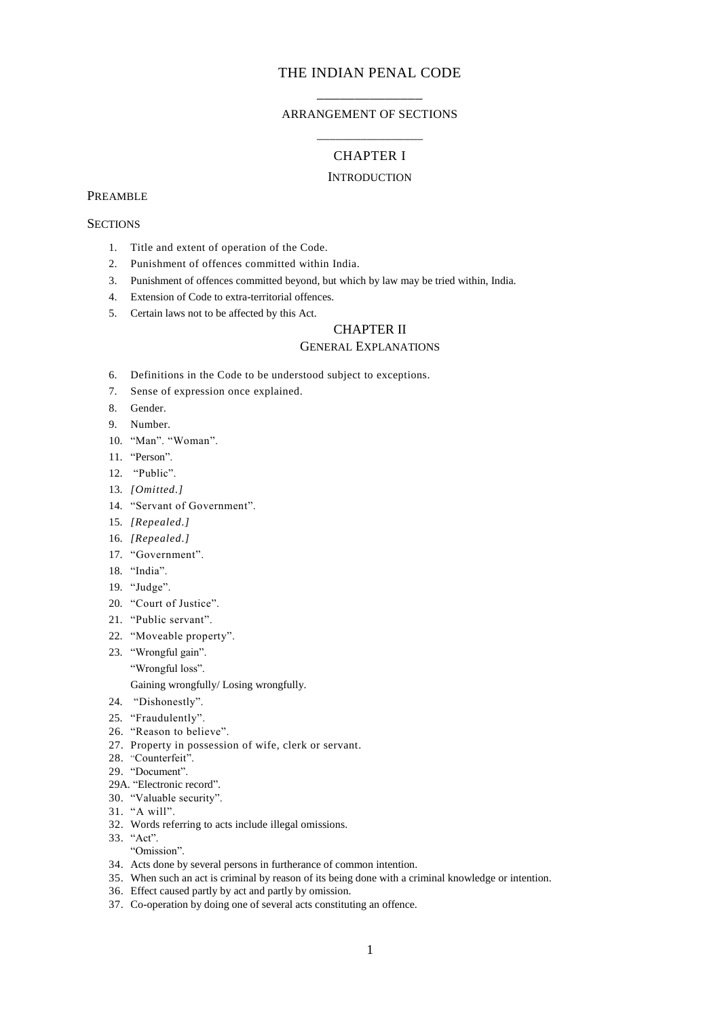# THE INDIAN PENAL CODE \_\_\_\_\_\_\_\_\_\_\_\_\_\_

# ARRANGEMENT OF SECTIONS \_\_\_\_\_\_\_\_\_\_\_\_\_\_\_\_\_

# CHAPTER I

# **INTRODUCTION**

# PREAMBLE

# **SECTIONS**

- 1. Title and extent of operation of the Code.
- 2. Punishment of offences committed within India.
- 3. Punishment of offences committed beyond, but which by law may be tried within, India.
- 4. Extension of Code to extra-territorial offences.
- 5. Certain laws not to be affected by this Act.

# CHAPTER II

# GENERAL EXPLANATIONS

- 6. Definitions in the Code to be understood subject to exceptions.
- 7. Sense of expression once explained.
- 8. Gender.
- 9. Number.
- 10. "Man". "Woman".
- 11. "Person".
- 12. "Public".
- 13. *[Omitted.]*
- 14. "Servant of Government".
- 15. *[Repealed.]*
- 16. *[Repealed.]*
- 17. "Government".
- 18. "India".
- 19. "Judge".
- 20. "Court of Justice".
- 21. "Public servant".
- 22. "Moveable property".
- 23. "Wrongful gain". "Wrongful loss". Gaining wrongfully/ Losing wrongfully.
	-
- 24. "Dishonestly".
- 25. "Fraudulently".
- 26. "Reason to believe".
- 27. Property in possession of wife, clerk or servant.
- 28. "Counterfeit".
- 29. "Document".
- 29A. "Electronic record".
- 30. "Valuable security".
- 31. "A will".
- 32. Words referring to acts include illegal omissions.

33. "Act".

"Omission".

- 34. Acts done by several persons in furtherance of common intention.
- 35. When such an act is criminal by reason of its being done with a criminal knowledge or intention.
- 36. Effect caused partly by act and partly by omission.
- 37. Co-operation by doing one of several acts constituting an offence.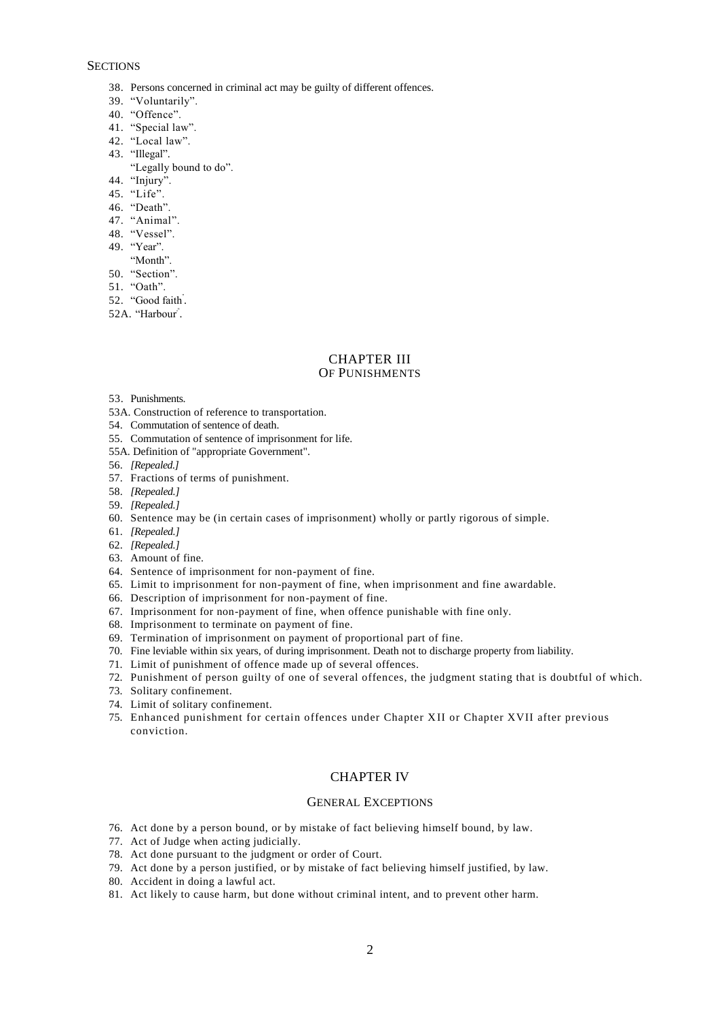- 38. Persons concerned in criminal act may be guilty of different offences.
- 39. "Voluntarily".
- 40. "Offence".
- 41. "Special law".
- 42. "Local law".
- 43. "Illegal".
	- "Legally bound to do".
- 44. "Injury".
- 45. "Life".
- 46. "Death".
- 47. "Animal".
- 48. "Vessel".
- 49. "Year".
- "Month".
- 50. "Section".
- 51. "Oath".
- 
- 52. "Good faith<sup>"</sup>. 52A. "Harbour.

### CHAPTER III OF PUNISHMENTS

- 53. Punishments.
- 53A. Construction of reference to transportation.
- 54. Commutation of sentence of death.
- 55. Commutation of sentence of imprisonment for life.
- 55A. Definition of "appropriate Government".
- 56. *[Repealed.]*
- 57. Fractions of terms of punishment.
- 58. *[Repealed.]*
- 59. *[Repealed.]*
- 60. Sentence may be (in certain cases of imprisonment) wholly or partly rigorous of simple.
- 61. *[Repealed.]*
- 62. *[Repealed.]*
- 63. Amount of fine.
- 64. Sentence of imprisonment for non-payment of fine.
- 65. Limit to imprisonment for non-payment of fine, when imprisonment and fine awardable.
- 66. Description of imprisonment for non-payment of fine.
- 67. Imprisonment for non-payment of fine, when offence punishable with fine only.
- 68. Imprisonment to terminate on payment of fine.
- 69. Termination of imprisonment on payment of proportional part of fine.
- 70. Fine leviable within six years, of during imprisonment. Death not to discharge property from liability.
- 71. Limit of punishment of offence made up of several offences.
- 72. Punishment of person guilty of one of several offences, the judgment stating that is doubtful of which.
- 73. Solitary confinement.
- 74. Limit of solitary confinement.
- 75. Enhanced punishment for certain offences under Chapter XII or Chapter XVII after previous conviction.

# CHAPTER IV

# GENERAL EXCEPTIONS

- 76. Act done by a person bound, or by mistake of fact believing himself bound, by law.
- 77. Act of Judge when acting judicially.
- 78. Act done pursuant to the judgment or order of Court.
- 79. Act done by a person justified, or by mistake of fact believing himself justified, by law.
- 80. Accident in doing a lawful act.
- 81. Act likely to cause harm, but done without criminal intent, and to prevent other harm.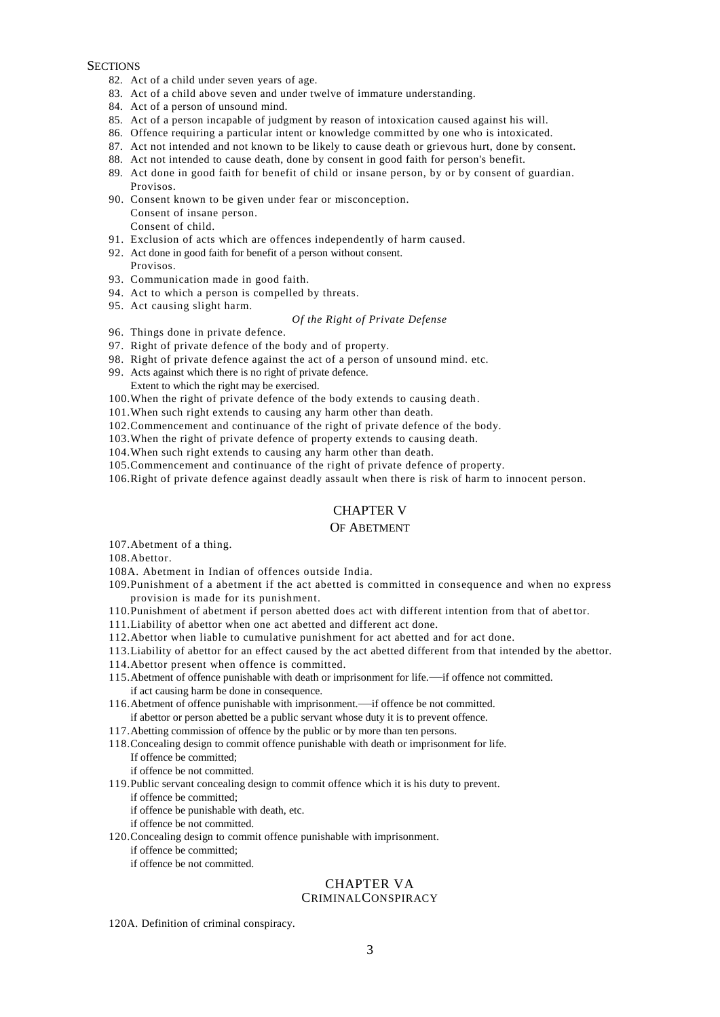- 82. Act of a child under seven years of age.
- 83. Act of a child above seven and under twelve of immature understanding.
- 84. Act of a person of unsound mind.
- 85. Act of a person incapable of judgment by reason of intoxication caused against his will.
- 86. Offence requiring a particular intent or knowledge committed by one who is intoxicated.
- 87. Act not intended and not known to be likely to cause death or grievous hurt, done by consent.
- 88. Act not intended to cause death, done by consent in good faith for person's benefit.
- 89. Act done in good faith for benefit of child or insane person, by or by consent of guardian. Provisos.
- 90. Consent known to be given under fear or misconception. Consent of insane person. Consent of child.
- 91. Exclusion of acts which are offences independently of harm caused.
- 92. Act done in good faith for benefit of a person without consent. Provisos.
- 93. Communication made in good faith.
- 94. Act to which a person is compelled by threats.
- 95. Act causing slight harm.

# *Of the Right of Private Defense*

- 96. Things done in private defence.
- 97. Right of private defence of the body and of property.
- 98. Right of private defence against the act of a person of unsound mind. etc.
- 99. Acts against which there is no right of private defence.

Extent to which the right may be exercised.

- 100.When the right of private defence of the body extends to causing death .
- 101.When such right extends to causing any harm other than death.
- 102.Commencement and continuance of the right of private defence of the body.
- 103.When the right of private defence of property extends to causing death.
- 104.When such right extends to causing any harm other than death.
- 105.Commencement and continuance of the right of private defence of property.
- 106.Right of private defence against deadly assault when there is risk of harm to innocent person.

# CHAPTER V

# OF ABETMENT

107.Abetment of a thing.

108.Abettor.

- 108A. Abetment in Indian of offences outside India.
- 109.Punishment of a abetment if the act abetted is committed in consequence and when no express provision is made for its punishment.
- 110.Punishment of abetment if person abetted does act with different intention from that of abet tor.
- 111.Liability of abettor when one act abetted and different act done.
- 112.Abettor when liable to cumulative punishment for act abetted and for act done.
- 113.Liability of abettor for an effect caused by the act abetted different from that intended by the abettor.
- 114.Abettor present when offence is committed.
- 115.Abetment of offence punishable with death or imprisonment for life.—if offence not committed. if act causing harm be done in consequence.
- 116.Abetment of offence punishable with imprisonment.—if offence be not committed. if abettor or person abetted be a public servant whose duty it is to prevent offence.
- 117.Abetting commission of offence by the public or by more than ten persons.
- 118.Concealing design to commit offence punishable with death or imprisonment for life. If offence be committed;
	- if offence be not committed.

119.Public servant concealing design to commit offence which it is his duty to prevent. if offence be committed; if offence be punishable with death, etc.

- if offence be not committed.
- 120.Concealing design to commit offence punishable with imprisonment.
	- if offence be committed;

if offence be not committed.

# CHAPTER VA CRIMINALCONSPIRACY

120A. Definition of criminal conspiracy.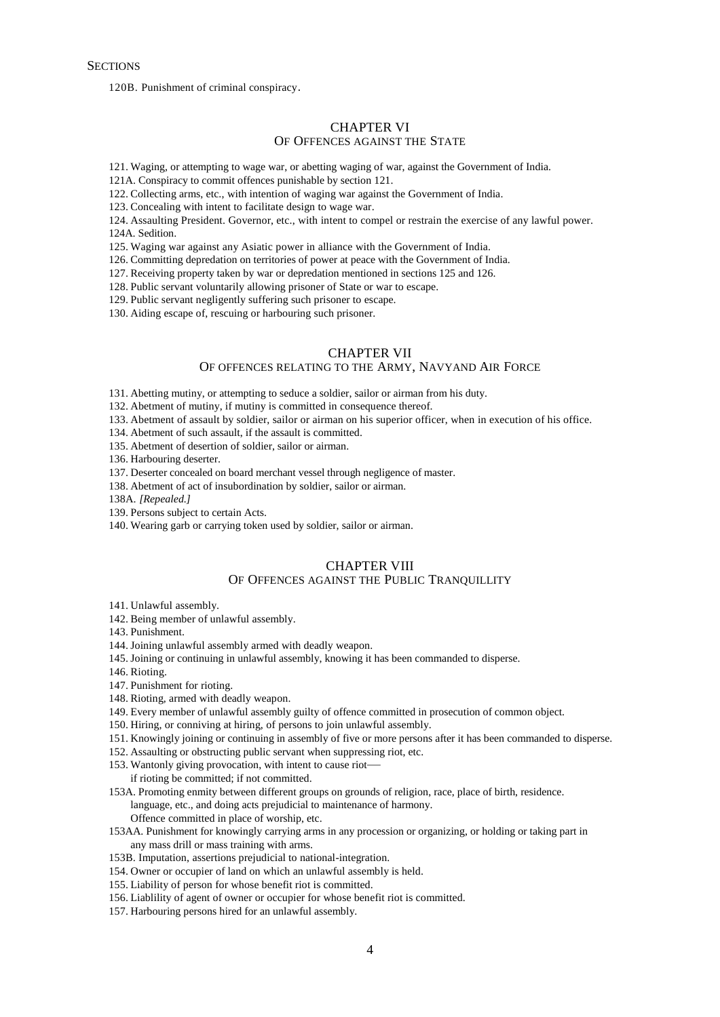120B. Punishment of criminal conspiracy.

### CHAPTER VI OF OFFENCES AGAINST THE STATE

121. Waging, or attempting to wage war, or abetting waging of war, against the Government of India.

121A. Conspiracy to commit offences punishable by section 121.

122. Collecting arms, etc., with intention of waging war against the Government of India.

123. Concealing with intent to facilitate design to wage war.

124. Assaulting President. Governor, etc., with intent to compel or restrain the exercise of any lawful power. 124A. Sedition.

125. Waging war against any Asiatic power in alliance with the Government of India.

126. Committing depredation on territories of power at peace with the Government of India.

127. Receiving property taken by war or depredation mentioned in sections 125 and 126.

128. Public servant voluntarily allowing prisoner of State or war to escape.

129. Public servant negligently suffering such prisoner to escape.

130. Aiding escape of, rescuing or harbouring such prisoner.

# CHAPTER VII

# OF OFFENCES RELATING TO THE ARMY, NAVYAND AIR FORCE

131. Abetting mutiny, or attempting to seduce a soldier, sailor or airman from his duty.

132. Abetment of mutiny, if mutiny is committed in consequence thereof.

- 133. Abetment of assault by soldier, sailor or airman on his superior officer, when in execution of his office.
- 134. Abetment of such assault, if the assault is committed.

135. Abetment of desertion of soldier, sailor or airman.

136. Harbouring deserter.

137. Deserter concealed on board merchant vessel through negligence of master.

138. Abetment of act of insubordination by soldier, sailor or airman.

138A. *[Repealed.]*

139. Persons subject to certain Acts.

140. Wearing garb or carrying token used by soldier, sailor or airman.

# CHAPTER VIII

# OF OFFENCES AGAINST THE PUBLIC TRANQUILLITY

141. Unlawful assembly.

142. Being member of unlawful assembly.

143. Punishment.

144. Joining unlawful assembly armed with deadly weapon.

145. Joining or continuing in unlawful assembly, knowing it has been commanded to disperse.

146. Rioting.

147. Punishment for rioting.

- 148. Rioting, armed with deadly weapon.
- 149. Every member of unlawful assembly guilty of offence committed in prosecution of common object.
- 150. Hiring, or conniving at hiring, of persons to join unlawful assembly.
- 151. Knowingly joining or continuing in assembly of five or more persons after it has been commanded to disperse.
- 152. Assaulting or obstructing public servant when suppressing riot, etc.
- 153. Wantonly giving provocation, with intent to cause riot
	- if rioting be committed; if not committed.
- 153A. Promoting enmity between different groups on grounds of religion, race, place of birth, residence. language, etc., and doing acts prejudicial to maintenance of harmony. Offence committed in place of worship, etc.
- 153AA. Punishment for knowingly carrying arms in any procession or organizing, or holding or taking part in any mass drill or mass training with arms.
- 153B. Imputation, assertions prejudicial to national-integration.
- 154. Owner or occupier of land on which an unlawful assembly is held.

155. Liability of person for whose benefit riot is committed.

- 156. Liablility of agent of owner or occupier for whose benefit riot is committed.
- 157. Harbouring persons hired for an unlawful assembly.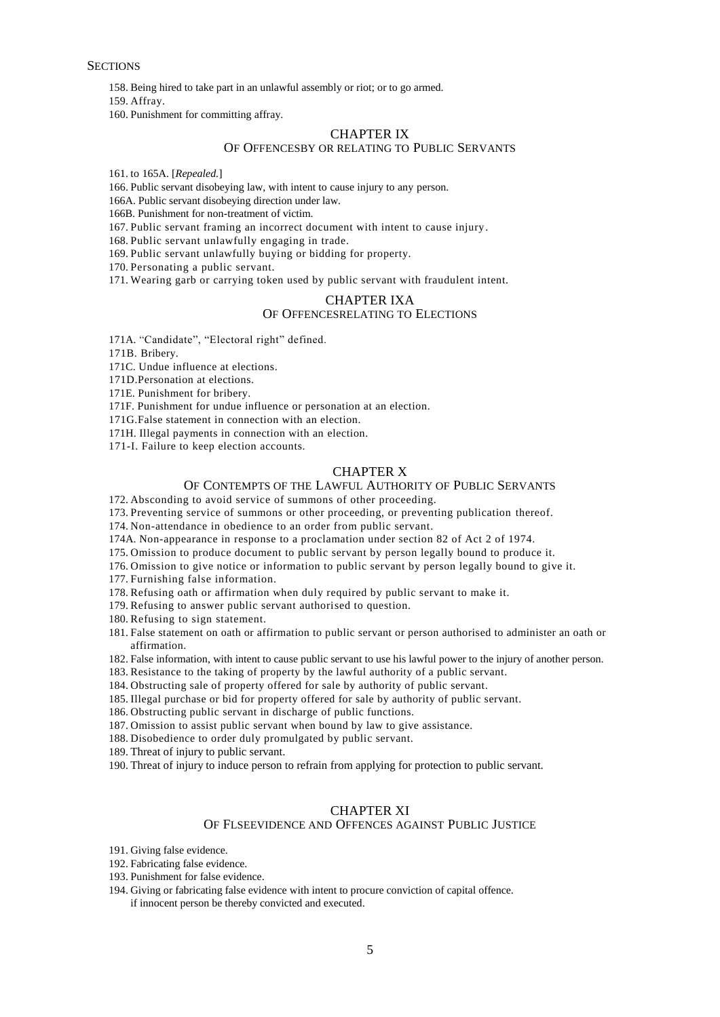158. Being hired to take part in an unlawful assembly or riot; or to go armed.

159. Affray.

160. Punishment for committing affray.

# CHAPTER IX

# OF OFFENCESBY OR RELATING TO PUBLIC SERVANTS

161. to 165A. [*Repealed.*]

166. Public servant disobeying law, with intent to cause injury to any person.

166A. Public servant disobeying direction under law.

166B. Punishment for non-treatment of victim.

167. Public servant framing an incorrect document with intent to cause injury.

168. Public servant unlawfully engaging in trade.

169. Public servant unlawfully buying or bidding for property.

170. Personating a public servant.

171. Wearing garb or carrying token used by public servant with fraudulent intent.

# CHAPTER IXA OF OFFENCESRELATING TO ELECTIONS

171A. "Candidate", "Electoral right" defined.

171B. Bribery.

171C. Undue influence at elections.

171D.Personation at elections.

171E. Punishment for bribery.

171F. Punishment for undue influence or personation at an election.

171G.False statement in connection with an election.

171H. Illegal payments in connection with an election.

171-I. Failure to keep election accounts.

# CHAPTER X

# OF CONTEMPTS OF THE LAWFUL AUTHORITY OF PUBLIC SERVANTS

172. Absconding to avoid service of summons of other proceeding.

173. Preventing service of summons or other proceeding, or preventing publication thereof.

174. Non-attendance in obedience to an order from public servant.

174A. Non-appearance in response to a proclamation under section 82 of Act 2 of 1974.

175. Omission to produce document to public servant by person legally bound to produce it.

176. Omission to give notice or information to public servant by person legally bound to give it.

177. Furnishing false information.

178. Refusing oath or affirmation when duly required by public servant to make it.

179. Refusing to answer public servant authorised to question.

180. Refusing to sign statement.

181. False statement on oath or affirmation to public servant or person authorised to administer an oath or affirmation.

182. False information, with intent to cause public servant to use his lawful power to the injury of another person.

183. Resistance to the taking of property by the lawful authority of a public servant.

184. Obstructing sale of property offered for sale by authority of public servant.

185. Illegal purchase or bid for property offered for sale by authority of public servant.

186. Obstructing public servant in discharge of public functions.

187. Omission to assist public servant when bound by law to give assistance.

188. Disobedience to order duly promulgated by public servant.

189. Threat of injury to public servant.

190. Threat of injury to induce person to refrain from applying for protection to public servant.

# CHAPTER XI

# OF FLSEEVIDENCE AND OFFENCES AGAINST PUBLIC JUSTICE

- 191. Giving false evidence.
- 192. Fabricating false evidence.
- 193. Punishment for false evidence.

194. Giving or fabricating false evidence with intent to procure conviction of capital offence. if innocent person be thereby convicted and executed.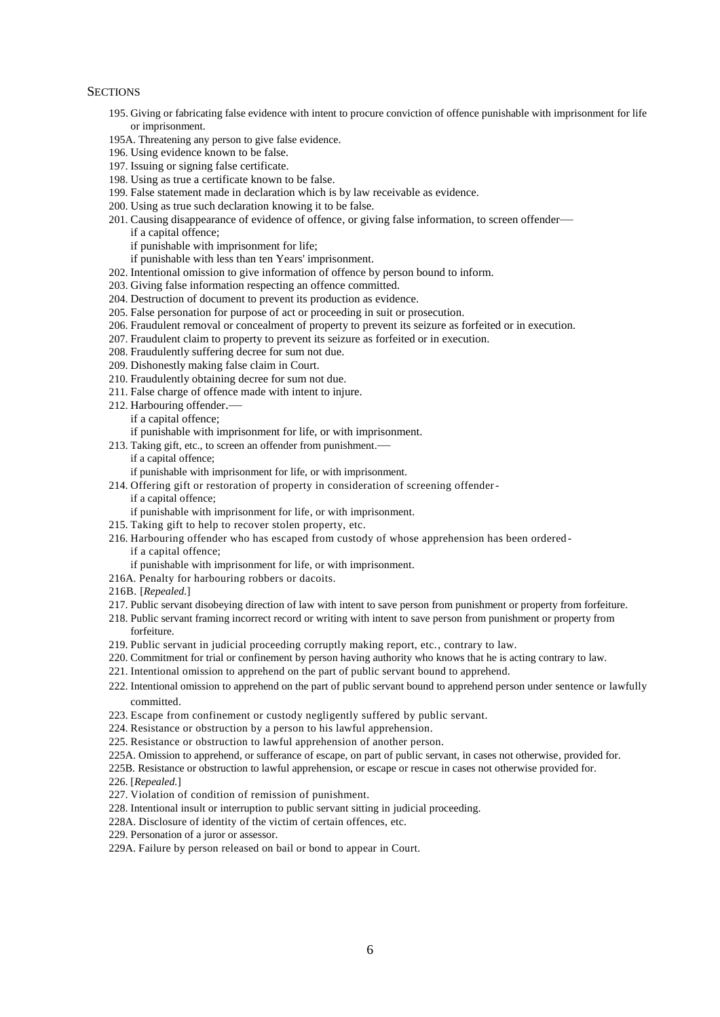- 195. Giving or fabricating false evidence with intent to procure conviction of offence punishable with imprisonment for life or imprisonment.
- 195A. Threatening any person to give false evidence.
- 196. Using evidence known to be false.
- 197. Issuing or signing false certificate.
- 198. Using as true a certificate known to be false.
- 199. False statement made in declaration which is by law receivable as evidence.
- 200. Using as true such declaration knowing it to be false.
- 201. Causing disappearance of evidence of offence, or giving false information, to screen offender if a capital offence;
	- if punishable with imprisonment for life;
	- if punishable with less than ten Years' imprisonment.
- 202. Intentional omission to give information of offence by person bound to inform.
- 203. Giving false information respecting an offence committed.
- 204. Destruction of document to prevent its production as evidence.
- 205. False personation for purpose of act or proceeding in suit or prosecution.
- 206. Fraudulent removal or concealment of property to prevent its seizure as forfeited or in execution.
- 207. Fraudulent claim to property to prevent its seizure as forfeited or in execution.
- 208. Fraudulently suffering decree for sum not due.
- 209. Dishonestly making false claim in Court.
- 210. Fraudulently obtaining decree for sum not due.
- 211. False charge of offence made with intent to injure.
- 212. Harbouring offender. if a capital offence;
	- if punishable with imprisonment for life, or with imprisonment.
- 213. Taking gift, etc., to screen an offender from punishment.
	- if a capital offence;
		- if punishable with imprisonment for life, or with imprisonment.
- 214. Offering gift or restoration of property in consideration of screening offenderif a capital offence;
	- if punishable with imprisonment for life, or with imprisonment.
- 215. Taking gift to help to recover stolen property, etc.
- 216. Harbouring offender who has escaped from custody of whose apprehension has been ordered if a capital offence;
	- if punishable with imprisonment for life, or with imprisonment.
- 216A. Penalty for harbouring robbers or dacoits.
- 216B. [*Repealed.*]
- 217. Public servant disobeying direction of law with intent to save person from punishment or property from forfeiture.
- 218. Public servant framing incorrect record or writing with intent to save person from punishment or property from forfeiture.
- 219. Public servant in judicial proceeding corruptly making report, etc., contrary to law.
- 220. Commitment for trial or confinement by person having authority who knows that he is acting contrary to law.
- 221. Intentional omission to apprehend on the part of public servant bound to apprehend.
- 222. Intentional omission to apprehend on the part of public servant bound to apprehend person under sentence or lawfully committed.
- 223. Escape from confinement or custody negligently suffered by public servant.
- 224. Resistance or obstruction by a person to his lawful apprehension.
- 225. Resistance or obstruction to lawful apprehension of another person.
- 225A. Omission to apprehend, or sufferance of escape, on part of public servant, in cases not otherwise, provided for.
- 225B. Resistance or obstruction to lawful apprehension, or escape or rescue in cases not otherwise provided for.

226. [*Repealed.*]

- 227. Violation of condition of remission of punishment.
- 228. Intentional insult or interruption to public servant sitting in judicial proceeding.
- 228A. Disclosure of identity of the victim of certain offences, etc.
- 229. Personation of a juror or assessor.
- 229A. Failure by person released on bail or bond to appear in Court.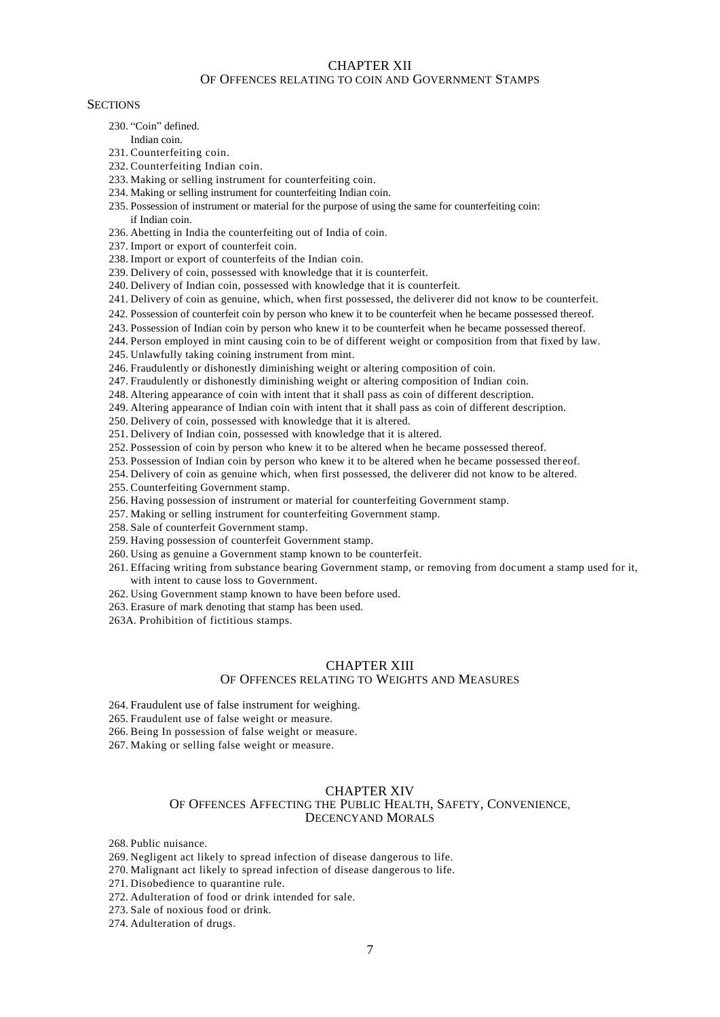# CHAPTER XII OF OFFENCES RELATING TO COIN AND GOVERNMENT STAMPS

### **SECTIONS**

- 230. "Coin" defined.
- Indian coin.
- 231. Counterfeiting coin.
- 232. Counterfeiting Indian coin.
- 233. Making or selling instrument for counterfeiting coin.
- 234. Making or selling instrument for counterfeiting Indian coin.
- 235. Possession of instrument or material for the purpose of using the same for counterfeiting coin: if Indian coin.
- 236. Abetting in India the counterfeiting out of India of coin.
- 237. Import or export of counterfeit coin.
- 238. Import or export of counterfeits of the Indian coin.
- 239. Delivery of coin, possessed with knowledge that it is counterfeit.
- 240. Delivery of Indian coin, possessed with knowledge that it is counterfeit.
- 241. Delivery of coin as genuine, which, when first possessed, the deliverer did not know to be counterfeit.
- 242. Possession of counterfeit coin by person who knew it to be counterfeit when he became possessed thereof.
- 243. Possession of Indian coin by person who knew it to be counterfeit when he became possessed thereof.
- 244. Person employed in mint causing coin to be of different weight or composition from that fixed by law.
- 245. Unlawfully taking coining instrument from mint.
- 246. Fraudulently or dishonestly diminishing weight or altering composition of coin.
- 247. Fraudulently or dishonestly diminishing weight or altering composition of Indian coin.
- 248. Altering appearance of coin with intent that it shall pass as coin of different description.
- 249. Altering appearance of Indian coin with intent that it shall pass as coin of different description.
- 250. Delivery of coin, possessed with knowledge that it is altered.
- 251. Delivery of Indian coin, possessed with knowledge that it is altered.
- 252. Possession of coin by person who knew it to be altered when he became possessed thereof.
- 253. Possession of Indian coin by person who knew it to be altered when he became possessed ther eof.
- 254. Delivery of coin as genuine which, when first possessed, the deliverer did not know to be altered.
- 255. Counterfeiting Government stamp.
- 256. Having possession of instrument or material for counterfeiting Government stamp.
- 257. Making or selling instrument for counterfeiting Government stamp.
- 258. Sale of counterfeit Government stamp.
- 259. Having possession of counterfeit Government stamp.
- 260. Using as genuine a Government stamp known to be counterfeit.
- 261. Effacing writing from substance bearing Government stamp, or removing from document a stamp used for it, with intent to cause loss to Government.
- 262. Using Government stamp known to have been before used.
- 263. Erasure of mark denoting that stamp has been used.
- 263A. Prohibition of fictitious stamps.

# CHAPTER XIII OF OFFENCES RELATING TO WEIGHTS AND MEASURES

- 264. Fraudulent use of false instrument for weighing.
- 265. Fraudulent use of false weight or measure.
- 266. Being In possession of false weight or measure.
- 267. Making or selling false weight or measure.

# CHAPTER XIV OF OFFENCES AFFECTING THE PUBLIC HEALTH, SAFETY, CONVENIENCE, DECENCYAND MORALS

- 268. Public nuisance.
- 269. Negligent act likely to spread infection of disease dangerous to life.
- 270. Malignant act likely to spread infection of disease dangerous to life.
- 271. Disobedience to quarantine rule.
- 272. Adulteration of food or drink intended for sale.
- 273. Sale of noxious food or drink.
- 274. Adulteration of drugs.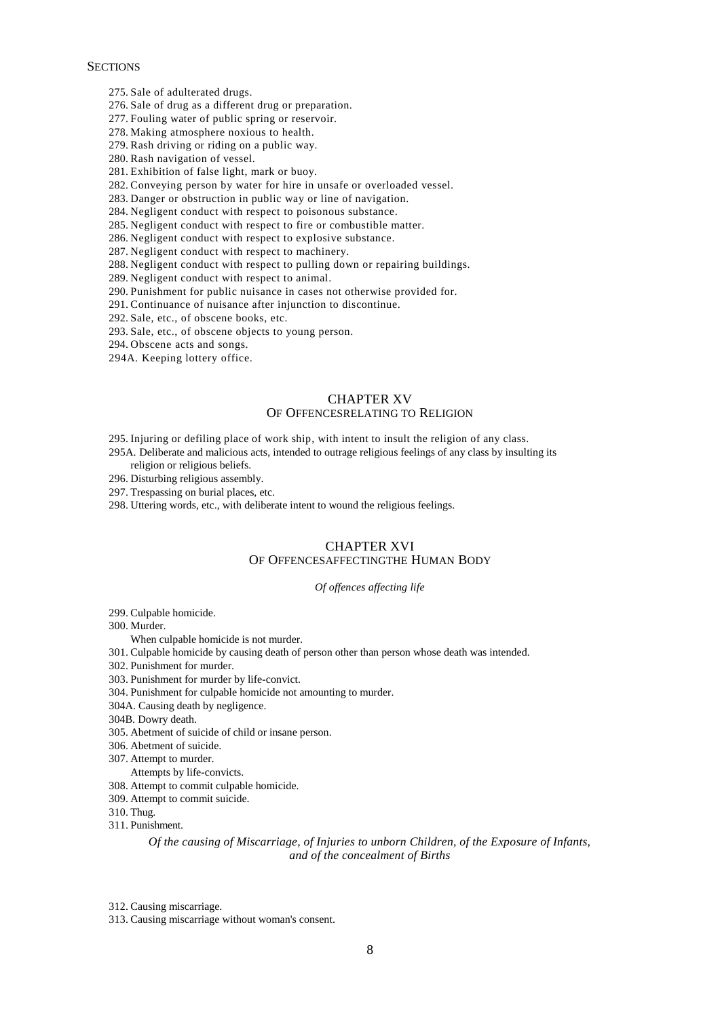275. Sale of adulterated drugs.

276. Sale of drug as a different drug or preparation.

277. Fouling water of public spring or reservoir.

278. Making atmosphere noxious to health.

279. Rash driving or riding on a public way.

280. Rash navigation of vessel.

281. Exhibition of false light, mark or buoy.

282. Conveying person by water for hire in unsafe or overloaded vessel.

283. Danger or obstruction in public way or line of navigation.

284. Negligent conduct with respect to poisonous substance.

285. Negligent conduct with respect to fire or combustible matter.

286. Negligent conduct with respect to explosive substance.

287. Negligent conduct with respect to machinery.

288. Negligent conduct with respect to pulling down or repairing buildings.

289. Negligent conduct with respect to animal.

290. Punishment for public nuisance in cases not otherwise provided for.

291. Continuance of nuisance after injunction to discontinue.

292. Sale, etc., of obscene books, etc.

293. Sale, etc., of obscene objects to young person.

294. Obscene acts and songs.

294A. Keeping lottery office.

### CHAPTER XV OF OFFENCESRELATING TO RELIGION

295. Injuring or defiling place of work ship, with intent to insult the religion of any class.

- 295A. Deliberate and malicious acts, intended to outrage religious feelings of any class by insulting its religion or religious beliefs.
- 296. Disturbing religious assembly.
- 297. Trespassing on burial places, etc.

298. Uttering words, etc., with deliberate intent to wound the religious feelings.

# CHAPTER XVI

# OF OFFENCESAFFECTINGTHE HUMAN BODY

### *Of offences affecting life*

299. Culpable homicide.

300. Murder.

When culpable homicide is not murder.

- 301. Culpable homicide by causing death of person other than person whose death was intended.
- 302. Punishment for murder.
- 303. Punishment for murder by life-convict.
- 304. Punishment for culpable homicide not amounting to murder.
- 304A. Causing death by negligence.

304B. Dowry death.

- 305. Abetment of suicide of child or insane person.
- 306. Abetment of suicide.
- 307. Attempt to murder.
	- Attempts by life-convicts.
- 308. Attempt to commit culpable homicide.
- 309. Attempt to commit suicide.
- 310. Thug.

311. Punishment.

*Of the causing of Miscarriage, of Injuries to unborn Children, of the Exposure of Infants, and of the concealment of Births*

312. Causing miscarriage.

<sup>313.</sup> Causing miscarriage without woman's consent.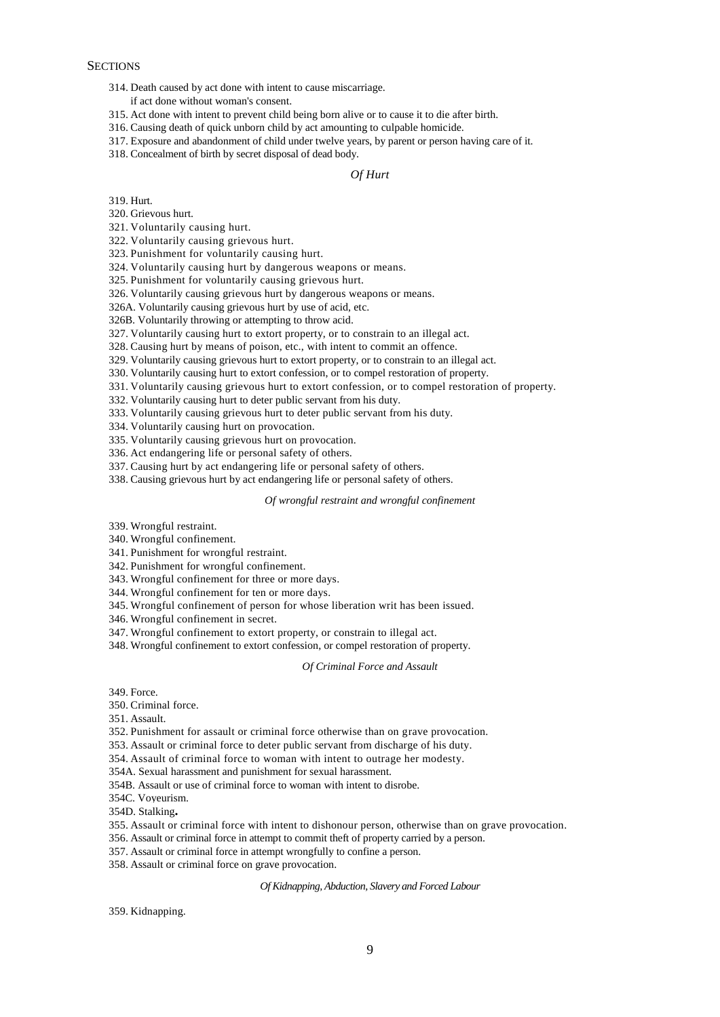314. Death caused by act done with intent to cause miscarriage.

if act done without woman's consent.

315. Act done with intent to prevent child being born alive or to cause it to die after birth.

316. Causing death of quick unborn child by act amounting to culpable homicide.

317. Exposure and abandonment of child under twelve years, by parent or person having care of it.

318. Concealment of birth by secret disposal of dead body.

### *Of Hurt*

319. Hurt.

320. Grievous hurt.

321. Voluntarily causing hurt.

322. Voluntarily causing grievous hurt.

323. Punishment for voluntarily causing hurt.

324. Voluntarily causing hurt by dangerous weapons or means.

325. Punishment for voluntarily causing grievous hurt.

326. Voluntarily causing grievous hurt by dangerous weapons or means.

326A. Voluntarily causing grievous hurt by use of acid, etc.

326B. Voluntarily throwing or attempting to throw acid.

327. Voluntarily causing hurt to extort property, or to constrain to an illegal act.

328. Causing hurt by means of poison, etc., with intent to commit an offence.

329. Voluntarily causing grievous hurt to extort property, or to constrain to an illegal act.

330. Voluntarily causing hurt to extort confession, or to compel restoration of property.

331. Voluntarily causing grievous hurt to extort confession, or to compel restoration of property.

332. Voluntarily causing hurt to deter public servant from his duty.

333. Voluntarily causing grievous hurt to deter public servant from his duty.

334. Voluntarily causing hurt on provocation.

335. Voluntarily causing grievous hurt on provocation.

336. Act endangering life or personal safety of others.

337. Causing hurt by act endangering life or personal safety of others.

338. Causing grievous hurt by act endangering life or personal safety of others.

# *Of wrongful restraint and wrongful confinement*

339. Wrongful restraint.

340. Wrongful confinement.

341. Punishment for wrongful restraint.

342. Punishment for wrongful confinement.

343. Wrongful confinement for three or more days.

344. Wrongful confinement for ten or more days.

345. Wrongful confinement of person for whose liberation writ has been issued.

346. Wrongful confinement in secret.

347. Wrongful confinement to extort property, or constrain to illegal act.

348. Wrongful confinement to extort confession, or compel restoration of property.

# *Of Criminal Force and Assault*

349. Force.

350. Criminal force.

351. Assault.

352. Punishment for assault or criminal force otherwise than on grave provocation.

353. Assault or criminal force to deter public servant from discharge of his duty.

354. Assault of criminal force to woman with intent to outrage her modesty.

354A. Sexual harassment and punishment for sexual harassment.

354B. Assault or use of criminal force to woman with intent to disrobe.

354C. Voyeurism.

354D. Stalking**.**

355. Assault or criminal force with intent to dishonour person, otherwise than on grave provocation.

356. Assault or criminal force in attempt to commit theft of property carried by a person.

357. Assault or criminal force in attempt wrongfully to confine a person.

358. Assault or criminal force on grave provocation.

*Of Kidnapping, Abduction, Slavery and Forced Labour*

359. Kidnapping.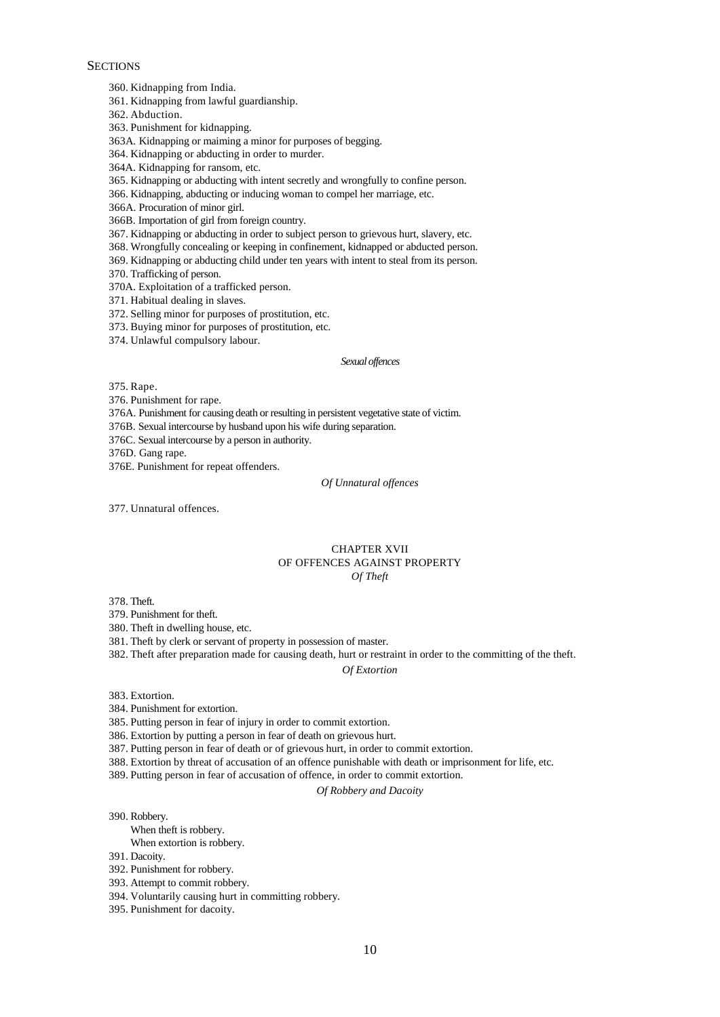360. Kidnapping from India.

361. Kidnapping from lawful guardianship.

362. Abduction.

363. Punishment for kidnapping.

363A*.* Kidnapping or maiming a minor for purposes of begging.

364. Kidnapping or abducting in order to murder.

364A. Kidnapping for ransom, etc.

365. Kidnapping or abducting with intent secretly and wrongfully to confine person.

366. Kidnapping, abducting or inducing woman to compel her marriage, etc.

366A. Procuration of minor girl.

366B. Importation of girl from foreign country.

367. Kidnapping or abducting in order to subject person to grievous hurt, slavery, etc.

368. Wrongfully concealing or keeping in confinement, kidnapped or abducted person.

369. Kidnapping or abducting child under ten years with intent to steal from its person.

370. Trafficking of person.

370A. Exploitation of a trafficked person.

371. Habitual dealing in slaves.

372. Selling minor for purposes of prostitution, etc.

373. Buying minor for purposes of prostitution, etc.

374. Unlawful compulsory labour.

### *Sexual offences*

375. Rape.

376. Punishment for rape.

376A. Punishment for causing death or resulting in persistent vegetative state of victim.

376B. Sexual intercourse by husband upon his wife during separation.

376C. Sexual intercourse by a person in authority.

376D. Gang rape.

376E. Punishment for repeat offenders.

*Of Unnatural offences*

377. Unnatural offences.

### CHAPTER XVII OF OFFENCES AGAINST PROPERTY *Of Theft*

378. Theft.

379. Punishment for theft.

380. Theft in dwelling house, etc.

381. Theft by clerk or servant of property in possession of master.

382. Theft after preparation made for causing death, hurt or restraint in order to the committing of the theft.

# *Of Extortion*

383. Extortion.

384. Punishment for extortion.

385. Putting person in fear of injury in order to commit extortion.

386. Extortion by putting a person in fear of death on grievous hurt.

387. Putting person in fear of death or of grievous hurt, in order to commit extortion.

388. Extortion by threat of accusation of an offence punishable with death or imprisonment for life, etc.

389. Putting person in fear of accusation of offence, in order to commit extortion.

# *Of Robbery and Dacoity*

390. Robbery.

When theft is robbery.

When extortion is robbery.

391. Dacoity.

392. Punishment for robbery.

393. Attempt to commit robbery.

394. Voluntarily causing hurt in committing robbery.

395. Punishment for dacoity.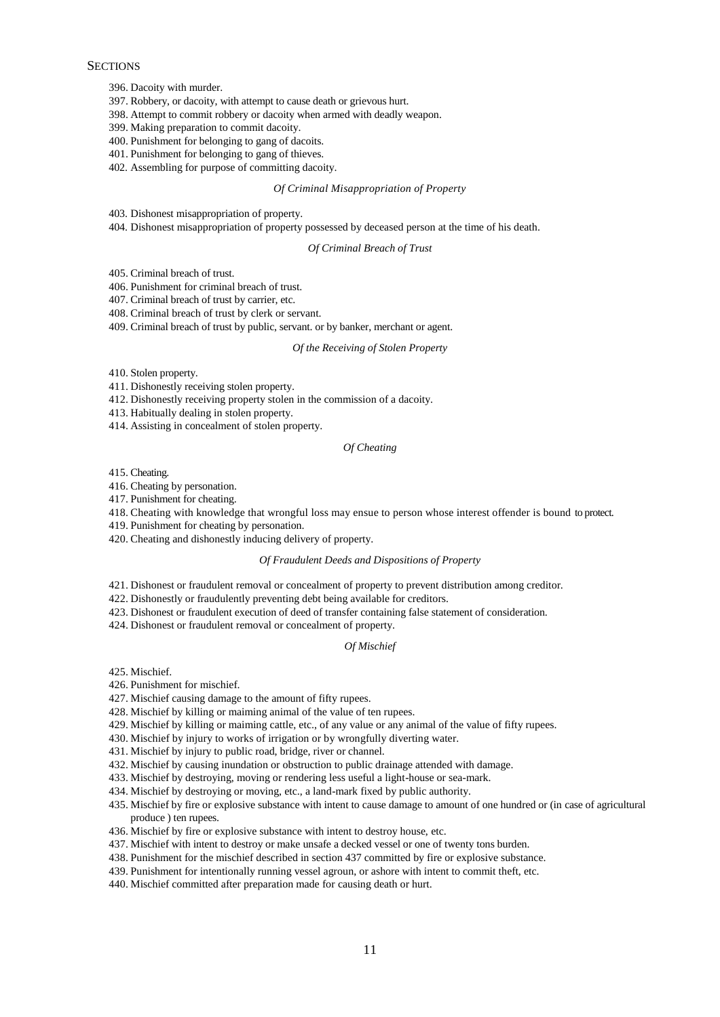396. Dacoity with murder.

- 397. Robbery, or dacoity, with attempt to cause death or grievous hurt.
- 398. Attempt to commit robbery or dacoity when armed with deadly weapon.
- 399. Making preparation to commit dacoity.
- 400. Punishment for belonging to gang of dacoits.
- 401. Punishment for belonging to gang of thieves.
- 402. Assembling for purpose of committing dacoity.

#### *Of Criminal Misappropriation of Property*

403. Dishonest misappropriation of property.

404. Dishonest misappropriation of property possessed by deceased person at the time of his death.

### *Of Criminal Breach of Trust*

405. Criminal breach of trust.

- 406. Punishment for criminal breach of trust.
- 407. Criminal breach of trust by carrier, etc.
- 408. Criminal breach of trust by clerk or servant.
- 409. Criminal breach of trust by public, servant. or by banker, merchant or agent.

#### *Of the Receiving of Stolen Property*

410. Stolen property.

- 411. Dishonestly receiving stolen property.
- 412. Dishonestly receiving property stolen in the commission of a dacoity.

413. Habitually dealing in stolen property.

414. Assisting in concealment of stolen property.

# *Of Cheating*

415. Cheating.

416. Cheating by personation.

417. Punishment for cheating.

- 418. Cheating with knowledge that wrongful loss may ensue to person whose interest offender is bound to protect.
- 419. Punishment for cheating by personation.
- 420. Cheating and dishonestly inducing delivery of property.

### *Of Fraudulent Deeds and Dispositions of Property*

- 421. Dishonest or fraudulent removal or concealment of property to prevent distribution among creditor.
- 422. Dishonestly or fraudulently preventing debt being available for creditors.
- 423. Dishonest or fraudulent execution of deed of transfer containing false statement of consideration.
- 424. Dishonest or fraudulent removal or concealment of property.

### *Of Mischief*

425. Mischief.

- 426. Punishment for mischief.
- 427. Mischief causing damage to the amount of fifty rupees.
- 428. Mischief by killing or maiming animal of the value of ten rupees.
- 429. Mischief by killing or maiming cattle, etc., of any value or any animal of the value of fifty rupees.
- 430. Mischief by injury to works of irrigation or by wrongfully diverting water.
- 431. Mischief by injury to public road, bridge, river or channel.
- 432. Mischief by causing inundation or obstruction to public drainage attended with damage.
- 433. Mischief by destroying, moving or rendering less useful a light-house or sea-mark.
- 434. Mischief by destroying or moving, etc., a land-mark fixed by public authority.
- 435. Mischief by fire or explosive substance with intent to cause damage to amount of one hundred or (in case of agricultural produce ) ten rupees.
- 436. Mischief by fire or explosive substance with intent to destroy house, etc.
- 437. Mischief with intent to destroy or make unsafe a decked vessel or one of twenty tons burden.
- 438. Punishment for the mischief described in section 437 committed by fire or explosive substance.
- 439. Punishment for intentionally running vessel agroun, or ashore with intent to commit theft, etc.
- 440. Mischief committed after preparation made for causing death or hurt.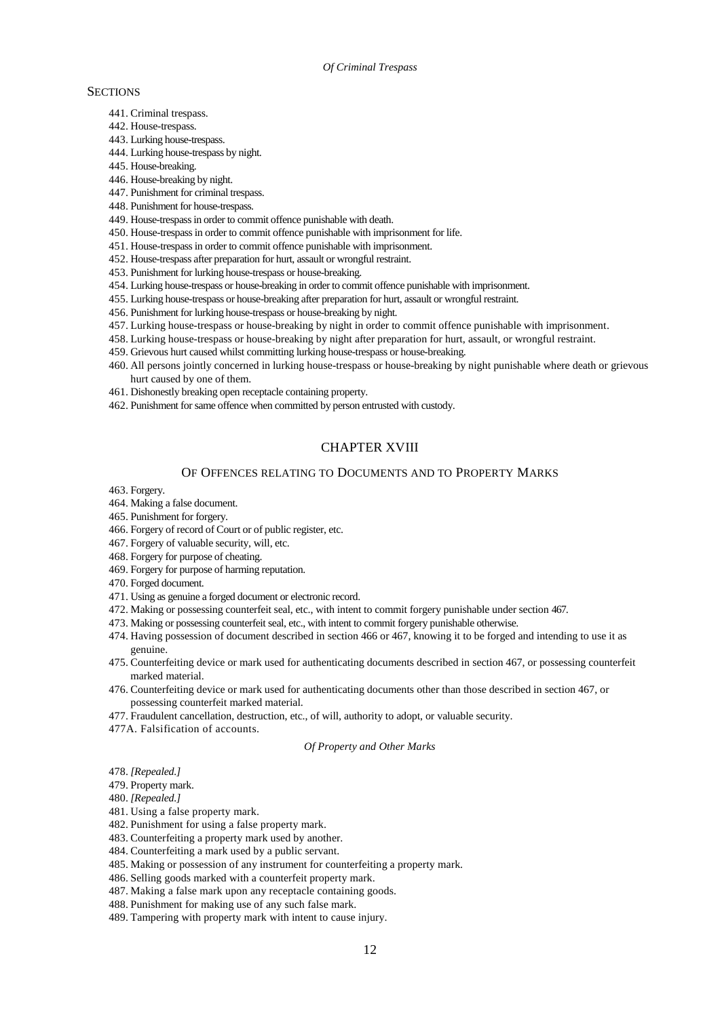#### *Of Criminal Trespass*

### **SECTIONS**

- 441. Criminal trespass.
- 442. House-trespass.
- 443. Lurking house-trespass.
- 444. Lurking house-trespass by night.
- 445. House-breaking.
- 446. House-breaking by night.
- 447. Punishment for criminal trespass.
- 448. Punishment for house-trespass.
- 449. House-trespass in order to commit offence punishable with death.
- 450. House-trespass in order to commit offence punishable with imprisonment for life.
- 451. House-trespass in order to commit offence punishable with imprisonment.
- 452. House-trespass after preparation for hurt, assault or wrongful restraint.
- 453. Punishment for lurking house-trespass or house-breaking.
- 454. Lurking house-trespass or house-breaking in order to commit offence punishable with imprisonment.
- 455. Lurking house-trespass or house-breaking after preparation for hurt, assault or wrongful restraint.
- 456. Punishment for lurking house-trespass or house-breaking by night.
- 457. Lurking house-trespass or house-breaking by night in order to commit offence punishable with imprisonment.
- 458. Lurking house-trespass or house-breaking by night after preparation for hurt, assault, or wrongful restraint.
- 459. Grievous hurt caused whilst committing lurking house-trespass or house-breaking.
- 460. All persons jointly concerned in lurking house-trespass or house-breaking by night punishable where death or grievous hurt caused by one of them.
- 461. Dishonestly breaking open receptacle containing property.
- 462. Punishment for same offence when committed by person entrusted with custody.

# CHAPTER XVIII

# OF OFFENCES RELATING TO DOCUMENTS AND TO PROPERTY MARKS

- 463. Forgery.
- 464. Making a false document.
- 465. Punishment for forgery.
- 466. Forgery of record of Court or of public register, etc.
- 467. Forgery of valuable security, will, etc.
- 468. Forgery for purpose of cheating.
- 469. Forgery for purpose of harming reputation.
- 470. Forged document.
- 471. Using as genuine a forged document or electronic record.
- 472. Making or possessing counterfeit seal, etc., with intent to commit forgery punishable under section 467.
- 473. Making or possessing counterfeit seal, etc., with intent to commit forgery punishable otherwise.
- 474. Having possession of document described in section 466 or 467, knowing it to be forged and intending to use it as genuine.
- 475. Counterfeiting device or mark used for authenticating documents described in section 467, or possessing counterfeit marked material.
- 476. Counterfeiting device or mark used for authenticating documents other than those described in section 467, or possessing counterfeit marked material.
- 477. Fraudulent cancellation, destruction, etc., of will, authority to adopt, or valuable security.
- 477A. Falsification of accounts.

### *Of Property and Other Marks*

- 478. *[Repealed.]*
- 479. Property mark.
- 480. *[Repealed.]*
- 481. Using a false property mark.
- 482. Punishment for using a false property mark.
- 483. Counterfeiting a property mark used by another.
- 484. Counterfeiting a mark used by a public servant.
- 485. Making or possession of any instrument for counterfeiting a property mark.
- 486. Selling goods marked with a counterfeit property mark.
- 487. Making a false mark upon any receptacle containing goods.
- 488. Punishment for making use of any such false mark.
- 489. Tampering with property mark with intent to cause injury.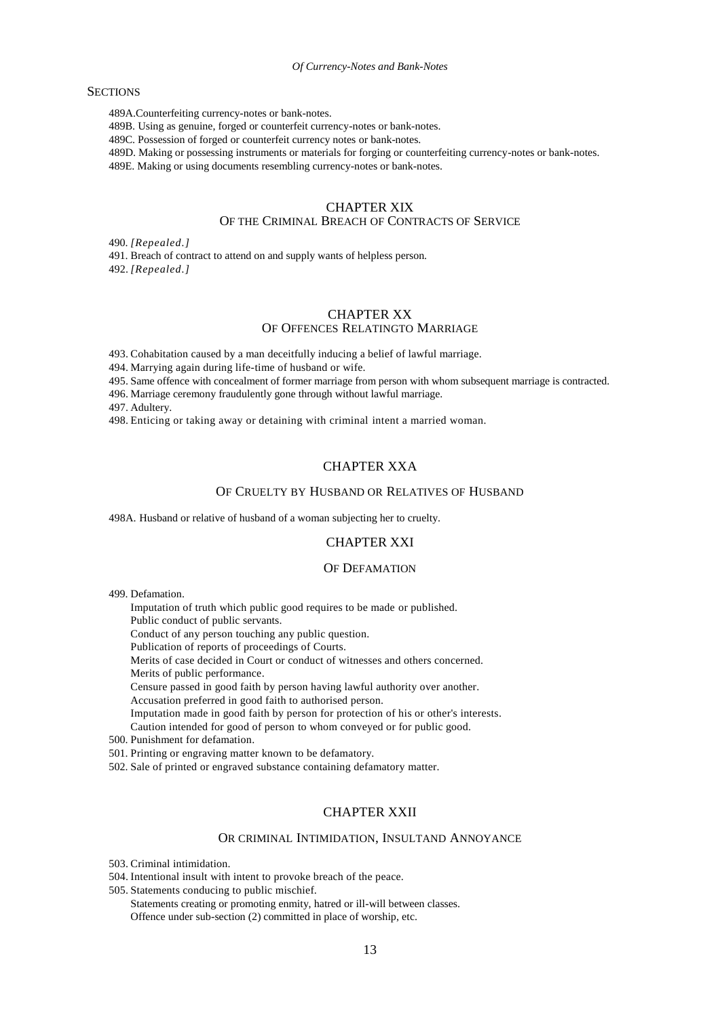#### *Of Currency-Notes and Bank-Notes*

### **SECTIONS**

489A.Counterfeiting currency-notes or bank-notes.

489B. Using as genuine, forged or counterfeit currency-notes or bank-notes.

489C. Possession of forged or counterfeit currency notes or bank-notes.

489D. Making or possessing instruments or materials for forging or counterfeiting currency-notes or bank-notes.

489E. Making or using documents resembling currency-notes or bank-notes.

# CHAPTER XIX

# OF THE CRIMINAL BREACH OF CONTRACTS OF SERVICE

490. *[Repealed.]*

491. Breach of contract to attend on and supply wants of helpless person. 492. *[Repealed.]*

# CHAPTER XX OF OFFENCES RELATINGTO MARRIAGE

493. Cohabitation caused by a man deceitfully inducing a belief of lawful marriage.

494. Marrying again during life-time of husband or wife.

495. Same offence with concealment of former marriage from person with whom subsequent marriage is contracted.

496. Marriage ceremony fraudulently gone through without lawful marriage.

497. Adultery.

498. Enticing or taking away or detaining with criminal intent a married woman.

# CHAPTER XXA

# OF CRUELTY BY HUSBAND OR RELATIVES OF HUSBAND

498A. Husband or relative of husband of a woman subjecting her to cruelty.

# CHAPTER XXI

# OF DEFAMATION

499. Defamation.

Imputation of truth which public good requires to be made or published. Public conduct of public servants. Conduct of any person touching any public question. Publication of reports of proceedings of Courts.

Merits of case decided in Court or conduct of witnesses and others concerned. Merits of public performance.

Censure passed in good faith by person having lawful authority over another.

Accusation preferred in good faith to authorised person.

Imputation made in good faith by person for protection of his or other's interests.

Caution intended for good of person to whom conveyed or for public good.

500. Punishment for defamation.

501. Printing or engraving matter known to be defamatory.

502. Sale of printed or engraved substance containing defamatory matter.

# CHAPTER XXII

### OR CRIMINAL INTIMIDATION, INSULTAND ANNOYANCE

503. Criminal intimidation.

504. Intentional insult with intent to provoke breach of the peace.

505. Statements conducing to public mischief.

Statements creating or promoting enmity, hatred or ill-will between classes. Offence under sub-section (2) committed in place of worship, etc.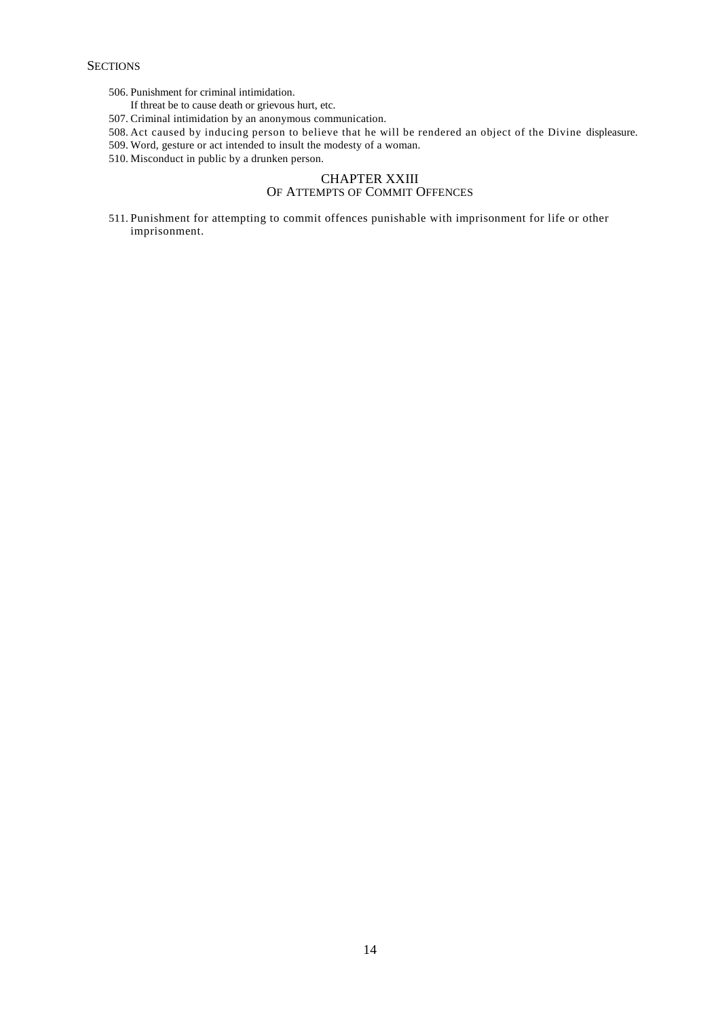- 506. Punishment for criminal intimidation.
- If threat be to cause death or grievous hurt, etc.
- 507. Criminal intimidation by an anonymous communication.
- 508. Act caused by inducing person to believe that he will be rendered an object of the Divine displeasure.
- 509. Word, gesture or act intended to insult the modesty of a woman.
- 510. Misconduct in public by a drunken person.

# CHAPTER XXIII OF ATTEMPTS OF COMMIT OFFENCES

511. Punishment for attempting to commit offences punishable with imprisonment for life or other imprisonment.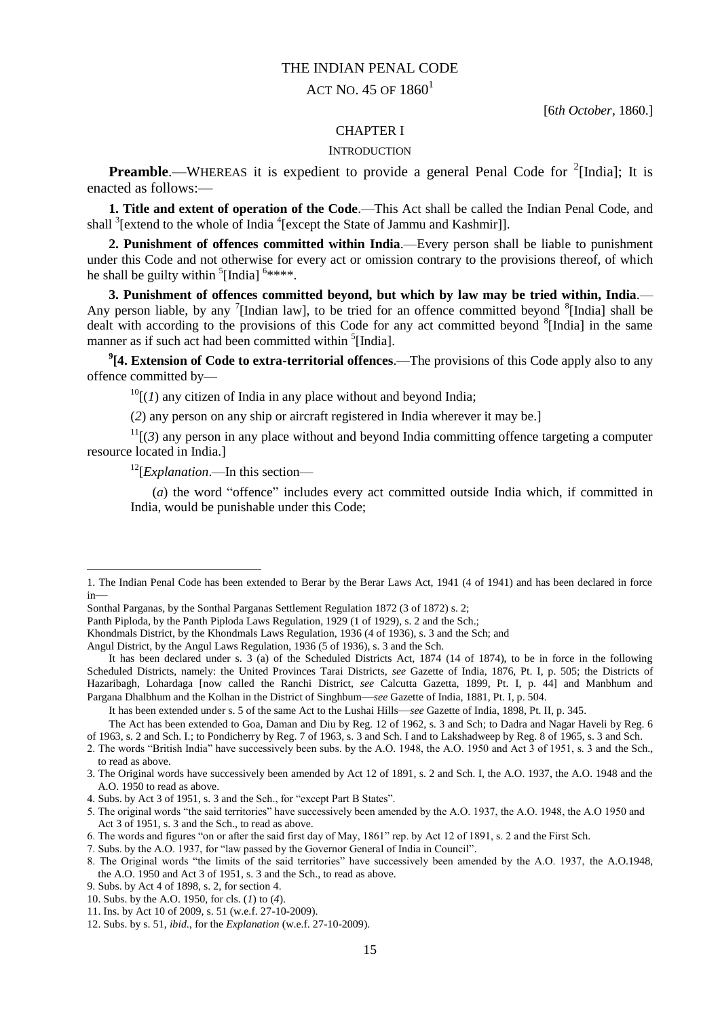# THE INDIAN PENAL CODE

# ACT NO. 45 OF  $1860^1$

[6*th October*, 1860.]

# CHAPTER I

# **INTRODUCTION**

**Preamble.**—WHEREAS it is expedient to provide a general Penal Code for <sup>2</sup>[India]; It is enacted as follows:—

**1. Title and extent of operation of the Code**.—This Act shall be called the Indian Penal Code, and shall  $3$ [extend to the whole of India  $4$ [except the State of Jammu and Kashmir]].

**2. Punishment of offences committed within India**.—Every person shall be liable to punishment under this Code and not otherwise for every act or omission contrary to the provisions thereof, of which he shall be guilty within  $\frac{5}{1}$ [India]  $\frac{6***}{8}$ .

**3. Punishment of offences committed beyond, but which by law may be tried within, India**.— Any person liable, by any  $\frac{7}{1}$ [Indian law], to be tried for an offence committed beyond  $\frac{8}{1}$ [India] shall be dealt with according to the provisions of this Code for any act committed beyond <sup>8</sup>[India] in the same manner as if such act had been committed within <sup>5</sup>[India].

<sup>9</sup>[4. Extension of Code to extra-territorial offences.—The provisions of this Code apply also to any offence committed by—

 $10$ <sup>[(*I*)</sup> any citizen of India in any place without and beyond India;

(*2*) any person on any ship or aircraft registered in India wherever it may be.]

 $11$ [(3) any person in any place without and beyond India committing offence targeting a computer resource located in India.]

<sup>12</sup>[*Explanation*.—In this section—

1

(*a*) the word "offence" includes every act committed outside India which, if committed in India, would be punishable under this Code;

It has been extended under s. 5 of the same Act to the Lushai Hills—*see* Gazette of India, 1898, Pt. II, p. 345.

<sup>1.</sup> The Indian Penal Code has been extended to Berar by the Berar Laws Act, 1941 (4 of 1941) and has been declared in force in—

Sonthal Parganas, by the Sonthal Parganas Settlement Regulation 1872 (3 of 1872) s. 2;

Panth Piploda, by the Panth Piploda Laws Regulation, 1929 (1 of 1929), s. 2 and the Sch.;

Khondmals District, by the Khondmals Laws Regulation, 1936 (4 of 1936), s. 3 and the Sch; and

Angul District, by the Angul Laws Regulation, 1936 (5 of 1936), s. 3 and the Sch.

It has been declared under s. 3 (a) of the Scheduled Districts Act, 1874 (14 of 1874), to be in force in the following Scheduled Districts, namely: the United Provinces Tarai Districts, *see* Gazette of India, 1876, Pt. I, p. 505; the Districts of Hazaribagh, Lohardaga [now called the Ranchi District, *see* Calcutta Gazetta, 1899, Pt. I, p. 44] and Manbhum and Pargana Dhalbhum and the Kolhan in the District of Singhbum—*see* Gazette of India, 1881, Pt. I, p. 504.

The Act has been extended to Goa, Daman and Diu by Reg. 12 of 1962, s. 3 and Sch; to Dadra and Nagar Haveli by Reg. 6 of 1963, s. 2 and Sch. I.; to Pondicherry by Reg. 7 of 1963, s. 3 and Sch. I and to Lakshadweep by Reg. 8 of 1965, s. 3 and Sch.

<sup>2.</sup> The words "British India" have successively been subs. by the A.O. 1948, the A.O. 1950 and Act 3 of 1951, s. 3 and the Sch., to read as above.

<sup>3.</sup> The Original words have successively been amended by Act 12 of 1891, s. 2 and Sch. I, the A.O. 1937, the A.O. 1948 and the A.O. 1950 to read as above.

<sup>4.</sup> Subs. by Act 3 of 1951, s. 3 and the Sch., for "except Part B States".

<sup>5.</sup> The original words "the said territories" have successively been amended by the A.O. 1937, the A.O. 1948, the A.O 1950 and Act 3 of 1951, s. 3 and the Sch., to read as above.

<sup>6.</sup> The words and figures "on or after the said first day of May, 1861" rep. by Act 12 of 1891, s. 2 and the First Sch.

<sup>7.</sup> Subs. by the A.O. 1937, for "law passed by the Governor General of India in Council".

<sup>8.</sup> The Original words "the limits of the said territories" have successively been amended by the A.O. 1937, the A.O.1948, the A.O. 1950 and Act 3 of 1951, s. 3 and the Sch., to read as above.

<sup>9.</sup> Subs. by Act 4 of 1898, s. 2, for section 4.

<sup>10.</sup> Subs. by the A.O. 1950, for cls. (*1*) to (*4*).

<sup>11.</sup> Ins. by Act 10 of 2009, s. 51 (w.e.f. 27-10-2009).

<sup>12.</sup> Subs. by s. 51, *ibid*., for the *Explanation* (w.e.f. 27-10-2009).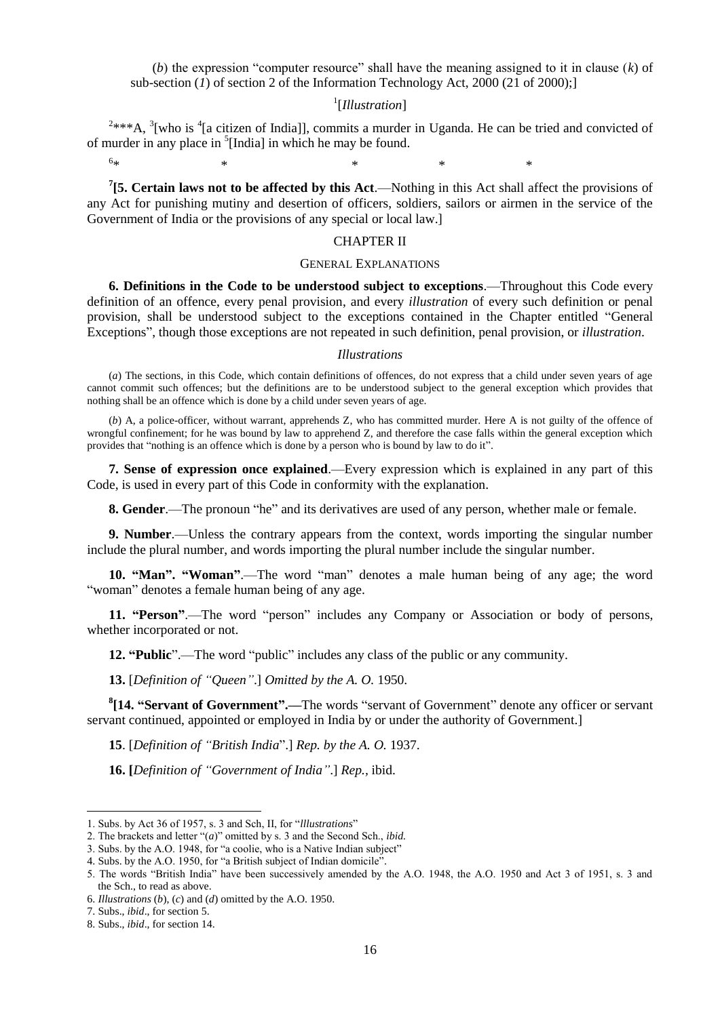(*b*) the expression "computer resource" shall have the meaning assigned to it in clause (*k*) of sub-section  $(\hat{I})$  of section 2 of the Information Technology Act, 2000 (21 of 2000);]

# 1 [*Illustration*]

 $2***A$ ,  $3$ [who is  $4$ [a citizen of India]], commits a murder in Uganda. He can be tried and convicted of of murder in any place in  ${}^{5}$ [India] in which he may be found.

6

 $*$   $*$   $*$   $*$   $*$   $*$ 

**7 [5. Certain laws not to be affected by this Act**.—Nothing in this Act shall affect the provisions of any Act for punishing mutiny and desertion of officers, soldiers, sailors or airmen in the service of the Government of India or the provisions of any special or local law.]

# CHAPTER II

### GENERAL EXPLANATIONS

**6. Definitions in the Code to be understood subject to exceptions**.—Throughout this Code every definition of an offence, every penal provision, and every *illustration* of every such definition or penal provision, shall be understood subject to the exceptions contained in the Chapter entitled "General Exceptions", though those exceptions are not repeated in such definition, penal provision, or *illustration*.

### *Illustrations*

(*a*) The sections, in this Code, which contain definitions of offences, do not express that a child under seven years of age cannot commit such offences; but the definitions are to be understood subject to the general exception which provides that nothing shall be an offence which is done by a child under seven years of age.

(*b*) A, a police-officer, without warrant, apprehends Z, who has committed murder. Here A is not guilty of the offence of wrongful confinement; for he was bound by law to apprehend Z, and therefore the case falls within the general exception which provides that "nothing is an offence which is done by a person who is bound by law to do it".

**7. Sense of expression once explained**.—Every expression which is explained in any part of this Code, is used in every part of this Code in conformity with the explanation.

**8. Gender**.—The pronoun "he" and its derivatives are used of any person, whether male or female.

**9. Number**.—Unless the contrary appears from the context, words importing the singular number include the plural number, and words importing the plural number include the singular number.

**10. "Man". "Woman"**.—The word "man" denotes a male human being of any age; the word "woman" denotes a female human being of any age.

**11. "Person"**.—The word "person" includes any Company or Association or body of persons, whether incorporated or not.

**12. "Public**".—The word "public" includes any class of the public or any community.

**13.** [*Definition of "Queen"*.] *Omitted by the A. O.* 1950.

**8 [14. "Servant of Government".—**The words "servant of Government" denote any officer or servant servant continued, appointed or employed in India by or under the authority of Government.]

**15**. [*Definition of "British India*".] *Rep. by the A. O.* 1937.

**16. [***Definition of "Government of India"*.] *Rep.,* ibid.

<sup>1.</sup> Subs. by Act 36 of 1957, s. 3 and Sch, II, for "*lllustrations*"

<sup>2.</sup> The brackets and letter "(*a*)" omitted by s. 3 and the Second Sch., *ibid.*

<sup>3.</sup> Subs. by the A.O. 1948, for "a coolie, who is a Native Indian subject"

<sup>4.</sup> Subs. by the A.O. 1950, for "a British subject of Indian domicile".

<sup>5.</sup> The words "British India" have been successively amended by the A.O. 1948, the A.O. 1950 and Act 3 of 1951, s. 3 and the Sch., to read as above.

<sup>6.</sup> *Illustrations* (*b*), (*c*) and (*d*) omitted by the A.O. 1950.

<sup>7.</sup> Subs., *ibid*., for section 5.

<sup>8.</sup> Subs., *ibid*., for section 14.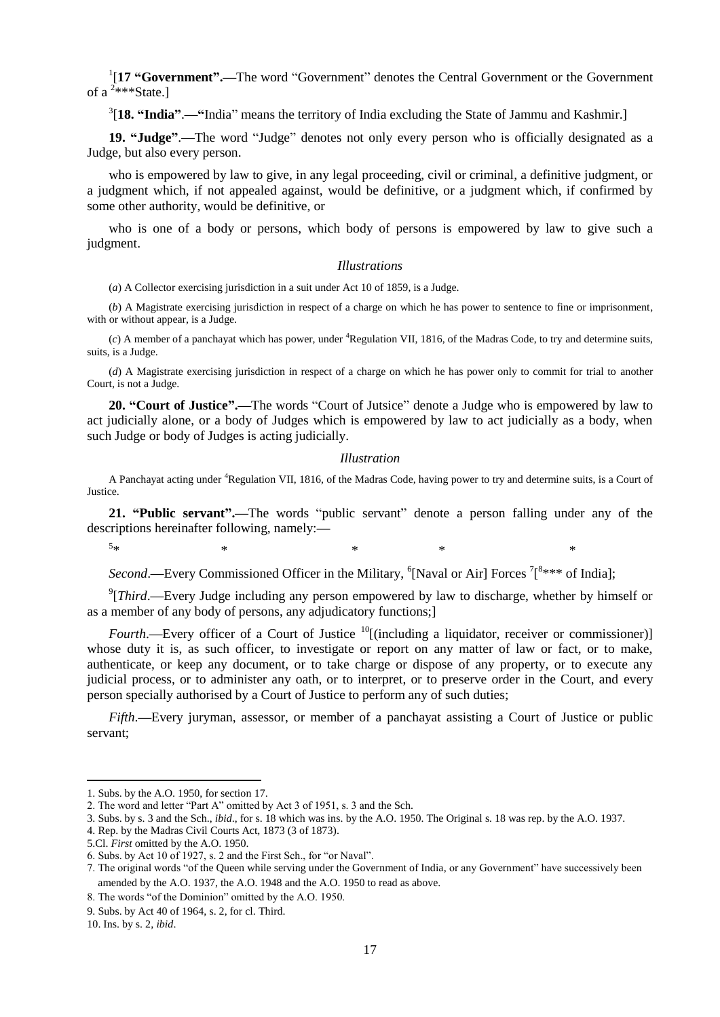<sup>1</sup>[17 "Government".—The word "Government" denotes the Central Government or the Government of a  $2***$  State.]

<sup>3</sup>[18. "India".—"India" means the territory of India excluding the State of Jammu and Kashmir.]

**19. "Judge"**.**—**The word "Judge" denotes not only every person who is officially designated as a Judge, but also every person.

who is empowered by law to give, in any legal proceeding, civil or criminal, a definitive judgment, or a judgment which, if not appealed against, would be definitive, or a judgment which, if confirmed by some other authority, would be definitive, or

who is one of a body or persons, which body of persons is empowered by law to give such a judgment.

### *Illustrations*

(*a*) A Collector exercising jurisdiction in a suit under Act 10 of 1859, is a Judge.

(*b*) A Magistrate exercising jurisdiction in respect of a charge on which he has power to sentence to fine or imprisonment, with or without appear, is a Judge.

 $(c)$  A member of a panchayat which has power, under  ${}^{4}$ Regulation VII, 1816, of the Madras Code, to try and determine suits, suits, is a Judge.

(*d*) A Magistrate exercising jurisdiction in respect of a charge on which he has power only to commit for trial to another Court, is not a Judge.

**20. "Court of Justice".—**The words "Court of Jutsice" denote a Judge who is empowered by law to act judicially alone, or a body of Judges which is empowered by law to act judicially as a body, when such Judge or body of Judges is acting judicially.

# *Illustration*

A Panchayat acting under <sup>4</sup>Regulation VII, 1816, of the Madras Code, having power to try and determine suits, is a Court of Justice.

**21. "Public servant".—**The words "public servant" denote a person falling under any of the descriptions hereinafter following, namely:**—**

 $5_{\text{sk}}$  $*$   $*$   $*$   $*$   $*$   $*$ 

Second.—Every Commissioned Officer in the Military, <sup>6</sup>[Naval or Air] Forces <sup>7</sup>[<sup>8</sup>\*\*\* of India];

9 [*Third*.**—**Every Judge including any person empowered by law to discharge, whether by himself or as a member of any body of persons, any adjudicatory functions;]

*Fourth*.—Every officer of a Court of Justice <sup>10</sup>[(including a liquidator, receiver or commissioner)] whose duty it is, as such officer, to investigate or report on any matter of law or fact, or to make, authenticate, or keep any document, or to take charge or dispose of any property, or to execute any judicial process, or to administer any oath, or to interpret, or to preserve order in the Court, and every person specially authorised by a Court of Justice to perform any of such duties;

*Fifth*.**—**Every juryman, assessor, or member of a panchayat assisting a Court of Justice or public servant;

3. Subs. by s. 3 and the Sch., *ibid*., for s. 18 which was ins. by the A.O. 1950. The Original s. 18 was rep. by the A.O. 1937.

10. Ins. by s. 2, *ibid*.

 $\overline{a}$ 

<sup>1.</sup> Subs. by the A.O. 1950, for section 17.

<sup>2.</sup> The word and letter "Part A" omitted by Act 3 of 1951, s. 3 and the Sch.

<sup>4.</sup> Rep. by the Madras Civil Courts Act, 1873 (3 of 1873).

<sup>5.</sup>Cl. *First* omitted by the A.O. 1950.

<sup>6.</sup> Subs. by Act 10 of 1927, s. 2 and the First Sch., for "or Naval".

<sup>7.</sup> The original words "of the Queen while serving under the Government of India, or any Government" have successively been amended by the A.O. 1937, the A.O. 1948 and the A.O. 1950 to read as above.

<sup>8.</sup> The words "of the Dominion" omitted by the A.O. 1950.

<sup>9.</sup> Subs. by Act 40 of 1964, s. 2, for cl. Third.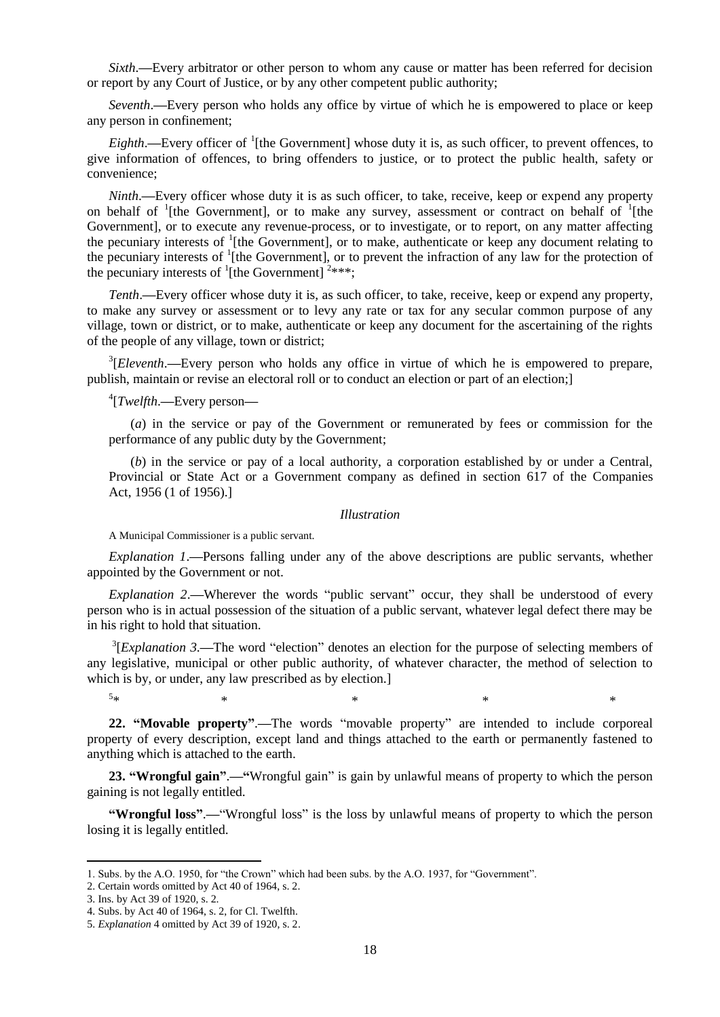*Sixth*.**—**Every arbitrator or other person to whom any cause or matter has been referred for decision or report by any Court of Justice, or by any other competent public authority;

*Seventh*.**—**Every person who holds any office by virtue of which he is empowered to place or keep any person in confinement;

*Eighth*.—Every officer of <sup>1</sup>[the Government] whose duty it is, as such officer, to prevent offences, to give information of offences, to bring offenders to justice, or to protect the public health, safety or convenience;

*Ninth*.**—**Every officer whose duty it is as such officer, to take, receive, keep or expend any property on behalf of  $\frac{1}{1}$  [the Government], or to make any survey, assessment or contract on behalf of  $\frac{1}{1}$ [the Government], or to execute any revenue-process, or to investigate, or to report, on any matter affecting the pecuniary interests of <sup>1</sup>[the Government], or to make, authenticate or keep any document relating to the pecuniary interests of  $\frac{1}{1}$  [the Government], or to prevent the infraction of any law for the protection of the pecuniary interests of  $\frac{1}{1}$ [the Government]  $2***$ ;

*Tenth*.**—**Every officer whose duty it is, as such officer, to take, receive, keep or expend any property, to make any survey or assessment or to levy any rate or tax for any secular common purpose of any village, town or district, or to make, authenticate or keep any document for the ascertaining of the rights of the people of any village, town or district;

<sup>3</sup>[*Eleventh*.—Every person who holds any office in virtue of which he is empowered to prepare, publish, maintain or revise an electoral roll or to conduct an election or part of an election;]

4 [*Twelfth*.**—**Every person**—**

(*a*) in the service or pay of the Government or remunerated by fees or commission for the performance of any public duty by the Government;

(*b*) in the service or pay of a local authority, a corporation established by or under a Central, Provincial or State Act or a Government company as defined in section 617 of the Companies Act, 1956 (1 of 1956).]

### *Illustration*

A Municipal Commissioner is a public servant.

*Explanation 1*.**—**Persons falling under any of the above descriptions are public servants, whether appointed by the Government or not.

*Explanation 2*.**—**Wherever the words "public servant" occur, they shall be understood of every person who is in actual possession of the situation of a public servant, whatever legal defect there may be in his right to hold that situation.

<sup>3</sup>[*Explanation 3*.—The word "election" denotes an election for the purpose of selecting members of any legislative, municipal or other public authority, of whatever character, the method of selection to which is by, or under, any law prescribed as by election.]

 $5*$ 

1

 $*$   $*$   $*$   $*$   $*$   $*$   $*$ 

**22. "Movable property"**.**—**The words "movable property" are intended to include corporeal property of every description, except land and things attached to the earth or permanently fastened to anything which is attached to the earth.

**23. "Wrongful gain"**.**—"**Wrongful gain" is gain by unlawful means of property to which the person gaining is not legally entitled.

**"Wrongful loss"**.**—**"Wrongful loss" is the loss by unlawful means of property to which the person losing it is legally entitled.

<sup>1.</sup> Subs. by the A.O. 1950, for "the Crown" which had been subs. by the A.O. 1937, for "Government".

<sup>2.</sup> Certain words omitted by Act 40 of 1964, s. 2.

<sup>3.</sup> Ins. by Act 39 of 1920, s. 2.

<sup>4.</sup> Subs. by Act 40 of 1964, s. 2, for Cl. Twelfth.

<sup>5.</sup> *Explanation* 4 omitted by Act 39 of 1920, s. 2.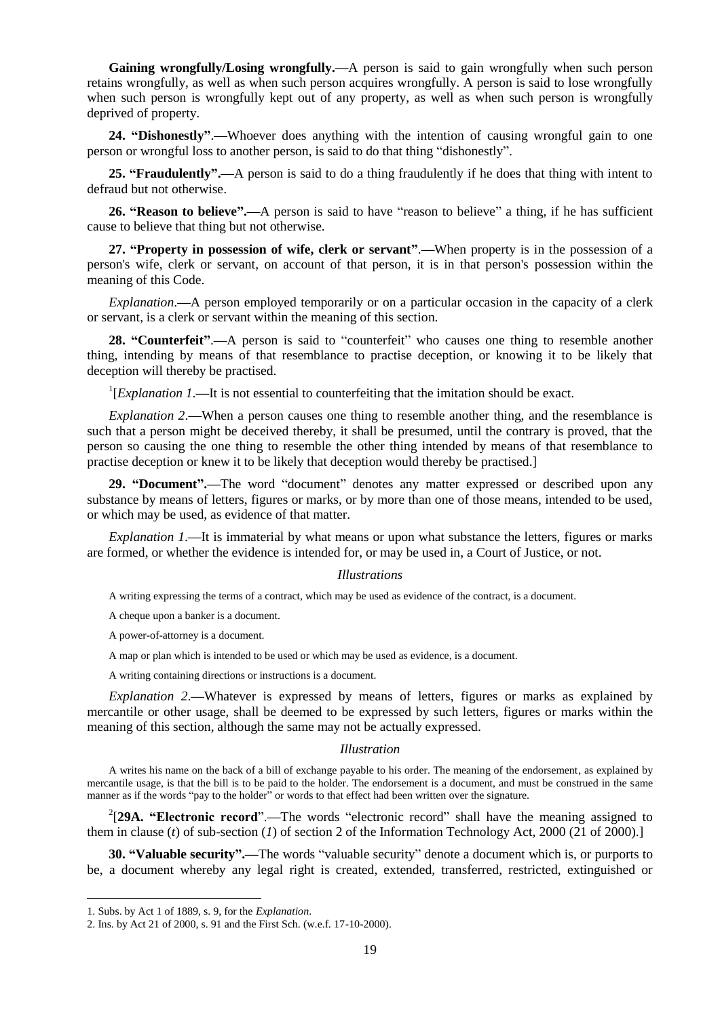**Gaining wrongfully/Losing wrongfully.—**A person is said to gain wrongfully when such person retains wrongfully, as well as when such person acquires wrongfully. A person is said to lose wrongfully when such person is wrongfully kept out of any property, as well as when such person is wrongfully deprived of property.

**24. "Dishonestly"**.**—**Whoever does anything with the intention of causing wrongful gain to one person or wrongful loss to another person, is said to do that thing "dishonestly".

**25. "Fraudulently".—**A person is said to do a thing fraudulently if he does that thing with intent to defraud but not otherwise.

**26. "Reason to believe".—**A person is said to have "reason to believe" a thing, if he has sufficient cause to believe that thing but not otherwise.

**27. "Property in possession of wife, clerk or servant"**.**—**When property is in the possession of a person's wife, clerk or servant, on account of that person, it is in that person's possession within the meaning of this Code.

*Explanation*.**—**A person employed temporarily or on a particular occasion in the capacity of a clerk or servant, is a clerk or servant within the meaning of this section.

**28. "Counterfeit"**.**—**A person is said to "counterfeit" who causes one thing to resemble another thing, intending by means of that resemblance to practise deception, or knowing it to be likely that deception will thereby be practised.

<sup>1</sup>[*Explanation 1*.—It is not essential to counterfeiting that the imitation should be exact.

*Explanation 2*.**—**When a person causes one thing to resemble another thing, and the resemblance is such that a person might be deceived thereby, it shall be presumed, until the contrary is proved, that the person so causing the one thing to resemble the other thing intended by means of that resemblance to practise deception or knew it to be likely that deception would thereby be practised.]

**29. "Document".—**The word "document" denotes any matter expressed or described upon any substance by means of letters, figures or marks, or by more than one of those means, intended to be used, or which may be used, as evidence of that matter.

*Explanation 1*.**—**It is immaterial by what means or upon what substance the letters, figures or marks are formed, or whether the evidence is intended for, or may be used in, a Court of Justice, or not.

# *Illustrations*

A writing expressing the terms of a contract, which may be used as evidence of the contract, is a document.

A cheque upon a banker is a document.

A power-of-attorney is a document.

A map or plan which is intended to be used or which may be used as evidence, is a document.

A writing containing directions or instructions is a document.

*Explanation 2*.**—**Whatever is expressed by means of letters, figures or marks as explained by mercantile or other usage, shall be deemed to be expressed by such letters, figures or marks within the meaning of this section, although the same may not be actually expressed.

### *Illustration*

A writes his name on the back of a bill of exchange payable to his order. The meaning of the endorsement, as explained by mercantile usage, is that the bill is to be paid to the holder. The endorsement is a document, and must be construed in the same manner as if the words "pay to the holder" or words to that effect had been written over the signature.

2 [**29A. "Electronic record**".**—**The words "electronic record" shall have the meaning assigned to them in clause (*t*) of sub-section (*1*) of section 2 of the Information Technology Act, 2000 (21 of 2000).]

**30. "Valuable security".—**The words "valuable security" denote a document which is, or purports to be, a document whereby any legal right is created, extended, transferred, restricted, extinguished or

1

<sup>1.</sup> Subs. by Act 1 of 1889, s. 9, for the *Explanation*.

<sup>2.</sup> Ins. by Act 21 of 2000, s. 91 and the First Sch. (w.e.f. 17-10-2000).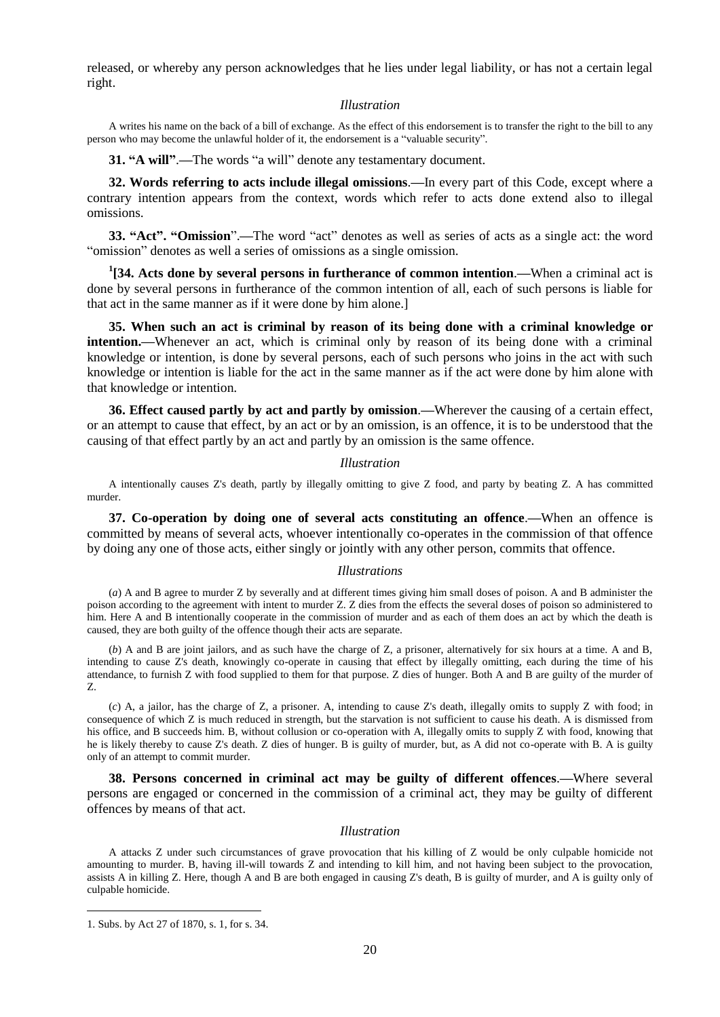released, or whereby any person acknowledges that he lies under legal liability, or has not a certain legal right.

# *Illustration*

A writes his name on the back of a bill of exchange. As the effect of this endorsement is to transfer the right to the bill to any person who may become the unlawful holder of it, the endorsement is a "valuable security".

**31. "A will"**.**—**The words "a will" denote any testamentary document.

**32. Words referring to acts include illegal omissions**.**—**In every part of this Code, except where a contrary intention appears from the context, words which refer to acts done extend also to illegal omissions.

**33. "Act". "Omission**".**—**The word "act" denotes as well as series of acts as a single act: the word "omission" denotes as well a series of omissions as a single omission.

**1 [34. Acts done by several persons in furtherance of common intention**.**—**When a criminal act is done by several persons in furtherance of the common intention of all, each of such persons is liable for that act in the same manner as if it were done by him alone.]

**35. When such an act is criminal by reason of its being done with a criminal knowledge or intention.—**Whenever an act, which is criminal only by reason of its being done with a criminal knowledge or intention, is done by several persons, each of such persons who joins in the act with such knowledge or intention is liable for the act in the same manner as if the act were done by him alone with that knowledge or intention.

**36. Effect caused partly by act and partly by omission**.**—**Wherever the causing of a certain effect, or an attempt to cause that effect, by an act or by an omission, is an offence, it is to be understood that the causing of that effect partly by an act and partly by an omission is the same offence.

### *Illustration*

A intentionally causes Z's death, partly by illegally omitting to give Z food, and party by beating Z. A has committed murder.

**37. Co-operation by doing one of several acts constituting an offence**.**—**When an offence is committed by means of several acts, whoever intentionally co-operates in the commission of that offence by doing any one of those acts, either singly or jointly with any other person, commits that offence.

#### *Illustrations*

(*a*) A and B agree to murder Z by severally and at different times giving him small doses of poison. A and B administer the poison according to the agreement with intent to murder Z. Z dies from the effects the several doses of poison so administered to him. Here A and B intentionally cooperate in the commission of murder and as each of them does an act by which the death is caused, they are both guilty of the offence though their acts are separate.

(*b*) A and B are joint jailors, and as such have the charge of Z, a prisoner, alternatively for six hours at a time. A and B, intending to cause Z's death, knowingly co-operate in causing that effect by illegally omitting, each during the time of his attendance, to furnish Z with food supplied to them for that purpose. Z dies of hunger. Both A and B are guilty of the murder of Z.

(*c*) A, a jailor, has the charge of Z, a prisoner. A, intending to cause Z's death, illegally omits to supply Z with food; in consequence of which Z is much reduced in strength, but the starvation is not sufficient to cause his death. A is dismissed from his office, and B succeeds him. B, without collusion or co-operation with A, illegally omits to supply Z with food, knowing that he is likely thereby to cause Z's death. Z dies of hunger. B is guilty of murder, but, as A did not co-operate with B. A is guilty only of an attempt to commit murder.

**38. Persons concerned in criminal act may be guilty of different offences**.**—**Where several persons are engaged or concerned in the commission of a criminal act, they may be guilty of different offences by means of that act.

### *Illustration*

A attacks Z under such circumstances of grave provocation that his killing of Z would be only culpable homicide not amounting to murder. B, having ill-will towards Z and intending to kill him, and not having been subject to the provocation, assists A in killing Z. Here, though A and B are both engaged in causing Z's death, B is guilty of murder, and A is guilty only of culpable homicide.

<sup>1.</sup> Subs. by Act 27 of 1870, s. 1, for s. 34.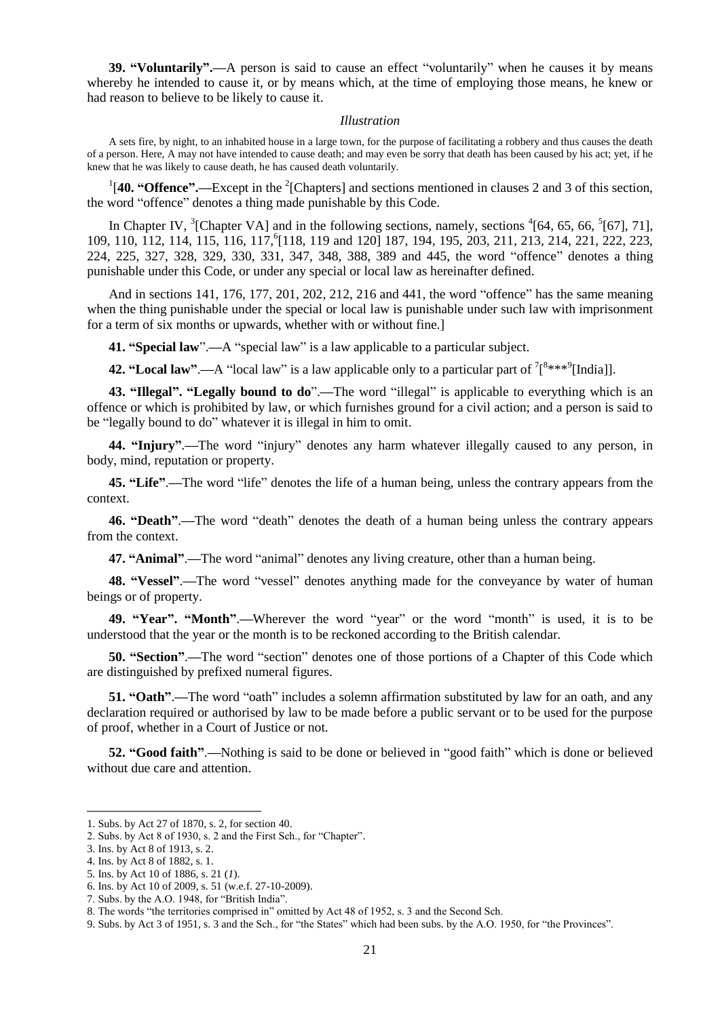**39. "Voluntarily".—**A person is said to cause an effect "voluntarily" when he causes it by means whereby he intended to cause it, or by means which, at the time of employing those means, he knew or had reason to believe to be likely to cause it.

### *Illustration*

A sets fire, by night, to an inhabited house in a large town, for the purpose of facilitating a robbery and thus causes the death of a person. Here, A may not have intended to cause death; and may even be sorry that death has been caused by his act; yet, if he knew that he was likely to cause death, he has caused death voluntarily.

<sup>1</sup>[40. "Offence".—Except in the <sup>2</sup>[Chapters] and sections mentioned in clauses 2 and 3 of this section, the word "offence" denotes a thing made punishable by this Code.

In Chapter IV,  ${}^{3}$ [Chapter VA] and in the following sections, namely, sections  ${}^{4}$ [64, 65, 66,  ${}^{5}$ [67], 71], 109, 110, 112, 114, 115, 116, 117, <sup>6</sup>[118, 119 and 120] 187, 194, 195, 203, 211, 213, 214, 221, 222, 223, 224, 225, 327, 328, 329, 330, 331, 347, 348, 388, 389 and 445, the word "offence" denotes a thing punishable under this Code, or under any special or local law as hereinafter defined.

And in sections 141, 176, 177, 201, 202, 212, 216 and 441, the word "offence" has the same meaning when the thing punishable under the special or local law is punishable under such law with imprisonment for a term of six months or upwards, whether with or without fine.]

**41. "Special law**".**—**A "special law" is a law applicable to a particular subject.

**42. "Local law".—A** "local law" is a law applicable only to a particular part of  $\binom{7}{3}$ \*\*\*<sup>9</sup>[India]].

**43. "Illegal". "Legally bound to do**".**—**The word "illegal" is applicable to everything which is an offence or which is prohibited by law, or which furnishes ground for a civil action; and a person is said to be "legally bound to do" whatever it is illegal in him to omit.

**44. "Injury"**.**—**The word "injury" denotes any harm whatever illegally caused to any person, in body, mind, reputation or property.

**45. "Life"**.**—**The word "life" denotes the life of a human being, unless the contrary appears from the context.

**46. "Death"**.**—**The word "death" denotes the death of a human being unless the contrary appears from the context.

**47. "Animal"**.**—**The word "animal" denotes any living creature, other than a human being.

**48. "Vessel"**.**—**The word "vessel" denotes anything made for the conveyance by water of human beings or of property.

**49. "Year". "Month"**.**—**Wherever the word "year" or the word "month" is used, it is to be understood that the year or the month is to be reckoned according to the British calendar.

**50. "Section"**.**—**The word "section" denotes one of those portions of a Chapter of this Code which are distinguished by prefixed numeral figures.

**51. "Oath"**.**—**The word "oath" includes a solemn affirmation substituted by law for an oath, and any declaration required or authorised by law to be made before a public servant or to be used for the purpose of proof, whether in a Court of Justice or not.

**52. "Good faith"**.**—**Nothing is said to be done or believed in "good faith" which is done or believed without due care and attention.

<sup>1.</sup> Subs. by Act 27 of 1870, s. 2, for section 40.

<sup>2.</sup> Subs. by Act 8 of 1930, s. 2 and the First Sch., for "Chapter".

<sup>3.</sup> Ins. by Act 8 of 1913, s. 2.

<sup>4.</sup> Ins. by Act 8 of 1882, s. 1.

<sup>5.</sup> Ins. by Act 10 of 1886, s. 21 (*1*).

<sup>6.</sup> Ins. by Act 10 of 2009, s. 51 (w.e.f. 27-10-2009).

<sup>7.</sup> Subs. by the A.O. 1948, for "British India".

<sup>8.</sup> The words "the territories comprised in" omitted by Act 48 of 1952, s. 3 and the Second Sch.

<sup>9.</sup> Subs. by Act 3 of 1951, s. 3 and the Sch., for "the States" which had been subs. by the A.O. 1950, for "the Provinces".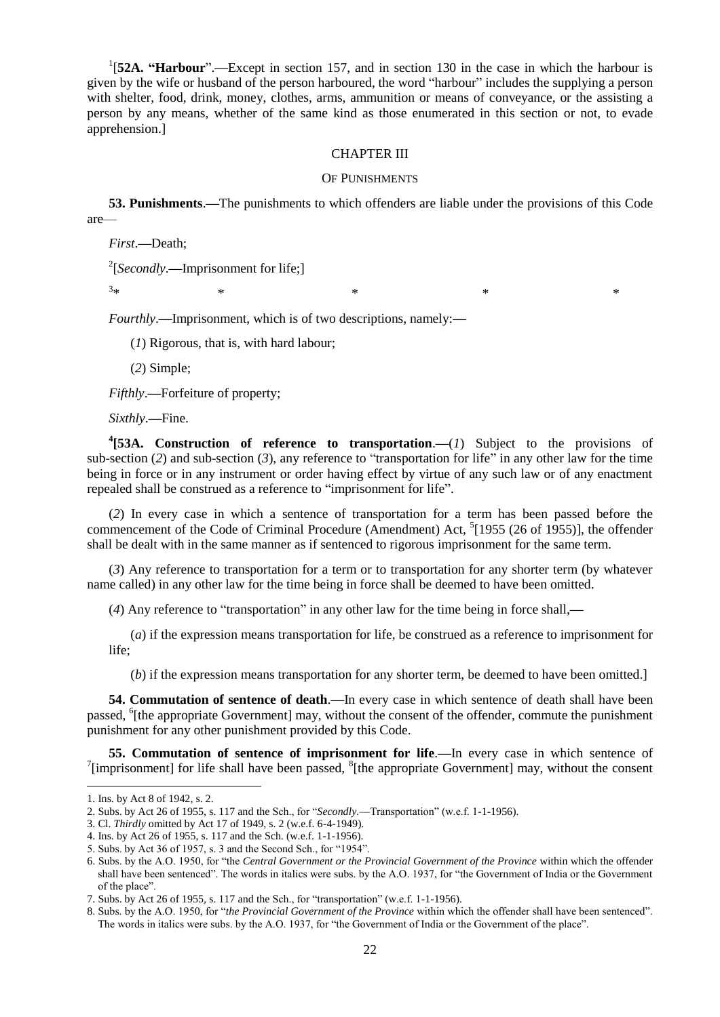<sup>1</sup>[52A. "Harbour".—Except in section 157, and in section 130 in the case in which the harbour is given by the wife or husband of the person harboured, the word "harbour" includes the supplying a person with shelter, food, drink, money, clothes, arms, ammunition or means of conveyance, or the assisting a person by any means, whether of the same kind as those enumerated in this section or not, to evade apprehension.]

# CHAPTER III

### OF PUNISHMENTS

**53. Punishments**.**—**The punishments to which offenders are liable under the provisions of this Code are—

*First*.**—**Death;

2 [*Secondly*.**—**Imprisonment for life;]

 $3<sub>st</sub>$  $*$  \*  $*$  \*  $*$  \*  $*$  \*

*Fourthly*.**—**Imprisonment, which is of two descriptions, namely:**—**

(*1*) Rigorous, that is, with hard labour;

(*2*) Simple;

*Fifthly*.**—**Forfeiture of property;

*Sixthly*.**—**Fine.

**4 [53A. Construction of reference to transportation**.**—**(*1*) Subject to the provisions of sub-section (*2*) and sub-section (*3*), any reference to "transportation for life" in any other law for the time being in force or in any instrument or order having effect by virtue of any such law or of any enactment repealed shall be construed as a reference to "imprisonment for life".

(*2*) In every case in which a sentence of transportation for a term has been passed before the commencement of the Code of Criminal Procedure (Amendment) Act,  $5$ [1955 (26 of 1955)], the offender shall be dealt with in the same manner as if sentenced to rigorous imprisonment for the same term.

(*3*) Any reference to transportation for a term or to transportation for any shorter term (by whatever name called) in any other law for the time being in force shall be deemed to have been omitted.

(*4*) Any reference to "transportation" in any other law for the time being in force shall,**—**

(*a*) if the expression means transportation for life, be construed as a reference to imprisonment for life;

(*b*) if the expression means transportation for any shorter term, be deemed to have been omitted.]

**54. Commutation of sentence of death**.**—**In every case in which sentence of death shall have been passed, <sup>6</sup>[the appropriate Government] may, without the consent of the offender, commute the punishment punishment for any other punishment provided by this Code.

**55. Commutation of sentence of imprisonment for life**.**—**In every case in which sentence of  $7$ [imprisonment] for life shall have been passed,  $8$ [the appropriate Government] may, without the consent

<sup>1.</sup> Ins. by Act 8 of 1942, s. 2.

<sup>2.</sup> Subs. by Act 26 of 1955, s. 117 and the Sch., for "*Secondly*.—Transportation" (w.e.f. 1-1-1956).

<sup>3.</sup> Cl. *Thirdly* omitted by Act 17 of 1949, s. 2 (w.e.f. 6-4-1949).

<sup>4.</sup> Ins. by Act 26 of 1955, s. 117 and the Sch. (w.e.f. 1-1-1956).

<sup>5.</sup> Subs. by Act 36 of 1957, s. 3 and the Second Sch., for "1954".

<sup>6.</sup> Subs. by the A.O. 1950, for "the *Central Government or the Provincial Government of the Province* within which the offender shall have been sentenced". The words in italics were subs. by the A.O. 1937, for "the Government of India or the Government of the place".

<sup>7.</sup> Subs. by Act 26 of 1955, s. 117 and the Sch., for "transportation" (w.e.f. 1-1-1956).

<sup>8.</sup> Subs. by the A.O. 1950, for "*the Provincial Government of the Province* within which the offender shall have been sentenced". The words in italics were subs. by the A.O. 1937, for "the Government of India or the Government of the place".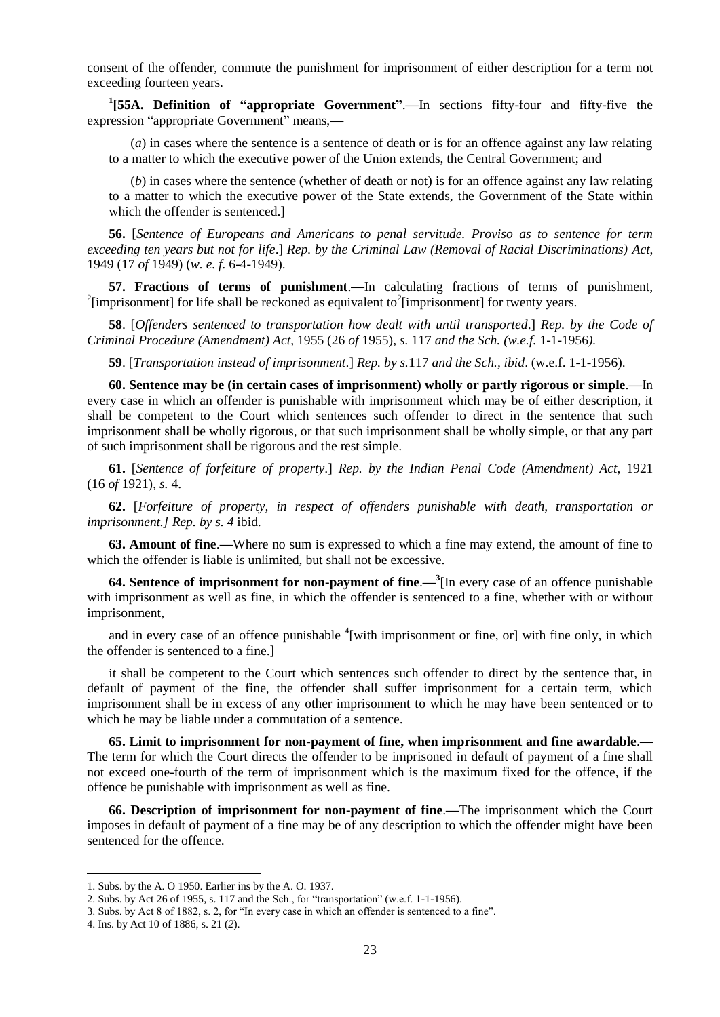consent of the offender, commute the punishment for imprisonment of either description for a term not exceeding fourteen years.

**1 [55A. Definition of "appropriate Government"**.**—**In sections fifty-four and fifty-five the expression "appropriate Government" means,**—**

(*a*) in cases where the sentence is a sentence of death or is for an offence against any law relating to a matter to which the executive power of the Union extends, the Central Government; and

(*b*) in cases where the sentence (whether of death or not) is for an offence against any law relating to a matter to which the executive power of the State extends, the Government of the State within which the offender is sentenced.]

**56.** [*Sentence of Europeans and Americans to penal servitude. Proviso as to sentence for term exceeding ten years but not for life*.] *Rep. by the Criminal Law (Removal of Racial Discriminations) Act*, 1949 (17 *of* 1949) (*w. e. f.* 6-4-1949).

**57. Fractions of terms of punishment**.**—**In calculating fractions of terms of punishment, <sup>2</sup>[imprisonment] for life shall be reckoned as equivalent to<sup>2</sup>[imprisonment] for twenty years.

**58**. [*Offenders sentenced to transportation how dealt with until transported*.] *Rep. by the Code of Criminal Procedure (Amendment) Act,* 1955 (26 *of* 1955), *s.* 117 *and the Sch. (w.e.f.* 1-1-1956*).*

**59**. [*Transportation instead of imprisonment*.] *Rep. by s.*117 *and the Sch., ibid*. (w.e.f. 1-1-1956).

**60. Sentence may be (in certain cases of imprisonment) wholly or partly rigorous or simple**.**—**In every case in which an offender is punishable with imprisonment which may be of either description, it shall be competent to the Court which sentences such offender to direct in the sentence that such imprisonment shall be wholly rigorous, or that such imprisonment shall be wholly simple, or that any part of such imprisonment shall be rigorous and the rest simple.

**61.** [*Sentence of forfeiture of property*.] *Rep. by the Indian Penal Code (Amendment) Act*, 1921 (16 *of* 1921), *s.* 4.

**62.** [*Forfeiture of property, in respect of offenders punishable with death, transportation or imprisonment.] Rep. by s. 4* ibid.

**63. Amount of fine**.**—**Where no sum is expressed to which a fine may extend, the amount of fine to which the offender is liable is unlimited, but shall not be excessive.

**64. Sentence of imprisonment for non-payment of fine**.**—<sup>3</sup>** [In every case of an offence punishable with imprisonment as well as fine, in which the offender is sentenced to a fine, whether with or without imprisonment,

and in every case of an offence punishable  $\textsuperscript{4}$  [with imprisonment or fine, or] with fine only, in which the offender is sentenced to a fine.]

it shall be competent to the Court which sentences such offender to direct by the sentence that, in default of payment of the fine, the offender shall suffer imprisonment for a certain term, which imprisonment shall be in excess of any other imprisonment to which he may have been sentenced or to which he may be liable under a commutation of a sentence.

**65. Limit to imprisonment for non-payment of fine, when imprisonment and fine awardable**.**—** The term for which the Court directs the offender to be imprisoned in default of payment of a fine shall not exceed one-fourth of the term of imprisonment which is the maximum fixed for the offence, if the offence be punishable with imprisonment as well as fine.

**66. Description of imprisonment for non-payment of fine**.**—**The imprisonment which the Court imposes in default of payment of a fine may be of any description to which the offender might have been sentenced for the offence.

<sup>1.</sup> Subs. by the A. O 1950. Earlier ins by the A. O. 1937.

<sup>2.</sup> Subs. by Act 26 of 1955, s. 117 and the Sch., for "transportation" (w.e.f. 1-1-1956).

<sup>3.</sup> Subs. by Act 8 of 1882, s. 2, for "In every case in which an offender is sentenced to a fine".

<sup>4.</sup> Ins. by Act 10 of 1886, s. 21 (*2*).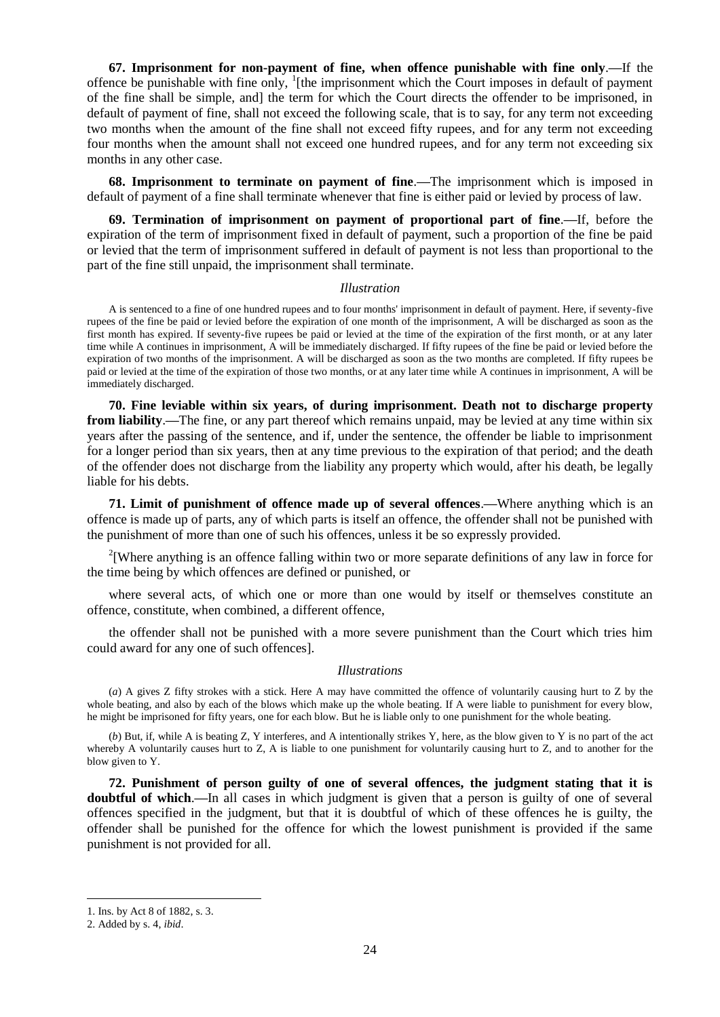**67. Imprisonment for non-payment of fine, when offence punishable with fine only**.**—**If the offence be punishable with fine only, <sup>1</sup>[the imprisonment which the Court imposes in default of payment of the fine shall be simple, and] the term for which the Court directs the offender to be imprisoned, in default of payment of fine, shall not exceed the following scale, that is to say, for any term not exceeding two months when the amount of the fine shall not exceed fifty rupees, and for any term not exceeding four months when the amount shall not exceed one hundred rupees, and for any term not exceeding six months in any other case.

**68. Imprisonment to terminate on payment of fine**.**—**The imprisonment which is imposed in default of payment of a fine shall terminate whenever that fine is either paid or levied by process of law.

**69. Termination of imprisonment on payment of proportional part of fine**.**—**If, before the expiration of the term of imprisonment fixed in default of payment, such a proportion of the fine be paid or levied that the term of imprisonment suffered in default of payment is not less than proportional to the part of the fine still unpaid, the imprisonment shall terminate.

### *Illustration*

A is sentenced to a fine of one hundred rupees and to four months' imprisonment in default of payment. Here, if seventy-five rupees of the fine be paid or levied before the expiration of one month of the imprisonment, A will be discharged as soon as the first month has expired. If seventy-five rupees be paid or levied at the time of the expiration of the first month, or at any later time while A continues in imprisonment, A will be immediately discharged. If fifty rupees of the fine be paid or levied before the expiration of two months of the imprisonment. A will be discharged as soon as the two months are completed. If fifty rupees be paid or levied at the time of the expiration of those two months, or at any later time while A continues in imprisonment, A will be immediately discharged.

**70. Fine leviable within six years, of during imprisonment. Death not to discharge property from liability**.**—**The fine, or any part thereof which remains unpaid, may be levied at any time within six years after the passing of the sentence, and if, under the sentence, the offender be liable to imprisonment for a longer period than six years, then at any time previous to the expiration of that period; and the death of the offender does not discharge from the liability any property which would, after his death, be legally liable for his debts.

**71. Limit of punishment of offence made up of several offences**.**—**Where anything which is an offence is made up of parts, any of which parts is itself an offence, the offender shall not be punished with the punishment of more than one of such his offences, unless it be so expressly provided.

<sup>2</sup> [Where anything is an offence falling within two or more separate definitions of any law in force for the time being by which offences are defined or punished, or

where several acts, of which one or more than one would by itself or themselves constitute an offence, constitute, when combined, a different offence,

the offender shall not be punished with a more severe punishment than the Court which tries him could award for any one of such offences].

### *Illustrations*

(*a*) A gives Z fifty strokes with a stick. Here A may have committed the offence of voluntarily causing hurt to Z by the whole beating, and also by each of the blows which make up the whole beating. If A were liable to punishment for every blow, he might be imprisoned for fifty years, one for each blow. But he is liable only to one punishment for the whole beating.

(*b*) But, if, while A is beating Z, Y interferes, and A intentionally strikes Y, here, as the blow given to Y is no part of the act whereby A voluntarily causes hurt to Z, A is liable to one punishment for voluntarily causing hurt to Z, and to another for the blow given to Y.

**72. Punishment of person guilty of one of several offences, the judgment stating that it is doubtful of which**.**—**In all cases in which judgment is given that a person is guilty of one of several offences specified in the judgment, but that it is doubtful of which of these offences he is guilty, the offender shall be punished for the offence for which the lowest punishment is provided if the same punishment is not provided for all.

1

<sup>1.</sup> Ins. by Act 8 of 1882, s. 3.

<sup>2.</sup> Added by s. 4, *ibid*.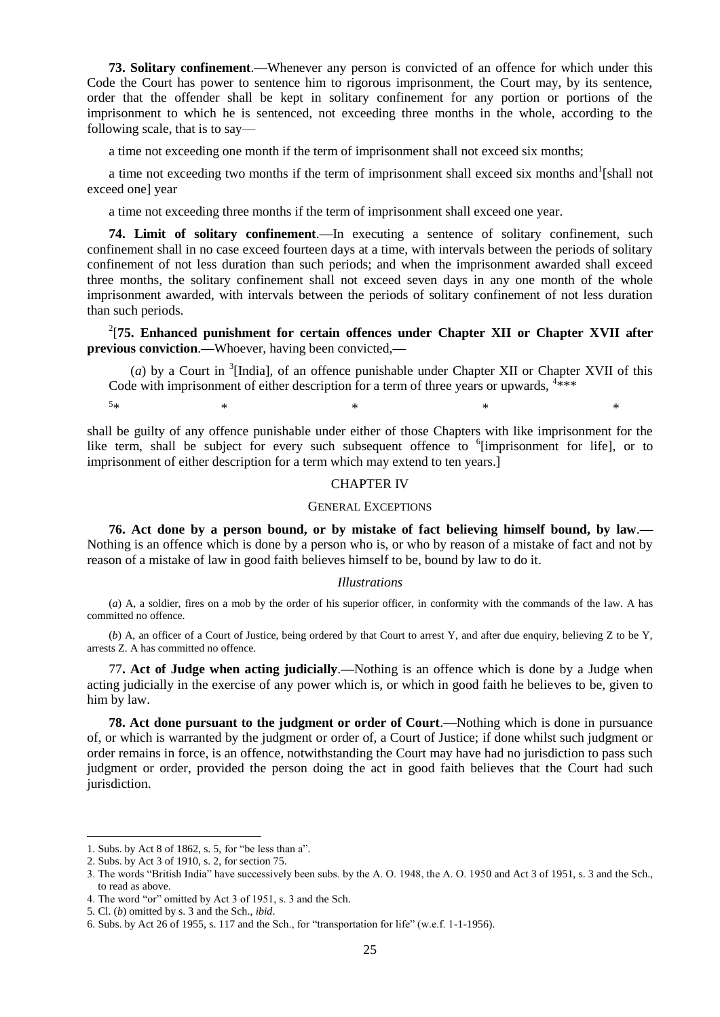**73. Solitary confinement**.**—**Whenever any person is convicted of an offence for which under this Code the Court has power to sentence him to rigorous imprisonment, the Court may, by its sentence, order that the offender shall be kept in solitary confinement for any portion or portions of the imprisonment to which he is sentenced, not exceeding three months in the whole, according to the following scale, that is to say—

a time not exceeding one month if the term of imprisonment shall not exceed six months;

a time not exceeding two months if the term of imprisonment shall exceed six months and<sup>1</sup>[shall not exceed one] year

a time not exceeding three months if the term of imprisonment shall exceed one year.

**74. Limit of solitary confinement**.**—**In executing a sentence of solitary confinement, such confinement shall in no case exceed fourteen days at a time, with intervals between the periods of solitary confinement of not less duration than such periods; and when the imprisonment awarded shall exceed three months, the solitary confinement shall not exceed seven days in any one month of the whole imprisonment awarded, with intervals between the periods of solitary confinement of not less duration than such periods.

2 [**75. Enhanced punishment for certain offences under Chapter XII or Chapter XVII after previous conviction**.**—**Whoever, having been convicted,**—**

(*a*) by a Court in  ${}^{3}$ [India], of an offence punishable under Chapter XII or Chapter XVII of this Code with imprisonment of either description for a term of three years or upwards,  $4***$ 

shall be guilty of any offence punishable under either of those Chapters with like imprisonment for the like term, shall be subject for every such subsequent offence to <sup>6</sup>[imprisonment for life], or to imprisonment of either description for a term which may extend to ten years.]

 $*$   $*$   $*$   $*$   $*$   $*$ 

# CHAPTER IV

### GENERAL EXCEPTIONS

**76. Act done by a person bound, or by mistake of fact believing himself bound, by law**.**—** Nothing is an offence which is done by a person who is, or who by reason of a mistake of fact and not by reason of a mistake of law in good faith believes himself to be, bound by law to do it.

# *Illustrations*

(*a*) A, a soldier, fires on a mob by the order of his superior officer, in conformity with the commands of the law. A has committed no offence.

(*b*) A, an officer of a Court of Justice, being ordered by that Court to arrest Y, and after due enquiry, believing Z to be Y, arrests Z. A has committed no offence.

77**. Act of Judge when acting judicially**.**—**Nothing is an offence which is done by a Judge when acting judicially in the exercise of any power which is, or which in good faith he believes to be, given to him by law.

**78. Act done pursuant to the judgment or order of Court**.**—**Nothing which is done in pursuance of, or which is warranted by the judgment or order of, a Court of Justice; if done whilst such judgment or order remains in force, is an offence, notwithstanding the Court may have had no jurisdiction to pass such judgment or order, provided the person doing the act in good faith believes that the Court had such jurisdiction.

1

 $5*$ 

<sup>1.</sup> Subs. by Act 8 of 1862, s. 5, for "be less than a".

<sup>2.</sup> Subs. by Act 3 of 1910, s. 2, for section 75.

<sup>3.</sup> The words "British India" have successively been subs. by the A. O. 1948, the A. O. 1950 and Act 3 of 1951, s. 3 and the Sch., to read as above.

<sup>4.</sup> The word "or" omitted by Act 3 of 1951, s. 3 and the Sch.

<sup>5.</sup> Cl. (*b*) omitted by s. 3 and the Sch., *ibid*.

<sup>6.</sup> Subs. by Act 26 of 1955, s. 117 and the Sch., for "transportation for life" (w.e.f. 1-1-1956).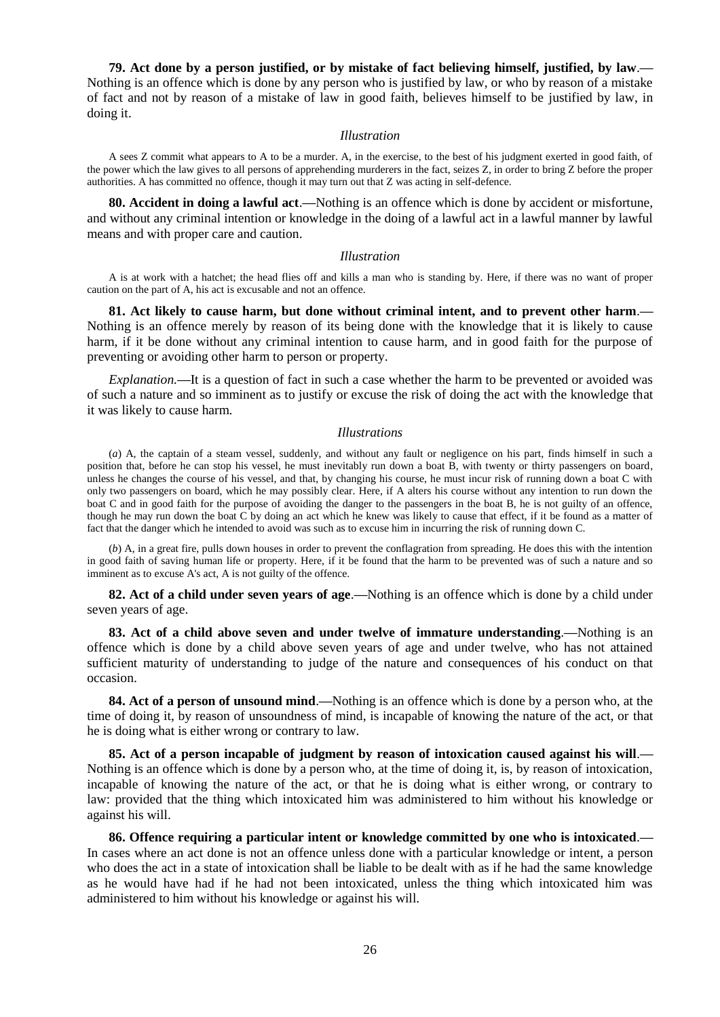**79. Act done by a person justified, or by mistake of fact believing himself, justified, by law**.**—** Nothing is an offence which is done by any person who is justified by law, or who by reason of a mistake of fact and not by reason of a mistake of law in good faith, believes himself to be justified by law, in doing it.

### *Illustration*

A sees Z commit what appears to A to be a murder. A, in the exercise, to the best of his judgment exerted in good faith, of the power which the law gives to all persons of apprehending murderers in the fact, seizes Z, in order to bring Z before the proper authorities. A has committed no offence, though it may turn out that Z was acting in self-defence.

**80. Accident in doing a lawful act**.**—**Nothing is an offence which is done by accident or misfortune, and without any criminal intention or knowledge in the doing of a lawful act in a lawful manner by lawful means and with proper care and caution.

### *Illustration*

A is at work with a hatchet; the head flies off and kills a man who is standing by. Here, if there was no want of proper caution on the part of A, his act is excusable and not an offence.

**81. Act likely to cause harm, but done without criminal intent, and to prevent other harm**.**—** Nothing is an offence merely by reason of its being done with the knowledge that it is likely to cause harm, if it be done without any criminal intention to cause harm, and in good faith for the purpose of preventing or avoiding other harm to person or property.

*Explanation.***—**It is a question of fact in such a case whether the harm to be prevented or avoided was of such a nature and so imminent as to justify or excuse the risk of doing the act with the knowledge that it was likely to cause harm.

# *Illustrations*

(*a*) A, the captain of a steam vessel, suddenly, and without any fault or negligence on his part, finds himself in such a position that, before he can stop his vessel, he must inevitably run down a boat B, with twenty or thirty passengers on board, unless he changes the course of his vessel, and that, by changing his course, he must incur risk of running down a boat C with only two passengers on board, which he may possibly clear. Here, if A alters his course without any intention to run down the boat C and in good faith for the purpose of avoiding the danger to the passengers in the boat B, he is not guilty of an offence, though he may run down the boat C by doing an act which he knew was likely to cause that effect, if it be found as a matter of fact that the danger which he intended to avoid was such as to excuse him in incurring the risk of running down C.

(*b*) A, in a great fire, pulls down houses in order to prevent the conflagration from spreading. He does this with the intention in good faith of saving human life or property. Here, if it be found that the harm to be prevented was of such a nature and so imminent as to excuse A's act, A is not guilty of the offence.

**82. Act of a child under seven years of age**.**—**Nothing is an offence which is done by a child under seven years of age.

**83. Act of a child above seven and under twelve of immature understanding**.**—**Nothing is an offence which is done by a child above seven years of age and under twelve, who has not attained sufficient maturity of understanding to judge of the nature and consequences of his conduct on that occasion.

**84. Act of a person of unsound mind**.**—**Nothing is an offence which is done by a person who, at the time of doing it, by reason of unsoundness of mind, is incapable of knowing the nature of the act, or that he is doing what is either wrong or contrary to law.

**85. Act of a person incapable of judgment by reason of intoxication caused against his will**.**—** Nothing is an offence which is done by a person who, at the time of doing it, is, by reason of intoxication, incapable of knowing the nature of the act, or that he is doing what is either wrong, or contrary to law: provided that the thing which intoxicated him was administered to him without his knowledge or against his will.

**86. Offence requiring a particular intent or knowledge committed by one who is intoxicated**.**—** In cases where an act done is not an offence unless done with a particular knowledge or intent, a person who does the act in a state of intoxication shall be liable to be dealt with as if he had the same knowledge as he would have had if he had not been intoxicated, unless the thing which intoxicated him was administered to him without his knowledge or against his will.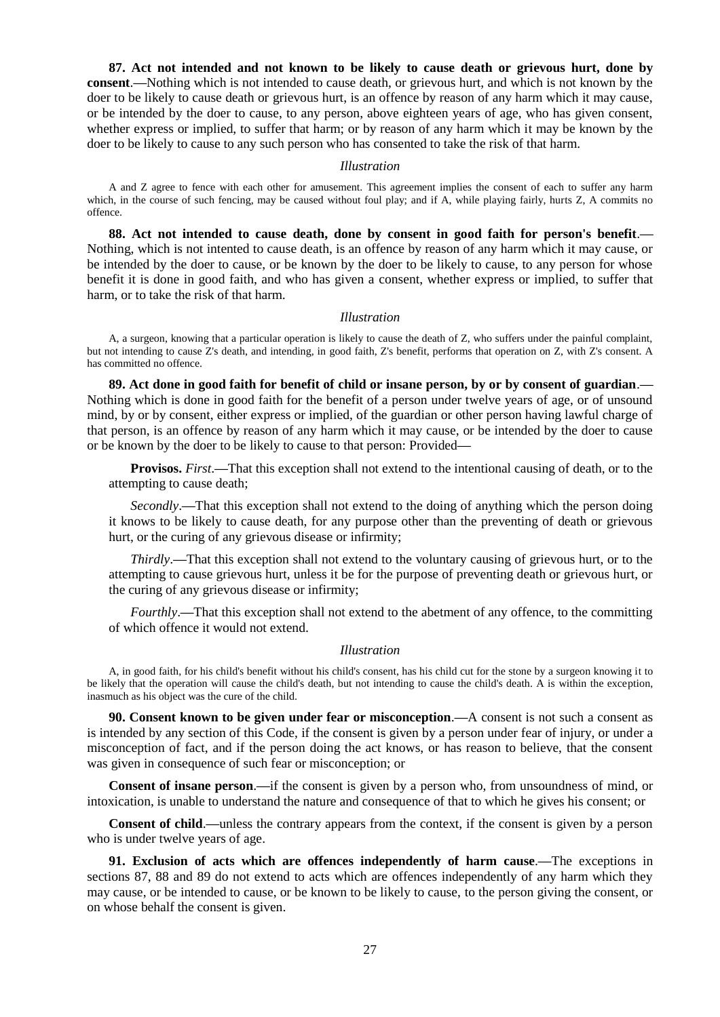**87. Act not intended and not known to be likely to cause death or grievous hurt, done by consent**.**—**Nothing which is not intended to cause death, or grievous hurt, and which is not known by the doer to be likely to cause death or grievous hurt, is an offence by reason of any harm which it may cause, or be intended by the doer to cause, to any person, above eighteen years of age, who has given consent, whether express or implied, to suffer that harm; or by reason of any harm which it may be known by the doer to be likely to cause to any such person who has consented to take the risk of that harm.

### *Illustration*

A and Z agree to fence with each other for amusement. This agreement implies the consent of each to suffer any harm which, in the course of such fencing, may be caused without foul play; and if A, while playing fairly, hurts Z, A commits no offence.

**88. Act not intended to cause death, done by consent in good faith for person's benefit**.**—** Nothing, which is not intented to cause death, is an offence by reason of any harm which it may cause, or be intended by the doer to cause, or be known by the doer to be likely to cause, to any person for whose benefit it is done in good faith, and who has given a consent, whether express or implied, to suffer that harm, or to take the risk of that harm.

### *Illustration*

A, a surgeon, knowing that a particular operation is likely to cause the death of Z, who suffers under the painful complaint, but not intending to cause Z's death, and intending, in good faith, Z's benefit, performs that operation on Z, with Z's consent. A has committed no offence.

**89. Act done in good faith for benefit of child or insane person, by or by consent of guardian**.**—** Nothing which is done in good faith for the benefit of a person under twelve years of age, or of unsound mind, by or by consent, either express or implied, of the guardian or other person having lawful charge of that person, is an offence by reason of any harm which it may cause, or be intended by the doer to cause or be known by the doer to be likely to cause to that person: Provided**—**

**Provisos.** *First*.—That this exception shall not extend to the intentional causing of death, or to the attempting to cause death;

*Secondly*.**—**That this exception shall not extend to the doing of anything which the person doing it knows to be likely to cause death, for any purpose other than the preventing of death or grievous hurt, or the curing of any grievous disease or infirmity;

*Thirdly*.**—**That this exception shall not extend to the voluntary causing of grievous hurt, or to the attempting to cause grievous hurt, unless it be for the purpose of preventing death or grievous hurt, or the curing of any grievous disease or infirmity;

*Fourthly*.**—**That this exception shall not extend to the abetment of any offence, to the committing of which offence it would not extend.

### *Illustration*

A, in good faith, for his child's benefit without his child's consent, has his child cut for the stone by a surgeon knowing it to be likely that the operation will cause the child's death, but not intending to cause the child's death. A is within the exception, inasmuch as his object was the cure of the child.

**90. Consent known to be given under fear or misconception**.**—**A consent is not such a consent as is intended by any section of this Code, if the consent is given by a person under fear of injury, or under a misconception of fact, and if the person doing the act knows, or has reason to believe, that the consent was given in consequence of such fear or misconception; or

**Consent of insane person**.**—**if the consent is given by a person who, from unsoundness of mind, or intoxication, is unable to understand the nature and consequence of that to which he gives his consent; or

**Consent of child**.**—**unless the contrary appears from the context, if the consent is given by a person who is under twelve years of age.

**91. Exclusion of acts which are offences independently of harm cause**.**—**The exceptions in sections 87, 88 and 89 do not extend to acts which are offences independently of any harm which they may cause, or be intended to cause, or be known to be likely to cause, to the person giving the consent, or on whose behalf the consent is given.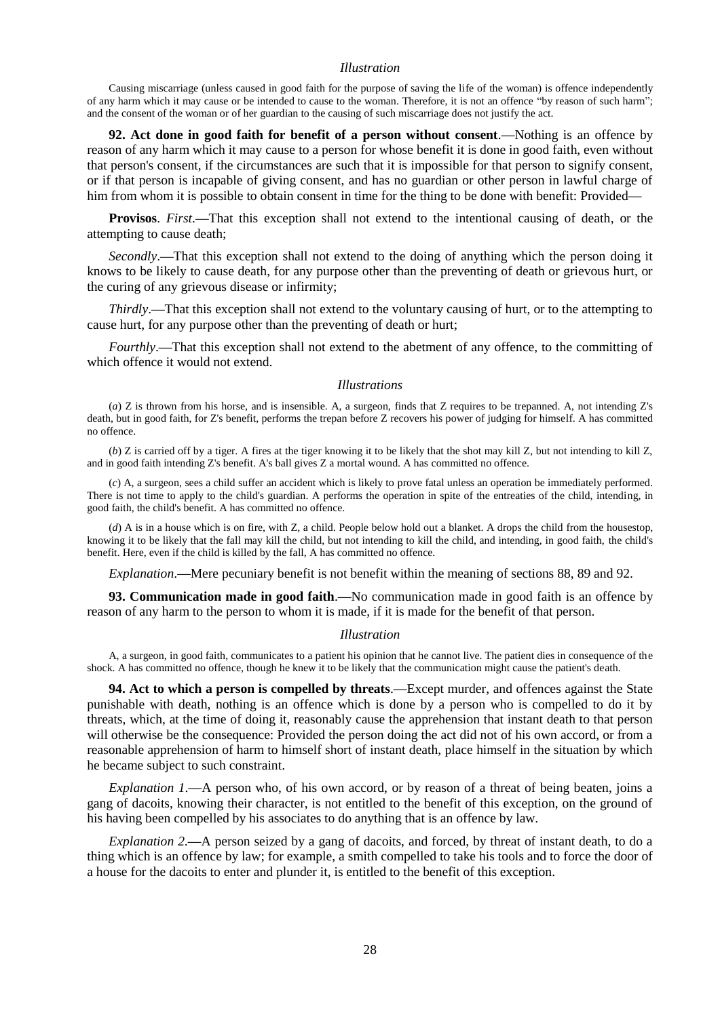### *Illustration*

Causing miscarriage (unless caused in good faith for the purpose of saving the life of the woman) is offence independently of any harm which it may cause or be intended to cause to the woman. Therefore, it is not an offence "by reason of such harm"; and the consent of the woman or of her guardian to the causing of such miscarriage does not justify the act.

**92. Act done in good faith for benefit of a person without consent**.**—**Nothing is an offence by reason of any harm which it may cause to a person for whose benefit it is done in good faith, even without that person's consent, if the circumstances are such that it is impossible for that person to signify consent, or if that person is incapable of giving consent, and has no guardian or other person in lawful charge of him from whom it is possible to obtain consent in time for the thing to be done with benefit: Provided**—**

**Provisos**. *First*.**—**That this exception shall not extend to the intentional causing of death, or the attempting to cause death;

*Secondly*.**—**That this exception shall not extend to the doing of anything which the person doing it knows to be likely to cause death, for any purpose other than the preventing of death or grievous hurt, or the curing of any grievous disease or infirmity;

*Thirdly*.**—**That this exception shall not extend to the voluntary causing of hurt, or to the attempting to cause hurt, for any purpose other than the preventing of death or hurt;

*Fourthly*.**—**That this exception shall not extend to the abetment of any offence, to the committing of which offence it would not extend.

### *Illustrations*

(*a*) Z is thrown from his horse, and is insensible. A, a surgeon, finds that Z requires to be trepanned. A, not intending Z's death, but in good faith, for Z's benefit, performs the trepan before Z recovers his power of judging for himself. A has committed no offence.

(*b*) Z is carried off by a tiger. A fires at the tiger knowing it to be likely that the shot may kill Z, but not intending to kill Z, and in good faith intending Z's benefit. A's ball gives Z a mortal wound. A has committed no offence.

(*c*) A, a surgeon, sees a child suffer an accident which is likely to prove fatal unless an operation be immediately performed. There is not time to apply to the child's guardian. A performs the operation in spite of the entreaties of the child, intending, in good faith, the child's benefit. A has committed no offence.

(*d*) A is in a house which is on fire, with Z, a child. People below hold out a blanket. A drops the child from the housestop, knowing it to be likely that the fall may kill the child, but not intending to kill the child, and intending, in good faith, the child's benefit. Here, even if the child is killed by the fall, A has committed no offence.

*Explanation*.**—**Mere pecuniary benefit is not benefit within the meaning of sections 88, 89 and 92.

**93. Communication made in good faith**.**—**No communication made in good faith is an offence by reason of any harm to the person to whom it is made, if it is made for the benefit of that person.

### *Illustration*

A, a surgeon, in good faith, communicates to a patient his opinion that he cannot live. The patient dies in consequence of the shock. A has committed no offence, though he knew it to be likely that the communication might cause the patient's death.

**94. Act to which a person is compelled by threats**.**—**Except murder, and offences against the State punishable with death, nothing is an offence which is done by a person who is compelled to do it by threats, which, at the time of doing it, reasonably cause the apprehension that instant death to that person will otherwise be the consequence: Provided the person doing the act did not of his own accord, or from a reasonable apprehension of harm to himself short of instant death, place himself in the situation by which he became subject to such constraint.

*Explanation 1*.**—**A person who, of his own accord, or by reason of a threat of being beaten, joins a gang of dacoits, knowing their character, is not entitled to the benefit of this exception, on the ground of his having been compelled by his associates to do anything that is an offence by law.

*Explanation 2*.**—**A person seized by a gang of dacoits, and forced, by threat of instant death, to do a thing which is an offence by law; for example, a smith compelled to take his tools and to force the door of a house for the dacoits to enter and plunder it, is entitled to the benefit of this exception.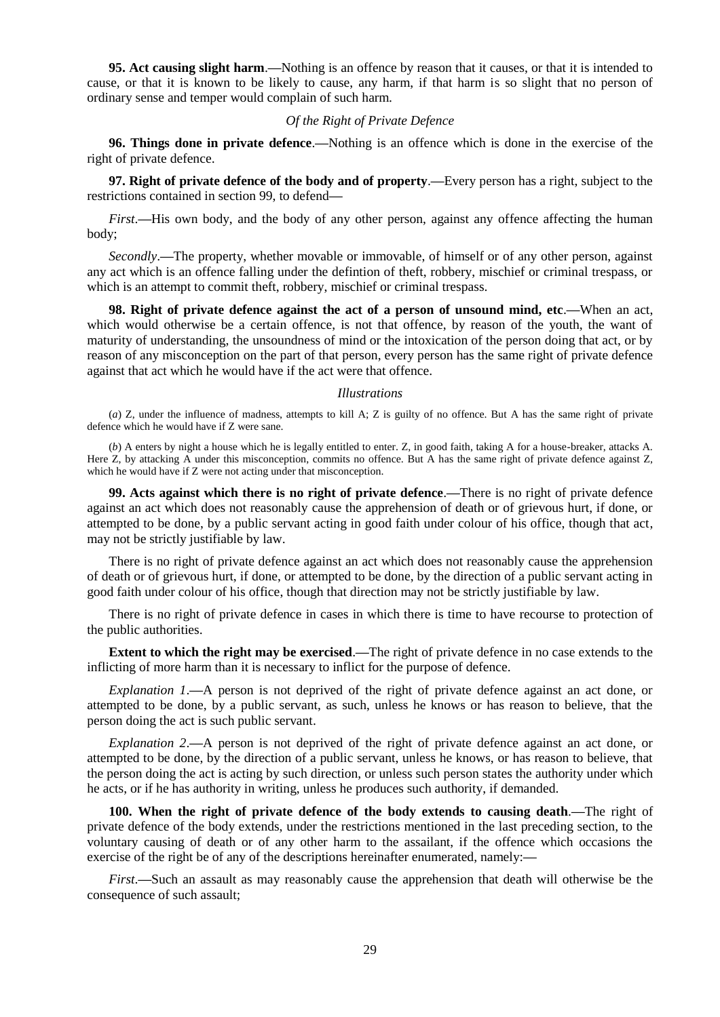**95. Act causing slight harm**.**—**Nothing is an offence by reason that it causes, or that it is intended to cause, or that it is known to be likely to cause, any harm, if that harm is so slight that no person of ordinary sense and temper would complain of such harm.

# *Of the Right of Private Defence*

**96. Things done in private defence**.**—**Nothing is an offence which is done in the exercise of the right of private defence.

**97. Right of private defence of the body and of property**.**—**Every person has a right, subject to the restrictions contained in section 99, to defend**—**

*First*.**—**His own body, and the body of any other person, against any offence affecting the human body;

*Secondly*.**—**The property, whether movable or immovable, of himself or of any other person, against any act which is an offence falling under the defintion of theft, robbery, mischief or criminal trespass, or which is an attempt to commit theft, robbery, mischief or criminal trespass.

**98. Right of private defence against the act of a person of unsound mind, etc.—When an act,** which would otherwise be a certain offence, is not that offence, by reason of the youth, the want of maturity of understanding, the unsoundness of mind or the intoxication of the person doing that act, or by reason of any misconception on the part of that person, every person has the same right of private defence against that act which he would have if the act were that offence.

### *Illustrations*

(*a*) Z, under the influence of madness, attempts to kill A; Z is guilty of no offence. But A has the same right of private defence which he would have if Z were sane.

(*b*) A enters by night a house which he is legally entitled to enter. Z, in good faith, taking A for a house-breaker, attacks A. Here Z, by attacking A under this misconception, commits no offence. But A has the same right of private defence against Z, which he would have if Z were not acting under that misconception.

**99. Acts against which there is no right of private defence**.**—**There is no right of private defence against an act which does not reasonably cause the apprehension of death or of grievous hurt, if done, or attempted to be done, by a public servant acting in good faith under colour of his office, though that act, may not be strictly justifiable by law.

There is no right of private defence against an act which does not reasonably cause the apprehension of death or of grievous hurt, if done, or attempted to be done, by the direction of a public servant acting in good faith under colour of his office, though that direction may not be strictly justifiable by law.

There is no right of private defence in cases in which there is time to have recourse to protection of the public authorities.

**Extent to which the right may be exercised**.**—**The right of private defence in no case extends to the inflicting of more harm than it is necessary to inflict for the purpose of defence.

*Explanation 1*.**—**A person is not deprived of the right of private defence against an act done, or attempted to be done, by a public servant, as such, unless he knows or has reason to believe, that the person doing the act is such public servant.

*Explanation 2*.**—**A person is not deprived of the right of private defence against an act done, or attempted to be done, by the direction of a public servant, unless he knows, or has reason to believe, that the person doing the act is acting by such direction, or unless such person states the authority under which he acts, or if he has authority in writing, unless he produces such authority, if demanded.

**100. When the right of private defence of the body extends to causing death**.**—**The right of private defence of the body extends, under the restrictions mentioned in the last preceding section, to the voluntary causing of death or of any other harm to the assailant, if the offence which occasions the exercise of the right be of any of the descriptions hereinafter enumerated, namely:**—**

*First*.**—**Such an assault as may reasonably cause the apprehension that death will otherwise be the consequence of such assault;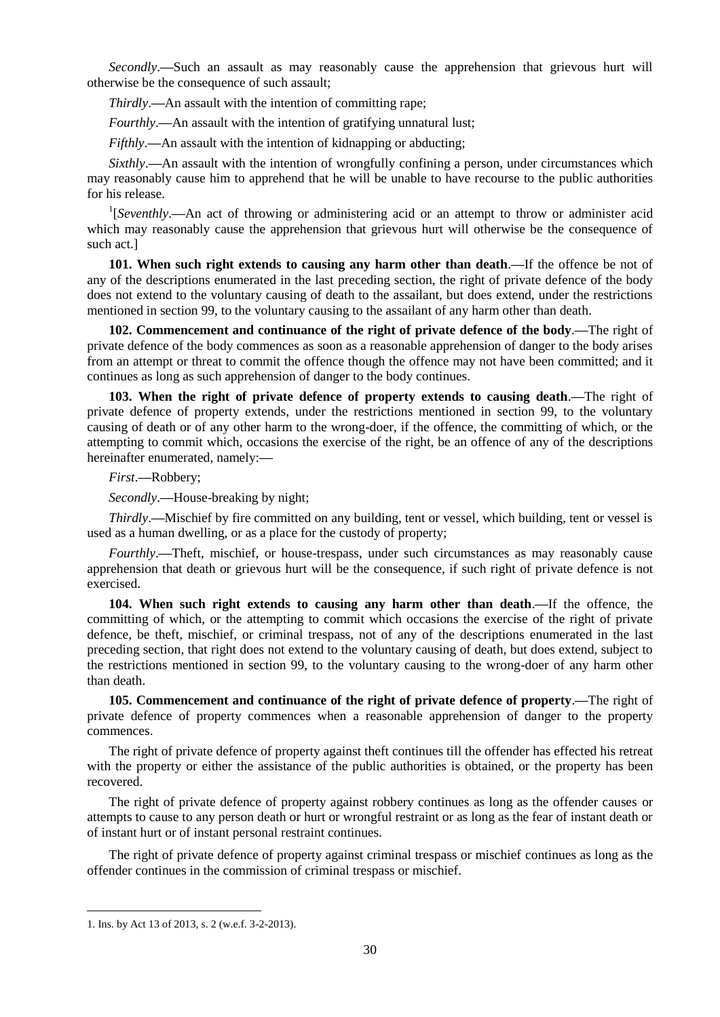*Secondly*.**—**Such an assault as may reasonably cause the apprehension that grievous hurt will otherwise be the consequence of such assault;

*Thirdly*.**—**An assault with the intention of committing rape;

*Fourthly*.**—**An assault with the intention of gratifying unnatural lust;

*Fifthly*.**—**An assault with the intention of kidnapping or abducting;

*Sixthly*.**—**An assault with the intention of wrongfully confining a person, under circumstances which may reasonably cause him to apprehend that he will be unable to have recourse to the public authorities for his release.

<sup>1</sup>[Seventhly.—An act of throwing or administering acid or an attempt to throw or administer acid which may reasonably cause the apprehension that grievous hurt will otherwise be the consequence of such act.]

**101. When such right extends to causing any harm other than death**.**—**If the offence be not of any of the descriptions enumerated in the last preceding section, the right of private defence of the body does not extend to the voluntary causing of death to the assailant, but does extend, under the restrictions mentioned in section 99, to the voluntary causing to the assailant of any harm other than death.

**102. Commencement and continuance of the right of private defence of the body**.**—**The right of private defence of the body commences as soon as a reasonable apprehension of danger to the body arises from an attempt or threat to commit the offence though the offence may not have been committed; and it continues as long as such apprehension of danger to the body continues.

**103. When the right of private defence of property extends to causing death**.**—**The right of private defence of property extends, under the restrictions mentioned in section 99, to the voluntary causing of death or of any other harm to the wrong-doer, if the offence, the committing of which, or the attempting to commit which, occasions the exercise of the right, be an offence of any of the descriptions hereinafter enumerated, namely:**—**

# *First*.**—**Robbery;

*Secondly*.**—**House-breaking by night;

*Thirdly*.**—**Mischief by fire committed on any building, tent or vessel, which building, tent or vessel is used as a human dwelling, or as a place for the custody of property;

*Fourthly*.**—**Theft, mischief, or house-trespass, under such circumstances as may reasonably cause apprehension that death or grievous hurt will be the consequence, if such right of private defence is not exercised.

**104. When such right extends to causing any harm other than death**.**—**If the offence, the committing of which, or the attempting to commit which occasions the exercise of the right of private defence, be theft, mischief, or criminal trespass, not of any of the descriptions enumerated in the last preceding section, that right does not extend to the voluntary causing of death, but does extend, subject to the restrictions mentioned in section 99, to the voluntary causing to the wrong-doer of any harm other than death.

**105. Commencement and continuance of the right of private defence of property**.**—**The right of private defence of property commences when a reasonable apprehension of danger to the property commences.

The right of private defence of property against theft continues till the offender has effected his retreat with the property or either the assistance of the public authorities is obtained, or the property has been recovered.

The right of private defence of property against robbery continues as long as the offender causes or attempts to cause to any person death or hurt or wrongful restraint or as long as the fear of instant death or of instant hurt or of instant personal restraint continues.

The right of private defence of property against criminal trespass or mischief continues as long as the offender continues in the commission of criminal trespass or mischief.

<sup>1.</sup> Ins. by Act 13 of 2013, s. 2 (w.e.f. 3-2-2013).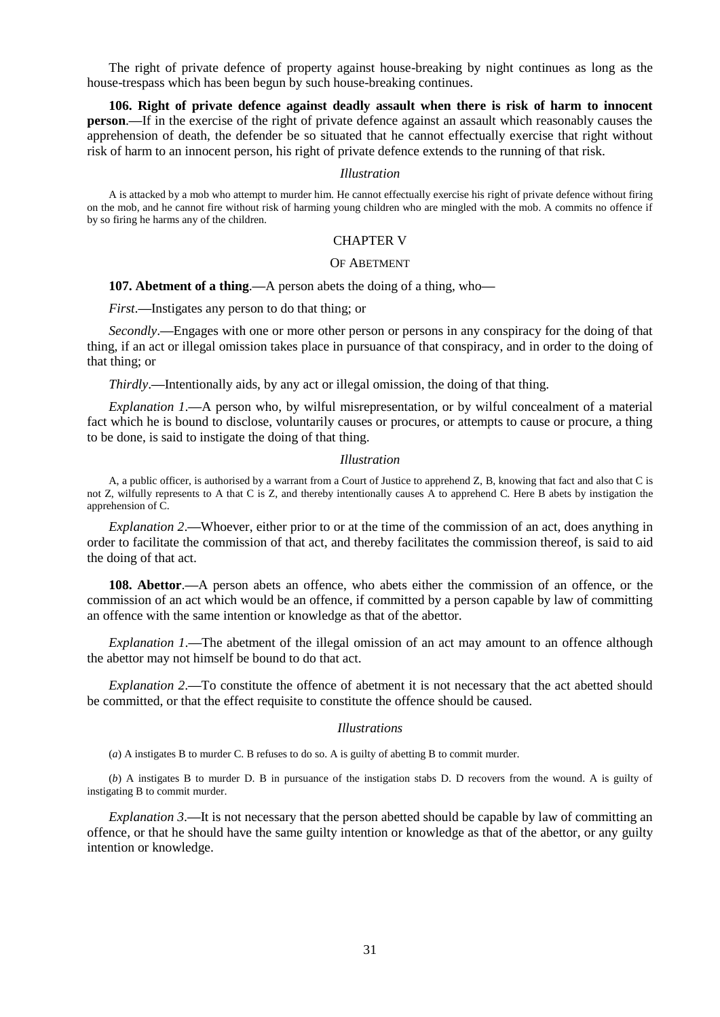The right of private defence of property against house-breaking by night continues as long as the house-trespass which has been begun by such house-breaking continues.

**106. Right of private defence against deadly assault when there is risk of harm to innocent person.—If** in the exercise of the right of private defence against an assault which reasonably causes the apprehension of death, the defender be so situated that he cannot effectually exercise that right without risk of harm to an innocent person, his right of private defence extends to the running of that risk.

### *Illustration*

A is attacked by a mob who attempt to murder him. He cannot effectually exercise his right of private defence without firing on the mob, and he cannot fire without risk of harming young children who are mingled with the mob. A commits no offence if by so firing he harms any of the children.

# CHAPTER V

# OF ABETMENT

**107. Abetment of a thing**.**—**A person abets the doing of a thing, who**—**

*First*.**—**Instigates any person to do that thing; or

*Secondly*.**—**Engages with one or more other person or persons in any conspiracy for the doing of that thing, if an act or illegal omission takes place in pursuance of that conspiracy, and in order to the doing of that thing; or

*Thirdly*.**—**Intentionally aids, by any act or illegal omission, the doing of that thing.

*Explanation 1*.**—**A person who, by wilful misrepresentation, or by wilful concealment of a material fact which he is bound to disclose, voluntarily causes or procures, or attempts to cause or procure, a thing to be done, is said to instigate the doing of that thing.

#### *Illustration*

A, a public officer, is authorised by a warrant from a Court of Justice to apprehend Z, B, knowing that fact and also that C is not Z, wilfully represents to A that C is Z, and thereby intentionally causes A to apprehend C. Here B abets by instigation the apprehension of C.

*Explanation 2*.**—**Whoever, either prior to or at the time of the commission of an act, does anything in order to facilitate the commission of that act, and thereby facilitates the commission thereof, is said to aid the doing of that act.

**108. Abettor**.**—**A person abets an offence, who abets either the commission of an offence, or the commission of an act which would be an offence, if committed by a person capable by law of committing an offence with the same intention or knowledge as that of the abettor.

*Explanation 1*.**—**The abetment of the illegal omission of an act may amount to an offence although the abettor may not himself be bound to do that act.

*Explanation 2*.**—**To constitute the offence of abetment it is not necessary that the act abetted should be committed, or that the effect requisite to constitute the offence should be caused.

### *Illustrations*

(*a*) A instigates B to murder C. B refuses to do so. A is guilty of abetting B to commit murder.

(*b*) A instigates B to murder D. B in pursuance of the instigation stabs D. D recovers from the wound. A is guilty of instigating B to commit murder.

*Explanation 3.*—It is not necessary that the person abetted should be capable by law of committing an offence, or that he should have the same guilty intention or knowledge as that of the abettor, or any guilty intention or knowledge.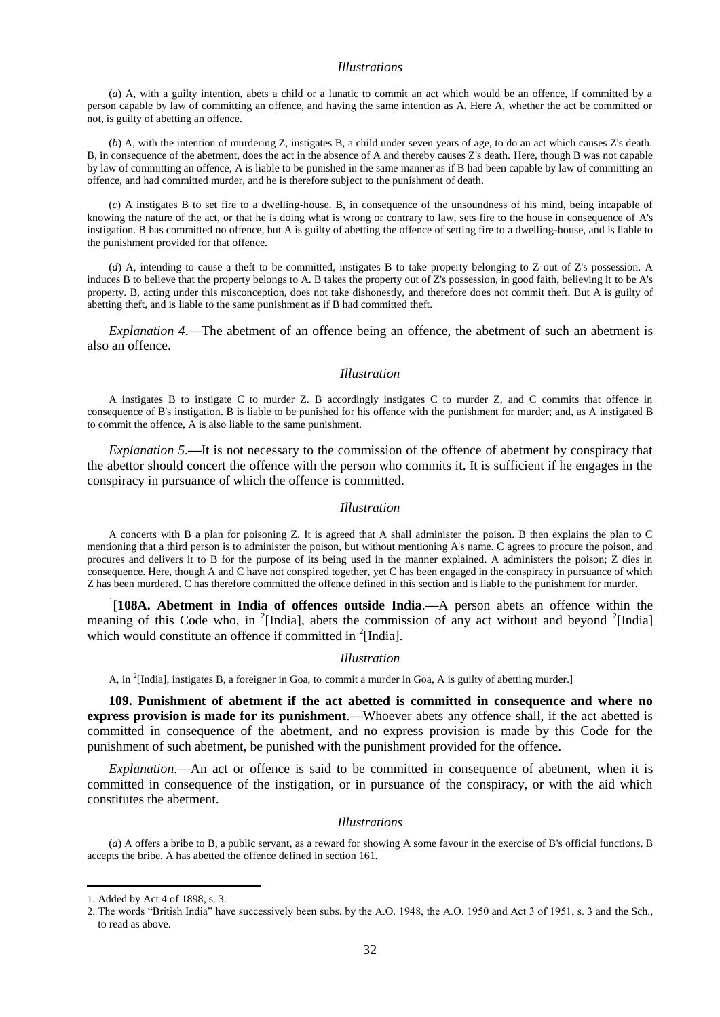### *Illustrations*

(*a*) A, with a guilty intention, abets a child or a lunatic to commit an act which would be an offence, if committed by a person capable by law of committing an offence, and having the same intention as A. Here A, whether the act be committed or not, is guilty of abetting an offence.

(*b*) A, with the intention of murdering Z, instigates B, a child under seven years of age, to do an act which causes Z's death. B, in consequence of the abetment, does the act in the absence of A and thereby causes Z's death. Here, though B was not capable by law of committing an offence, A is liable to be punished in the same manner as if B had been capable by law of committing an offence, and had committed murder, and he is therefore subject to the punishment of death.

(*c*) A instigates B to set fire to a dwelling-house. B, in consequence of the unsoundness of his mind, being incapable of knowing the nature of the act, or that he is doing what is wrong or contrary to law, sets fire to the house in consequence of A's instigation. B has committed no offence, but A is guilty of abetting the offence of setting fire to a dwelling-house, and is liable to the punishment provided for that offence.

(*d*) A, intending to cause a theft to be committed, instigates B to take property belonging to Z out of Z's possession. A induces B to believe that the property belongs to A. B takes the property out of Z's possession, in good faith, believing it to be A's property. B, acting under this misconception, does not take dishonestly, and therefore does not commit theft. But A is guilty of abetting theft, and is liable to the same punishment as if B had committed theft.

*Explanation 4*.**—**The abetment of an offence being an offence, the abetment of such an abetment is also an offence.

#### *Illustration*

A instigates B to instigate C to murder Z. B accordingly instigates C to murder Z, and C commits that offence in consequence of B's instigation. B is liable to be punished for his offence with the punishment for murder; and, as A instigated B to commit the offence, A is also liable to the same punishment.

*Explanation 5*.**—**It is not necessary to the commission of the offence of abetment by conspiracy that the abettor should concert the offence with the person who commits it. It is sufficient if he engages in the conspiracy in pursuance of which the offence is committed.

### *Illustration*

A concerts with B a plan for poisoning Z. It is agreed that A shall administer the poison. B then explains the plan to C mentioning that a third person is to administer the poison, but without mentioning A's name. C agrees to procure the poison, and procures and delivers it to B for the purpose of its being used in the manner explained. A administers the poison; Z dies in consequence. Here, though A and C have not conspired together, yet C has been engaged in the conspiracy in pursuance of which Z has been murdered. C has therefore committed the offence defined in this section and is liable to the punishment for murder.

1 [**108A. Abetment in India of offences outside India**.**—**A person abets an offence within the meaning of this Code who, in <sup>2</sup>[India], abets the commission of any act without and beyond <sup>2</sup>[India] which would constitute an offence if committed in  $^{2}$ [India].

# *Illustration*

A, in <sup>2</sup> [India], instigates B, a foreigner in Goa, to commit a murder in Goa, A is guilty of abetting murder.]

**109. Punishment of abetment if the act abetted is committed in consequence and where no express provision is made for its punishment**.**—**Whoever abets any offence shall, if the act abetted is committed in consequence of the abetment, and no express provision is made by this Code for the punishment of such abetment, be punished with the punishment provided for the offence.

*Explanation*.**—**An act or offence is said to be committed in consequence of abetment, when it is committed in consequence of the instigation, or in pursuance of the conspiracy, or with the aid which constitutes the abetment.

#### *Illustrations*

(*a*) A offers a bribe to B, a public servant, as a reward for showing A some favour in the exercise of B's official functions. B accepts the bribe. A has abetted the offence defined in section 161.

**.** 

2. The words "British India" have successively been subs. by the A.O. 1948, the A.O. 1950 and Act 3 of 1951, s. 3 and the Sch., to read as above.

<sup>1.</sup> Added by Act 4 of 1898, s. 3.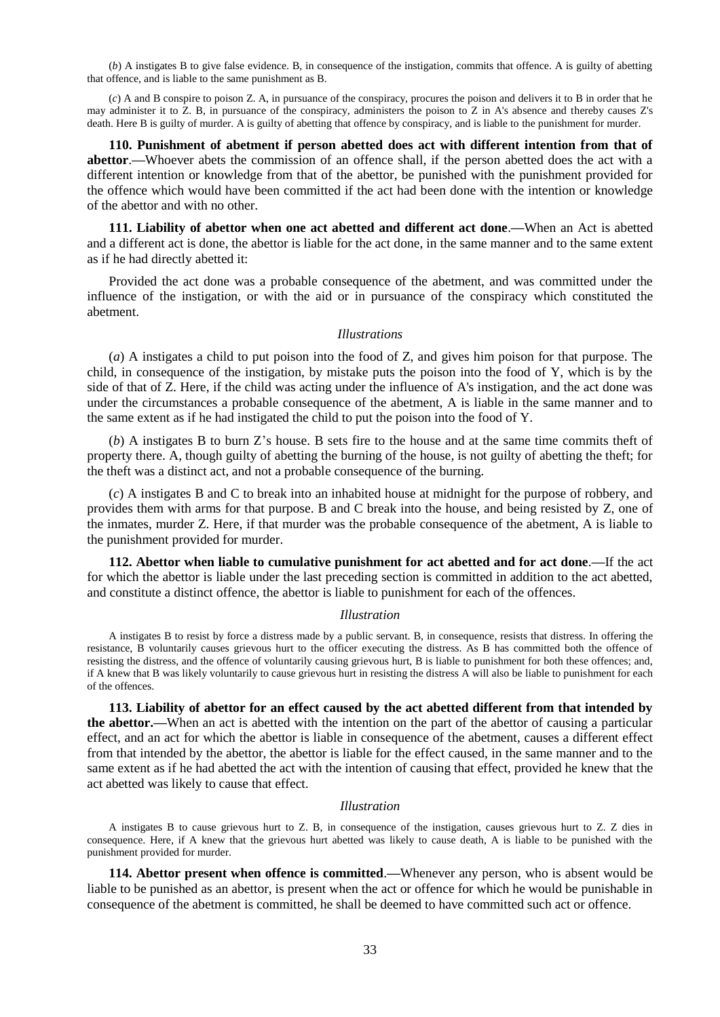(*b*) A instigates B to give false evidence. B, in consequence of the instigation, commits that offence. A is guilty of abetting that offence, and is liable to the same punishment as B.

(*c*) A and B conspire to poison Z. A, in pursuance of the conspiracy, procures the poison and delivers it to B in order that he may administer it to Z. B, in pursuance of the conspiracy, administers the poison to Z in A's absence and thereby causes Z's death. Here B is guilty of murder. A is guilty of abetting that offence by conspiracy, and is liable to the punishment for murder.

**110. Punishment of abetment if person abetted does act with different intention from that of abettor**.**—**Whoever abets the commission of an offence shall, if the person abetted does the act with a different intention or knowledge from that of the abettor, be punished with the punishment provided for the offence which would have been committed if the act had been done with the intention or knowledge of the abettor and with no other.

**111. Liability of abettor when one act abetted and different act done**.**—**When an Act is abetted and a different act is done, the abettor is liable for the act done, in the same manner and to the same extent as if he had directly abetted it:

Provided the act done was a probable consequence of the abetment, and was committed under the influence of the instigation, or with the aid or in pursuance of the conspiracy which constituted the abetment.

### *Illustrations*

(*a*) A instigates a child to put poison into the food of Z, and gives him poison for that purpose. The child, in consequence of the instigation, by mistake puts the poison into the food of Y, which is by the side of that of Z. Here, if the child was acting under the influence of A's instigation, and the act done was under the circumstances a probable consequence of the abetment, A is liable in the same manner and to the same extent as if he had instigated the child to put the poison into the food of Y.

(*b*) A instigates B to burn Z's house. B sets fire to the house and at the same time commits theft of property there. A, though guilty of abetting the burning of the house, is not guilty of abetting the theft; for the theft was a distinct act, and not a probable consequence of the burning.

(*c*) A instigates B and C to break into an inhabited house at midnight for the purpose of robbery, and provides them with arms for that purpose. B and C break into the house, and being resisted by Z, one of the inmates, murder Z. Here, if that murder was the probable consequence of the abetment, A is liable to the punishment provided for murder.

**112. Abettor when liable to cumulative punishment for act abetted and for act done**.**—**If the act for which the abettor is liable under the last preceding section is committed in addition to the act abetted, and constitute a distinct offence, the abettor is liable to punishment for each of the offences.

# *Illustration*

A instigates B to resist by force a distress made by a public servant. B, in consequence, resists that distress. In offering the resistance, B voluntarily causes grievous hurt to the officer executing the distress. As B has committed both the offence of resisting the distress, and the offence of voluntarily causing grievous hurt, B is liable to punishment for both these offences; and, if A knew that B was likely voluntarily to cause grievous hurt in resisting the distress A will also be liable to punishment for each of the offences.

**113. Liability of abettor for an effect caused by the act abetted different from that intended by the abettor.—**When an act is abetted with the intention on the part of the abettor of causing a particular effect, and an act for which the abettor is liable in consequence of the abetment, causes a different effect from that intended by the abettor, the abettor is liable for the effect caused, in the same manner and to the same extent as if he had abetted the act with the intention of causing that effect, provided he knew that the act abetted was likely to cause that effect.

#### *Illustration*

A instigates B to cause grievous hurt to Z. B, in consequence of the instigation, causes grievous hurt to Z. Z dies in consequence. Here, if A knew that the grievous hurt abetted was likely to cause death, A is liable to be punished with the punishment provided for murder.

**114. Abettor present when offence is committed**.**—**Whenever any person, who is absent would be liable to be punished as an abettor, is present when the act or offence for which he would be punishable in consequence of the abetment is committed, he shall be deemed to have committed such act or offence.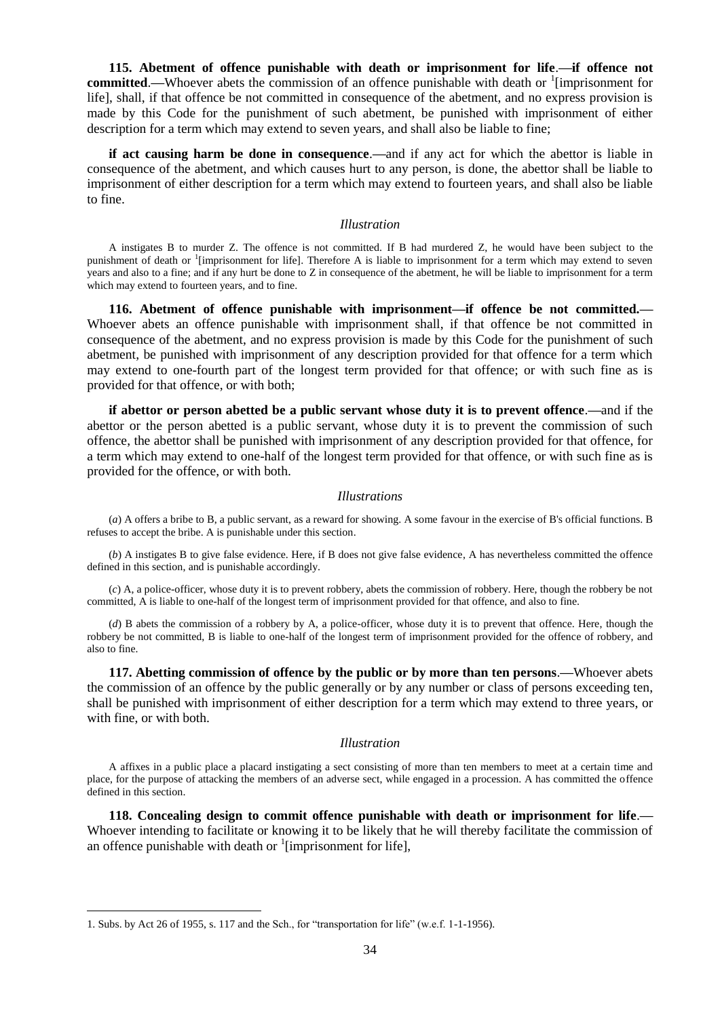**115. Abetment of offence punishable with death or imprisonment for life**.**—if offence not**  committed.—Whoever abets the commission of an offence punishable with death or <sup>1</sup>[imprisonment for life], shall, if that offence be not committed in consequence of the abetment, and no express provision is made by this Code for the punishment of such abetment, be punished with imprisonment of either description for a term which may extend to seven years, and shall also be liable to fine;

**if act causing harm be done in consequence.—and if any act for which the abettor is liable in** consequence of the abetment, and which causes hurt to any person, is done, the abettor shall be liable to imprisonment of either description for a term which may extend to fourteen years, and shall also be liable to fine.

# *Illustration*

A instigates B to murder Z. The offence is not committed. If B had murdered Z, he would have been subject to the punishment of death or <sup>1</sup>[imprisonment for life]. Therefore A is liable to imprisonment for a term which may extend to seven years and also to a fine; and if any hurt be done to Z in consequence of the abetment, he will be liable to imprisonment for a term which may extend to fourteen years, and to fine.

**116. Abetment of offence punishable with imprisonment—if offence be not committed.—** Whoever abets an offence punishable with imprisonment shall, if that offence be not committed in consequence of the abetment, and no express provision is made by this Code for the punishment of such abetment, be punished with imprisonment of any description provided for that offence for a term which may extend to one-fourth part of the longest term provided for that offence; or with such fine as is provided for that offence, or with both;

**if abettor or person abetted be a public servant whose duty it is to prevent offence**.**—**and if the abettor or the person abetted is a public servant, whose duty it is to prevent the commission of such offence, the abettor shall be punished with imprisonment of any description provided for that offence, for a term which may extend to one-half of the longest term provided for that offence, or with such fine as is provided for the offence, or with both.

# *Illustrations*

(*a*) A offers a bribe to B, a public servant, as a reward for showing. A some favour in the exercise of B's official functions. B refuses to accept the bribe. A is punishable under this section.

(*b*) A instigates B to give false evidence. Here, if B does not give false evidence, A has nevertheless committed the offence defined in this section, and is punishable accordingly.

(*c*) A, a police-officer, whose duty it is to prevent robbery, abets the commission of robbery. Here, though the robbery be not committed, A is liable to one-half of the longest term of imprisonment provided for that offence, and also to fine.

(*d*) B abets the commission of a robbery by A, a police-officer, whose duty it is to prevent that offence. Here, though the robbery be not committed, B is liable to one-half of the longest term of imprisonment provided for the offence of robbery, and also to fine.

**117. Abetting commission of offence by the public or by more than ten persons**.**—**Whoever abets the commission of an offence by the public generally or by any number or class of persons exceeding ten, shall be punished with imprisonment of either description for a term which may extend to three years, or with fine, or with both.

# *Illustration*

A affixes in a public place a placard instigating a sect consisting of more than ten members to meet at a certain time and place, for the purpose of attacking the members of an adverse sect, while engaged in a procession. A has committed the offence defined in this section.

**118. Concealing design to commit offence punishable with death or imprisonment for life**.**—** Whoever intending to facilitate or knowing it to be likely that he will thereby facilitate the commission of an offence punishable with death or  $\frac{1}{2}$  [imprisonment for life],

<sup>1.</sup> Subs. by Act 26 of 1955, s. 117 and the Sch., for "transportation for life" (w.e.f. 1-1-1956).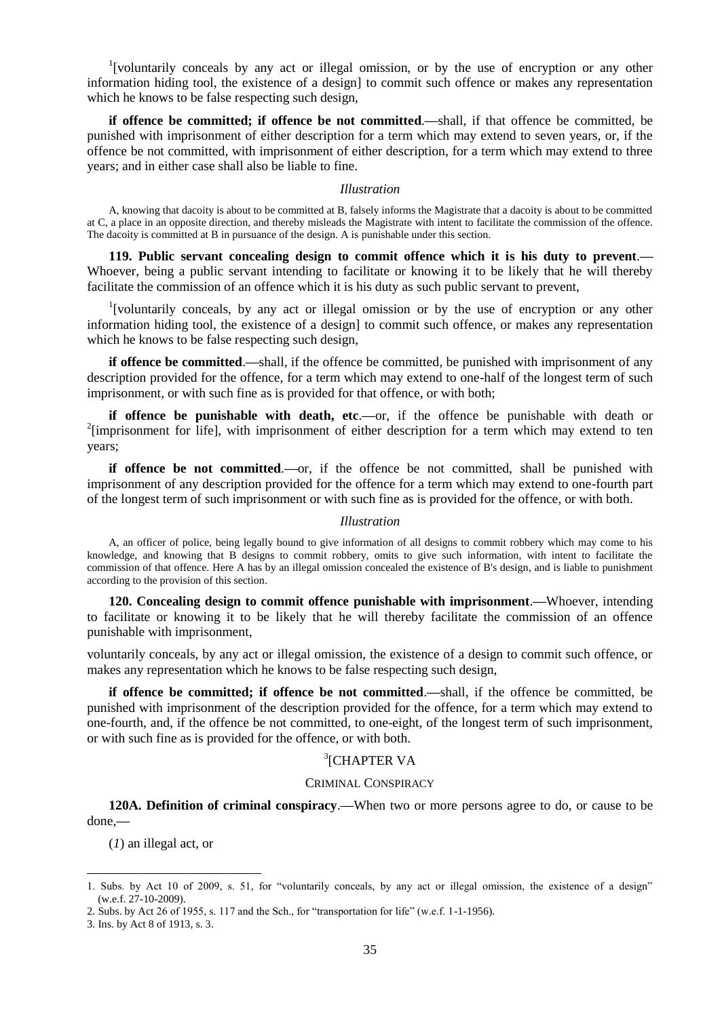<sup>1</sup>[voluntarily conceals by any act or illegal omission, or by the use of encryption or any other information hiding tool, the existence of a design] to commit such offence or makes any representation which he knows to be false respecting such design,

**if offence be committed; if offence be not committed**.**—**shall, if that offence be committed, be punished with imprisonment of either description for a term which may extend to seven years, or, if the offence be not committed, with imprisonment of either description, for a term which may extend to three years; and in either case shall also be liable to fine.

### *Illustration*

A, knowing that dacoity is about to be committed at B, falsely informs the Magistrate that a dacoity is about to be committed at C, a place in an opposite direction, and thereby misleads the Magistrate with intent to facilitate the commission of the offence. The dacoity is committed at B in pursuance of the design. A is punishable under this section.

**119. Public servant concealing design to commit offence which it is his duty to prevent**.**—** Whoever, being a public servant intending to facilitate or knowing it to be likely that he will thereby facilitate the commission of an offence which it is his duty as such public servant to prevent,

<sup>1</sup>[voluntarily conceals, by any act or illegal omission or by the use of encryption or any other information hiding tool, the existence of a design] to commit such offence, or makes any representation which he knows to be false respecting such design,

**if offence be committed**.**—**shall, if the offence be committed, be punished with imprisonment of any description provided for the offence, for a term which may extend to one-half of the longest term of such imprisonment, or with such fine as is provided for that offence, or with both;

**if offence be punishable with death, etc.—or, if the offence be punishable with death or**  $2$ [imprisonment for life], with imprisonment of either description for a term which may extend to ten years;

**if offence be not committed**.**—**or, if the offence be not committed, shall be punished with imprisonment of any description provided for the offence for a term which may extend to one-fourth part of the longest term of such imprisonment or with such fine as is provided for the offence, or with both.

# *Illustration*

A, an officer of police, being legally bound to give information of all designs to commit robbery which may come to his knowledge, and knowing that B designs to commit robbery, omits to give such information, with intent to facilitate the commission of that offence. Here A has by an illegal omission concealed the existence of B's design, and is liable to punishment according to the provision of this section.

**120. Concealing design to commit offence punishable with imprisonment**.**—**Whoever, intending to facilitate or knowing it to be likely that he will thereby facilitate the commission of an offence punishable with imprisonment,

voluntarily conceals, by any act or illegal omission, the existence of a design to commit such offence, or makes any representation which he knows to be false respecting such design,

**if offence be committed; if offence be not committed**.**—**shall, if the offence be committed, be punished with imprisonment of the description provided for the offence, for a term which may extend to one-fourth, and, if the offence be not committed, to one-eight, of the longest term of such imprisonment, or with such fine as is provided for the offence, or with both.

# 3 [CHAPTER VA

# CRIMINAL CONSPIRACY

**120A. Definition of criminal conspiracy**.**—**When two or more persons agree to do, or cause to be done,**—**

(*1*) an illegal act, or

<sup>1.</sup> Subs. by Act 10 of 2009, s. 51, for "voluntarily conceals, by any act or illegal omission, the existence of a design" (w.e.f. 27-10-2009).

<sup>2.</sup> Subs. by Act 26 of 1955, s. 117 and the Sch., for "transportation for life" (w.e.f. 1-1-1956).

<sup>3.</sup> Ins. by Act 8 of 1913, s. 3.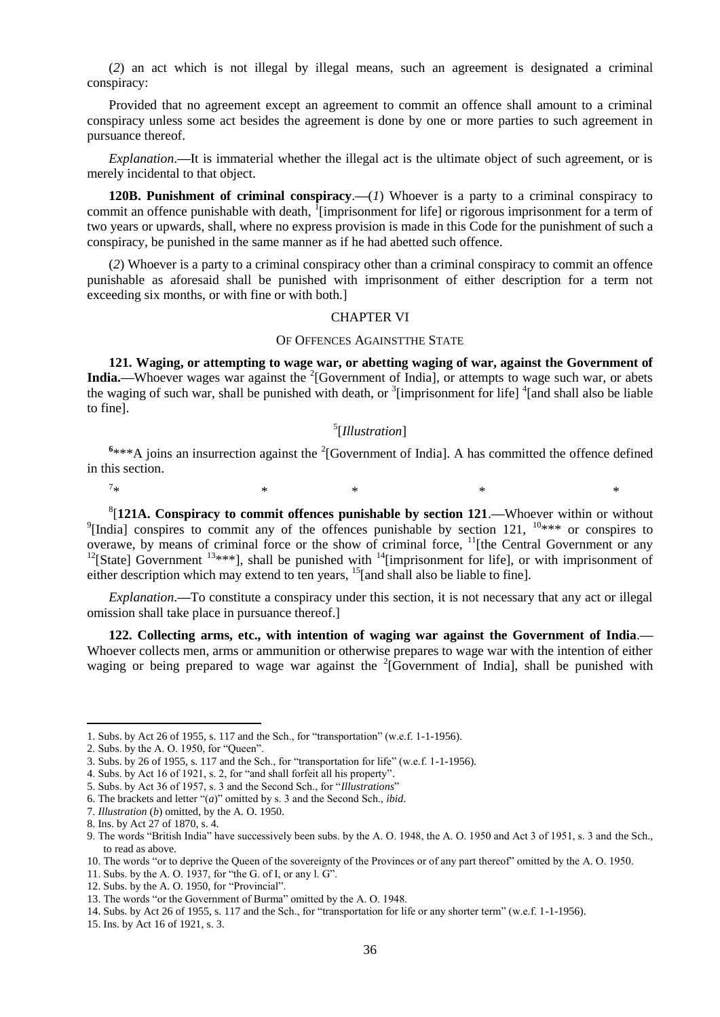(*2*) an act which is not illegal by illegal means, such an agreement is designated a criminal conspiracy:

Provided that no agreement except an agreement to commit an offence shall amount to a criminal conspiracy unless some act besides the agreement is done by one or more parties to such agreement in pursuance thereof.

*Explanation*.**—**It is immaterial whether the illegal act is the ultimate object of such agreement, or is merely incidental to that object.

**120B. Punishment of criminal conspiracy.**—(*1*) Whoever is a party to a criminal conspiracy to commit an offence punishable with death,  $\frac{1}{2}$  [imprisonment for life] or rigorous imprisonment for a term of two years or upwards, shall, where no express provision is made in this Code for the punishment of such a conspiracy, be punished in the same manner as if he had abetted such offence.

(*2*) Whoever is a party to a criminal conspiracy other than a criminal conspiracy to commit an offence punishable as aforesaid shall be punished with imprisonment of either description for a term not exceeding six months, or with fine or with both.]

### CHAPTER VI

# OF OFFENCES AGAINSTTHE STATE

**121. Waging, or attempting to wage war, or abetting waging of war, against the Government of India.**—Whoever wages war against the <sup>2</sup>[Government of India], or attempts to wage such war, or abets the waging of such war, shall be punished with death, or <sup>3</sup>[imprisonment for life] <sup>4</sup>[and shall also be liable to fine].

# 5 [*Illustration*]

 $6***A$  joins an insurrection against the <sup>2</sup>[Government of India]. A has committed the offence defined in this section.

 $7*$  $*$   $*$   $*$   $*$   $*$   $*$   $*$ 

**.** 

8 [**121A. Conspiracy to commit offences punishable by section 121**.**—**Whoever within or without <sup>9</sup>[India] conspires to commit any of the offences punishable by section 121,  $10***$  or conspires to overawe, by means of criminal force or the show of criminal force,  $\frac{11}{1}$ [the Central Government or any <sup>12</sup>[State] Government  $13***$ ], shall be punished with  $14$ [imprisonment for life], or with imprisonment of either description which may extend to ten years,  $^{15}$ [and shall also be liable to fine].

*Explanation*.**—**To constitute a conspiracy under this section, it is not necessary that any act or illegal omission shall take place in pursuance thereof.]

**122. Collecting arms, etc., with intention of waging war against the Government of India**.**—** Whoever collects men, arms or ammunition or otherwise prepares to wage war with the intention of either waging or being prepared to wage war against the  $2 \overline{1}$  Government of Indial, shall be punished with

7. *Illustration* (*b*) omitted, by the A. O. 1950.

<sup>1.</sup> Subs. by Act 26 of 1955, s. 117 and the Sch., for "transportation" (w.e.f. 1-1-1956).

<sup>2.</sup> Subs. by the A. O. 1950, for "Queen".

<sup>3.</sup> Subs. by 26 of 1955, s. 117 and the Sch., for "transportation for life" (w.e.f. 1-1-1956).

<sup>4.</sup> Subs. by Act 16 of 1921, s. 2, for "and shall forfeit all his property".

<sup>5.</sup> Subs. by Act 36 of 1957, s. 3 and the Second Sch., for "*Illustrations*"

<sup>6.</sup> The brackets and letter "(*a*)" omitted by s. 3 and the Second Sch., *ibid*.

<sup>8.</sup> Ins. by Act 27 of 1870, s. 4.

<sup>9.</sup> The words "British India" have successively been subs. by the A. O. 1948, the A. O. 1950 and Act 3 of 1951, s. 3 and the Sch., to read as above.

<sup>10.</sup> The words "or to deprive the Queen of the sovereignty of the Provinces or of any part thereof" omitted by the A. O. 1950.

<sup>11.</sup> Subs. by the A. O. 1937, for "the G. of I, or any l. G".

<sup>12.</sup> Subs. by the A. O. 1950, for "Provincial".

<sup>13.</sup> The words "or the Government of Burma" omitted by the A. O. 1948.

<sup>14.</sup> Subs. by Act 26 of 1955, s. 117 and the Sch., for "transportation for life or any shorter term" (w.e.f. 1-1-1956).

<sup>15.</sup> Ins. by Act 16 of 1921, s. 3.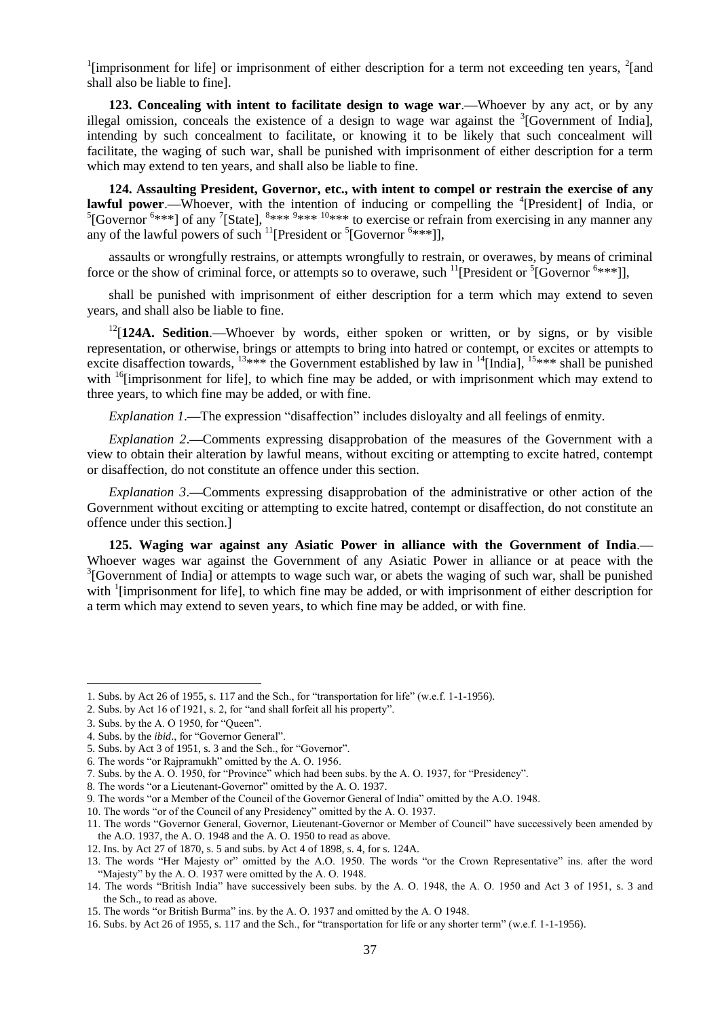<sup>1</sup>[imprisonment for life] or imprisonment of either description for a term not exceeding ten years,  $^{2}$ [and shall also be liable to fine].

**123. Concealing with intent to facilitate design to wage war**.**—**Whoever by any act, or by any illegal omission, conceals the existence of a design to wage war against the  ${}^{3}$ [Government of India], intending by such concealment to facilitate, or knowing it to be likely that such concealment will facilitate, the waging of such war, shall be punished with imprisonment of either description for a term which may extend to ten years, and shall also be liable to fine.

**124. Assaulting President, Governor, etc., with intent to compel or restrain the exercise of any**  lawful power.—Whoever, with the intention of inducing or compelling the <sup>4</sup>[President] of India, or <sup>5</sup>[Governor<sup>6\*\*\*</sup>] of any <sup>7</sup>[State], <sup>8\*\*\* 9\*\*\* <sup>10\*\*\*</sup> to exercise or refrain from exercising in any manner any</sup> any of the lawful powers of such  $\frac{11}{2}$ [President or  $\frac{5}{2}$ [Governor  $\frac{6***}{1}$ ],

assaults or wrongfully restrains, or attempts wrongfully to restrain, or overawes, by means of criminal force or the show of criminal force, or attempts so to overawe, such  $\frac{11}{2}$  [President or  $\frac{5}{2}$  [Governor  $\frac{6***}{1}$ ]],

shall be punished with imprisonment of either description for a term which may extend to seven years, and shall also be liable to fine.

<sup>12</sup>[124A. Sedition.—Whoever by words, either spoken or written, or by signs, or by visible representation, or otherwise, brings or attempts to bring into hatred or contempt, or excites or attempts to excite disaffection towards,  $13***$  the Government established by law in  $14$ [India],  $15***$  shall be punished with <sup>16</sup>[imprisonment for life], to which fine may be added, or with imprisonment which may extend to three years, to which fine may be added, or with fine.

*Explanation 1*.**—**The expression "disaffection" includes disloyalty and all feelings of enmity.

*Explanation 2*.**—**Comments expressing disapprobation of the measures of the Government with a view to obtain their alteration by lawful means, without exciting or attempting to excite hatred, contempt or disaffection, do not constitute an offence under this section.

*Explanation 3*.**—**Comments expressing disapprobation of the administrative or other action of the Government without exciting or attempting to excite hatred, contempt or disaffection, do not constitute an offence under this section.]

**125. Waging war against any Asiatic Power in alliance with the Government of India**.**—** Whoever wages war against the Government of any Asiatic Power in alliance or at peace with the <sup>3</sup>[Government of India] or attempts to wage such war, or abets the waging of such war, shall be punished with <sup>1</sup>[imprisonment for life], to which fine may be added, or with imprisonment of either description for a term which may extend to seven years, to which fine may be added, or with fine.

<sup>1.</sup> Subs. by Act 26 of 1955, s. 117 and the Sch., for "transportation for life" (w.e.f. 1-1-1956).

<sup>2.</sup> Subs. by Act 16 of 1921, s. 2, for "and shall forfeit all his property".

<sup>3</sup>. Subs. by the A. O 1950, for "Queen".

<sup>4.</sup> Subs. by the *ibid*., for "Governor General".

<sup>5.</sup> Subs. by Act 3 of 1951, s. 3 and the Sch., for "Governor".

<sup>6.</sup> The words "or Rajpramukh" omitted by the A. O. 1956.

<sup>7.</sup> Subs. by the A. O. 1950, for "Province" which had been subs. by the A. O. 1937, for "Presidency".

<sup>8.</sup> The words "or a Lieutenant-Governor" omitted by the A. O. 1937.

<sup>9.</sup> The words "or a Member of the Council of the Governor General of India" omitted by the A.O. 1948.

<sup>10.</sup> The words "or of the Council of any Presidency" omitted by the A. O. 1937.

<sup>11.</sup> The words "Governor General, Governor, Lieutenant-Governor or Member of Council" have successively been amended by the A.O. 1937, the A. O. 1948 and the A. O. 1950 to read as above.

<sup>12.</sup> Ins. by Act 27 of 1870, s. 5 and subs. by Act 4 of 1898, s. 4, for s. 124A.

<sup>13.</sup> The words "Her Majesty or" omitted by the A.O. 1950. The words "or the Crown Representative" ins. after the word "Majesty" by the A. O. 1937 were omitted by the A. O. 1948.

<sup>14.</sup> The words "British India" have successively been subs. by the A. O. 1948, the A. O. 1950 and Act 3 of 1951, s. 3 and the Sch., to read as above.

<sup>15.</sup> The words "or British Burma" ins. by the A. O. 1937 and omitted by the A. O 1948.

<sup>16.</sup> Subs. by Act 26 of 1955, s. 117 and the Sch., for "transportation for life or any shorter term" (w.e.f. 1-1-1956).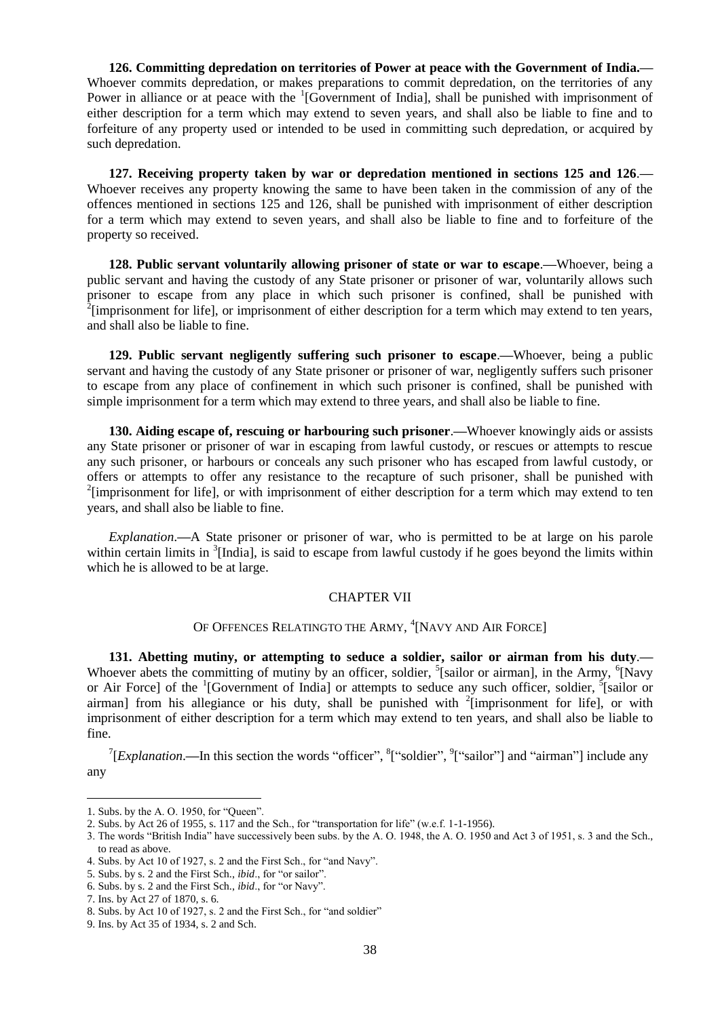**126. Committing depredation on territories of Power at peace with the Government of India.—** Whoever commits depredation, or makes preparations to commit depredation, on the territories of any Power in alliance or at peace with the <sup>1</sup>[Government of India], shall be punished with imprisonment of either description for a term which may extend to seven years, and shall also be liable to fine and to forfeiture of any property used or intended to be used in committing such depredation, or acquired by such depredation.

**127. Receiving property taken by war or depredation mentioned in sections 125 and 126**.**—** Whoever receives any property knowing the same to have been taken in the commission of any of the offences mentioned in sections 125 and 126, shall be punished with imprisonment of either description for a term which may extend to seven years, and shall also be liable to fine and to forfeiture of the property so received.

**128. Public servant voluntarily allowing prisoner of state or war to escape**.**—**Whoever, being a public servant and having the custody of any State prisoner or prisoner of war, voluntarily allows such prisoner to escape from any place in which such prisoner is confined, shall be punished with  $2$ [imprisonment for life], or imprisonment of either description for a term which may extend to ten years, and shall also be liable to fine.

**129. Public servant negligently suffering such prisoner to escape**.**—**Whoever, being a public servant and having the custody of any State prisoner or prisoner of war, negligently suffers such prisoner to escape from any place of confinement in which such prisoner is confined, shall be punished with simple imprisonment for a term which may extend to three years, and shall also be liable to fine.

**130. Aiding escape of, rescuing or harbouring such prisoner**.**—**Whoever knowingly aids or assists any State prisoner or prisoner of war in escaping from lawful custody, or rescues or attempts to rescue any such prisoner, or harbours or conceals any such prisoner who has escaped from lawful custody, or offers or attempts to offer any resistance to the recapture of such prisoner, shall be punished with  $2$ [imprisonment for life], or with imprisonment of either description for a term which may extend to ten years, and shall also be liable to fine.

*Explanation*.**—**A State prisoner or prisoner of war, who is permitted to be at large on his parole within certain limits in <sup>3</sup>[India], is said to escape from lawful custody if he goes beyond the limits within which he is allowed to be at large.

## CHAPTER VII

# OF OFFENCES RELATINGTO THE ARMY, <sup>4</sup>[NAVY AND AIR FORCE]

**131. Abetting mutiny, or attempting to seduce a soldier, sailor or airman from his duty**.**—** Whoever abets the committing of mutiny by an officer, soldier,  $\frac{5}{5}$ [sailor or airman], in the Army,  $\frac{6}{5}$ [Navy or Air Force] of the  ${}^{1}$ [Government of India] or attempts to seduce any such officer, soldier,  ${}^{5}$ [sailor or airman] from his allegiance or his duty, shall be punished with  $2$ [imprisonment for life], or with imprisonment of either description for a term which may extend to ten years, and shall also be liable to fine.

<sup>7</sup>[*Explanation*.—In this section the words "officer",  ${}^{8}$ ["soldier",  ${}^{9}$ ["sailor"] and "airman"] include any any

 $\overline{a}$ 

<sup>1.</sup> Subs. by the A. O. 1950, for "Queen".

<sup>2.</sup> Subs. by Act 26 of 1955, s. 117 and the Sch., for "transportation for life" (w.e.f. 1-1-1956).

<sup>3.</sup> The words "British India" have successively been subs. by the A. O. 1948, the A. O. 1950 and Act 3 of 1951, s. 3 and the Sch., to read as above.

<sup>4.</sup> Subs. by Act 10 of 1927, s. 2 and the First Sch., for "and Navy".

<sup>5.</sup> Subs. by s. 2 and the First Sch., *ibid*., for "or sailor".

<sup>6.</sup> Subs. by s. 2 and the First Sch., *ibid*., for "or Navy".

<sup>7.</sup> Ins. by Act 27 of 1870, s. 6.

<sup>8.</sup> Subs. by Act 10 of 1927, s. 2 and the First Sch., for "and soldier"

<sup>9.</sup> Ins. by Act 35 of 1934, s. 2 and Sch.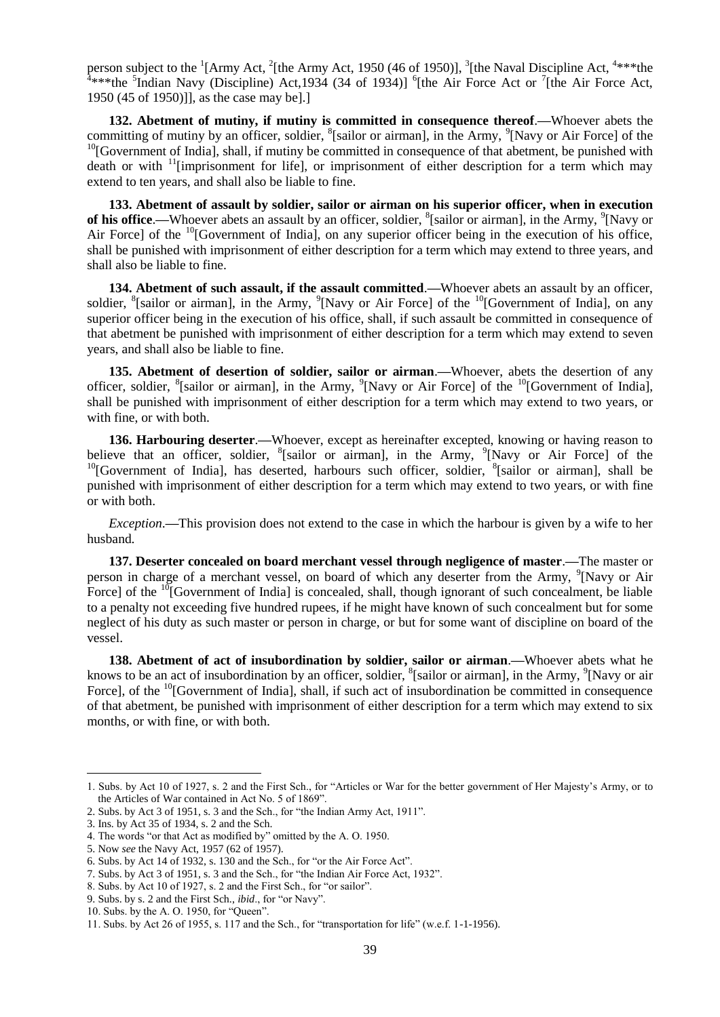person subject to the  $\frac{1}{2}$ [Army Act,  $\frac{2}{1}$ [the Army Act, 1950 (46 of 1950)],  $\frac{3}{1}$ [the Naval Discipline Act,  $\frac{4***}{1}$ the <sup>4\*\*\*</sup>the <sup>5</sup>Indian Navy (Discipline) Act,1934 (34 of 1934)] <sup>6</sup>[the Air Force Act or <sup>7</sup>[the Air Force Act, 1950 (45 of 1950)]], as the case may be].]

**132. Abetment of mutiny, if mutiny is committed in consequence thereof**.**—**Whoever abets the committing of mutiny by an officer, soldier, <sup>8</sup>[sailor or airman], in the Army, <sup>9</sup>[Navy or Air Force] of the  $10$ [Government of India], shall, if mutiny be committed in consequence of that abetment, be punished with death or with  $\frac{11}{11}$  [imprisonment for life], or imprisonment of either description for a term which may extend to ten years, and shall also be liable to fine.

**133. Abetment of assault by soldier, sailor or airman on his superior officer, when in execution**  of his office.—Whoever abets an assault by an officer, soldier, <sup>8</sup>[sailor or airman], in the Army, <sup>9</sup>[Navy or Air Force] of the <sup>10</sup>[Government of India], on any superior officer being in the execution of his office, shall be punished with imprisonment of either description for a term which may extend to three years, and shall also be liable to fine.

**134. Abetment of such assault, if the assault committed**.**—**Whoever abets an assault by an officer, soldier,  ${}^{8}$ [sailor or airman], in the Army,  ${}^{9}$ [Navy or Air Force] of the  ${}^{10}$ [Government of India], on any superior officer being in the execution of his office, shall, if such assault be committed in consequence of that abetment be punished with imprisonment of either description for a term which may extend to seven years, and shall also be liable to fine.

**135. Abetment of desertion of soldier, sailor or airman**.**—**Whoever, abets the desertion of any officer, soldier,  ${}^{8}$ [sailor or airman], in the Army,  ${}^{9}$ [Navy or Air Force] of the  ${}^{10}$ [Government of India], shall be punished with imprisonment of either description for a term which may extend to two years, or with fine, or with both.

**136. Harbouring deserter**.**—**Whoever, except as hereinafter excepted, knowing or having reason to believe that an officer, soldier, <sup>8</sup>[sailor or airman], in the Army, <sup>9</sup>[Navy or Air Force] of the <sup>10</sup>[Government of India], has deserted, harbours such officer, soldier, <sup>8</sup>[sailor or airman], shall be punished with imprisonment of either description for a term which may extend to two years, or with fine or with both.

*Exception*.**—**This provision does not extend to the case in which the harbour is given by a wife to her husband.

**137. Deserter concealed on board merchant vessel through negligence of master**.**—**The master or person in charge of a merchant vessel, on board of which any deserter from the Army, <sup>9</sup>[Navy or Air Force] of the <sup>10</sup>[Government of India] is concealed, shall, though ignorant of such concealment, be liable to a penalty not exceeding five hundred rupees, if he might have known of such concealment but for some neglect of his duty as such master or person in charge, or but for some want of discipline on board of the vessel.

**138. Abetment of act of insubordination by soldier, sailor or airman**.**—**Whoever abets what he knows to be an act of insubordination by an officer, soldier,  ${}^{8}$ [sailor or airman], in the Army,  ${}^{9}$ [Navy or air Force], of the <sup>10</sup>[Government of India], shall, if such act of insubordination be committed in consequence of that abetment, be punished with imprisonment of either description for a term which may extend to six months, or with fine, or with both.

<sup>1.</sup> Subs. by Act 10 of 1927, s. 2 and the First Sch., for "Articles or War for the better government of Her Majesty's Army, or to the Articles of War contained in Act No. 5 of 1869".

<sup>2.</sup> Subs. by Act 3 of 1951, s. 3 and the Sch., for "the Indian Army Act, 1911".

<sup>3.</sup> Ins. by Act 35 of 1934, s. 2 and the Sch.

<sup>4.</sup> The words "or that Act as modified by" omitted by the A. O. 1950.

<sup>5.</sup> Now *see* the Navy Act, 1957 (62 of 1957).

<sup>6.</sup> Subs. by Act 14 of 1932, s. 130 and the Sch., for "or the Air Force Act".

<sup>7.</sup> Subs. by Act 3 of 1951, s. 3 and the Sch., for "the Indian Air Force Act, 1932".

<sup>8.</sup> Subs. by Act 10 of 1927, s. 2 and the First Sch., for "or sailor".

<sup>9.</sup> Subs. by s. 2 and the First Sch., *ibid*., for "or Navy".

<sup>10.</sup> Subs. by the A. O. 1950, for "Queen".

<sup>11.</sup> Subs. by Act 26 of 1955, s. 117 and the Sch., for "transportation for life" (w.e.f. 1-1-1956).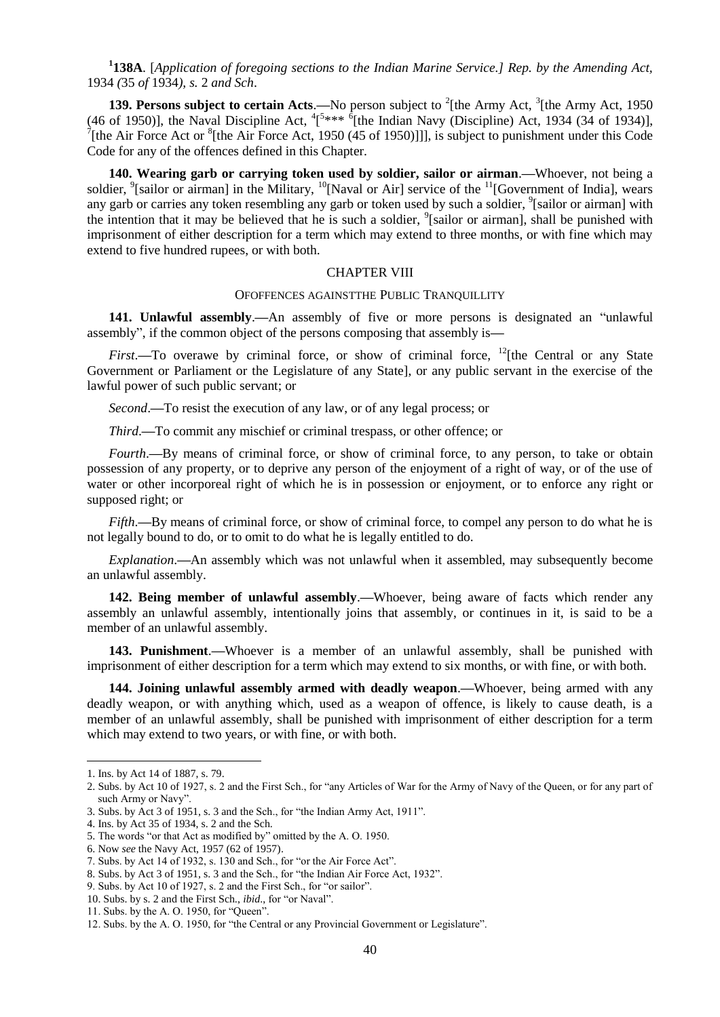**1 138A**. [*Application of foregoing sections to the Indian Marine Service.] Rep. by the Amending Act,*  1934 *(*35 *of* 1934*), s.* 2 *and Sch*.

**139. Persons subject to certain Acts.—No person subject to <sup>2</sup>[the Army Act, <sup>3</sup>[the Army Act, 1950]** (46 of 1950)], the Naval Discipline Act,  ${}^{4}$ [<sup>5</sup>\*\*\*  ${}^{6}$ [the Indian Navy (Discipline) Act, 1934 (34 of 1934)], <sup>7</sup>[the Air Force Act or  ${}^{8}$ [the Air Force Act, 1950 (45 of 1950)]]], is subject to punishment under this Code Code for any of the offences defined in this Chapter.

**140. Wearing garb or carrying token used by soldier, sailor or airman**.**—**Whoever, not being a soldier,  $\frac{9}{5}$ [sailor or airman] in the Military,  $\frac{10}{5}$ [Naval or Air] service of the  $\frac{11}{5}$ [Government of India], wears any garb or carries any token resembling any garb or token used by such a soldier, <sup>9</sup>[sailor or airman] with the intention that it may be believed that he is such a soldier, <sup>9</sup>[sailor or airman], shall be punished with imprisonment of either description for a term which may extend to three months, or with fine which may extend to five hundred rupees, or with both.

### CHAPTER VIII

#### OFOFFENCES AGAINSTTHE PUBLIC TRANQUILLITY

**141. Unlawful assembly**.**—**An assembly of five or more persons is designated an "unlawful assembly", if the common object of the persons composing that assembly is**—**

*First*.—To overawe by criminal force, or show of criminal force,  $^{12}$ [the Central or any State Government or Parliament or the Legislature of any State], or any public servant in the exercise of the lawful power of such public servant; or

*Second*.**—**To resist the execution of any law, or of any legal process; or

*Third*.**—**To commit any mischief or criminal trespass, or other offence; or

*Fourth*.**—**By means of criminal force, or show of criminal force, to any person, to take or obtain possession of any property, or to deprive any person of the enjoyment of a right of way, or of the use of water or other incorporeal right of which he is in possession or enjoyment, or to enforce any right or supposed right; or

*Fifth*.**—**By means of criminal force, or show of criminal force, to compel any person to do what he is not legally bound to do, or to omit to do what he is legally entitled to do.

*Explanation*.**—**An assembly which was not unlawful when it assembled, may subsequently become an unlawful assembly.

**142. Being member of unlawful assembly**.**—**Whoever, being aware of facts which render any assembly an unlawful assembly, intentionally joins that assembly, or continues in it, is said to be a member of an unlawful assembly.

**143. Punishment**.**—**Whoever is a member of an unlawful assembly, shall be punished with imprisonment of either description for a term which may extend to six months, or with fine, or with both.

**144. Joining unlawful assembly armed with deadly weapon**.**—**Whoever, being armed with any deadly weapon, or with anything which, used as a weapon of offence, is likely to cause death, is a member of an unlawful assembly, shall be punished with imprisonment of either description for a term which may extend to two years, or with fine, or with both.

 $\overline{a}$ 

<sup>1.</sup> Ins. by Act 14 of 1887, s. 79.

<sup>2.</sup> Subs. by Act 10 of 1927, s. 2 and the First Sch., for "any Articles of War for the Army of Navy of the Queen, or for any part of such Army or Navy".

<sup>3.</sup> Subs. by Act 3 of 1951, s. 3 and the Sch., for "the Indian Army Act, 1911".

<sup>4.</sup> Ins. by Act 35 of 1934, s. 2 and the Sch.

<sup>5.</sup> The words "or that Act as modified by" omitted by the A. O. 1950.

<sup>6.</sup> Now *see* the Navy Act, 1957 (62 of 1957).

<sup>7.</sup> Subs. by Act 14 of 1932, s. 130 and Sch., for "or the Air Force Act".

<sup>8.</sup> Subs. by Act 3 of 1951, s. 3 and the Sch., for "the Indian Air Force Act, 1932".

<sup>9.</sup> Subs. by Act 10 of 1927, s. 2 and the First Sch., for "or sailor".

<sup>10.</sup> Subs. by s. 2 and the First Sch., *ibid*., for "or Naval".

<sup>11.</sup> Subs. by the A. O. 1950, for "Queen".

<sup>12.</sup> Subs. by the A. O. 1950, for "the Central or any Provincial Government or Legislature".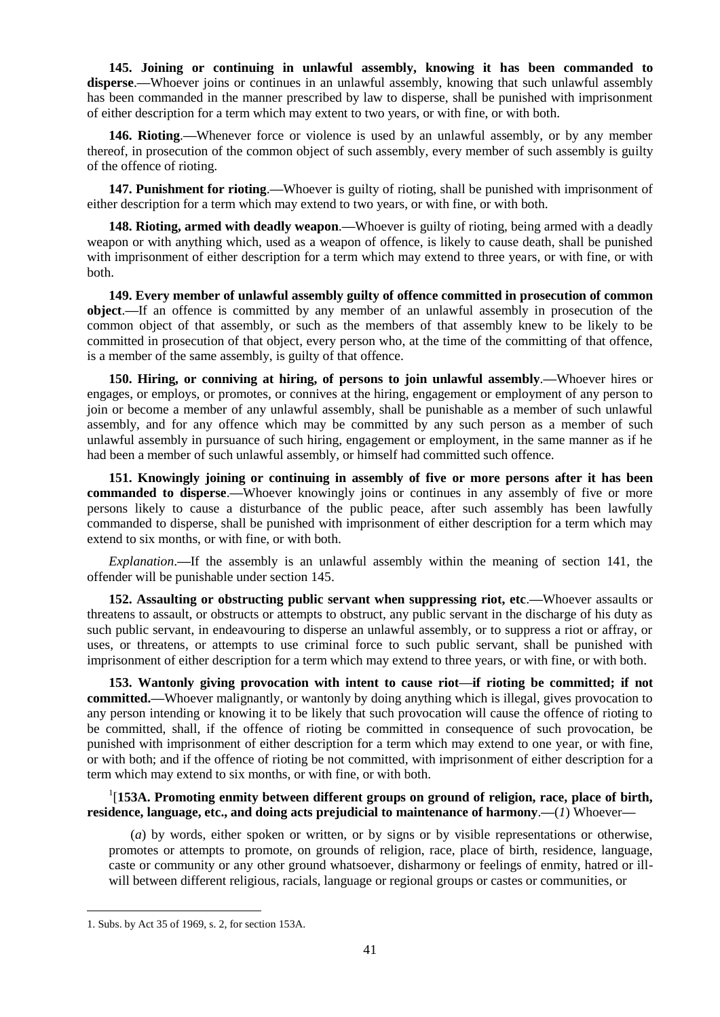**145. Joining or continuing in unlawful assembly, knowing it has been commanded to disperse**.**—**Whoever joins or continues in an unlawful assembly, knowing that such unlawful assembly has been commanded in the manner prescribed by law to disperse, shall be punished with imprisonment of either description for a term which may extent to two years, or with fine, or with both.

**146. Rioting**.**—**Whenever force or violence is used by an unlawful assembly, or by any member thereof, in prosecution of the common object of such assembly, every member of such assembly is guilty of the offence of rioting.

**147. Punishment for rioting**.**—**Whoever is guilty of rioting, shall be punished with imprisonment of either description for a term which may extend to two years, or with fine, or with both.

**148. Rioting, armed with deadly weapon**.**—**Whoever is guilty of rioting, being armed with a deadly weapon or with anything which, used as a weapon of offence, is likely to cause death, shall be punished with imprisonment of either description for a term which may extend to three years, or with fine, or with both.

**149. Every member of unlawful assembly guilty of offence committed in prosecution of common object**.**—**If an offence is committed by any member of an unlawful assembly in prosecution of the common object of that assembly, or such as the members of that assembly knew to be likely to be committed in prosecution of that object, every person who, at the time of the committing of that offence, is a member of the same assembly, is guilty of that offence.

**150. Hiring, or conniving at hiring, of persons to join unlawful assembly**.**—**Whoever hires or engages, or employs, or promotes, or connives at the hiring, engagement or employment of any person to join or become a member of any unlawful assembly, shall be punishable as a member of such unlawful assembly, and for any offence which may be committed by any such person as a member of such unlawful assembly in pursuance of such hiring, engagement or employment, in the same manner as if he had been a member of such unlawful assembly, or himself had committed such offence.

**151. Knowingly joining or continuing in assembly of five or more persons after it has been commanded to disperse**.**—**Whoever knowingly joins or continues in any assembly of five or more persons likely to cause a disturbance of the public peace, after such assembly has been lawfully commanded to disperse, shall be punished with imprisonment of either description for a term which may extend to six months, or with fine, or with both.

*Explanation*.**—**If the assembly is an unlawful assembly within the meaning of section 141, the offender will be punishable under section 145.

**152. Assaulting or obstructing public servant when suppressing riot, etc.—Whoever assaults or** threatens to assault, or obstructs or attempts to obstruct, any public servant in the discharge of his duty as such public servant, in endeavouring to disperse an unlawful assembly, or to suppress a riot or affray, or uses, or threatens, or attempts to use criminal force to such public servant, shall be punished with imprisonment of either description for a term which may extend to three years, or with fine, or with both.

**153. Wantonly giving provocation with intent to cause riot—if rioting be committed; if not committed.—**Whoever malignantly, or wantonly by doing anything which is illegal, gives provocation to any person intending or knowing it to be likely that such provocation will cause the offence of rioting to be committed, shall, if the offence of rioting be committed in consequence of such provocation, be punished with imprisonment of either description for a term which may extend to one year, or with fine, or with both; and if the offence of rioting be not committed, with imprisonment of either description for a term which may extend to six months, or with fine, or with both.

<sup>1</sup>[153A. Promoting enmity between different groups on ground of religion, race, place of birth, **residence, language, etc., and doing acts prejudicial to maintenance of harmony**.**—**(*1*) Whoever**—**

(*a*) by words, either spoken or written, or by signs or by visible representations or otherwise, promotes or attempts to promote, on grounds of religion, race, place of birth, residence, language, caste or community or any other ground whatsoever, disharmony or feelings of enmity, hatred or illwill between different religious, racials, language or regional groups or castes or communities, or

<sup>1.</sup> Subs. by Act 35 of 1969, s. 2, for section 153A.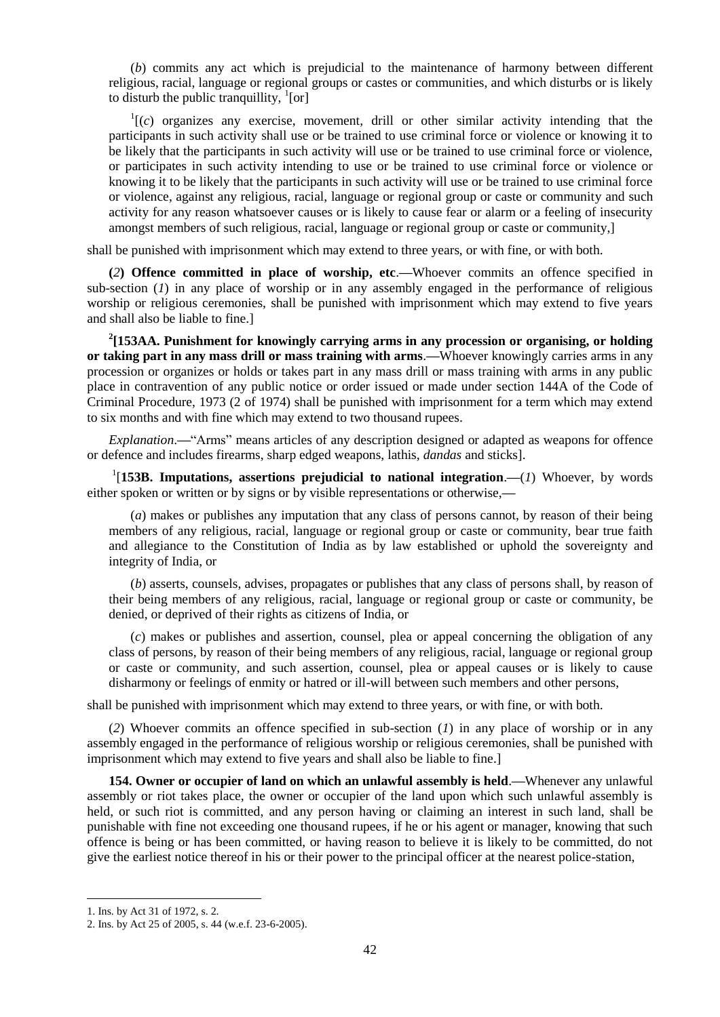(*b*) commits any act which is prejudicial to the maintenance of harmony between different religious, racial, language or regional groups or castes or communities, and which disturbs or is likely to disturb the public tranquillity,  $\frac{1}{2}$ [or]

 $\frac{1}{1}(c)$  organizes any exercise, movement, drill or other similar activity intending that the participants in such activity shall use or be trained to use criminal force or violence or knowing it to be likely that the participants in such activity will use or be trained to use criminal force or violence, or participates in such activity intending to use or be trained to use criminal force or violence or knowing it to be likely that the participants in such activity will use or be trained to use criminal force or violence, against any religious, racial, language or regional group or caste or community and such activity for any reason whatsoever causes or is likely to cause fear or alarm or a feeling of insecurity amongst members of such religious, racial, language or regional group or caste or community,]

shall be punished with imprisonment which may extend to three years, or with fine, or with both.

**(***2***) Offence committed in place of worship, etc**.**—**Whoever commits an offence specified in sub-section (*1*) in any place of worship or in any assembly engaged in the performance of religious worship or religious ceremonies, shall be punished with imprisonment which may extend to five years and shall also be liable to fine.]

**2 [153AA. Punishment for knowingly carrying arms in any procession or organising, or holding or taking part in any mass drill or mass training with arms**.**—**Whoever knowingly carries arms in any procession or organizes or holds or takes part in any mass drill or mass training with arms in any public place in contravention of any public notice or order issued or made under section 144A of the Code of Criminal Procedure, 1973 (2 of 1974) shall be punished with imprisonment for a term which may extend to six months and with fine which may extend to two thousand rupees.

*Explanation*.**—**"Arms" means articles of any description designed or adapted as weapons for offence or defence and includes firearms, sharp edged weapons, lathis*, dandas* and sticks].

1 [**153B. Imputations, assertions prejudicial to national integration**.**—**(*1*) Whoever, by words either spoken or written or by signs or by visible representations or otherwise,**—**

(*a*) makes or publishes any imputation that any class of persons cannot, by reason of their being members of any religious, racial, language or regional group or caste or community, bear true faith and allegiance to the Constitution of India as by law established or uphold the sovereignty and integrity of India, or

(*b*) asserts, counsels, advises, propagates or publishes that any class of persons shall, by reason of their being members of any religious, racial, language or regional group or caste or community, be denied, or deprived of their rights as citizens of India, or

(*c*) makes or publishes and assertion, counsel, plea or appeal concerning the obligation of any class of persons, by reason of their being members of any religious, racial, language or regional group or caste or community, and such assertion, counsel, plea or appeal causes or is likely to cause disharmony or feelings of enmity or hatred or ill-will between such members and other persons,

shall be punished with imprisonment which may extend to three years, or with fine, or with both.

(*2*) Whoever commits an offence specified in sub-section (*1*) in any place of worship or in any assembly engaged in the performance of religious worship or religious ceremonies, shall be punished with imprisonment which may extend to five years and shall also be liable to fine.]

**154. Owner or occupier of land on which an unlawful assembly is held**.**—**Whenever any unlawful assembly or riot takes place, the owner or occupier of the land upon which such unlawful assembly is held, or such riot is committed, and any person having or claiming an interest in such land, shall be punishable with fine not exceeding one thousand rupees, if he or his agent or manager, knowing that such offence is being or has been committed, or having reason to believe it is likely to be committed, do not give the earliest notice thereof in his or their power to the principal officer at the nearest police-station,

1

<sup>1.</sup> Ins. by Act 31 of 1972, s. 2.

<sup>2.</sup> Ins. by Act 25 of 2005, s. 44 (w.e.f. 23-6-2005).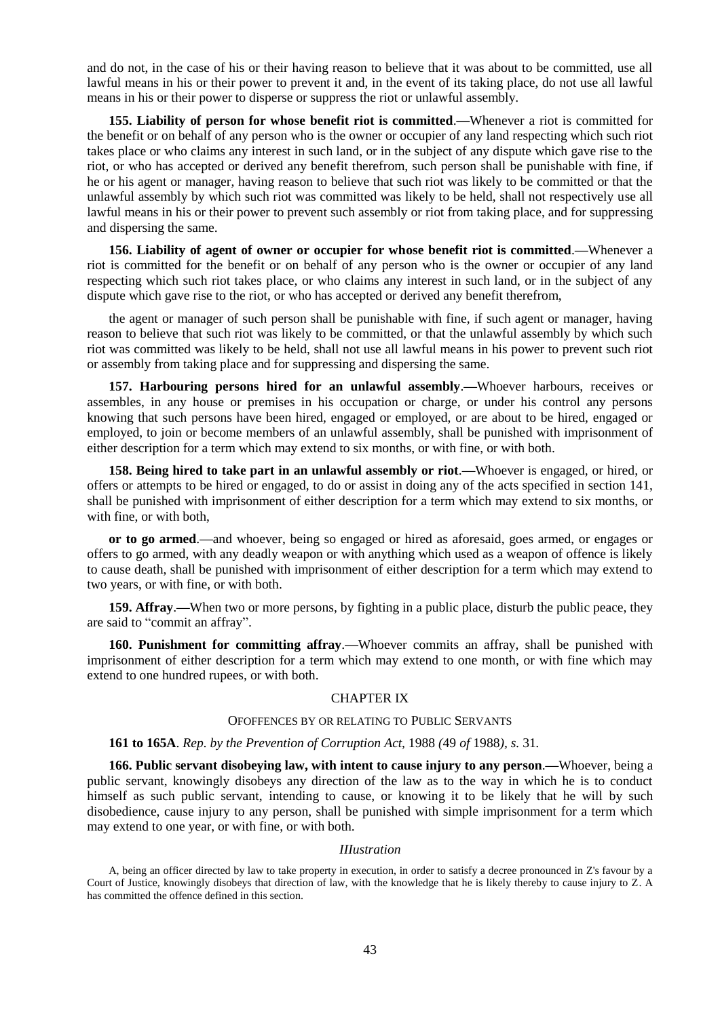and do not, in the case of his or their having reason to believe that it was about to be committed, use all lawful means in his or their power to prevent it and, in the event of its taking place, do not use all lawful means in his or their power to disperse or suppress the riot or unlawful assembly.

**155. Liability of person for whose benefit riot is committed**.**—**Whenever a riot is committed for the benefit or on behalf of any person who is the owner or occupier of any land respecting which such riot takes place or who claims any interest in such land, or in the subject of any dispute which gave rise to the riot, or who has accepted or derived any benefit therefrom, such person shall be punishable with fine, if he or his agent or manager, having reason to believe that such riot was likely to be committed or that the unlawful assembly by which such riot was committed was likely to be held, shall not respectively use all lawful means in his or their power to prevent such assembly or riot from taking place, and for suppressing and dispersing the same.

**156. Liability of agent of owner or occupier for whose benefit riot is committed**.**—**Whenever a riot is committed for the benefit or on behalf of any person who is the owner or occupier of any land respecting which such riot takes place, or who claims any interest in such land, or in the subject of any dispute which gave rise to the riot, or who has accepted or derived any benefit therefrom,

the agent or manager of such person shall be punishable with fine, if such agent or manager, having reason to believe that such riot was likely to be committed, or that the unlawful assembly by which such riot was committed was likely to be held, shall not use all lawful means in his power to prevent such riot or assembly from taking place and for suppressing and dispersing the same.

**157. Harbouring persons hired for an unlawful assembly**.**—**Whoever harbours, receives or assembles, in any house or premises in his occupation or charge, or under his control any persons knowing that such persons have been hired, engaged or employed, or are about to be hired, engaged or employed, to join or become members of an unlawful assembly, shall be punished with imprisonment of either description for a term which may extend to six months, or with fine, or with both.

**158. Being hired to take part in an unlawful assembly or riot**.**—**Whoever is engaged, or hired, or offers or attempts to be hired or engaged, to do or assist in doing any of the acts specified in section 141, shall be punished with imprisonment of either description for a term which may extend to six months, or with fine, or with both,

**or to go armed**.**—**and whoever, being so engaged or hired as aforesaid, goes armed, or engages or offers to go armed, with any deadly weapon or with anything which used as a weapon of offence is likely to cause death, shall be punished with imprisonment of either description for a term which may extend to two years, or with fine, or with both.

**159. Affray**.**—**When two or more persons, by fighting in a public place, disturb the public peace, they are said to "commit an affray".

**160. Punishment for committing affray**.**—**Whoever commits an affray, shall be punished with imprisonment of either description for a term which may extend to one month, or with fine which may extend to one hundred rupees, or with both.

## CHAPTER IX

#### OFOFFENCES BY OR RELATING TO PUBLIC SERVANTS

### **161 to 165A**. *Rep. by the Prevention of Corruption Act,* 1988 *(*49 *of* 1988*), s.* 31*.*

**166. Public servant disobeying law, with intent to cause injury to any person**.**—**Whoever, being a public servant, knowingly disobeys any direction of the law as to the way in which he is to conduct himself as such public servant, intending to cause, or knowing it to be likely that he will by such disobedience, cause injury to any person, shall be punished with simple imprisonment for a term which may extend to one year, or with fine, or with both.

#### *IIIustration*

A, being an officer directed by law to take property in execution, in order to satisfy a decree pronounced in Z's favour by a Court of Justice, knowingly disobeys that direction of law, with the knowledge that he is likely thereby to cause injury to Z. A has committed the offence defined in this section.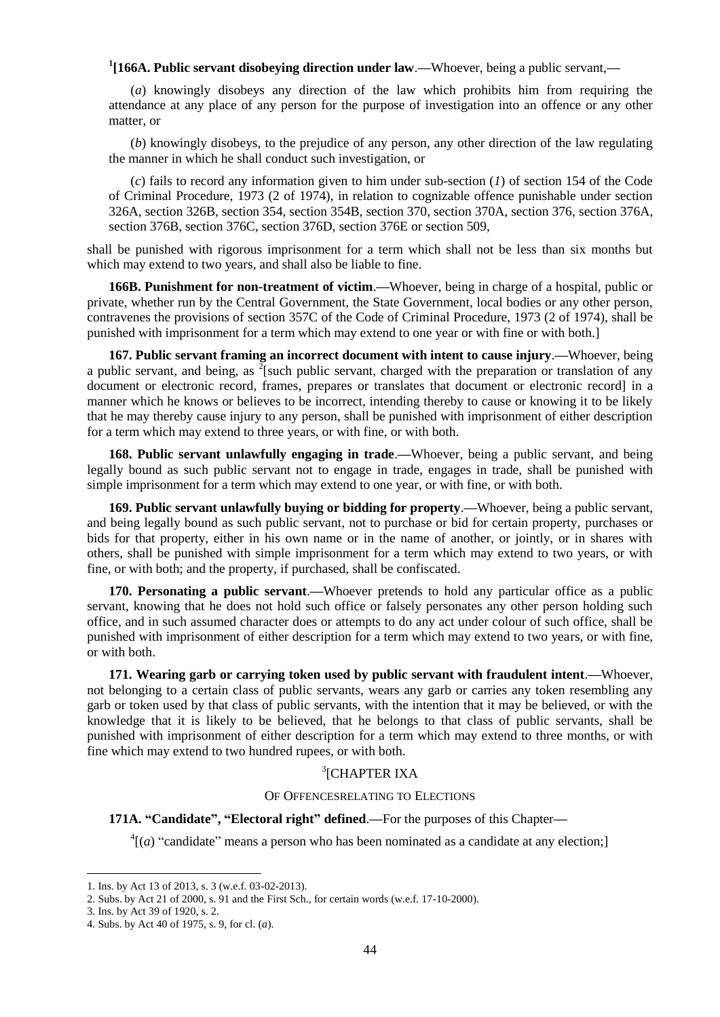**1 [166A. Public servant disobeying direction under law**.**—**Whoever, being a public servant,**—**

(*a*) knowingly disobeys any direction of the law which prohibits him from requiring the attendance at any place of any person for the purpose of investigation into an offence or any other matter, or

(*b*) knowingly disobeys, to the prejudice of any person, any other direction of the law regulating the manner in which he shall conduct such investigation, or

(*c*) fails to record any information given to him under sub-section (*1*) of section 154 of the Code of Criminal Procedure, 1973 (2 of 1974), in relation to cognizable offence punishable under section 326A, section 326B, section 354, section 354B, section 370, section 370A, section 376, section 376A, section 376B, section 376C, section 376D, section 376E or section 509,

shall be punished with rigorous imprisonment for a term which shall not be less than six months but which may extend to two years, and shall also be liable to fine.

**166B. Punishment for non-treatment of victim**.**—**Whoever, being in charge of a hospital, public or private, whether run by the Central Government, the State Government, local bodies or any other person, contravenes the provisions of section 357C of the Code of Criminal Procedure, 1973 (2 of 1974), shall be punished with imprisonment for a term which may extend to one year or with fine or with both.]

**167. Public servant framing an incorrect document with intent to cause injury**.**—**Whoever, being a public servant, and being, as  $\frac{1}{2}$ [such public servant, charged with the preparation or translation of any document or electronic record, frames, prepares or translates that document or electronic record] in a manner which he knows or believes to be incorrect, intending thereby to cause or knowing it to be likely that he may thereby cause injury to any person, shall be punished with imprisonment of either description for a term which may extend to three years, or with fine, or with both.

**168. Public servant unlawfully engaging in trade**.**—**Whoever, being a public servant, and being legally bound as such public servant not to engage in trade, engages in trade, shall be punished with simple imprisonment for a term which may extend to one year, or with fine, or with both.

**169. Public servant unlawfully buying or bidding for property**.**—**Whoever, being a public servant, and being legally bound as such public servant, not to purchase or bid for certain property, purchases or bids for that property, either in his own name or in the name of another, or jointly, or in shares with others, shall be punished with simple imprisonment for a term which may extend to two years, or with fine, or with both; and the property, if purchased, shall be confiscated.

**170. Personating a public servant**.**—**Whoever pretends to hold any particular office as a public servant, knowing that he does not hold such office or falsely personates any other person holding such office, and in such assumed character does or attempts to do any act under colour of such office, shall be punished with imprisonment of either description for a term which may extend to two years, or with fine, or with both.

**171. Wearing garb or carrying token used by public servant with fraudulent intent**.**—**Whoever, not belonging to a certain class of public servants, wears any garb or carries any token resembling any garb or token used by that class of public servants, with the intention that it may be believed, or with the knowledge that it is likely to be believed, that he belongs to that class of public servants, shall be punished with imprisonment of either description for a term which may extend to three months, or with fine which may extend to two hundred rupees, or with both.

# 3 [CHAPTER IXA

## OF OFFENCESRELATING TO ELECTIONS

**171A. "Candidate", "Electoral right" defined**.**—**For the purposes of this Chapter**—**

 ${}^4$ [(*a*) "candidate" means a person who has been nominated as a candidate at any election;]

<sup>1.</sup> Ins. by Act 13 of 2013, s. 3 (w.e.f. 03-02-2013).

<sup>2.</sup> Subs. by Act 21 of 2000, s. 91 and the First Sch., for certain words (w.e.f. 17-10-2000).

<sup>3.</sup> Ins. by Act 39 of 1920, s. 2.

<sup>4.</sup> Subs. by Act 40 of 1975, s. 9, for cl. (*a*).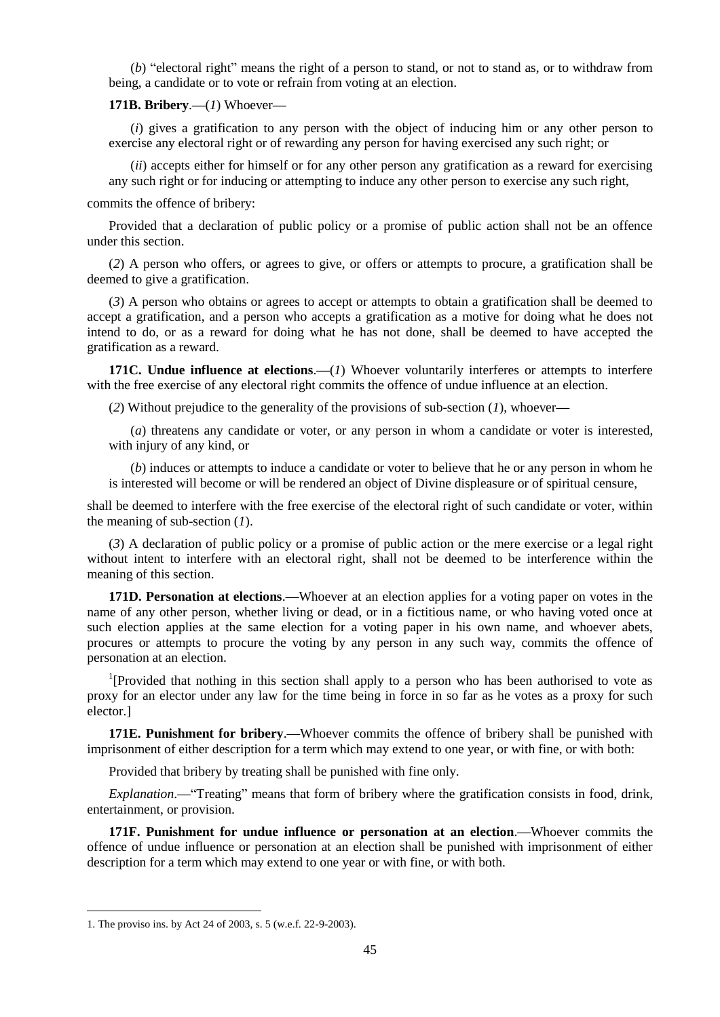(*b*) "electoral right" means the right of a person to stand, or not to stand as, or to withdraw from being, a candidate or to vote or refrain from voting at an election.

#### **171B. Bribery**.**—**(*1*) Whoever**—**

(*i*) gives a gratification to any person with the object of inducing him or any other person to exercise any electoral right or of rewarding any person for having exercised any such right; or

(*ii*) accepts either for himself or for any other person any gratification as a reward for exercising any such right or for inducing or attempting to induce any other person to exercise any such right,

commits the offence of bribery:

Provided that a declaration of public policy or a promise of public action shall not be an offence under this section.

(*2*) A person who offers, or agrees to give, or offers or attempts to procure, a gratification shall be deemed to give a gratification.

(*3*) A person who obtains or agrees to accept or attempts to obtain a gratification shall be deemed to accept a gratification, and a person who accepts a gratification as a motive for doing what he does not intend to do, or as a reward for doing what he has not done, shall be deemed to have accepted the gratification as a reward.

**171C. Undue influence at elections**.**—**(*1*) Whoever voluntarily interferes or attempts to interfere with the free exercise of any electoral right commits the offence of undue influence at an election.

(*2*) Without prejudice to the generality of the provisions of sub-section (*1*), whoever**—**

(*a*) threatens any candidate or voter, or any person in whom a candidate or voter is interested, with injury of any kind, or

(*b*) induces or attempts to induce a candidate or voter to believe that he or any person in whom he is interested will become or will be rendered an object of Divine displeasure or of spiritual censure,

shall be deemed to interfere with the free exercise of the electoral right of such candidate or voter, within the meaning of sub-section (*1*).

(*3*) A declaration of public policy or a promise of public action or the mere exercise or a legal right without intent to interfere with an electoral right, shall not be deemed to be interference within the meaning of this section.

**171D. Personation at elections**.**—**Whoever at an election applies for a voting paper on votes in the name of any other person, whether living or dead, or in a fictitious name, or who having voted once at such election applies at the same election for a voting paper in his own name, and whoever abets, procures or attempts to procure the voting by any person in any such way, commits the offence of personation at an election.

<sup>1</sup>[Provided that nothing in this section shall apply to a person who has been authorised to vote as proxy for an elector under any law for the time being in force in so far as he votes as a proxy for such elector.]

**171E. Punishment for bribery**.**—**Whoever commits the offence of bribery shall be punished with imprisonment of either description for a term which may extend to one year, or with fine, or with both:

Provided that bribery by treating shall be punished with fine only.

*Explanation*.**—**"Treating" means that form of bribery where the gratification consists in food, drink, entertainment, or provision.

**171F. Punishment for undue influence or personation at an election**.**—**Whoever commits the offence of undue influence or personation at an election shall be punished with imprisonment of either description for a term which may extend to one year or with fine, or with both.

<sup>1.</sup> The proviso ins. by Act 24 of 2003, s. 5 (w.e.f. 22-9-2003).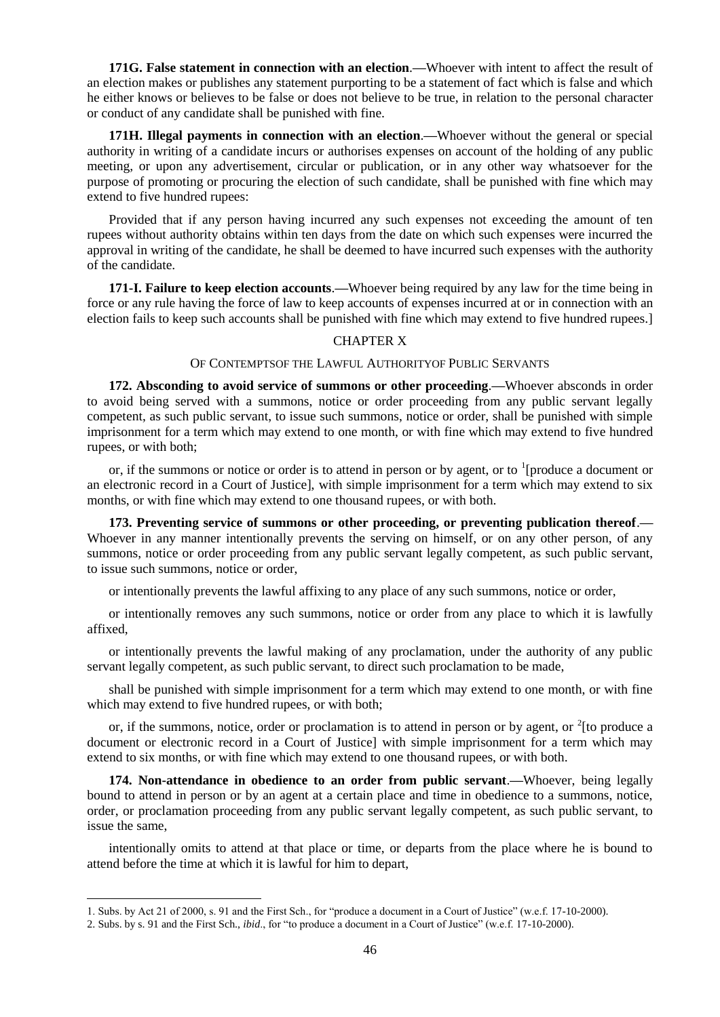**171G. False statement in connection with an election**.**—**Whoever with intent to affect the result of an election makes or publishes any statement purporting to be a statement of fact which is false and which he either knows or believes to be false or does not believe to be true, in relation to the personal character or conduct of any candidate shall be punished with fine.

**171H. Illegal payments in connection with an election**.**—**Whoever without the general or special authority in writing of a candidate incurs or authorises expenses on account of the holding of any public meeting, or upon any advertisement, circular or publication, or in any other way whatsoever for the purpose of promoting or procuring the election of such candidate, shall be punished with fine which may extend to five hundred rupees:

Provided that if any person having incurred any such expenses not exceeding the amount of ten rupees without authority obtains within ten days from the date on which such expenses were incurred the approval in writing of the candidate, he shall be deemed to have incurred such expenses with the authority of the candidate.

**171-I. Failure to keep election accounts**.**—**Whoever being required by any law for the time being in force or any rule having the force of law to keep accounts of expenses incurred at or in connection with an election fails to keep such accounts shall be punished with fine which may extend to five hundred rupees.]

# CHAPTER X

# OF CONTEMPTSOF THE LAWFUL AUTHORITYOF PUBLIC SERVANTS

**172. Absconding to avoid service of summons or other proceeding**.**—**Whoever absconds in order to avoid being served with a summons, notice or order proceeding from any public servant legally competent, as such public servant, to issue such summons, notice or order, shall be punished with simple imprisonment for a term which may extend to one month, or with fine which may extend to five hundred rupees, or with both;

or, if the summons or notice or order is to attend in person or by agent, or to  $\frac{1}{1}$  produce a document or an electronic record in a Court of Justice], with simple imprisonment for a term which may extend to six months, or with fine which may extend to one thousand rupees, or with both.

**173. Preventing service of summons or other proceeding, or preventing publication thereof**.**—** Whoever in any manner intentionally prevents the serving on himself, or on any other person, of any summons, notice or order proceeding from any public servant legally competent, as such public servant, to issue such summons, notice or order,

or intentionally prevents the lawful affixing to any place of any such summons, notice or order,

or intentionally removes any such summons, notice or order from any place to which it is lawfully affixed,

or intentionally prevents the lawful making of any proclamation, under the authority of any public servant legally competent, as such public servant, to direct such proclamation to be made,

shall be punished with simple imprisonment for a term which may extend to one month, or with fine which may extend to five hundred rupees, or with both;

or, if the summons, notice, order or proclamation is to attend in person or by agent, or  $2$ [to produce a document or electronic record in a Court of Justice] with simple imprisonment for a term which may extend to six months, or with fine which may extend to one thousand rupees, or with both.

**174. Non-attendance in obedience to an order from public servant**.**—**Whoever, being legally bound to attend in person or by an agent at a certain place and time in obedience to a summons, notice, order, or proclamation proceeding from any public servant legally competent, as such public servant, to issue the same,

intentionally omits to attend at that place or time, or departs from the place where he is bound to attend before the time at which it is lawful for him to depart,

1

<sup>1.</sup> Subs. by Act 21 of 2000, s. 91 and the First Sch., for "produce a document in a Court of Justice" (w.e.f. 17-10-2000).

<sup>2.</sup> Subs. by s. 91 and the First Sch., *ibid*., for "to produce a document in a Court of Justice" (w.e.f. 17-10-2000).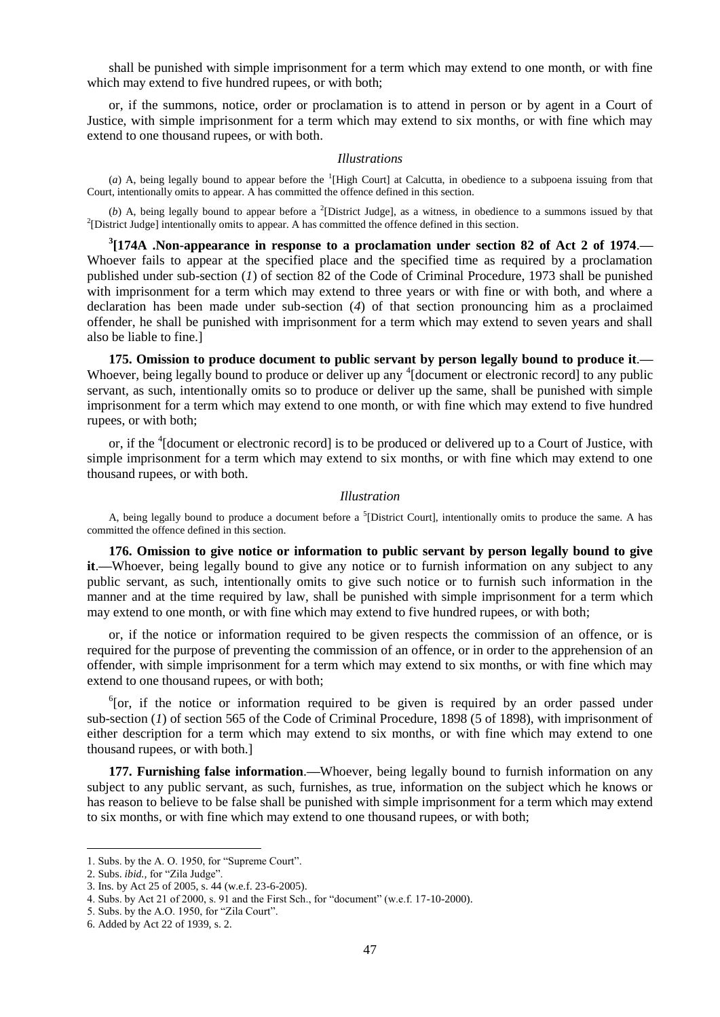shall be punished with simple imprisonment for a term which may extend to one month, or with fine which may extend to five hundred rupees, or with both;

or, if the summons, notice, order or proclamation is to attend in person or by agent in a Court of Justice, with simple imprisonment for a term which may extend to six months, or with fine which may extend to one thousand rupees, or with both.

#### *Illustrations*

(*a*) A, being legally bound to appear before the <sup>1</sup> [High Court] at Calcutta, in obedience to a subpoena issuing from that Court, intentionally omits to appear. A has committed the offence defined in this section.

(*b*) A, being legally bound to appear before a <sup>2</sup>[District Judge], as a witness, in obedience to a summons issued by that <sup>2</sup>[District Judge] intentionally omits to appear. A has committed the offence defined in this section.

**3 [174A .Non-appearance in response to a proclamation under section 82 of Act 2 of 1974**.**—** Whoever fails to appear at the specified place and the specified time as required by a proclamation published under sub-section (*1*) of section 82 of the Code of Criminal Procedure, 1973 shall be punished with imprisonment for a term which may extend to three years or with fine or with both, and where a declaration has been made under sub-section (*4*) of that section pronouncing him as a proclaimed offender, he shall be punished with imprisonment for a term which may extend to seven years and shall also be liable to fine.]

**175. Omission to produce document to public servant by person legally bound to produce it**.**—** Whoever, being legally bound to produce or deliver up any <sup>4</sup>[document or electronic record] to any public servant, as such, intentionally omits so to produce or deliver up the same, shall be punished with simple imprisonment for a term which may extend to one month, or with fine which may extend to five hundred rupees, or with both;

or, if the <sup>4</sup>[document or electronic record] is to be produced or delivered up to a Court of Justice, with simple imprisonment for a term which may extend to six months, or with fine which may extend to one thousand rupees, or with both.

## *Illustration*

A, being legally bound to produce a document before a  ${}^{5}$ [District Court], intentionally omits to produce the same. A has committed the offence defined in this section.

**176. Omission to give notice or information to public servant by person legally bound to give it**.**—**Whoever, being legally bound to give any notice or to furnish information on any subject to any public servant, as such, intentionally omits to give such notice or to furnish such information in the manner and at the time required by law, shall be punished with simple imprisonment for a term which may extend to one month, or with fine which may extend to five hundred rupees, or with both;

or, if the notice or information required to be given respects the commission of an offence, or is required for the purpose of preventing the commission of an offence, or in order to the apprehension of an offender, with simple imprisonment for a term which may extend to six months, or with fine which may extend to one thousand rupees, or with both;

 $<sup>6</sup>$ [or, if the notice or information required to be given is required by an order passed under</sup> sub-section (*1*) of section 565 of the Code of Criminal Procedure, 1898 (5 of 1898), with imprisonment of either description for a term which may extend to six months, or with fine which may extend to one thousand rupees, or with both.]

**177. Furnishing false information**.**—**Whoever, being legally bound to furnish information on any subject to any public servant, as such, furnishes, as true, information on the subject which he knows or has reason to believe to be false shall be punished with simple imprisonment for a term which may extend to six months, or with fine which may extend to one thousand rupees, or with both;

<sup>1.</sup> Subs. by the A. O. 1950, for "Supreme Court".

<sup>2.</sup> Subs. *ibid.,* for "Zila Judge".

<sup>3.</sup> Ins. by Act 25 of 2005, s. 44 (w.e.f. 23-6-2005).

<sup>4.</sup> Subs. by Act 21 of 2000, s. 91 and the First Sch., for "document" (w.e.f. 17-10-2000).

<sup>5.</sup> Subs. by the A.O. 1950, for "Zila Court".

<sup>6.</sup> Added by Act 22 of 1939, s. 2.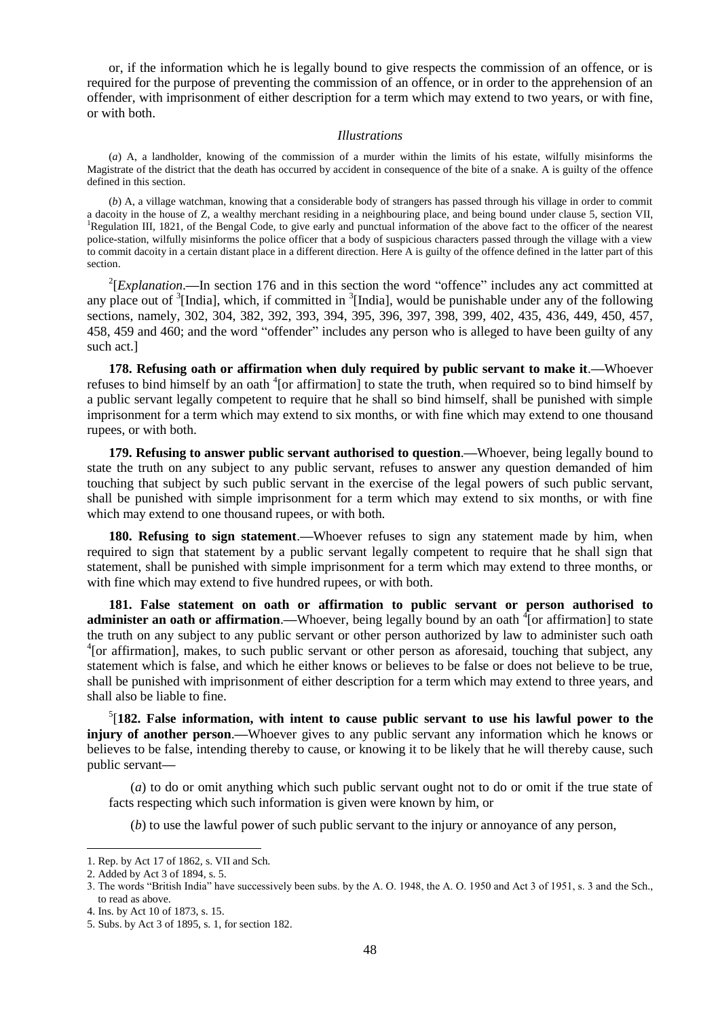or, if the information which he is legally bound to give respects the commission of an offence, or is required for the purpose of preventing the commission of an offence, or in order to the apprehension of an offender, with imprisonment of either description for a term which may extend to two years, or with fine, or with both.

#### *Illustrations*

(*a*) A, a landholder, knowing of the commission of a murder within the limits of his estate, wilfully misinforms the Magistrate of the district that the death has occurred by accident in consequence of the bite of a snake. A is guilty of the offence defined in this section.

(*b*) A, a village watchman, knowing that a considerable body of strangers has passed through his village in order to commit a dacoity in the house of Z, a wealthy merchant residing in a neighbouring place, and being bound under clause 5, section VII, <sup>1</sup>Regulation III, 1821, of the Bengal Code, to give early and punctual information of the above fact to the officer of the nearest police-station, wilfully misinforms the police officer that a body of suspicious characters passed through the village with a view to commit dacoity in a certain distant place in a different direction. Here A is guilty of the offence defined in the latter part of this section.

<sup>2</sup>[*Explanation*.—In section 176 and in this section the word "offence" includes any act committed at any place out of  $\frac{3}{1}$ [India], which, if committed in  $\frac{3}{1}$ [India], would be punishable under any of the following sections, namely, 302, 304, 382, 392, 393, 394, 395, 396, 397, 398, 399, 402, 435, 436, 449, 450, 457, 458, 459 and 460; and the word "offender" includes any person who is alleged to have been guilty of any such act.]

**178. Refusing oath or affirmation when duly required by public servant to make it**.**—**Whoever refuses to bind himself by an oath <sup>4</sup>[or affirmation] to state the truth, when required so to bind himself by a public servant legally competent to require that he shall so bind himself, shall be punished with simple imprisonment for a term which may extend to six months, or with fine which may extend to one thousand rupees, or with both.

**179. Refusing to answer public servant authorised to question**.**—**Whoever, being legally bound to state the truth on any subject to any public servant, refuses to answer any question demanded of him touching that subject by such public servant in the exercise of the legal powers of such public servant, shall be punished with simple imprisonment for a term which may extend to six months, or with fine which may extend to one thousand rupees, or with both.

**180. Refusing to sign statement**.**—**Whoever refuses to sign any statement made by him, when required to sign that statement by a public servant legally competent to require that he shall sign that statement, shall be punished with simple imprisonment for a term which may extend to three months, or with fine which may extend to five hundred rupees, or with both.

**181. False statement on oath or affirmation to public servant or person authorised to administer an oath or affirmation.—Whoever, being legally bound by an oath <sup>4</sup>[or affirmation] to state** the truth on any subject to any public servant or other person authorized by law to administer such oath <sup>4</sup>[or affirmation], makes, to such public servant or other person as aforesaid, touching that subject, any statement which is false, and which he either knows or believes to be false or does not believe to be true, shall be punished with imprisonment of either description for a term which may extend to three years, and shall also be liable to fine.

5 [**182. False information, with intent to cause public servant to use his lawful power to the injury of another person**.**—**Whoever gives to any public servant any information which he knows or believes to be false, intending thereby to cause, or knowing it to be likely that he will thereby cause, such public servant**—**

(*a*) to do or omit anything which such public servant ought not to do or omit if the true state of facts respecting which such information is given were known by him, or

(*b*) to use the lawful power of such public servant to the injury or annoyance of any person,

<sup>1.</sup> Rep. by Act 17 of 1862, s. VII and Sch.

<sup>2.</sup> Added by Act 3 of 1894, s. 5.

<sup>3.</sup> The words "British India" have successively been subs. by the A. O. 1948, the A. O. 1950 and Act 3 of 1951, s. 3 and the Sch., to read as above.

<sup>4.</sup> Ins. by Act 10 of 1873, s. 15.

<sup>5.</sup> Subs. by Act 3 of 1895, s. 1, for section 182.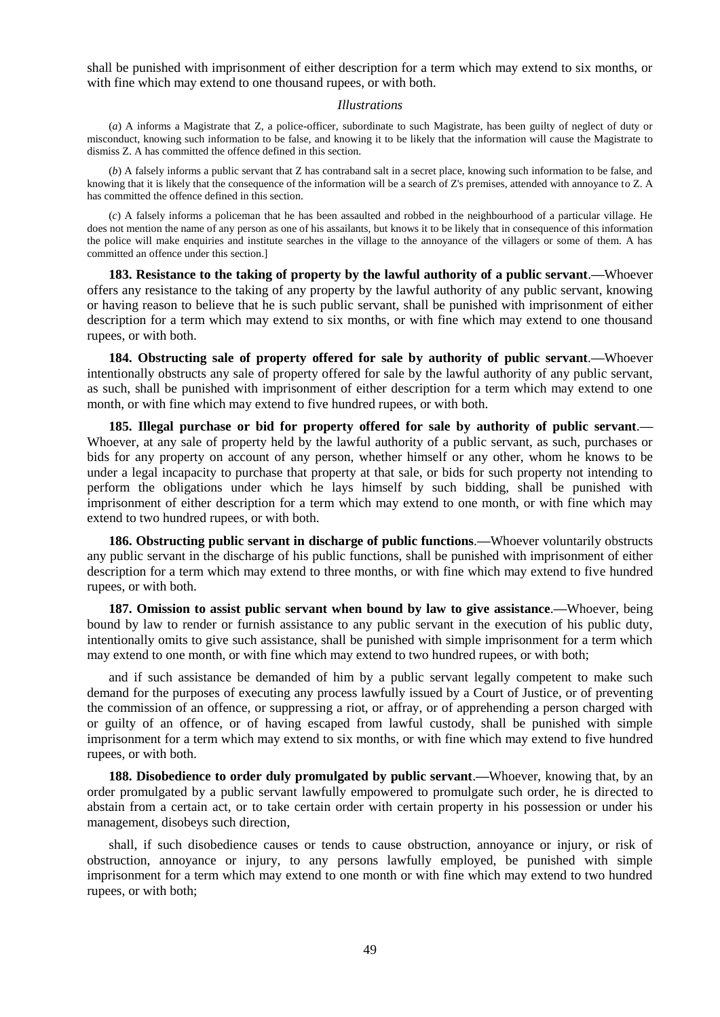shall be punished with imprisonment of either description for a term which may extend to six months, or with fine which may extend to one thousand rupees, or with both.

#### *Illustrations*

(*a*) A informs a Magistrate that Z, a police-officer, subordinate to such Magistrate, has been guilty of neglect of duty or misconduct, knowing such information to be false, and knowing it to be likely that the information will cause the Magistrate to dismiss Z. A has committed the offence defined in this section.

(*b*) A falsely informs a public servant that Z has contraband salt in a secret place, knowing such information to be false, and knowing that it is likely that the consequence of the information will be a search of Z's premises, attended with annoyance to Z. A has committed the offence defined in this section.

(*c*) A falsely informs a policeman that he has been assaulted and robbed in the neighbourhood of a particular village. He does not mention the name of any person as one of his assailants, but knows it to be likely that in consequence of this information the police will make enquiries and institute searches in the village to the annoyance of the villagers or some of them. A has committed an offence under this section.]

**183. Resistance to the taking of property by the lawful authority of a public servant**.**—**Whoever offers any resistance to the taking of any property by the lawful authority of any public servant, knowing or having reason to believe that he is such public servant, shall be punished with imprisonment of either description for a term which may extend to six months, or with fine which may extend to one thousand rupees, or with both.

**184. Obstructing sale of property offered for sale by authority of public servant**.**—**Whoever intentionally obstructs any sale of property offered for sale by the lawful authority of any public servant, as such, shall be punished with imprisonment of either description for a term which may extend to one month, or with fine which may extend to five hundred rupees, or with both.

**185. Illegal purchase or bid for property offered for sale by authority of public servant**.**—** Whoever, at any sale of property held by the lawful authority of a public servant, as such, purchases or bids for any property on account of any person, whether himself or any other, whom he knows to be under a legal incapacity to purchase that property at that sale, or bids for such property not intending to perform the obligations under which he lays himself by such bidding, shall be punished with imprisonment of either description for a term which may extend to one month, or with fine which may extend to two hundred rupees, or with both.

**186. Obstructing public servant in discharge of public functions**.**—**Whoever voluntarily obstructs any public servant in the discharge of his public functions, shall be punished with imprisonment of either description for a term which may extend to three months, or with fine which may extend to five hundred rupees, or with both.

**187. Omission to assist public servant when bound by law to give assistance**.**—**Whoever, being bound by law to render or furnish assistance to any public servant in the execution of his public duty, intentionally omits to give such assistance, shall be punished with simple imprisonment for a term which may extend to one month, or with fine which may extend to two hundred rupees, or with both;

and if such assistance be demanded of him by a public servant legally competent to make such demand for the purposes of executing any process lawfully issued by a Court of Justice, or of preventing the commission of an offence, or suppressing a riot, or affray, or of apprehending a person charged with or guilty of an offence, or of having escaped from lawful custody, shall be punished with simple imprisonment for a term which may extend to six months, or with fine which may extend to five hundred rupees, or with both.

**188. Disobedience to order duly promulgated by public servant**.**—**Whoever, knowing that, by an order promulgated by a public servant lawfully empowered to promulgate such order, he is directed to abstain from a certain act, or to take certain order with certain property in his possession or under his management, disobeys such direction,

shall, if such disobedience causes or tends to cause obstruction, annoyance or injury, or risk of obstruction, annoyance or injury, to any persons lawfully employed, be punished with simple imprisonment for a term which may extend to one month or with fine which may extend to two hundred rupees, or with both;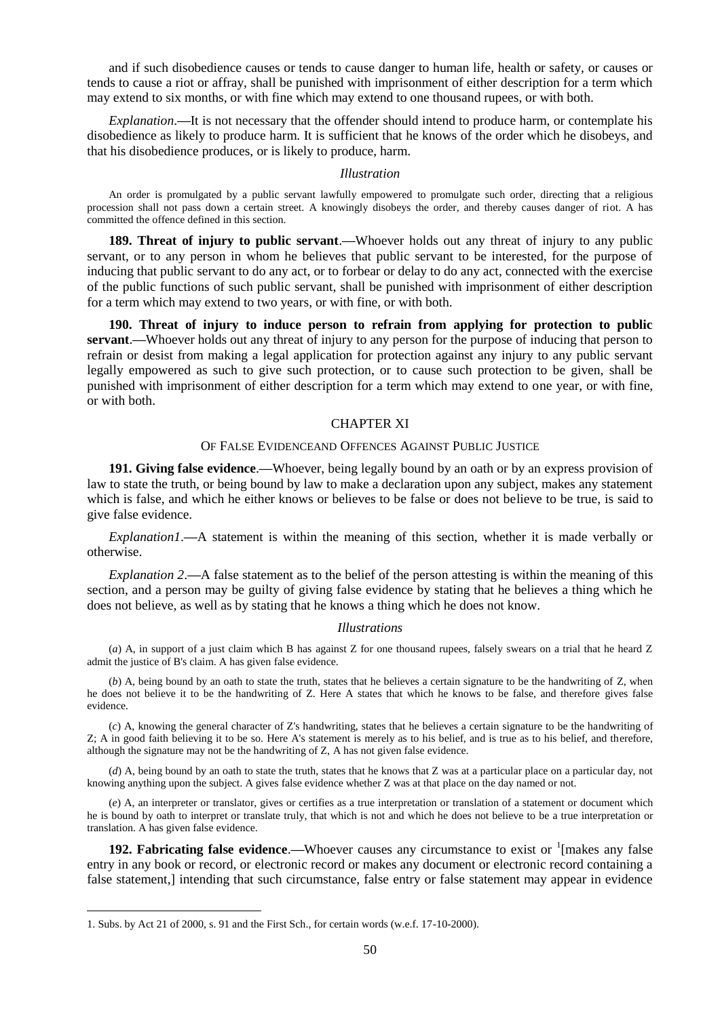and if such disobedience causes or tends to cause danger to human life, health or safety, or causes or tends to cause a riot or affray, shall be punished with imprisonment of either description for a term which may extend to six months, or with fine which may extend to one thousand rupees, or with both.

*Explanation*.**—**It is not necessary that the offender should intend to produce harm, or contemplate his disobedience as likely to produce harm. It is sufficient that he knows of the order which he disobeys, and that his disobedience produces, or is likely to produce, harm.

#### *Illustration*

An order is promulgated by a public servant lawfully empowered to promulgate such order, directing that a religious procession shall not pass down a certain street. A knowingly disobeys the order, and thereby causes danger of riot. A has committed the offence defined in this section.

**189. Threat of injury to public servant**.**—**Whoever holds out any threat of injury to any public servant, or to any person in whom he believes that public servant to be interested, for the purpose of inducing that public servant to do any act, or to forbear or delay to do any act, connected with the exercise of the public functions of such public servant, shall be punished with imprisonment of either description for a term which may extend to two years, or with fine, or with both.

**190. Threat of injury to induce person to refrain from applying for protection to public servant**.**—**Whoever holds out any threat of injury to any person for the purpose of inducing that person to refrain or desist from making a legal application for protection against any injury to any public servant legally empowered as such to give such protection, or to cause such protection to be given, shall be punished with imprisonment of either description for a term which may extend to one year, or with fine, or with both.

## CHAPTER XI

# OF FALSE EVIDENCEAND OFFENCES AGAINST PUBLIC JUSTICE

**191. Giving false evidence**.**—**Whoever, being legally bound by an oath or by an express provision of law to state the truth, or being bound by law to make a declaration upon any subject, makes any statement which is false, and which he either knows or believes to be false or does not believe to be true, is said to give false evidence.

*Explanation1*.**—**A statement is within the meaning of this section, whether it is made verbally or otherwise.

*Explanation 2*.**—**A false statement as to the belief of the person attesting is within the meaning of this section, and a person may be guilty of giving false evidence by stating that he believes a thing which he does not believe, as well as by stating that he knows a thing which he does not know.

## *Illustrations*

(*a*) A, in support of a just claim which B has against Z for one thousand rupees, falsely swears on a trial that he heard Z admit the justice of B's claim. A has given false evidence.

(*b*) A, being bound by an oath to state the truth, states that he believes a certain signature to be the handwriting of Z, when he does not believe it to be the handwriting of Z. Here A states that which he knows to be false, and therefore gives false evidence.

(*c*) A, knowing the general character of Z's handwriting, states that he believes a certain signature to be the handwriting of Z; A in good faith believing it to be so. Here A's statement is merely as to his belief, and is true as to his belief, and therefore, although the signature may not be the handwriting of Z, A has not given false evidence.

(*d*) A, being bound by an oath to state the truth, states that he knows that Z was at a particular place on a particular day, not knowing anything upon the subject. A gives false evidence whether Z was at that place on the day named or not.

(*e*) A, an interpreter or translator, gives or certifies as a true interpretation or translation of a statement or document which he is bound by oath to interpret or translate truly, that which is not and which he does not believe to be a true interpretation or translation. A has given false evidence.

**192. Fabricating false evidence.—Whoever causes any circumstance to exist or <sup>1</sup>[makes any false** entry in any book or record, or electronic record or makes any document or electronic record containing a false statement,] intending that such circumstance, false entry or false statement may appear in evidence

<sup>1.</sup> Subs. by Act 21 of 2000, s. 91 and the First Sch., for certain words (w.e.f. 17-10-2000).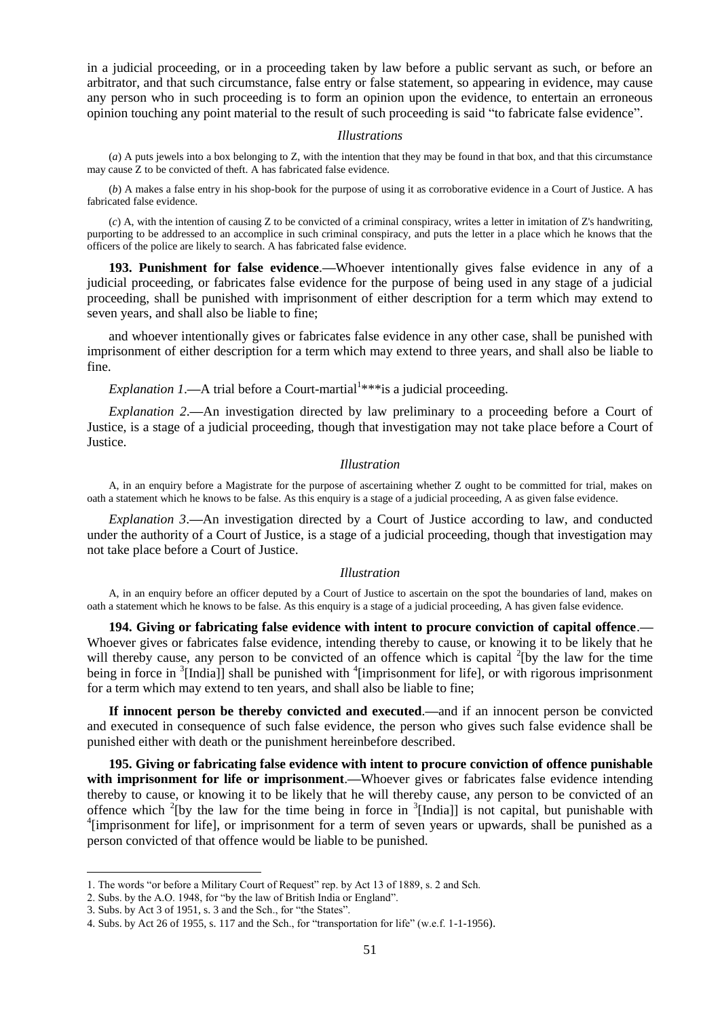in a judicial proceeding, or in a proceeding taken by law before a public servant as such, or before an arbitrator, and that such circumstance, false entry or false statement, so appearing in evidence, may cause any person who in such proceeding is to form an opinion upon the evidence, to entertain an erroneous opinion touching any point material to the result of such proceeding is said "to fabricate false evidence".

#### *Illustrations*

(*a*) A puts jewels into a box belonging to Z, with the intention that they may be found in that box, and that this circumstance may cause Z to be convicted of theft. A has fabricated false evidence.

(*b*) A makes a false entry in his shop-book for the purpose of using it as corroborative evidence in a Court of Justice. A has fabricated false evidence.

(*c*) A, with the intention of causing Z to be convicted of a criminal conspiracy, writes a letter in imitation of Z's handwriting, purporting to be addressed to an accomplice in such criminal conspiracy, and puts the letter in a place which he knows that the officers of the police are likely to search. A has fabricated false evidence.

**193. Punishment for false evidence**.**—**Whoever intentionally gives false evidence in any of a judicial proceeding, or fabricates false evidence for the purpose of being used in any stage of a judicial proceeding, shall be punished with imprisonment of either description for a term which may extend to seven years, and shall also be liable to fine;

and whoever intentionally gives or fabricates false evidence in any other case, shall be punished with imprisonment of either description for a term which may extend to three years, and shall also be liable to fine.

*Explanation 1.*—A trial before a Court-martial<sup>1\*\*\*</sup> is a judicial proceeding.

*Explanation 2*.**—**An investigation directed by law preliminary to a proceeding before a Court of Justice, is a stage of a judicial proceeding, though that investigation may not take place before a Court of Justice.

### *Illustration*

A, in an enquiry before a Magistrate for the purpose of ascertaining whether Z ought to be committed for trial, makes on oath a statement which he knows to be false. As this enquiry is a stage of a judicial proceeding, A as given false evidence.

*Explanation 3*.**—**An investigation directed by a Court of Justice according to law, and conducted under the authority of a Court of Justice, is a stage of a judicial proceeding, though that investigation may not take place before a Court of Justice.

#### *Illustration*

A, in an enquiry before an officer deputed by a Court of Justice to ascertain on the spot the boundaries of land, makes on oath a statement which he knows to be false. As this enquiry is a stage of a judicial proceeding, A has given false evidence.

**194. Giving or fabricating false evidence with intent to procure conviction of capital offence**.**—** Whoever gives or fabricates false evidence, intending thereby to cause, or knowing it to be likely that he will thereby cause, any person to be convicted of an offence which is capital  $2$ [by the law for the time being in force in <sup>3</sup>[India]] shall be punished with <sup>4</sup>[imprisonment for life], or with rigorous imprisonment for a term which may extend to ten years, and shall also be liable to fine;

**If innocent person be thereby convicted and executed**.**—**and if an innocent person be convicted and executed in consequence of such false evidence, the person who gives such false evidence shall be punished either with death or the punishment hereinbefore described.

**195. Giving or fabricating false evidence with intent to procure conviction of offence punishable**  with imprisonment for life or imprisonment.—Whoever gives or fabricates false evidence intending thereby to cause, or knowing it to be likely that he will thereby cause, any person to be convicted of an offence which  $2$ [by the law for the time being in force in  $3$ [India]] is not capital, but punishable with <sup>4</sup>[imprisonment for life], or imprisonment for a term of seven years or upwards, shall be punished as a person convicted of that offence would be liable to be punished.

<sup>1.</sup> The words "or before a Military Court of Request" rep. by Act 13 of 1889, s. 2 and Sch.

<sup>2.</sup> Subs. by the A.O. 1948, for "by the law of British India or England".

<sup>3.</sup> Subs. by Act 3 of 1951, s. 3 and the Sch., for "the States".

<sup>4.</sup> Subs. by Act 26 of 1955, s. 117 and the Sch., for "transportation for life" (w.e.f. 1-1-1956).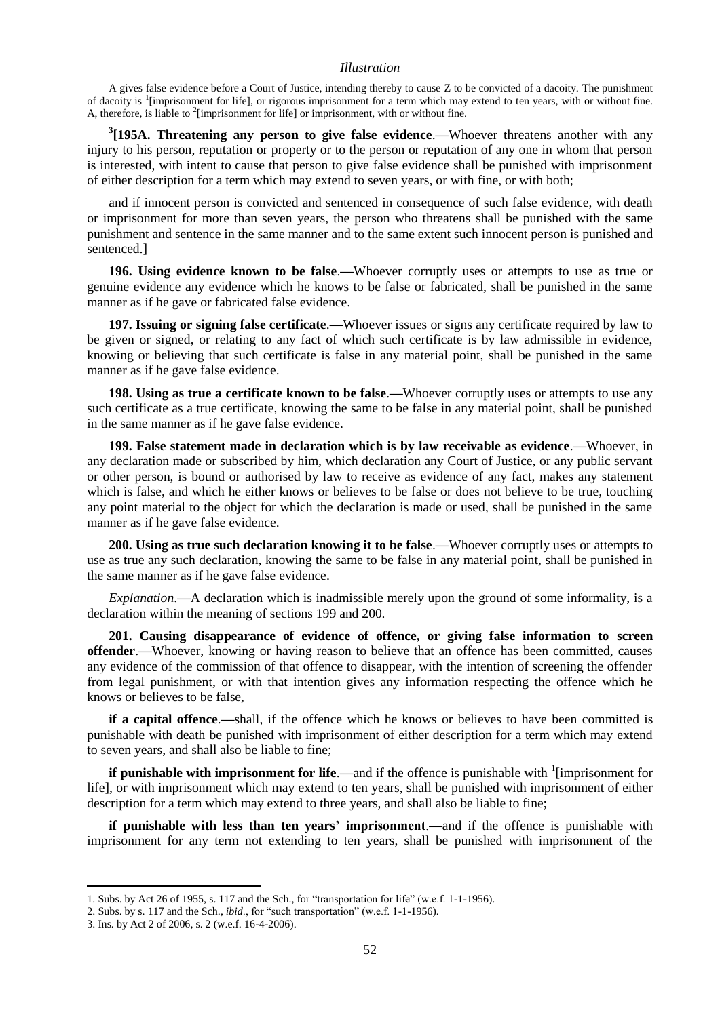#### *Illustration*

A gives false evidence before a Court of Justice, intending thereby to cause Z to be convicted of a dacoity. The punishment of dacoity is <sup>1</sup>[imprisonment for life], or rigorous imprisonment for a term which may extend to ten years, with or without fine. A, therefore, is liable to  $2$ [imprisonment for life] or imprisonment, with or without fine.

**3 [195A. Threatening any person to give false evidence**.**—**Whoever threatens another with any injury to his person, reputation or property or to the person or reputation of any one in whom that person is interested, with intent to cause that person to give false evidence shall be punished with imprisonment of either description for a term which may extend to seven years, or with fine, or with both;

and if innocent person is convicted and sentenced in consequence of such false evidence, with death or imprisonment for more than seven years, the person who threatens shall be punished with the same punishment and sentence in the same manner and to the same extent such innocent person is punished and sentenced.]

**196. Using evidence known to be false**.**—**Whoever corruptly uses or attempts to use as true or genuine evidence any evidence which he knows to be false or fabricated, shall be punished in the same manner as if he gave or fabricated false evidence.

**197. Issuing or signing false certificate**.**—**Whoever issues or signs any certificate required by law to be given or signed, or relating to any fact of which such certificate is by law admissible in evidence, knowing or believing that such certificate is false in any material point, shall be punished in the same manner as if he gave false evidence.

**198. Using as true a certificate known to be false**.**—**Whoever corruptly uses or attempts to use any such certificate as a true certificate, knowing the same to be false in any material point, shall be punished in the same manner as if he gave false evidence.

**199. False statement made in declaration which is by law receivable as evidence**.**—**Whoever, in any declaration made or subscribed by him, which declaration any Court of Justice, or any public servant or other person, is bound or authorised by law to receive as evidence of any fact, makes any statement which is false, and which he either knows or believes to be false or does not believe to be true, touching any point material to the object for which the declaration is made or used, shall be punished in the same manner as if he gave false evidence.

**200. Using as true such declaration knowing it to be false**.**—**Whoever corruptly uses or attempts to use as true any such declaration, knowing the same to be false in any material point, shall be punished in the same manner as if he gave false evidence.

*Explanation*.**—**A declaration which is inadmissible merely upon the ground of some informality, is a declaration within the meaning of sections 199 and 200.

**201. Causing disappearance of evidence of offence, or giving false information to screen offender**.**—**Whoever, knowing or having reason to believe that an offence has been committed, causes any evidence of the commission of that offence to disappear, with the intention of screening the offender from legal punishment, or with that intention gives any information respecting the offence which he knows or believes to be false,

**if a capital offence**.**—**shall, if the offence which he knows or believes to have been committed is punishable with death be punished with imprisonment of either description for a term which may extend to seven years, and shall also be liable to fine;

**if punishable with imprisonment for life.—and if the offence is punishable with <sup>1</sup>[imprisonment for** life], or with imprisonment which may extend to ten years, shall be punished with imprisonment of either description for a term which may extend to three years, and shall also be liable to fine;

**if punishable with less than ten years' imprisonment**.**—**and if the offence is punishable with imprisonment for any term not extending to ten years, shall be punished with imprisonment of the

<sup>1.</sup> Subs. by Act 26 of 1955, s. 117 and the Sch., for "transportation for life" (w.e.f. 1-1-1956).

<sup>2.</sup> Subs. by s. 117 and the Sch., *ibid*., for "such transportation" (w.e.f. 1-1-1956).

<sup>3.</sup> Ins. by Act 2 of 2006, s. 2 (w.e.f. 16-4-2006).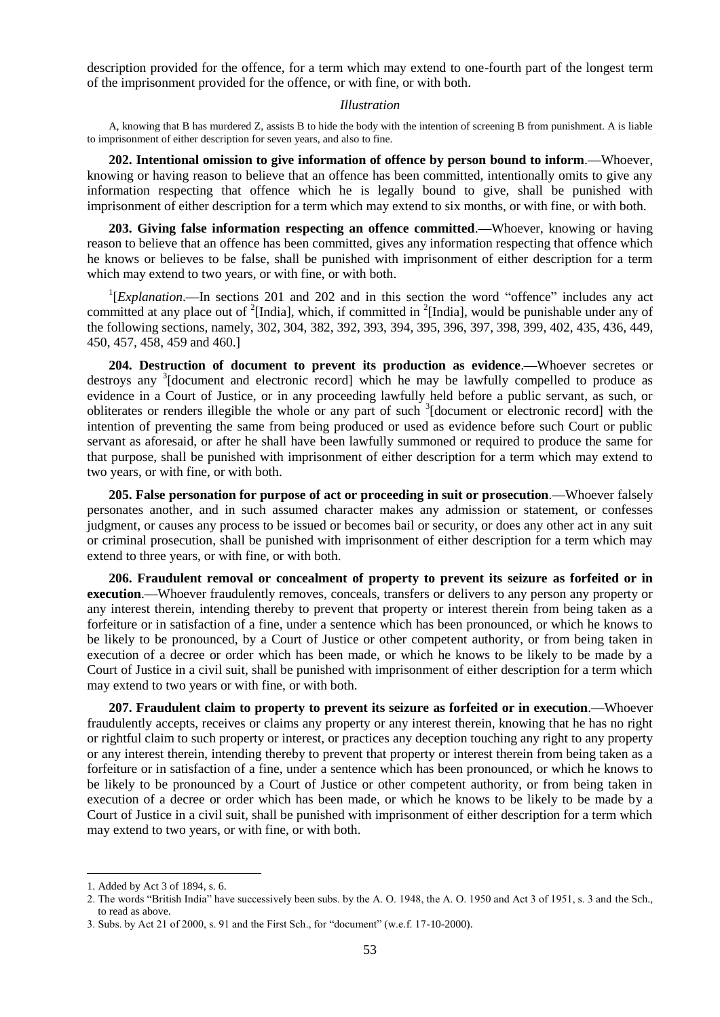description provided for the offence, for a term which may extend to one-fourth part of the longest term of the imprisonment provided for the offence, or with fine, or with both.

### *Illustration*

A, knowing that B has murdered Z, assists B to hide the body with the intention of screening B from punishment. A is liable to imprisonment of either description for seven years, and also to fine.

**202. Intentional omission to give information of offence by person bound to inform**.**—**Whoever, knowing or having reason to believe that an offence has been committed, intentionally omits to give any information respecting that offence which he is legally bound to give, shall be punished with imprisonment of either description for a term which may extend to six months, or with fine, or with both.

**203. Giving false information respecting an offence committed**.**—**Whoever, knowing or having reason to believe that an offence has been committed, gives any information respecting that offence which he knows or believes to be false, shall be punished with imprisonment of either description for a term which may extend to two years, or with fine, or with both.

<sup>1</sup>[*Explanation*.—In sections 201 and 202 and in this section the word "offence" includes any act committed at any place out of  $2$ [India], which, if committed in  $2$ [India], would be punishable under any of the following sections, namely, 302, 304, 382, 392, 393, 394, 395, 396, 397, 398, 399, 402, 435, 436, 449, 450, 457, 458, 459 and 460.]

**204. Destruction of document to prevent its production as evidence**.**—**Whoever secretes or destroys any <sup>3</sup>[document and electronic record] which he may be lawfully compelled to produce as evidence in a Court of Justice, or in any proceeding lawfully held before a public servant, as such, or obliterates or renders illegible the whole or any part of such <sup>3</sup>[document or electronic record] with the intention of preventing the same from being produced or used as evidence before such Court or public servant as aforesaid, or after he shall have been lawfully summoned or required to produce the same for that purpose, shall be punished with imprisonment of either description for a term which may extend to two years, or with fine, or with both.

**205. False personation for purpose of act or proceeding in suit or prosecution**.**—**Whoever falsely personates another, and in such assumed character makes any admission or statement, or confesses judgment, or causes any process to be issued or becomes bail or security, or does any other act in any suit or criminal prosecution, shall be punished with imprisonment of either description for a term which may extend to three years, or with fine, or with both.

**206. Fraudulent removal or concealment of property to prevent its seizure as forfeited or in execution**.**—**Whoever fraudulently removes, conceals, transfers or delivers to any person any property or any interest therein, intending thereby to prevent that property or interest therein from being taken as a forfeiture or in satisfaction of a fine, under a sentence which has been pronounced, or which he knows to be likely to be pronounced, by a Court of Justice or other competent authority, or from being taken in execution of a decree or order which has been made, or which he knows to be likely to be made by a Court of Justice in a civil suit, shall be punished with imprisonment of either description for a term which may extend to two years or with fine, or with both.

**207. Fraudulent claim to property to prevent its seizure as forfeited or in execution**.**—**Whoever fraudulently accepts, receives or claims any property or any interest therein, knowing that he has no right or rightful claim to such property or interest, or practices any deception touching any right to any property or any interest therein, intending thereby to prevent that property or interest therein from being taken as a forfeiture or in satisfaction of a fine, under a sentence which has been pronounced, or which he knows to be likely to be pronounced by a Court of Justice or other competent authority, or from being taken in execution of a decree or order which has been made, or which he knows to be likely to be made by a Court of Justice in a civil suit, shall be punished with imprisonment of either description for a term which may extend to two years, or with fine, or with both.

<sup>1.</sup> Added by Act 3 of 1894, s. 6.

<sup>2.</sup> The words "British India" have successively been subs. by the A. O. 1948, the A. O. 1950 and Act 3 of 1951, s. 3 and the Sch., to read as above.

<sup>3.</sup> Subs. by Act 21 of 2000, s. 91 and the First Sch., for "document" (w.e.f. 17-10-2000).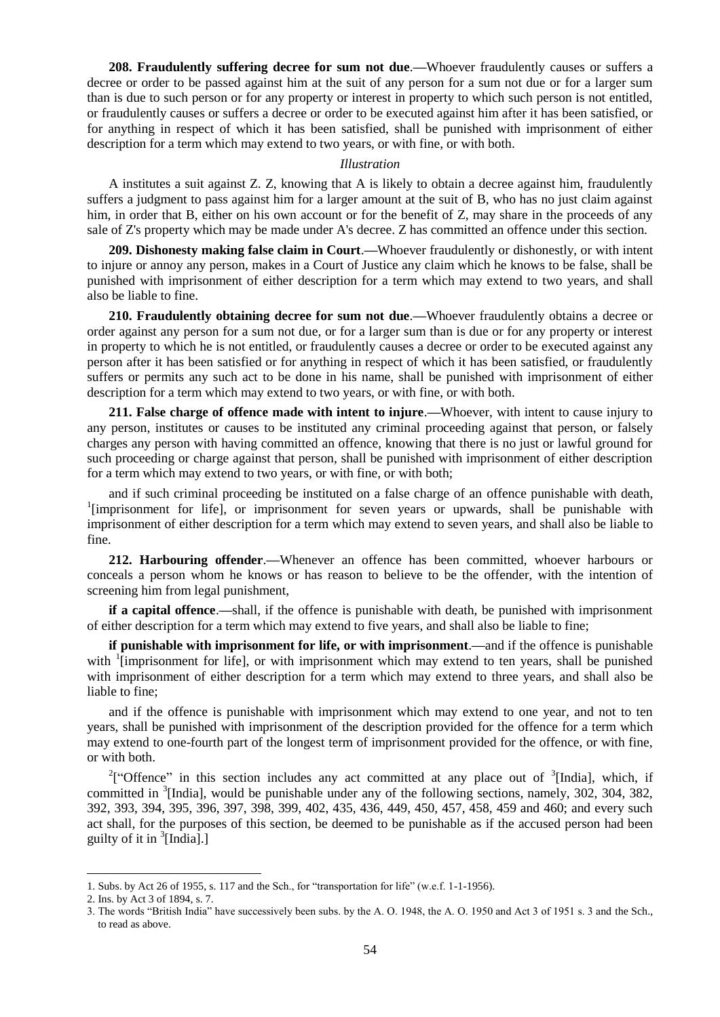**208. Fraudulently suffering decree for sum not due**.**—**Whoever fraudulently causes or suffers a decree or order to be passed against him at the suit of any person for a sum not due or for a larger sum than is due to such person or for any property or interest in property to which such person is not entitled, or fraudulently causes or suffers a decree or order to be executed against him after it has been satisfied, or for anything in respect of which it has been satisfied, shall be punished with imprisonment of either description for a term which may extend to two years, or with fine, or with both.

### *Illustration*

A institutes a suit against Z. Z, knowing that A is likely to obtain a decree against him, fraudulently suffers a judgment to pass against him for a larger amount at the suit of B, who has no just claim against him, in order that B, either on his own account or for the benefit of Z, may share in the proceeds of any sale of Z's property which may be made under A's decree. Z has committed an offence under this section.

**209. Dishonesty making false claim in Court**.**—**Whoever fraudulently or dishonestly, or with intent to injure or annoy any person, makes in a Court of Justice any claim which he knows to be false, shall be punished with imprisonment of either description for a term which may extend to two years, and shall also be liable to fine.

**210. Fraudulently obtaining decree for sum not due**.**—**Whoever fraudulently obtains a decree or order against any person for a sum not due, or for a larger sum than is due or for any property or interest in property to which he is not entitled, or fraudulently causes a decree or order to be executed against any person after it has been satisfied or for anything in respect of which it has been satisfied, or fraudulently suffers or permits any such act to be done in his name, shall be punished with imprisonment of either description for a term which may extend to two years, or with fine, or with both.

**211. False charge of offence made with intent to injure**.**—**Whoever, with intent to cause injury to any person, institutes or causes to be instituted any criminal proceeding against that person, or falsely charges any person with having committed an offence, knowing that there is no just or lawful ground for such proceeding or charge against that person, shall be punished with imprisonment of either description for a term which may extend to two years, or with fine, or with both;

and if such criminal proceeding be instituted on a false charge of an offence punishable with death, <sup>1</sup>[imprisonment for life], or imprisonment for seven years or upwards, shall be punishable with imprisonment of either description for a term which may extend to seven years, and shall also be liable to fine.

**212. Harbouring offender**.**—**Whenever an offence has been committed, whoever harbours or conceals a person whom he knows or has reason to believe to be the offender, with the intention of screening him from legal punishment,

**if a capital offence**.**—**shall, if the offence is punishable with death, be punished with imprisonment of either description for a term which may extend to five years, and shall also be liable to fine;

**if punishable with imprisonment for life, or with imprisonment**.**—**and if the offence is punishable with <sup>1</sup>[imprisonment for life], or with imprisonment which may extend to ten years, shall be punished with imprisonment of either description for a term which may extend to three years, and shall also be liable to fine;

and if the offence is punishable with imprisonment which may extend to one year, and not to ten years, shall be punished with imprisonment of the description provided for the offence for a term which may extend to one-fourth part of the longest term of imprisonment provided for the offence, or with fine, or with both.

<sup>2</sup>["Offence" in this section includes any act committed at any place out of <sup>3</sup>[India], which, if committed in <sup>3</sup>[India], would be punishable under any of the following sections, namely, 302, 304, 382, 392, 393, 394, 395, 396, 397, 398, 399, 402, 435, 436, 449, 450, 457, 458, 459 and 460; and every such act shall, for the purposes of this section, be deemed to be punishable as if the accused person had been guilty of it in  $\overline{3}$ [India].]

<sup>1.</sup> Subs. by Act 26 of 1955, s. 117 and the Sch., for "transportation for life" (w.e.f. 1-1-1956).

<sup>2.</sup> Ins. by Act 3 of 1894, s. 7.

<sup>3.</sup> The words "British India" have successively been subs. by the A. O. 1948, the A. O. 1950 and Act 3 of 1951 s. 3 and the Sch., to read as above.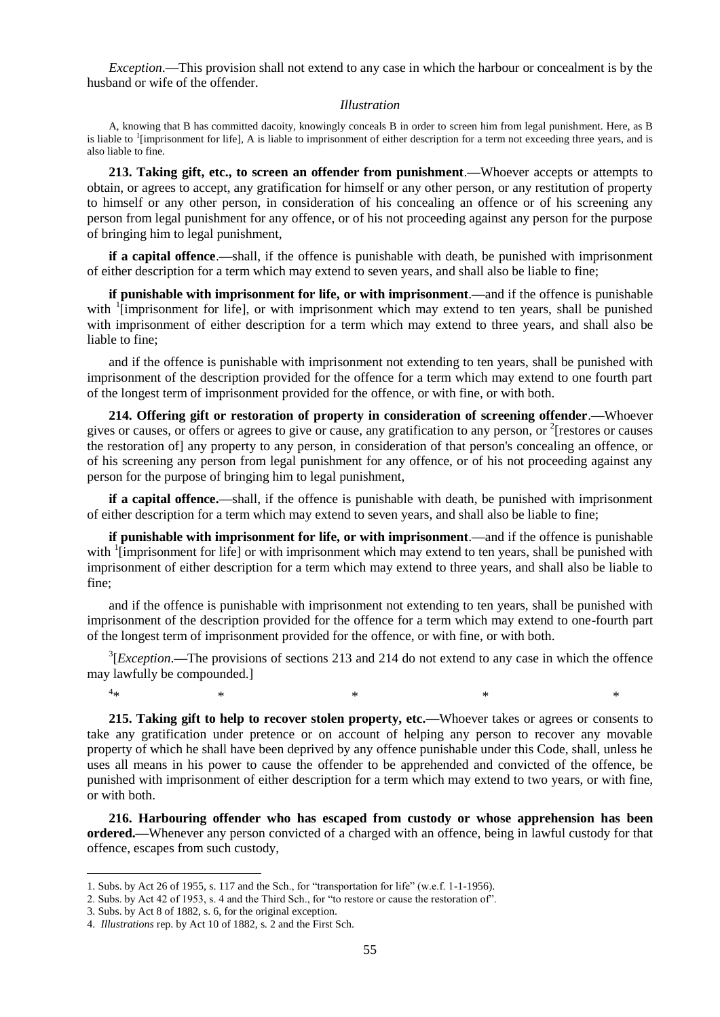*Exception*.**—**This provision shall not extend to any case in which the harbour or concealment is by the husband or wife of the offender.

#### *Illustration*

A, knowing that B has committed dacoity, knowingly conceals B in order to screen him from legal punishment. Here, as B is liable to  $\frac{1}{2}$  [imprisonment for life], A is liable to imprisonment of either description for a term not exceeding three years, and is also liable to fine.

**213. Taking gift, etc., to screen an offender from punishment**.**—**Whoever accepts or attempts to obtain, or agrees to accept, any gratification for himself or any other person, or any restitution of property to himself or any other person, in consideration of his concealing an offence or of his screening any person from legal punishment for any offence, or of his not proceeding against any person for the purpose of bringing him to legal punishment,

**if a capital offence**.**—**shall, if the offence is punishable with death, be punished with imprisonment of either description for a term which may extend to seven years, and shall also be liable to fine;

**if punishable with imprisonment for life, or with imprisonment**.**—**and if the offence is punishable with <sup>1</sup>[imprisonment for life], or with imprisonment which may extend to ten years, shall be punished with imprisonment of either description for a term which may extend to three years, and shall also be liable to fine;

and if the offence is punishable with imprisonment not extending to ten years, shall be punished with imprisonment of the description provided for the offence for a term which may extend to one fourth part of the longest term of imprisonment provided for the offence, or with fine, or with both.

**214. Offering gift or restoration of property in consideration of screening offender**.**—**Whoever gives or causes, or offers or agrees to give or cause, any gratification to any person, or <sup>2</sup>[restores or causes the restoration of] any property to any person, in consideration of that person's concealing an offence, or of his screening any person from legal punishment for any offence, or of his not proceeding against any person for the purpose of bringing him to legal punishment,

**if a capital offence.**—shall, if the offence is punishable with death, be punished with imprisonment of either description for a term which may extend to seven years, and shall also be liable to fine;

**if punishable with imprisonment for life, or with imprisonment**.**—**and if the offence is punishable with <sup>1</sup>[imprisonment for life] or with imprisonment which may extend to ten years, shall be punished with imprisonment of either description for a term which may extend to three years, and shall also be liable to fine;

and if the offence is punishable with imprisonment not extending to ten years, shall be punished with imprisonment of the description provided for the offence for a term which may extend to one-fourth part of the longest term of imprisonment provided for the offence, or with fine, or with both.

<sup>3</sup>[*Exception*.—The provisions of sections 213 and 214 do not extend to any case in which the offence may lawfully be compounded.]

 $4*$  $*$  \*  $*$  \*  $*$  \*

**.** 

**215. Taking gift to help to recover stolen property, etc.—**Whoever takes or agrees or consents to take any gratification under pretence or on account of helping any person to recover any movable property of which he shall have been deprived by any offence punishable under this Code, shall, unless he uses all means in his power to cause the offender to be apprehended and convicted of the offence, be punished with imprisonment of either description for a term which may extend to two years, or with fine, or with both.

**216. Harbouring offender who has escaped from custody or whose apprehension has been ordered.—**Whenever any person convicted of a charged with an offence, being in lawful custody for that offence, escapes from such custody,

<sup>1.</sup> Subs. by Act 26 of 1955, s. 117 and the Sch., for "transportation for life" (w.e.f. 1-1-1956).

<sup>2.</sup> Subs. by Act 42 of 1953, s. 4 and the Third Sch., for "to restore or cause the restoration of".

<sup>3.</sup> Subs. by Act 8 of 1882, s. 6, for the original exception.

<sup>4.</sup> *Illustrations* rep. by Act 10 of 1882, s. 2 and the First Sch.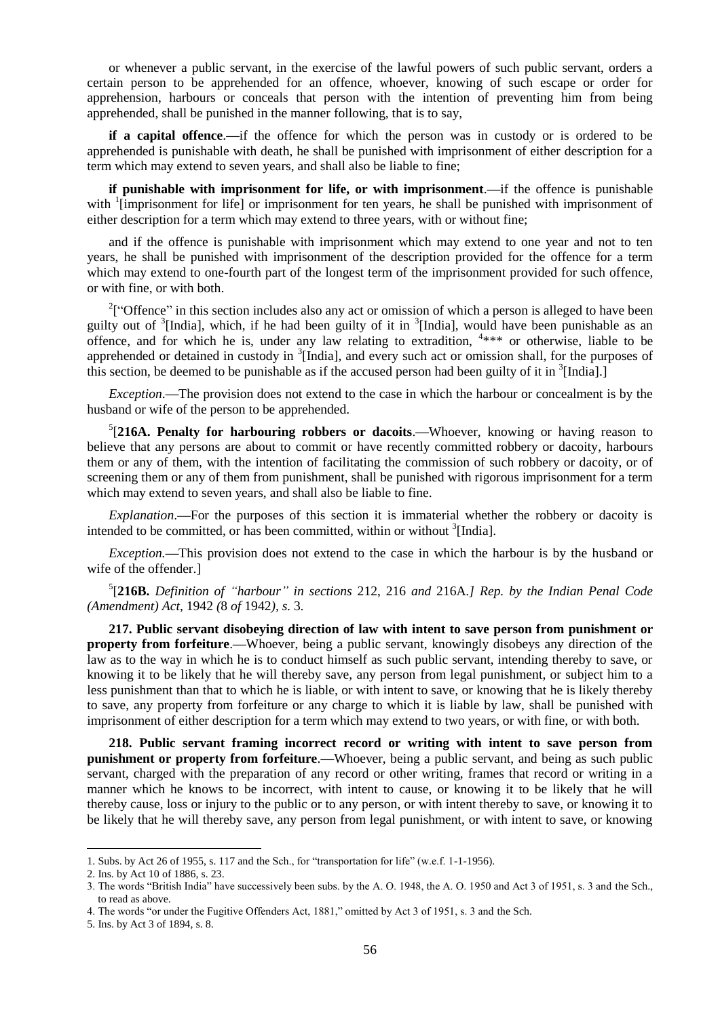or whenever a public servant, in the exercise of the lawful powers of such public servant, orders a certain person to be apprehended for an offence, whoever, knowing of such escape or order for apprehension, harbours or conceals that person with the intention of preventing him from being apprehended, shall be punished in the manner following, that is to say,

**if a capital offence**.**—**if the offence for which the person was in custody or is ordered to be apprehended is punishable with death, he shall be punished with imprisonment of either description for a term which may extend to seven years, and shall also be liable to fine;

**if punishable with imprisonment for life, or with imprisonment**.**—**if the offence is punishable with <sup>1</sup>[imprisonment for life] or imprisonment for ten years, he shall be punished with imprisonment of either description for a term which may extend to three years, with or without fine;

and if the offence is punishable with imprisonment which may extend to one year and not to ten years, he shall be punished with imprisonment of the description provided for the offence for a term which may extend to one-fourth part of the longest term of the imprisonment provided for such offence, or with fine, or with both.

<sup>2</sup>["Offence" in this section includes also any act or omission of which a person is alleged to have been guilty out of  $3$ [India], which, if he had been guilty of it in  $3$ [India], would have been punishable as an offence, and for which he is, under any law relating to extradition,  $4***$  or otherwise, liable to be apprehended or detained in custody in <sup>3</sup>[India], and every such act or omission shall, for the purposes of this section, be deemed to be punishable as if the accused person had been guilty of it in  ${}^{3}$ [India].]

*Exception*.**—**The provision does not extend to the case in which the harbour or concealment is by the husband or wife of the person to be apprehended.

5 [**216A. Penalty for harbouring robbers or dacoits**.**—**Whoever, knowing or having reason to believe that any persons are about to commit or have recently committed robbery or dacoity, harbours them or any of them, with the intention of facilitating the commission of such robbery or dacoity, or of screening them or any of them from punishment, shall be punished with rigorous imprisonment for a term which may extend to seven years, and shall also be liable to fine.

*Explanation*.**—**For the purposes of this section it is immaterial whether the robbery or dacoity is intended to be committed, or has been committed, within or without  ${}^{3}$ [India].

*Exception.***—**This provision does not extend to the case in which the harbour is by the husband or wife of the offender.]

5 [**216B.** *Definition of "harbour" in sections* 212, 216 *and* 216A*.] Rep. by the Indian Penal Code (Amendment) Act,* 1942 *(*8 *of* 1942*), s.* 3*.*

**217. Public servant disobeying direction of law with intent to save person from punishment or property from forfeiture**.**—**Whoever, being a public servant, knowingly disobeys any direction of the law as to the way in which he is to conduct himself as such public servant, intending thereby to save, or knowing it to be likely that he will thereby save, any person from legal punishment, or subject him to a less punishment than that to which he is liable, or with intent to save, or knowing that he is likely thereby to save, any property from forfeiture or any charge to which it is liable by law, shall be punished with imprisonment of either description for a term which may extend to two years, or with fine, or with both.

**218. Public servant framing incorrect record or writing with intent to save person from punishment or property from forfeiture**.**—**Whoever, being a public servant, and being as such public servant, charged with the preparation of any record or other writing, frames that record or writing in a manner which he knows to be incorrect, with intent to cause, or knowing it to be likely that he will thereby cause, loss or injury to the public or to any person, or with intent thereby to save, or knowing it to be likely that he will thereby save, any person from legal punishment, or with intent to save, or knowing

<sup>1.</sup> Subs. by Act 26 of 1955, s. 117 and the Sch., for "transportation for life" (w.e.f. 1-1-1956).

<sup>2.</sup> Ins. by Act 10 of 1886, s. 23.

<sup>3.</sup> The words "British India" have successively been subs. by the A. O. 1948, the A. O. 1950 and Act 3 of 1951, s. 3 and the Sch., to read as above.

<sup>4.</sup> The words "or under the Fugitive Offenders Act, 1881," omitted by Act 3 of 1951, s. 3 and the Sch.

<sup>5.</sup> Ins. by Act 3 of 1894, s. 8.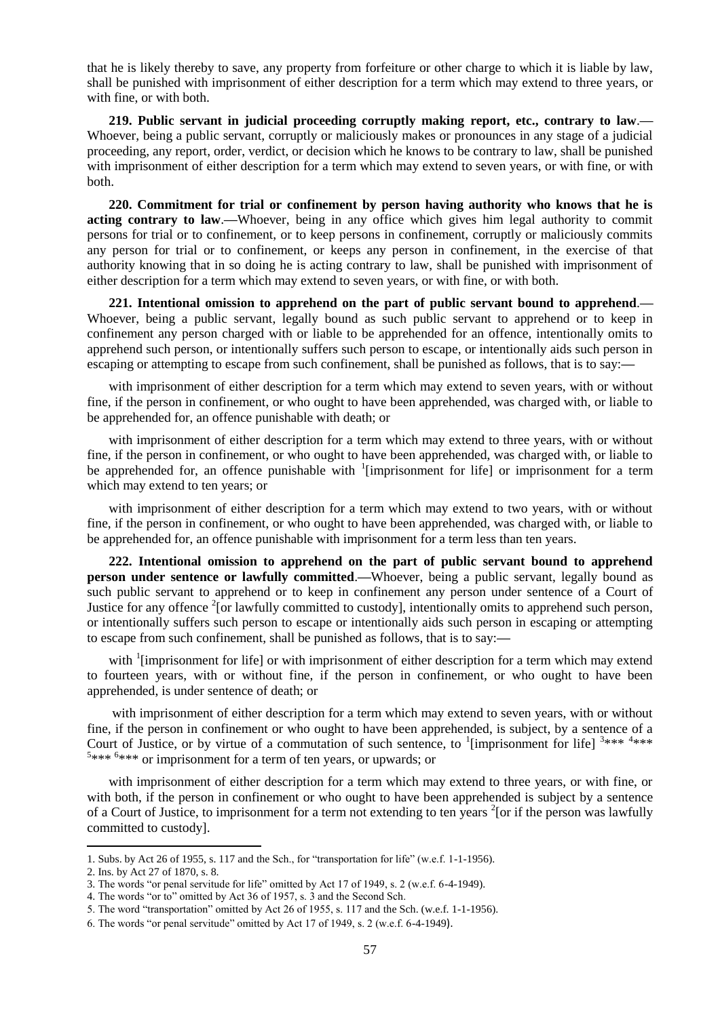that he is likely thereby to save, any property from forfeiture or other charge to which it is liable by law, shall be punished with imprisonment of either description for a term which may extend to three years, or with fine, or with both.

**219. Public servant in judicial proceeding corruptly making report, etc., contrary to law**.**—** Whoever, being a public servant, corruptly or maliciously makes or pronounces in any stage of a judicial proceeding, any report, order, verdict, or decision which he knows to be contrary to law, shall be punished with imprisonment of either description for a term which may extend to seven years, or with fine, or with both.

**220. Commitment for trial or confinement by person having authority who knows that he is acting contrary to law**.**—**Whoever, being in any office which gives him legal authority to commit persons for trial or to confinement, or to keep persons in confinement, corruptly or maliciously commits any person for trial or to confinement, or keeps any person in confinement, in the exercise of that authority knowing that in so doing he is acting contrary to law, shall be punished with imprisonment of either description for a term which may extend to seven years, or with fine, or with both.

**221. Intentional omission to apprehend on the part of public servant bound to apprehend**.**—** Whoever, being a public servant, legally bound as such public servant to apprehend or to keep in confinement any person charged with or liable to be apprehended for an offence, intentionally omits to apprehend such person, or intentionally suffers such person to escape, or intentionally aids such person in escaping or attempting to escape from such confinement, shall be punished as follows, that is to say:**—**

with imprisonment of either description for a term which may extend to seven years, with or without fine, if the person in confinement, or who ought to have been apprehended, was charged with, or liable to be apprehended for, an offence punishable with death; or

with imprisonment of either description for a term which may extend to three years, with or without fine, if the person in confinement, or who ought to have been apprehended, was charged with, or liable to be apprehended for, an offence punishable with <sup>1</sup>[imprisonment for life] or imprisonment for a term which may extend to ten years; or

with imprisonment of either description for a term which may extend to two years, with or without fine, if the person in confinement, or who ought to have been apprehended, was charged with, or liable to be apprehended for, an offence punishable with imprisonment for a term less than ten years.

**222. Intentional omission to apprehend on the part of public servant bound to apprehend person under sentence or lawfully committed**.**—**Whoever, being a public servant, legally bound as such public servant to apprehend or to keep in confinement any person under sentence of a Court of Justice for any offence <sup>2</sup> [or lawfully committed to custody], intentionally omits to apprehend such person, or intentionally suffers such person to escape or intentionally aids such person in escaping or attempting to escape from such confinement, shall be punished as follows, that is to say:**—**

with <sup>1</sup>[imprisonment for life] or with imprisonment of either description for a term which may extend to fourteen years, with or without fine, if the person in confinement, or who ought to have been apprehended, is under sentence of death; or

with imprisonment of either description for a term which may extend to seven years, with or without fine, if the person in confinement or who ought to have been apprehended, is subject, by a sentence of a Court of Justice, or by virtue of a commutation of such sentence, to <sup>1</sup>[imprisonment for life]  $3***$   $4***$ <sup>5\*\*\*</sup> 6\*\*\* or imprisonment for a term of ten years, or upwards; or

with imprisonment of either description for a term which may extend to three years, or with fine, or with both, if the person in confinement or who ought to have been apprehended is subject by a sentence of a Court of Justice, to imprisonment for a term not extending to ten years  $2$  [or if the person was lawfully committed to custody].

<sup>1.</sup> Subs. by Act 26 of 1955, s. 117 and the Sch., for "transportation for life" (w.e.f. 1-1-1956).

<sup>2.</sup> Ins. by Act 27 of 1870, s. 8.

<sup>3.</sup> The words "or penal servitude for life" omitted by Act 17 of 1949, s. 2 (w.e.f. 6-4-1949).

<sup>4.</sup> The words "or to" omitted by Act 36 of 1957, s. 3 and the Second Sch.

<sup>5.</sup> The word "transportation" omitted by Act 26 of 1955, s. 117 and the Sch. (w.e.f. 1-1-1956).

<sup>6.</sup> The words "or penal servitude" omitted by Act 17 of 1949, s. 2 (w.e.f. 6-4-1949).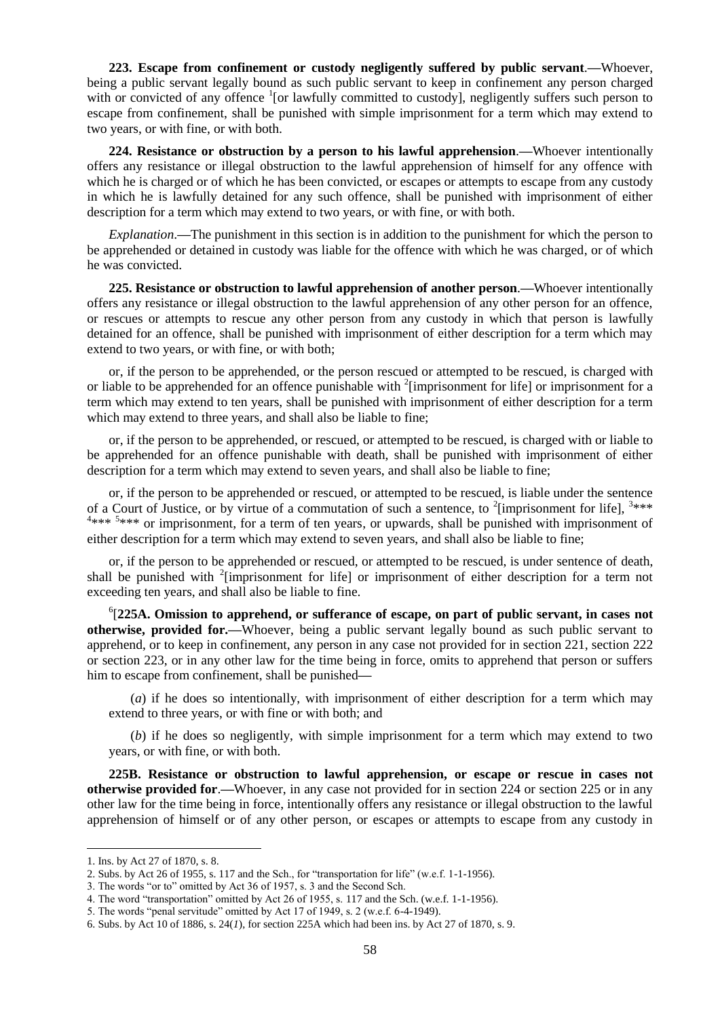**223. Escape from confinement or custody negligently suffered by public servant**.**—**Whoever, being a public servant legally bound as such public servant to keep in confinement any person charged with or convicted of any offence <sup>1</sup>[or lawfully committed to custody], negligently suffers such person to escape from confinement, shall be punished with simple imprisonment for a term which may extend to two years, or with fine, or with both.

**224. Resistance or obstruction by a person to his lawful apprehension**.**—**Whoever intentionally offers any resistance or illegal obstruction to the lawful apprehension of himself for any offence with which he is charged or of which he has been convicted, or escapes or attempts to escape from any custody in which he is lawfully detained for any such offence, shall be punished with imprisonment of either description for a term which may extend to two years, or with fine, or with both.

*Explanation*.**—**The punishment in this section is in addition to the punishment for which the person to be apprehended or detained in custody was liable for the offence with which he was charged, or of which he was convicted.

**225. Resistance or obstruction to lawful apprehension of another person**.**—**Whoever intentionally offers any resistance or illegal obstruction to the lawful apprehension of any other person for an offence, or rescues or attempts to rescue any other person from any custody in which that person is lawfully detained for an offence, shall be punished with imprisonment of either description for a term which may extend to two years, or with fine, or with both;

or, if the person to be apprehended, or the person rescued or attempted to be rescued, is charged with or liable to be apprehended for an offence punishable with  $2$ [imprisonment for life] or imprisonment for a term which may extend to ten years, shall be punished with imprisonment of either description for a term which may extend to three years, and shall also be liable to fine;

or, if the person to be apprehended, or rescued, or attempted to be rescued, is charged with or liable to be apprehended for an offence punishable with death, shall be punished with imprisonment of either description for a term which may extend to seven years, and shall also be liable to fine;

or, if the person to be apprehended or rescued, or attempted to be rescued, is liable under the sentence of a Court of Justice, or by virtue of a commutation of such a sentence, to <sup>2</sup>[imprisonment for life],  $3***$ <sup>4\*\*\*</sup> 5\*\*\* or imprisonment, for a term of ten years, or upwards, shall be punished with imprisonment of either description for a term which may extend to seven years, and shall also be liable to fine;

or, if the person to be apprehended or rescued, or attempted to be rescued, is under sentence of death, shall be punished with <sup>2</sup>[imprisonment for life] or imprisonment of either description for a term not exceeding ten years, and shall also be liable to fine.

6 [**225A. Omission to apprehend, or sufferance of escape, on part of public servant, in cases not otherwise, provided for.—**Whoever, being a public servant legally bound as such public servant to apprehend, or to keep in confinement, any person in any case not provided for in section 221, section 222 or section 223, or in any other law for the time being in force, omits to apprehend that person or suffers him to escape from confinement, shall be punished**—**

(*a*) if he does so intentionally, with imprisonment of either description for a term which may extend to three years, or with fine or with both; and

(*b*) if he does so negligently, with simple imprisonment for a term which may extend to two years, or with fine, or with both.

**225B. Resistance or obstruction to lawful apprehension, or escape or rescue in cases not otherwise provided for**.**—**Whoever, in any case not provided for in section 224 or section 225 or in any other law for the time being in force, intentionally offers any resistance or illegal obstruction to the lawful apprehension of himself or of any other person, or escapes or attempts to escape from any custody in

<sup>1.</sup> Ins. by Act 27 of 1870, s. 8.

<sup>2.</sup> Subs. by Act 26 of 1955, s. 117 and the Sch., for "transportation for life" (w.e.f. 1-1-1956).

<sup>3.</sup> The words "or to" omitted by Act 36 of 1957, s. 3 and the Second Sch.

<sup>4.</sup> The word "transportation" omitted by Act 26 of 1955, s. 117 and the Sch. (w.e.f. 1-1-1956).

<sup>5.</sup> The words "penal servitude" omitted by Act 17 of 1949, s. 2 (w.e.f. 6-4-1949).

<sup>6.</sup> Subs. by Act 10 of 1886, s. 24(*1*), for section 225A which had been ins. by Act 27 of 1870, s. 9.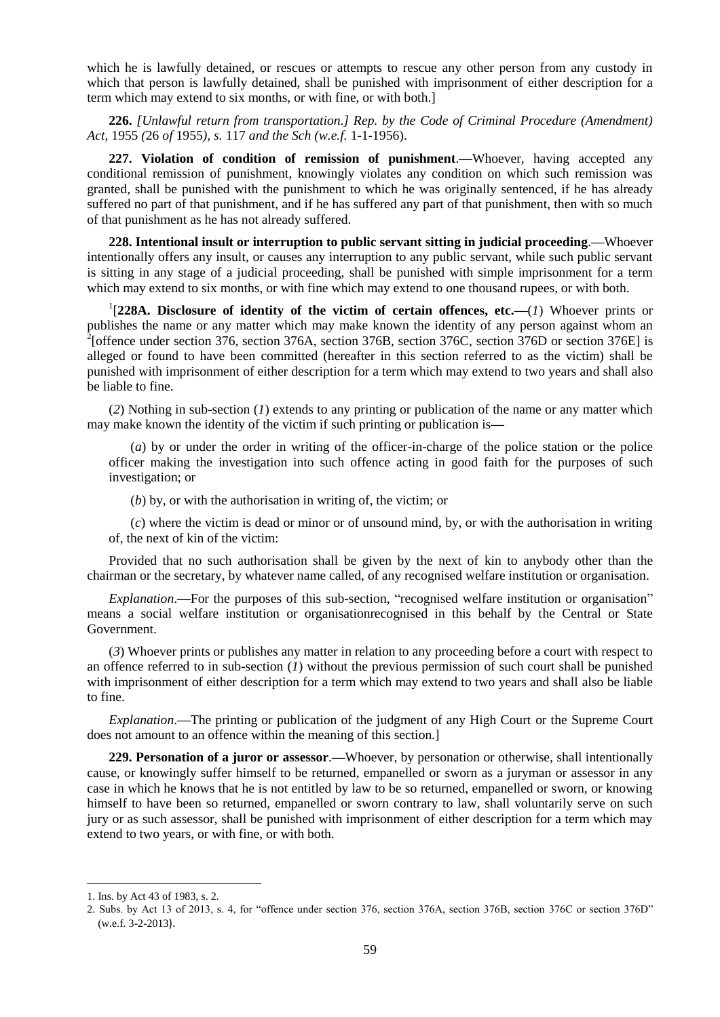which he is lawfully detained, or rescues or attempts to rescue any other person from any custody in which that person is lawfully detained, shall be punished with imprisonment of either description for a term which may extend to six months, or with fine, or with both.]

**226.** *[Unlawful return from transportation.] Rep. by the Code of Criminal Procedure (Amendment) Act,* 1955 *(*26 *of* 1955*), s.* 117 *and the Sch (w.e.f.* 1-1-1956).

**227. Violation of condition of remission of punishment**.**—**Whoever, having accepted any conditional remission of punishment, knowingly violates any condition on which such remission was granted, shall be punished with the punishment to which he was originally sentenced, if he has already suffered no part of that punishment, and if he has suffered any part of that punishment, then with so much of that punishment as he has not already suffered.

**228. Intentional insult or interruption to public servant sitting in judicial proceeding**.**—**Whoever intentionally offers any insult, or causes any interruption to any public servant, while such public servant is sitting in any stage of a judicial proceeding, shall be punished with simple imprisonment for a term which may extend to six months, or with fine which may extend to one thousand rupees, or with both.

1 [**228A. Disclosure of identity of the victim of certain offences, etc.—**(*1*) Whoever prints or publishes the name or any matter which may make known the identity of any person against whom an <sup>2</sup>[offence under section 376, section 376A, section 376B, section 376C, section 376D or section 376E] is alleged or found to have been committed (hereafter in this section referred to as the victim) shall be punished with imprisonment of either description for a term which may extend to two years and shall also be liable to fine.

(*2*) Nothing in sub-section (*1*) extends to any printing or publication of the name or any matter which may make known the identity of the victim if such printing or publication is**—**

(*a*) by or under the order in writing of the officer-in-charge of the police station or the police officer making the investigation into such offence acting in good faith for the purposes of such investigation; or

(*b*) by, or with the authorisation in writing of, the victim; or

(*c*) where the victim is dead or minor or of unsound mind, by, or with the authorisation in writing of, the next of kin of the victim:

Provided that no such authorisation shall be given by the next of kin to anybody other than the chairman or the secretary, by whatever name called, of any recognised welfare institution or organisation.

*Explanation*.**—**For the purposes of this sub-section, "recognised welfare institution or organisation" means a social welfare institution or organisationrecognised in this behalf by the Central or State Government.

(*3*) Whoever prints or publishes any matter in relation to any proceeding before a court with respect to an offence referred to in sub-section (*1*) without the previous permission of such court shall be punished with imprisonment of either description for a term which may extend to two years and shall also be liable to fine.

*Explanation*.**—**The printing or publication of the judgment of any High Court or the Supreme Court does not amount to an offence within the meaning of this section.]

**229. Personation of a juror or assessor**.**—**Whoever, by personation or otherwise, shall intentionally cause, or knowingly suffer himself to be returned, empanelled or sworn as a juryman or assessor in any case in which he knows that he is not entitled by law to be so returned, empanelled or sworn, or knowing himself to have been so returned, empanelled or sworn contrary to law, shall voluntarily serve on such jury or as such assessor, shall be punished with imprisonment of either description for a term which may extend to two years, or with fine, or with both.

<sup>1.</sup> Ins. by Act 43 of 1983, s. 2.

<sup>2.</sup> Subs. by Act 13 of 2013, s. 4, for "offence under section 376, section 376A, section 376B, section 376C or section 376D" (w.e.f. 3-2-2013).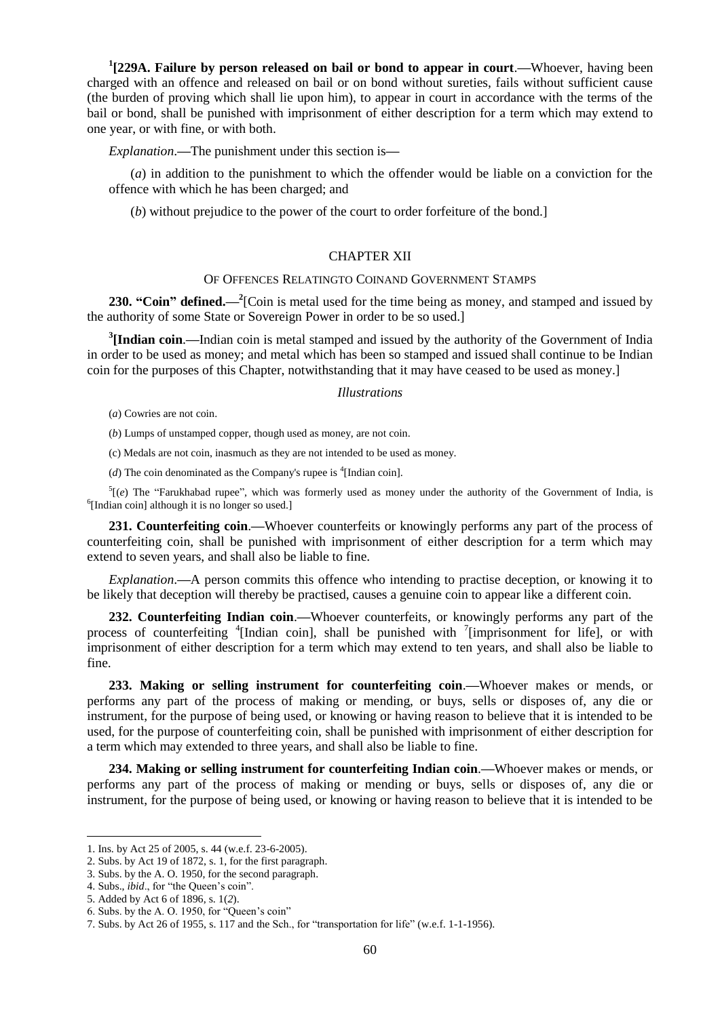**1 [229A. Failure by person released on bail or bond to appear in court**.**—**Whoever, having been charged with an offence and released on bail or on bond without sureties, fails without sufficient cause (the burden of proving which shall lie upon him), to appear in court in accordance with the terms of the bail or bond, shall be punished with imprisonment of either description for a term which may extend to one year, or with fine, or with both.

*Explanation*.**—**The punishment under this section is**—**

(*a*) in addition to the punishment to which the offender would be liable on a conviction for the offence with which he has been charged; and

(*b*) without prejudice to the power of the court to order forfeiture of the bond.]

## CHAPTER XII

## OF OFFENCES RELATINGTO COINAND GOVERNMENT STAMPS

**230. "Coin" defined.—<sup>2</sup>** [Coin is metal used for the time being as money, and stamped and issued by the authority of some State or Sovereign Power in order to be so used.]

**3 [Indian coin**.**—**Indian coin is metal stamped and issued by the authority of the Government of India in order to be used as money; and metal which has been so stamped and issued shall continue to be Indian coin for the purposes of this Chapter, notwithstanding that it may have ceased to be used as money.]

#### *Illustrations*

(*a*) Cowries are not coin.

(*b*) Lumps of unstamped copper, though used as money, are not coin.

(c) Medals are not coin, inasmuch as they are not intended to be used as money.

 $(d)$  The coin denominated as the Company's rupee is  ${}^{4}$ [Indian coin].

<sup>5</sup>[(*e*) The "Farukhabad rupee", which was formerly used as money under the authority of the Government of India, is <sup>6</sup>[Indian coin] although it is no longer so used.]

**231. Counterfeiting coin**.**—**Whoever counterfeits or knowingly performs any part of the process of counterfeiting coin, shall be punished with imprisonment of either description for a term which may extend to seven years, and shall also be liable to fine.

*Explanation*.**—**A person commits this offence who intending to practise deception, or knowing it to be likely that deception will thereby be practised, causes a genuine coin to appear like a different coin.

**232. Counterfeiting Indian coin**.**—**Whoever counterfeits, or knowingly performs any part of the process of counterfeiting <sup>4</sup>[Indian coin], shall be punished with <sup>7</sup>[imprisonment for life], or with imprisonment of either description for a term which may extend to ten years, and shall also be liable to fine.

**233. Making or selling instrument for counterfeiting coin**.**—**Whoever makes or mends, or performs any part of the process of making or mending, or buys, sells or disposes of, any die or instrument, for the purpose of being used, or knowing or having reason to believe that it is intended to be used, for the purpose of counterfeiting coin, shall be punished with imprisonment of either description for a term which may extended to three years, and shall also be liable to fine.

**234. Making or selling instrument for counterfeiting Indian coin**.**—**Whoever makes or mends, or performs any part of the process of making or mending or buys, sells or disposes of, any die or instrument, for the purpose of being used, or knowing or having reason to believe that it is intended to be

1

<sup>1.</sup> Ins. by Act 25 of 2005, s. 44 (w.e.f. 23-6-2005).

<sup>2.</sup> Subs. by Act 19 of 1872, s. 1, for the first paragraph.

<sup>3.</sup> Subs. by the A. O. 1950, for the second paragraph.

<sup>4.</sup> Subs., *ibid*., for "the Queen's coin".

<sup>5.</sup> Added by Act 6 of 1896, s. 1(*2*).

<sup>6.</sup> Subs. by the A. O. 1950, for "Queen's coin"

<sup>7.</sup> Subs. by Act 26 of 1955, s. 117 and the Sch., for "transportation for life" (w.e.f. 1-1-1956).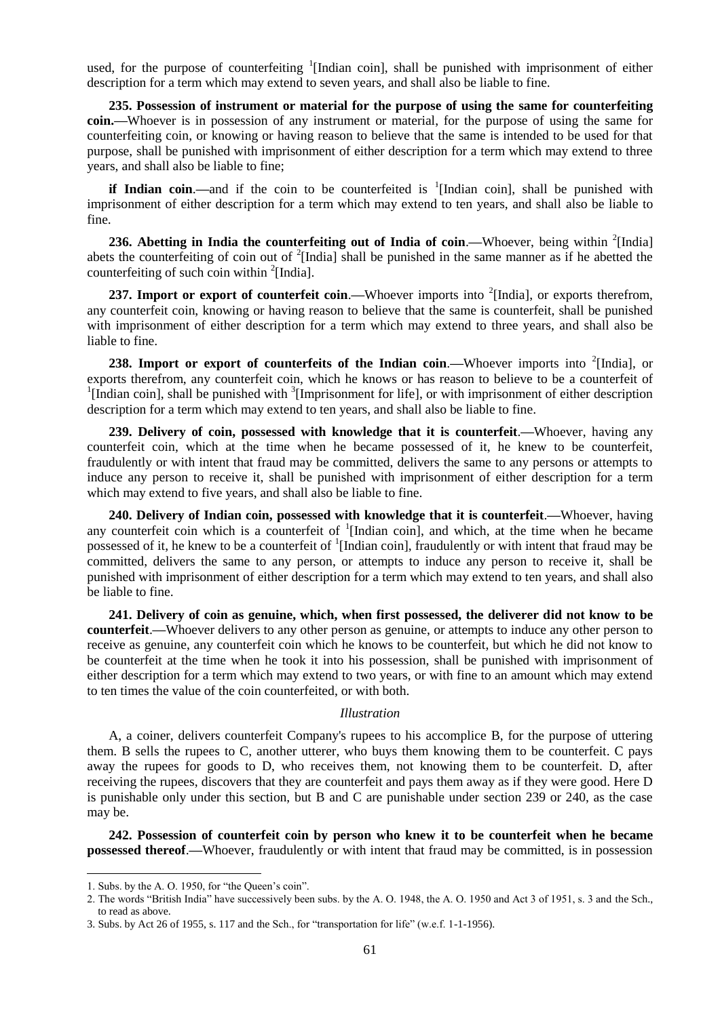used, for the purpose of counterfeiting  $\frac{1}{2}$ [Indian coin], shall be punished with imprisonment of either description for a term which may extend to seven years, and shall also be liable to fine.

**235. Possession of instrument or material for the purpose of using the same for counterfeiting coin.—**Whoever is in possession of any instrument or material, for the purpose of using the same for counterfeiting coin, or knowing or having reason to believe that the same is intended to be used for that purpose, shall be punished with imprisonment of either description for a term which may extend to three years, and shall also be liable to fine;

**if Indian coin.—and** if the coin to be counterfeited is <sup>1</sup>[Indian coin], shall be punished with imprisonment of either description for a term which may extend to ten years, and shall also be liable to fine.

236. Abetting in India the counterfeiting out of India of coin.—Whoever, being within <sup>2</sup>[India] abets the counterfeiting of coin out of  $2$ [India] shall be punished in the same manner as if he abetted the counterfeiting of such coin within <sup>2</sup>[India].

**237. Import or export of counterfeit coin.—Whoever imports into <sup>2</sup>[India], or exports therefrom,** any counterfeit coin, knowing or having reason to believe that the same is counterfeit, shall be punished with imprisonment of either description for a term which may extend to three years, and shall also be liable to fine.

**238. Import or export of counterfeits of the Indian coin.—Whoever imports into <sup>2</sup>[India], or** exports therefrom, any counterfeit coin, which he knows or has reason to believe to be a counterfeit of <sup>1</sup>[Indian coin], shall be punished with  $3$ <sup>1</sup>[Imprisonment for life], or with imprisonment of either description description for a term which may extend to ten years, and shall also be liable to fine.

**239. Delivery of coin, possessed with knowledge that it is counterfeit**.**—**Whoever, having any counterfeit coin, which at the time when he became possessed of it, he knew to be counterfeit, fraudulently or with intent that fraud may be committed, delivers the same to any persons or attempts to induce any person to receive it, shall be punished with imprisonment of either description for a term which may extend to five years, and shall also be liable to fine.

**240. Delivery of Indian coin, possessed with knowledge that it is counterfeit**.**—**Whoever, having any counterfeit coin which is a counterfeit of  $\frac{1}{2}$ [Indian coin], and which, at the time when he became possessed of it, he knew to be a counterfeit of <sup>1</sup>[Indian coin], fraudulently or with intent that fraud may be committed, delivers the same to any person, or attempts to induce any person to receive it, shall be punished with imprisonment of either description for a term which may extend to ten years, and shall also be liable to fine.

**241. Delivery of coin as genuine, which, when first possessed, the deliverer did not know to be counterfeit**.**—**Whoever delivers to any other person as genuine, or attempts to induce any other person to receive as genuine, any counterfeit coin which he knows to be counterfeit, but which he did not know to be counterfeit at the time when he took it into his possession, shall be punished with imprisonment of either description for a term which may extend to two years, or with fine to an amount which may extend to ten times the value of the coin counterfeited, or with both.

## *Illustration*

A, a coiner, delivers counterfeit Company's rupees to his accomplice B, for the purpose of uttering them. B sells the rupees to C, another utterer, who buys them knowing them to be counterfeit. C pays away the rupees for goods to D, who receives them, not knowing them to be counterfeit. D, after receiving the rupees, discovers that they are counterfeit and pays them away as if they were good. Here D is punishable only under this section, but B and C are punishable under section 239 or 240, as the case may be.

**242. Possession of counterfeit coin by person who knew it to be counterfeit when he became possessed thereof.—Whoever, fraudulently or with intent that fraud may be committed, is in possession** 

<sup>1.</sup> Subs. by the A. O. 1950, for "the Queen's coin".

<sup>2.</sup> The words "British India" have successively been subs. by the A. O. 1948, the A. O. 1950 and Act 3 of 1951, s. 3 and the Sch., to read as above.

<sup>3.</sup> Subs. by Act 26 of 1955, s. 117 and the Sch., for "transportation for life" (w.e.f. 1-1-1956).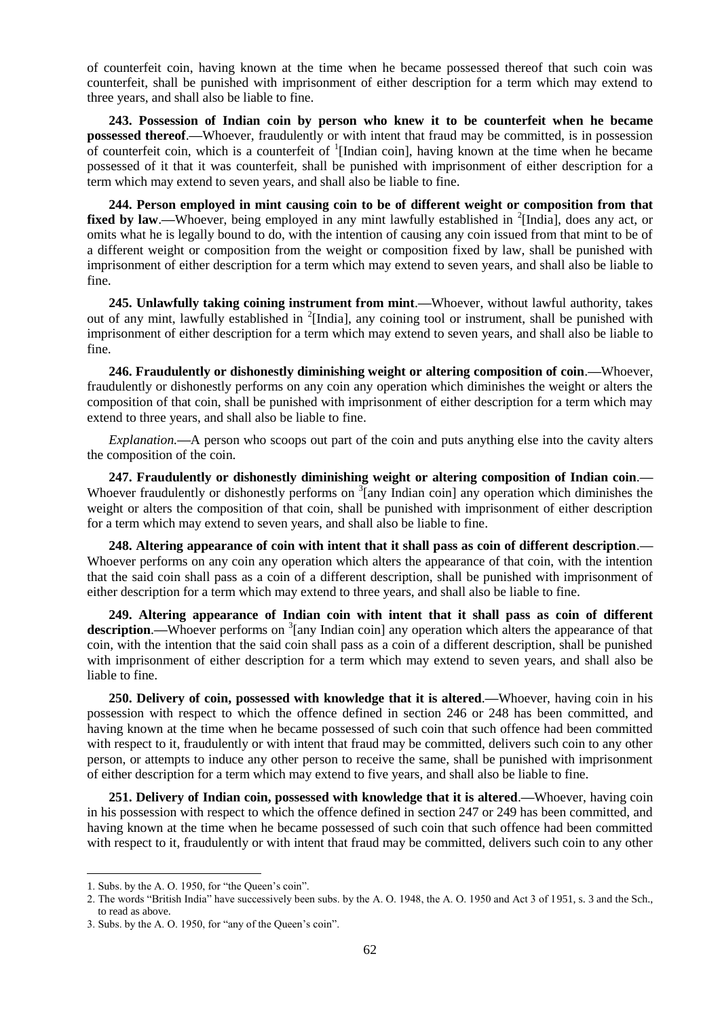of counterfeit coin, having known at the time when he became possessed thereof that such coin was counterfeit, shall be punished with imprisonment of either description for a term which may extend to three years, and shall also be liable to fine.

**243. Possession of Indian coin by person who knew it to be counterfeit when he became possessed thereof.—Whoever, fraudulently or with intent that fraud may be committed, is in possession** of counterfeit coin, which is a counterfeit of  $\frac{1}{2}$ [Indian coin], having known at the time when he became possessed of it that it was counterfeit, shall be punished with imprisonment of either description for a term which may extend to seven years, and shall also be liable to fine.

**244. Person employed in mint causing coin to be of different weight or composition from that**  fixed by law.—Whoever, being employed in any mint lawfully established in <sup>2</sup>[India], does any act, or omits what he is legally bound to do, with the intention of causing any coin issued from that mint to be of a different weight or composition from the weight or composition fixed by law, shall be punished with imprisonment of either description for a term which may extend to seven years, and shall also be liable to fine.

**245. Unlawfully taking coining instrument from mint**.**—**Whoever, without lawful authority, takes out of any mint, lawfully established in <sup>2</sup>[India], any coining tool or instrument, shall be punished with imprisonment of either description for a term which may extend to seven years, and shall also be liable to fine.

**246. Fraudulently or dishonestly diminishing weight or altering composition of coin**.**—**Whoever, fraudulently or dishonestly performs on any coin any operation which diminishes the weight or alters the composition of that coin, shall be punished with imprisonment of either description for a term which may extend to three years, and shall also be liable to fine.

*Explanation.***—**A person who scoops out part of the coin and puts anything else into the cavity alters the composition of the coin.

**247. Fraudulently or dishonestly diminishing weight or altering composition of Indian coin**.**—** Whoever fraudulently or dishonestly performs on  $\overline{3}$  any Indian coin] any operation which diminishes the weight or alters the composition of that coin, shall be punished with imprisonment of either description for a term which may extend to seven years, and shall also be liable to fine.

**248. Altering appearance of coin with intent that it shall pass as coin of different description**.**—** Whoever performs on any coin any operation which alters the appearance of that coin, with the intention that the said coin shall pass as a coin of a different description, shall be punished with imprisonment of either description for a term which may extend to three years, and shall also be liable to fine.

**249. Altering appearance of Indian coin with intent that it shall pass as coin of different**  description.—Whoever performs on <sup>3</sup>[any Indian coin] any operation which alters the appearance of that coin, with the intention that the said coin shall pass as a coin of a different description, shall be punished with imprisonment of either description for a term which may extend to seven years, and shall also be liable to fine.

**250. Delivery of coin, possessed with knowledge that it is altered**.**—**Whoever, having coin in his possession with respect to which the offence defined in section 246 or 248 has been committed, and having known at the time when he became possessed of such coin that such offence had been committed with respect to it, fraudulently or with intent that fraud may be committed, delivers such coin to any other person, or attempts to induce any other person to receive the same, shall be punished with imprisonment of either description for a term which may extend to five years, and shall also be liable to fine.

**251. Delivery of Indian coin, possessed with knowledge that it is altered**.**—**Whoever, having coin in his possession with respect to which the offence defined in section 247 or 249 has been committed, and having known at the time when he became possessed of such coin that such offence had been committed with respect to it, fraudulently or with intent that fraud may be committed, delivers such coin to any other

<sup>1.</sup> Subs. by the A. O. 1950, for "the Queen's coin".

<sup>2.</sup> The words "British India" have successively been subs. by the A. O. 1948, the A. O. 1950 and Act 3 of 1951, s. 3 and the Sch., to read as above.

<sup>3.</sup> Subs. by the A. O. 1950, for "any of the Queen's coin".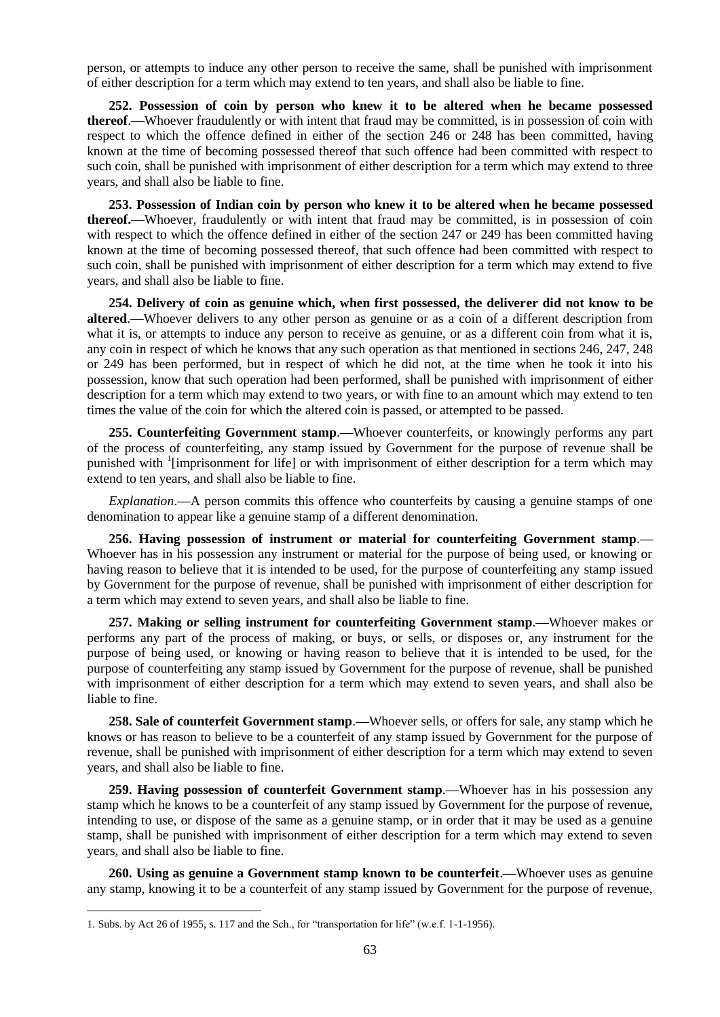person, or attempts to induce any other person to receive the same, shall be punished with imprisonment of either description for a term which may extend to ten years, and shall also be liable to fine.

**252. Possession of coin by person who knew it to be altered when he became possessed thereof**.**—**Whoever fraudulently or with intent that fraud may be committed, is in possession of coin with respect to which the offence defined in either of the section 246 or 248 has been committed, having known at the time of becoming possessed thereof that such offence had been committed with respect to such coin, shall be punished with imprisonment of either description for a term which may extend to three years, and shall also be liable to fine.

**253. Possession of Indian coin by person who knew it to be altered when he became possessed thereof.—**Whoever, fraudulently or with intent that fraud may be committed, is in possession of coin with respect to which the offence defined in either of the section 247 or 249 has been committed having known at the time of becoming possessed thereof, that such offence had been committed with respect to such coin, shall be punished with imprisonment of either description for a term which may extend to five years, and shall also be liable to fine.

**254. Delivery of coin as genuine which, when first possessed, the deliverer did not know to be altered**.**—**Whoever delivers to any other person as genuine or as a coin of a different description from what it is, or attempts to induce any person to receive as genuine, or as a different coin from what it is, any coin in respect of which he knows that any such operation as that mentioned in sections 246, 247, 248 or 249 has been performed, but in respect of which he did not, at the time when he took it into his possession, know that such operation had been performed, shall be punished with imprisonment of either description for a term which may extend to two years, or with fine to an amount which may extend to ten times the value of the coin for which the altered coin is passed, or attempted to be passed.

**255. Counterfeiting Government stamp**.**—**Whoever counterfeits, or knowingly performs any part of the process of counterfeiting, any stamp issued by Government for the purpose of revenue shall be punished with <sup>1</sup>[imprisonment for life] or with imprisonment of either description for a term which may extend to ten years, and shall also be liable to fine.

*Explanation*.**—**A person commits this offence who counterfeits by causing a genuine stamps of one denomination to appear like a genuine stamp of a different denomination.

**256. Having possession of instrument or material for counterfeiting Government stamp**.**—** Whoever has in his possession any instrument or material for the purpose of being used, or knowing or having reason to believe that it is intended to be used, for the purpose of counterfeiting any stamp issued by Government for the purpose of revenue, shall be punished with imprisonment of either description for a term which may extend to seven years, and shall also be liable to fine.

**257. Making or selling instrument for counterfeiting Government stamp**.**—**Whoever makes or performs any part of the process of making, or buys, or sells, or disposes or, any instrument for the purpose of being used, or knowing or having reason to believe that it is intended to be used, for the purpose of counterfeiting any stamp issued by Government for the purpose of revenue, shall be punished with imprisonment of either description for a term which may extend to seven years, and shall also be liable to fine.

**258. Sale of counterfeit Government stamp**.**—**Whoever sells, or offers for sale, any stamp which he knows or has reason to believe to be a counterfeit of any stamp issued by Government for the purpose of revenue, shall be punished with imprisonment of either description for a term which may extend to seven years, and shall also be liable to fine.

**259. Having possession of counterfeit Government stamp**.**—**Whoever has in his possession any stamp which he knows to be a counterfeit of any stamp issued by Government for the purpose of revenue, intending to use, or dispose of the same as a genuine stamp, or in order that it may be used as a genuine stamp, shall be punished with imprisonment of either description for a term which may extend to seven years, and shall also be liable to fine.

**260. Using as genuine a Government stamp known to be counterfeit**.**—**Whoever uses as genuine any stamp, knowing it to be a counterfeit of any stamp issued by Government for the purpose of revenue,

<sup>1.</sup> Subs. by Act 26 of 1955, s. 117 and the Sch., for "transportation for life" (w.e.f. 1-1-1956).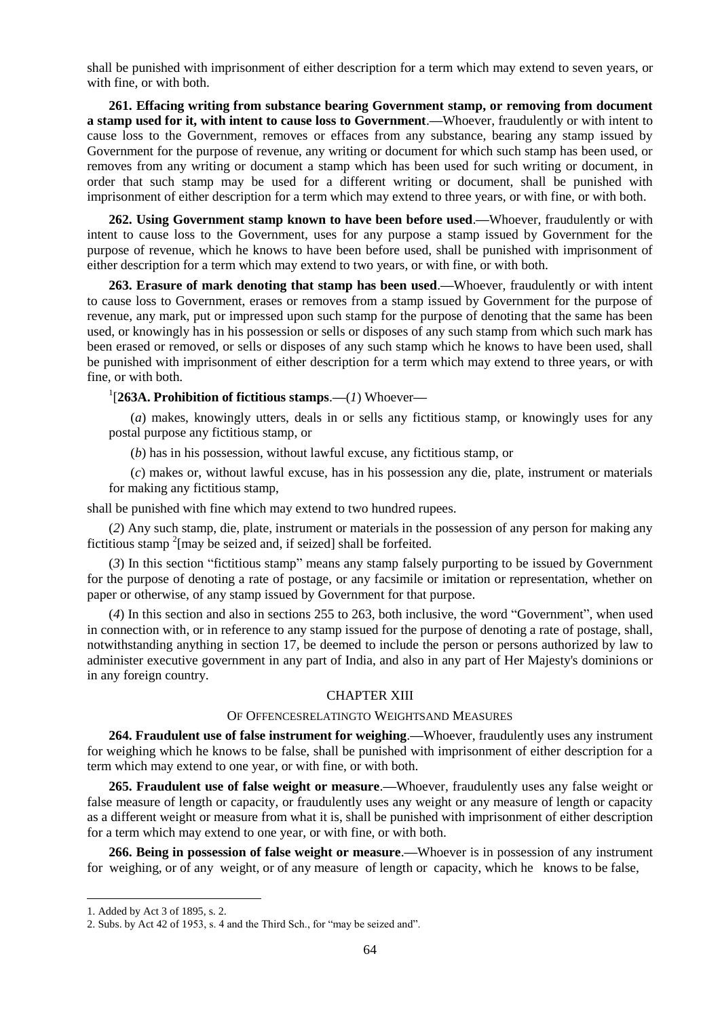shall be punished with imprisonment of either description for a term which may extend to seven years, or with fine, or with both.

**261. Effacing writing from substance bearing Government stamp, or removing from document a stamp used for it, with intent to cause loss to Government**.**—**Whoever, fraudulently or with intent to cause loss to the Government, removes or effaces from any substance, bearing any stamp issued by Government for the purpose of revenue, any writing or document for which such stamp has been used, or removes from any writing or document a stamp which has been used for such writing or document, in order that such stamp may be used for a different writing or document, shall be punished with imprisonment of either description for a term which may extend to three years, or with fine, or with both.

**262. Using Government stamp known to have been before used**.**—**Whoever, fraudulently or with intent to cause loss to the Government, uses for any purpose a stamp issued by Government for the purpose of revenue, which he knows to have been before used, shall be punished with imprisonment of either description for a term which may extend to two years, or with fine, or with both.

**263. Erasure of mark denoting that stamp has been used**.**—**Whoever, fraudulently or with intent to cause loss to Government, erases or removes from a stamp issued by Government for the purpose of revenue, any mark, put or impressed upon such stamp for the purpose of denoting that the same has been used, or knowingly has in his possession or sells or disposes of any such stamp from which such mark has been erased or removed, or sells or disposes of any such stamp which he knows to have been used, shall be punished with imprisonment of either description for a term which may extend to three years, or with fine, or with both.

# 1 [**263A. Prohibition of fictitious stamps**.**—**(*1*) Whoever**—**

(*a*) makes, knowingly utters, deals in or sells any fictitious stamp, or knowingly uses for any postal purpose any fictitious stamp, or

(*b*) has in his possession, without lawful excuse, any fictitious stamp, or

(*c*) makes or, without lawful excuse, has in his possession any die, plate, instrument or materials for making any fictitious stamp,

shall be punished with fine which may extend to two hundred rupees.

(*2*) Any such stamp, die, plate, instrument or materials in the possession of any person for making any fictitious stamp<sup>2</sup> [may be seized and, if seized] shall be forfeited.

(*3*) In this section "fictitious stamp" means any stamp falsely purporting to be issued by Government for the purpose of denoting a rate of postage, or any facsimile or imitation or representation, whether on paper or otherwise, of any stamp issued by Government for that purpose.

(*4*) In this section and also in sections 255 to 263, both inclusive, the word "Government", when used in connection with, or in reference to any stamp issued for the purpose of denoting a rate of postage, shall, notwithstanding anything in section 17, be deemed to include the person or persons authorized by law to administer executive government in any part of India, and also in any part of Her Majesty's dominions or in any foreign country.

# CHAPTER XIII

#### OF OFFENCESRELATINGTO WEIGHTSAND MEASURES

**264. Fraudulent use of false instrument for weighing**.**—**Whoever, fraudulently uses any instrument for weighing which he knows to be false, shall be punished with imprisonment of either description for a term which may extend to one year, or with fine, or with both.

**265. Fraudulent use of false weight or measure**.**—**Whoever, fraudulently uses any false weight or false measure of length or capacity, or fraudulently uses any weight or any measure of length or capacity as a different weight or measure from what it is, shall be punished with imprisonment of either description for a term which may extend to one year, or with fine, or with both.

**266. Being in possession of false weight or measure**.**—**Whoever is in possession of any instrument for weighing, or of any weight, or of any measure of length or capacity, which he knows to be false,

1

<sup>1.</sup> Added by Act 3 of 1895, s. 2.

<sup>2.</sup> Subs. by Act 42 of 1953, s. 4 and the Third Sch., for "may be seized and".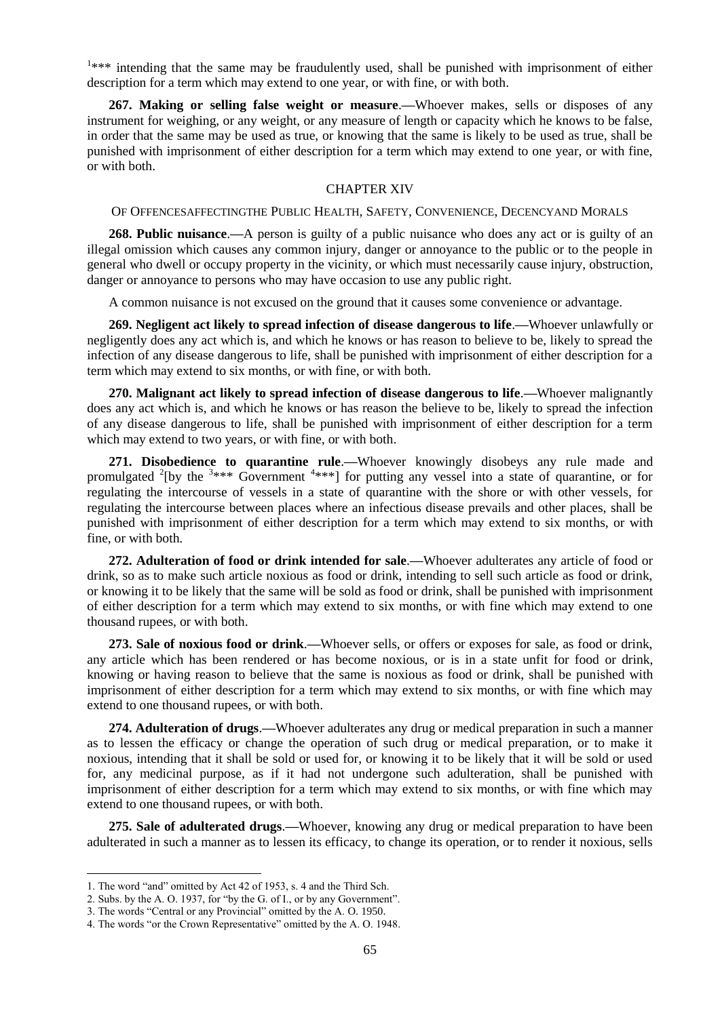$1***$  intending that the same may be fraudulently used, shall be punished with imprisonment of either description for a term which may extend to one year, or with fine, or with both.

**267. Making or selling false weight or measure**.**—**Whoever makes, sells or disposes of any instrument for weighing, or any weight, or any measure of length or capacity which he knows to be false, in order that the same may be used as true, or knowing that the same is likely to be used as true, shall be punished with imprisonment of either description for a term which may extend to one year, or with fine, or with both.

## CHAPTER XIV

OF OFFENCESAFFECTINGTHE PUBLIC HEALTH, SAFETY, CONVENIENCE, DECENCYAND MORALS

**268. Public nuisance**.**—**A person is guilty of a public nuisance who does any act or is guilty of an illegal omission which causes any common injury, danger or annoyance to the public or to the people in general who dwell or occupy property in the vicinity, or which must necessarily cause injury, obstruction, danger or annoyance to persons who may have occasion to use any public right.

A common nuisance is not excused on the ground that it causes some convenience or advantage.

**269. Negligent act likely to spread infection of disease dangerous to life**.**—**Whoever unlawfully or negligently does any act which is, and which he knows or has reason to believe to be, likely to spread the infection of any disease dangerous to life, shall be punished with imprisonment of either description for a term which may extend to six months, or with fine, or with both.

**270. Malignant act likely to spread infection of disease dangerous to life**.**—**Whoever malignantly does any act which is, and which he knows or has reason the believe to be, likely to spread the infection of any disease dangerous to life, shall be punished with imprisonment of either description for a term which may extend to two years, or with fine, or with both.

**271. Disobedience to quarantine rule**.**—**Whoever knowingly disobeys any rule made and promulgated <sup>2</sup>[by the <sup>3\*\*\*</sup> Government <sup>4\*\*\*</sup>] for putting any vessel into a state of quarantine, or for regulating the intercourse of vessels in a state of quarantine with the shore or with other vessels, for regulating the intercourse between places where an infectious disease prevails and other places, shall be punished with imprisonment of either description for a term which may extend to six months, or with fine, or with both.

**272. Adulteration of food or drink intended for sale**.**—**Whoever adulterates any article of food or drink, so as to make such article noxious as food or drink, intending to sell such article as food or drink, or knowing it to be likely that the same will be sold as food or drink, shall be punished with imprisonment of either description for a term which may extend to six months, or with fine which may extend to one thousand rupees, or with both.

**273. Sale of noxious food or drink**.**—**Whoever sells, or offers or exposes for sale, as food or drink, any article which has been rendered or has become noxious, or is in a state unfit for food or drink, knowing or having reason to believe that the same is noxious as food or drink, shall be punished with imprisonment of either description for a term which may extend to six months, or with fine which may extend to one thousand rupees, or with both.

**274. Adulteration of drugs**.**—**Whoever adulterates any drug or medical preparation in such a manner as to lessen the efficacy or change the operation of such drug or medical preparation, or to make it noxious, intending that it shall be sold or used for, or knowing it to be likely that it will be sold or used for, any medicinal purpose, as if it had not undergone such adulteration, shall be punished with imprisonment of either description for a term which may extend to six months, or with fine which may extend to one thousand rupees, or with both.

**275. Sale of adulterated drugs**.**—**Whoever, knowing any drug or medical preparation to have been adulterated in such a manner as to lessen its efficacy, to change its operation, or to render it noxious, sells

<sup>1.</sup> The word "and" omitted by Act 42 of 1953, s. 4 and the Third Sch.

<sup>2.</sup> Subs. by the A. O. 1937, for "by the G. of I., or by any Government".

<sup>3.</sup> The words "Central or any Provincial" omitted by the A. O. 1950.

<sup>4.</sup> The words "or the Crown Representative" omitted by the A. O. 1948.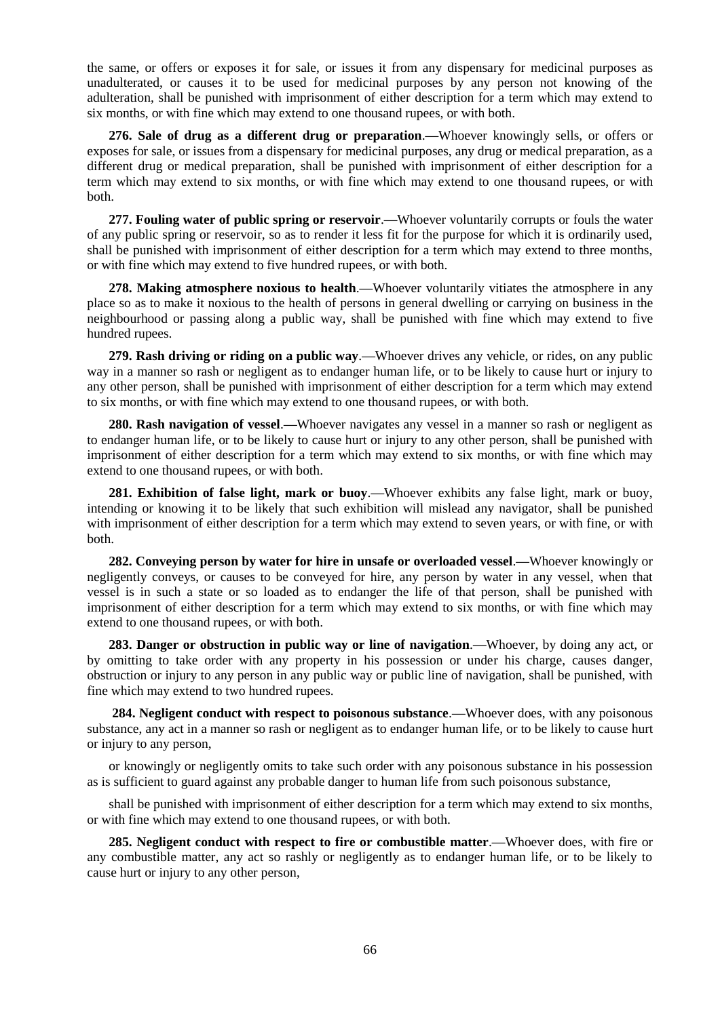the same, or offers or exposes it for sale, or issues it from any dispensary for medicinal purposes as unadulterated, or causes it to be used for medicinal purposes by any person not knowing of the adulteration, shall be punished with imprisonment of either description for a term which may extend to six months, or with fine which may extend to one thousand rupees, or with both.

**276. Sale of drug as a different drug or preparation**.**—**Whoever knowingly sells, or offers or exposes for sale, or issues from a dispensary for medicinal purposes, any drug or medical preparation, as a different drug or medical preparation, shall be punished with imprisonment of either description for a term which may extend to six months, or with fine which may extend to one thousand rupees, or with both.

**277. Fouling water of public spring or reservoir**.**—**Whoever voluntarily corrupts or fouls the water of any public spring or reservoir, so as to render it less fit for the purpose for which it is ordinarily used, shall be punished with imprisonment of either description for a term which may extend to three months, or with fine which may extend to five hundred rupees, or with both.

**278. Making atmosphere noxious to health**.**—**Whoever voluntarily vitiates the atmosphere in any place so as to make it noxious to the health of persons in general dwelling or carrying on business in the neighbourhood or passing along a public way, shall be punished with fine which may extend to five hundred rupees.

**279. Rash driving or riding on a public way**.**—**Whoever drives any vehicle, or rides, on any public way in a manner so rash or negligent as to endanger human life, or to be likely to cause hurt or injury to any other person, shall be punished with imprisonment of either description for a term which may extend to six months, or with fine which may extend to one thousand rupees, or with both.

**280. Rash navigation of vessel**.**—**Whoever navigates any vessel in a manner so rash or negligent as to endanger human life, or to be likely to cause hurt or injury to any other person, shall be punished with imprisonment of either description for a term which may extend to six months, or with fine which may extend to one thousand rupees, or with both.

**281. Exhibition of false light, mark or buoy**.**—**Whoever exhibits any false light, mark or buoy, intending or knowing it to be likely that such exhibition will mislead any navigator, shall be punished with imprisonment of either description for a term which may extend to seven years, or with fine, or with both.

**282. Conveying person by water for hire in unsafe or overloaded vessel**.**—**Whoever knowingly or negligently conveys, or causes to be conveyed for hire, any person by water in any vessel, when that vessel is in such a state or so loaded as to endanger the life of that person, shall be punished with imprisonment of either description for a term which may extend to six months, or with fine which may extend to one thousand rupees, or with both.

**283. Danger or obstruction in public way or line of navigation**.**—**Whoever, by doing any act, or by omitting to take order with any property in his possession or under his charge, causes danger, obstruction or injury to any person in any public way or public line of navigation, shall be punished, with fine which may extend to two hundred rupees.

**284. Negligent conduct with respect to poisonous substance**.**—**Whoever does, with any poisonous substance, any act in a manner so rash or negligent as to endanger human life, or to be likely to cause hurt or injury to any person,

or knowingly or negligently omits to take such order with any poisonous substance in his possession as is sufficient to guard against any probable danger to human life from such poisonous substance,

shall be punished with imprisonment of either description for a term which may extend to six months, or with fine which may extend to one thousand rupees, or with both.

**285. Negligent conduct with respect to fire or combustible matter**.**—**Whoever does, with fire or any combustible matter, any act so rashly or negligently as to endanger human life, or to be likely to cause hurt or injury to any other person,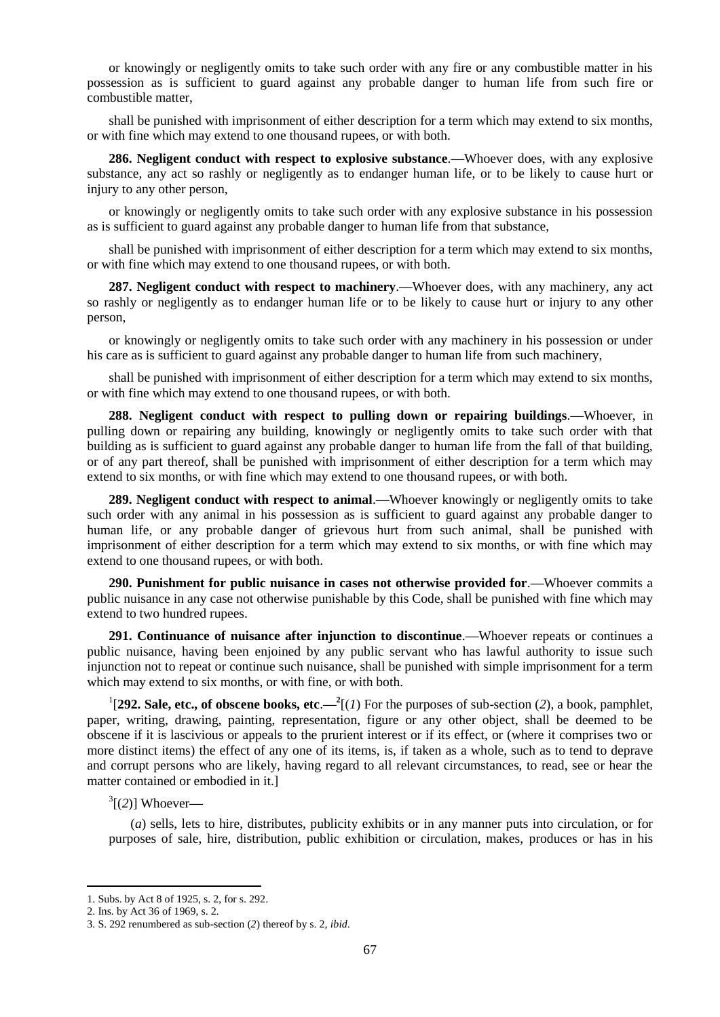or knowingly or negligently omits to take such order with any fire or any combustible matter in his possession as is sufficient to guard against any probable danger to human life from such fire or combustible matter,

shall be punished with imprisonment of either description for a term which may extend to six months, or with fine which may extend to one thousand rupees, or with both.

**286. Negligent conduct with respect to explosive substance**.**—**Whoever does, with any explosive substance, any act so rashly or negligently as to endanger human life, or to be likely to cause hurt or injury to any other person,

or knowingly or negligently omits to take such order with any explosive substance in his possession as is sufficient to guard against any probable danger to human life from that substance,

shall be punished with imprisonment of either description for a term which may extend to six months, or with fine which may extend to one thousand rupees, or with both.

**287. Negligent conduct with respect to machinery**.**—**Whoever does, with any machinery, any act so rashly or negligently as to endanger human life or to be likely to cause hurt or injury to any other person,

or knowingly or negligently omits to take such order with any machinery in his possession or under his care as is sufficient to guard against any probable danger to human life from such machinery,

shall be punished with imprisonment of either description for a term which may extend to six months, or with fine which may extend to one thousand rupees, or with both.

**288. Negligent conduct with respect to pulling down or repairing buildings**.**—**Whoever, in pulling down or repairing any building, knowingly or negligently omits to take such order with that building as is sufficient to guard against any probable danger to human life from the fall of that building, or of any part thereof, shall be punished with imprisonment of either description for a term which may extend to six months, or with fine which may extend to one thousand rupees, or with both.

**289. Negligent conduct with respect to animal**.**—**Whoever knowingly or negligently omits to take such order with any animal in his possession as is sufficient to guard against any probable danger to human life, or any probable danger of grievous hurt from such animal, shall be punished with imprisonment of either description for a term which may extend to six months, or with fine which may extend to one thousand rupees, or with both.

**290. Punishment for public nuisance in cases not otherwise provided for**.**—**Whoever commits a public nuisance in any case not otherwise punishable by this Code, shall be punished with fine which may extend to two hundred rupees.

**291. Continuance of nuisance after injunction to discontinue**.**—**Whoever repeats or continues a public nuisance, having been enjoined by any public servant who has lawful authority to issue such injunction not to repeat or continue such nuisance, shall be punished with simple imprisonment for a term which may extend to six months, or with fine, or with both.

<sup>1</sup>[292. Sale, etc., of obscene books, etc.— $^2$ [(*1*) For the purposes of sub-section (2), a book, pamphlet, paper, writing, drawing, painting, representation, figure or any other object, shall be deemed to be obscene if it is lascivious or appeals to the prurient interest or if its effect, or (where it comprises two or more distinct items) the effect of any one of its items, is, if taken as a whole, such as to tend to deprave and corrupt persons who are likely, having regard to all relevant circumstances, to read, see or hear the matter contained or embodied in it.]

3 [(*2*)] Whoever**—**

(*a*) sells, lets to hire, distributes, publicity exhibits or in any manner puts into circulation, or for purposes of sale, hire, distribution, public exhibition or circulation, makes, produces or has in his

<sup>1.</sup> Subs. by Act 8 of 1925, s. 2, for s. 292.

<sup>2.</sup> Ins. by Act 36 of 1969, s. 2.

<sup>3.</sup> S. 292 renumbered as sub-section (*2*) thereof by s. 2, *ibid*.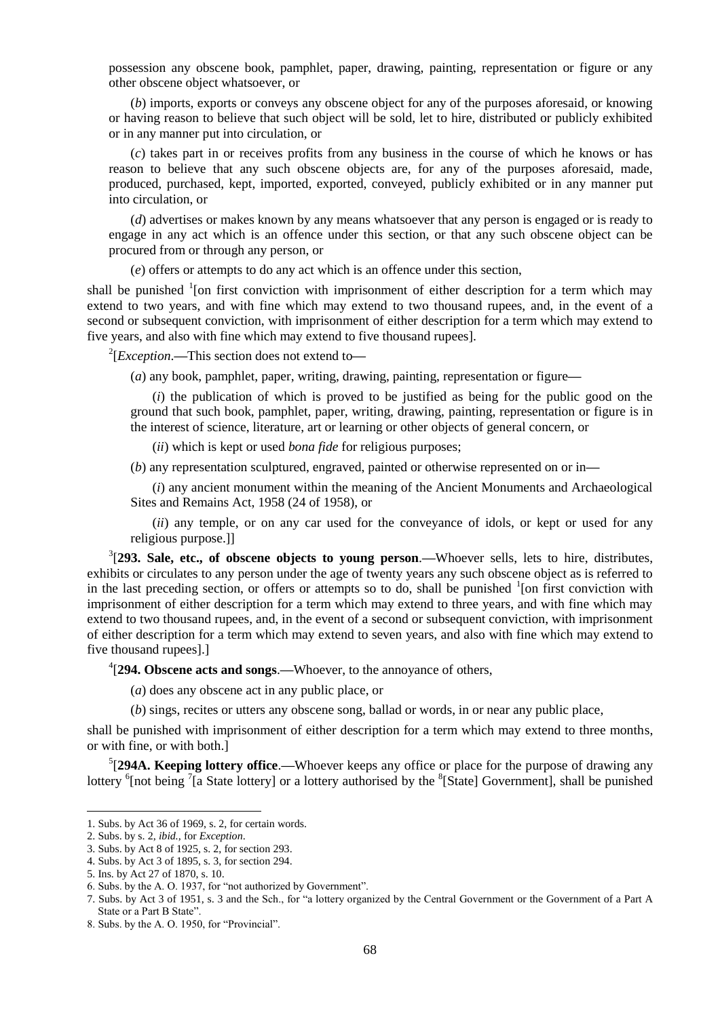possession any obscene book, pamphlet, paper, drawing, painting, representation or figure or any other obscene object whatsoever, or

(*b*) imports, exports or conveys any obscene object for any of the purposes aforesaid, or knowing or having reason to believe that such object will be sold, let to hire, distributed or publicly exhibited or in any manner put into circulation, or

(*c*) takes part in or receives profits from any business in the course of which he knows or has reason to believe that any such obscene objects are, for any of the purposes aforesaid, made, produced, purchased, kept, imported, exported, conveyed, publicly exhibited or in any manner put into circulation, or

(*d*) advertises or makes known by any means whatsoever that any person is engaged or is ready to engage in any act which is an offence under this section, or that any such obscene object can be procured from or through any person, or

(*e*) offers or attempts to do any act which is an offence under this section,

shall be punished  $\frac{1}{2}$  [on first conviction with imprisonment of either description for a term which may extend to two years, and with fine which may extend to two thousand rupees, and, in the event of a second or subsequent conviction, with imprisonment of either description for a term which may extend to five years, and also with fine which may extend to five thousand rupees].

2 [*Exception*.**—**This section does not extend to**—**

(*a*) any book, pamphlet, paper, writing, drawing, painting, representation or figure**—**

(*i*) the publication of which is proved to be justified as being for the public good on the ground that such book, pamphlet, paper, writing, drawing, painting, representation or figure is in the interest of science, literature, art or learning or other objects of general concern, or

(*ii*) which is kept or used *bona fide* for religious purposes;

(*b*) any representation sculptured, engraved, painted or otherwise represented on or in**—**

(*i*) any ancient monument within the meaning of the Ancient Monuments and Archaeological Sites and Remains Act, 1958 (24 of 1958), or

(*ii*) any temple, or on any car used for the conveyance of idols, or kept or used for any religious purpose.]]

3 [**293. Sale, etc., of obscene objects to young person**.**—**Whoever sells, lets to hire, distributes, exhibits or circulates to any person under the age of twenty years any such obscene object as is referred to in the last preceding section, or offers or attempts so to do, shall be punished  $\frac{1}{2}$  [on first conviction with imprisonment of either description for a term which may extend to three years, and with fine which may extend to two thousand rupees, and, in the event of a second or subsequent conviction, with imprisonment of either description for a term which may extend to seven years, and also with fine which may extend to five thousand rupees].]

4 [**294. Obscene acts and songs**.**—**Whoever, to the annoyance of others,

(*a*) does any obscene act in any public place, or

(*b*) sings, recites or utters any obscene song, ballad or words, in or near any public place,

shall be punished with imprisonment of either description for a term which may extend to three months, or with fine, or with both.]

5 [**294A. Keeping lottery office**.**—**Whoever keeps any office or place for the purpose of drawing any lottery <sup>6</sup>[not being<sup>7</sup>[a State lottery] or a lottery authorised by the <sup>8</sup>[State] Government], shall be punished

<sup>1.</sup> Subs. by Act 36 of 1969, s. 2, for certain words.

<sup>2.</sup> Subs. by s. 2, *ibid.,* for *Exception*.

<sup>3.</sup> Subs. by Act 8 of 1925, s. 2, for section 293.

<sup>4.</sup> Subs. by Act 3 of 1895, s. 3, for section 294.

<sup>5.</sup> Ins. by Act 27 of 1870, s. 10.

<sup>6.</sup> Subs. by the A. O. 1937, for "not authorized by Government".

<sup>7.</sup> Subs. by Act 3 of 1951, s. 3 and the Sch., for "a lottery organized by the Central Government or the Government of a Part A State or a Part B State".

<sup>8.</sup> Subs. by the A. O. 1950, for "Provincial".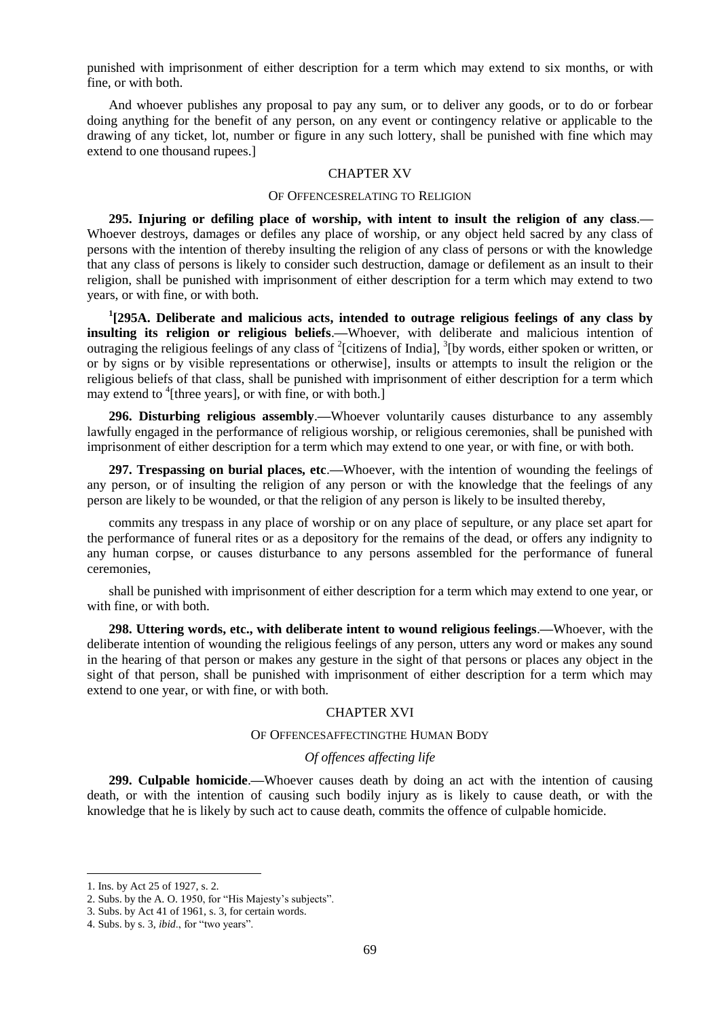punished with imprisonment of either description for a term which may extend to six months, or with fine, or with both.

And whoever publishes any proposal to pay any sum, or to deliver any goods, or to do or forbear doing anything for the benefit of any person, on any event or contingency relative or applicable to the drawing of any ticket, lot, number or figure in any such lottery, shall be punished with fine which may extend to one thousand rupees.]

## CHAPTER XV

## OF OFFENCESRELATING TO RELIGION

**295. Injuring or defiling place of worship, with intent to insult the religion of any class**.**—** Whoever destroys, damages or defiles any place of worship, or any object held sacred by any class of persons with the intention of thereby insulting the religion of any class of persons or with the knowledge that any class of persons is likely to consider such destruction, damage or defilement as an insult to their religion, shall be punished with imprisonment of either description for a term which may extend to two years, or with fine, or with both.

**1 [295A. Deliberate and malicious acts, intended to outrage religious feelings of any class by insulting its religion or religious beliefs**.**—**Whoever, with deliberate and malicious intention of outraging the religious feelings of any class of  $^{2}$ [citizens of India],  $^{3}$ [by words, either spoken or written, or or by signs or by visible representations or otherwise], insults or attempts to insult the religion or the religious beliefs of that class, shall be punished with imprisonment of either description for a term which may extend to <sup>4</sup>[three years], or with fine, or with both.]

**296. Disturbing religious assembly**.**—**Whoever voluntarily causes disturbance to any assembly lawfully engaged in the performance of religious worship, or religious ceremonies, shall be punished with imprisonment of either description for a term which may extend to one year, or with fine, or with both.

**297. Trespassing on burial places, etc**.**—**Whoever, with the intention of wounding the feelings of any person, or of insulting the religion of any person or with the knowledge that the feelings of any person are likely to be wounded, or that the religion of any person is likely to be insulted thereby,

commits any trespass in any place of worship or on any place of sepulture, or any place set apart for the performance of funeral rites or as a depository for the remains of the dead, or offers any indignity to any human corpse, or causes disturbance to any persons assembled for the performance of funeral ceremonies,

shall be punished with imprisonment of either description for a term which may extend to one year, or with fine, or with both.

**298. Uttering words, etc., with deliberate intent to wound religious feelings**.**—**Whoever, with the deliberate intention of wounding the religious feelings of any person, utters any word or makes any sound in the hearing of that person or makes any gesture in the sight of that persons or places any object in the sight of that person, shall be punished with imprisonment of either description for a term which may extend to one year, or with fine, or with both.

## CHAPTER XVI

## OF OFFENCESAFFECTINGTHE HUMAN BODY

#### *Of offences affecting life*

**299. Culpable homicide**.**—**Whoever causes death by doing an act with the intention of causing death, or with the intention of causing such bodily injury as is likely to cause death, or with the knowledge that he is likely by such act to cause death, commits the offence of culpable homicide.

<sup>1.</sup> Ins. by Act 25 of 1927, s. 2.

<sup>2.</sup> Subs. by the A. O. 1950, for "His Majesty's subjects".

<sup>3.</sup> Subs. by Act 41 of 1961, s. 3, for certain words.

<sup>4.</sup> Subs. by s. 3, *ibid*., for "two years".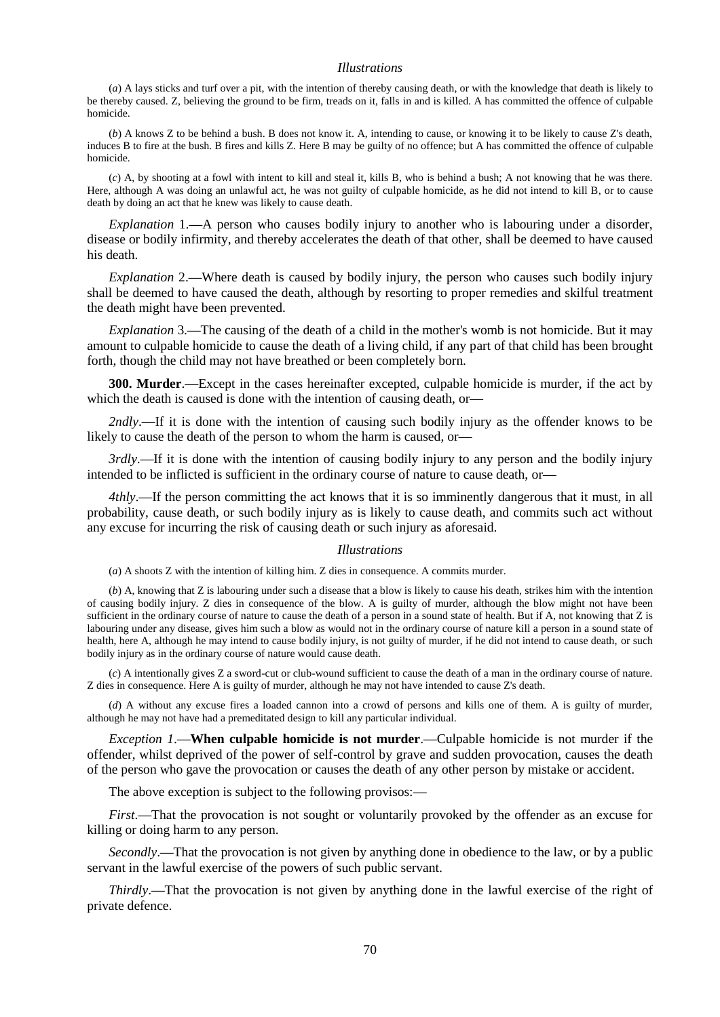#### *Illustrations*

(*a*) A lays sticks and turf over a pit, with the intention of thereby causing death, or with the knowledge that death is likely to be thereby caused. Z, believing the ground to be firm, treads on it, falls in and is killed. A has committed the offence of culpable homicide.

(*b*) A knows Z to be behind a bush. B does not know it. A, intending to cause, or knowing it to be likely to cause Z's death, induces B to fire at the bush. B fires and kills Z. Here B may be guilty of no offence; but A has committed the offence of culpable homicide.

(*c*) A, by shooting at a fowl with intent to kill and steal it, kills B, who is behind a bush; A not knowing that he was there. Here, although A was doing an unlawful act, he was not guilty of culpable homicide, as he did not intend to kill B, or to cause death by doing an act that he knew was likely to cause death.

*Explanation* 1.**—**A person who causes bodily injury to another who is labouring under a disorder, disease or bodily infirmity, and thereby accelerates the death of that other, shall be deemed to have caused his death.

*Explanation* 2.**—**Where death is caused by bodily injury, the person who causes such bodily injury shall be deemed to have caused the death, although by resorting to proper remedies and skilful treatment the death might have been prevented.

*Explanation* 3.**—**The causing of the death of a child in the mother's womb is not homicide. But it may amount to culpable homicide to cause the death of a living child, if any part of that child has been brought forth, though the child may not have breathed or been completely born.

**300. Murder**.**—**Except in the cases hereinafter excepted, culpable homicide is murder, if the act by which the death is caused is done with the intention of causing death, or-

*2ndly*.**—**If it is done with the intention of causing such bodily injury as the offender knows to be likely to cause the death of the person to whom the harm is caused, or**—**

*3rdly*.**—**If it is done with the intention of causing bodily injury to any person and the bodily injury intended to be inflicted is sufficient in the ordinary course of nature to cause death, or**—**

*4thly*.**—**If the person committing the act knows that it is so imminently dangerous that it must, in all probability, cause death, or such bodily injury as is likely to cause death, and commits such act without any excuse for incurring the risk of causing death or such injury as aforesaid.

## *Illustrations*

(*a*) A shoots Z with the intention of killing him. Z dies in consequence. A commits murder.

(*b*) A, knowing that Z is labouring under such a disease that a blow is likely to cause his death, strikes him with the intention of causing bodily injury. Z dies in consequence of the blow. A is guilty of murder, although the blow might not have been sufficient in the ordinary course of nature to cause the death of a person in a sound state of health. But if A, not knowing that Z is labouring under any disease, gives him such a blow as would not in the ordinary course of nature kill a person in a sound state of health, here A, although he may intend to cause bodily injury, is not guilty of murder, if he did not intend to cause death, or such bodily injury as in the ordinary course of nature would cause death.

(*c*) A intentionally gives Z a sword-cut or club-wound sufficient to cause the death of a man in the ordinary course of nature. Z dies in consequence. Here A is guilty of murder, although he may not have intended to cause Z's death.

(*d*) A without any excuse fires a loaded cannon into a crowd of persons and kills one of them. A is guilty of murder, although he may not have had a premeditated design to kill any particular individual.

*Exception 1*.**—When culpable homicide is not murder**.**—**Culpable homicide is not murder if the offender, whilst deprived of the power of self-control by grave and sudden provocation, causes the death of the person who gave the provocation or causes the death of any other person by mistake or accident.

The above exception is subject to the following provisos:**—**

*First*.**—**That the provocation is not sought or voluntarily provoked by the offender as an excuse for killing or doing harm to any person.

*Secondly*.**—**That the provocation is not given by anything done in obedience to the law, or by a public servant in the lawful exercise of the powers of such public servant.

*Thirdly*.**—**That the provocation is not given by anything done in the lawful exercise of the right of private defence.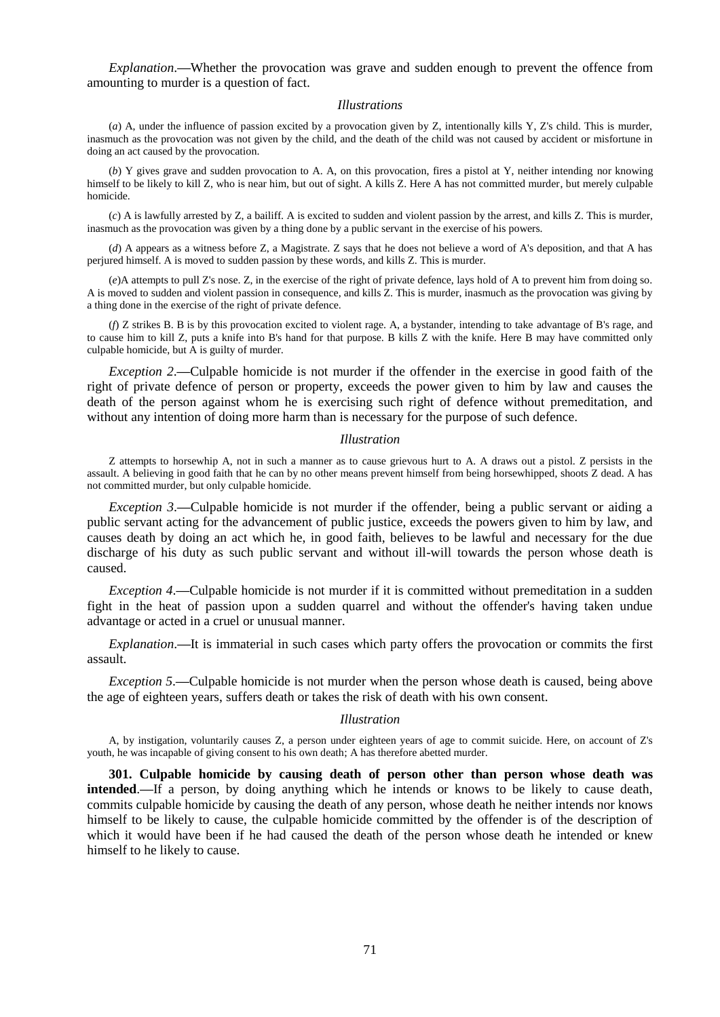*Explanation*.**—**Whether the provocation was grave and sudden enough to prevent the offence from amounting to murder is a question of fact.

#### *Illustrations*

(*a*) A, under the influence of passion excited by a provocation given by Z, intentionally kills Y, Z's child. This is murder, inasmuch as the provocation was not given by the child, and the death of the child was not caused by accident or misfortune in doing an act caused by the provocation.

(*b*) Y gives grave and sudden provocation to A. A, on this provocation, fires a pistol at Y, neither intending nor knowing himself to be likely to kill Z, who is near him, but out of sight. A kills Z. Here A has not committed murder, but merely culpable homicide.

(*c*) A is lawfully arrested by Z, a bailiff. A is excited to sudden and violent passion by the arrest, and kills Z. This is murder, inasmuch as the provocation was given by a thing done by a public servant in the exercise of his powers.

(*d*) A appears as a witness before Z, a Magistrate. Z says that he does not believe a word of A's deposition, and that A has perjured himself. A is moved to sudden passion by these words, and kills Z. This is murder.

(*e*)A attempts to pull Z's nose. Z, in the exercise of the right of private defence, lays hold of A to prevent him from doing so. A is moved to sudden and violent passion in consequence, and kills Z. This is murder, inasmuch as the provocation was giving by a thing done in the exercise of the right of private defence.

(*f*) Z strikes B. B is by this provocation excited to violent rage. A, a bystander, intending to take advantage of B's rage, and to cause him to kill Z, puts a knife into B's hand for that purpose. B kills Z with the knife. Here B may have committed only culpable homicide, but A is guilty of murder.

*Exception 2*.**—**Culpable homicide is not murder if the offender in the exercise in good faith of the right of private defence of person or property, exceeds the power given to him by law and causes the death of the person against whom he is exercising such right of defence without premeditation, and without any intention of doing more harm than is necessary for the purpose of such defence.

#### *Illustration*

Z attempts to horsewhip A, not in such a manner as to cause grievous hurt to A. A draws out a pistol. Z persists in the assault. A believing in good faith that he can by no other means prevent himself from being horsewhipped, shoots Z dead. A has not committed murder, but only culpable homicide.

*Exception 3.*—Culpable homicide is not murder if the offender, being a public servant or aiding a public servant acting for the advancement of public justice, exceeds the powers given to him by law, and causes death by doing an act which he, in good faith, believes to be lawful and necessary for the due discharge of his duty as such public servant and without ill-will towards the person whose death is caused.

*Exception 4*.**—**Culpable homicide is not murder if it is committed without premeditation in a sudden fight in the heat of passion upon a sudden quarrel and without the offender's having taken undue advantage or acted in a cruel or unusual manner.

*Explanation*.**—**It is immaterial in such cases which party offers the provocation or commits the first assault.

*Exception 5*.**—**Culpable homicide is not murder when the person whose death is caused, being above the age of eighteen years, suffers death or takes the risk of death with his own consent.

## *Illustration*

A, by instigation, voluntarily causes Z, a person under eighteen years of age to commit suicide. Here, on account of Z's youth, he was incapable of giving consent to his own death; A has therefore abetted murder.

**301. Culpable homicide by causing death of person other than person whose death was intended**.**—**If a person, by doing anything which he intends or knows to be likely to cause death, commits culpable homicide by causing the death of any person, whose death he neither intends nor knows himself to be likely to cause, the culpable homicide committed by the offender is of the description of which it would have been if he had caused the death of the person whose death he intended or knew himself to he likely to cause.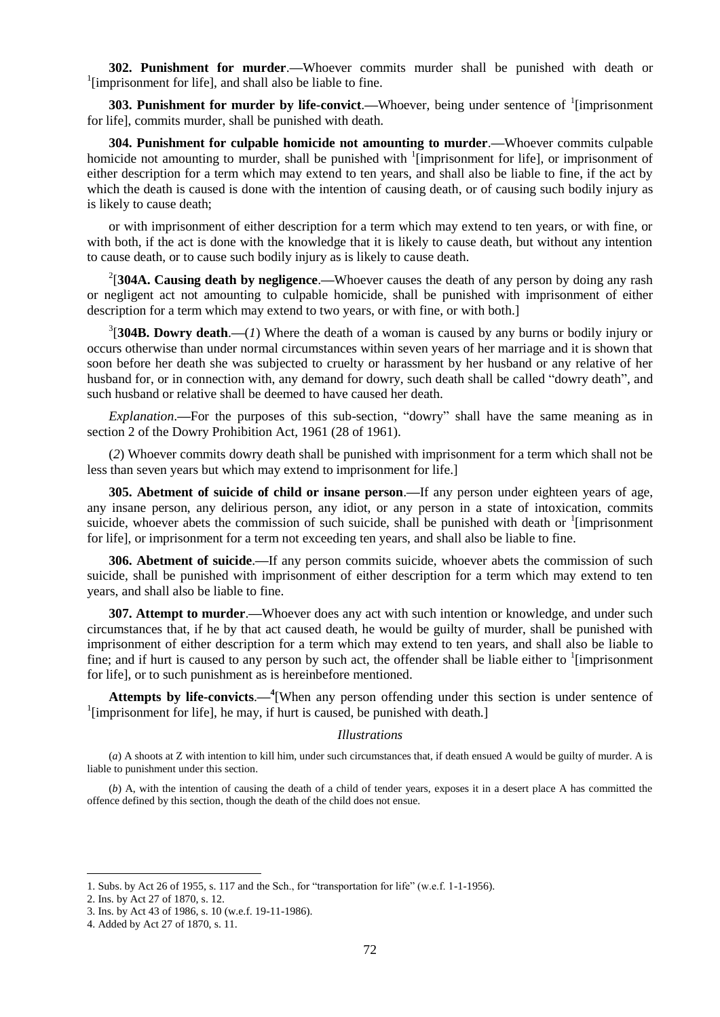**302. Punishment for murder**.**—**Whoever commits murder shall be punished with death or <sup>1</sup>[imprisonment for life], and shall also be liable to fine.

**303. Punishment for murder by life-convict.—Whoever, being under sentence of <sup>1</sup>[imprisonment** for life], commits murder, shall be punished with death.

**304. Punishment for culpable homicide not amounting to murder**.**—**Whoever commits culpable homicide not amounting to murder, shall be punished with <sup>1</sup>[imprisonment for life], or imprisonment of either description for a term which may extend to ten years, and shall also be liable to fine, if the act by which the death is caused is done with the intention of causing death, or of causing such bodily injury as is likely to cause death;

or with imprisonment of either description for a term which may extend to ten years, or with fine, or with both, if the act is done with the knowledge that it is likely to cause death, but without any intention to cause death, or to cause such bodily injury as is likely to cause death.

2 [**304A. Causing death by negligence**.**—**Whoever causes the death of any person by doing any rash or negligent act not amounting to culpable homicide, shall be punished with imprisonment of either description for a term which may extend to two years, or with fine, or with both.]

3 [**304B. Dowry death**.**—**(*1*) Where the death of a woman is caused by any burns or bodily injury or occurs otherwise than under normal circumstances within seven years of her marriage and it is shown that soon before her death she was subjected to cruelty or harassment by her husband or any relative of her husband for, or in connection with, any demand for dowry, such death shall be called "dowry death", and such husband or relative shall be deemed to have caused her death.

*Explanation*.**—**For the purposes of this sub-section, "dowry" shall have the same meaning as in section 2 of the Dowry Prohibition Act, 1961 (28 of 1961).

(*2*) Whoever commits dowry death shall be punished with imprisonment for a term which shall not be less than seven years but which may extend to imprisonment for life.]

**305. Abetment of suicide of child or insane person**.**—**If any person under eighteen years of age, any insane person, any delirious person, any idiot, or any person in a state of intoxication, commits suicide, whoever abets the commission of such suicide, shall be punished with death or <sup>1</sup>[imprisonment for life], or imprisonment for a term not exceeding ten years, and shall also be liable to fine.

**306. Abetment of suicide**.**—**If any person commits suicide, whoever abets the commission of such suicide, shall be punished with imprisonment of either description for a term which may extend to ten years, and shall also be liable to fine.

**307. Attempt to murder**.**—**Whoever does any act with such intention or knowledge, and under such circumstances that, if he by that act caused death, he would be guilty of murder, shall be punished with imprisonment of either description for a term which may extend to ten years, and shall also be liable to fine; and if hurt is caused to any person by such act, the offender shall be liable either to  $\frac{1}{2}$  [imprisonment for life], or to such punishment as is hereinbefore mentioned.

**Attempts by life-convicts**.**—<sup>4</sup>** [When any person offending under this section is under sentence of <sup>1</sup>[imprisonment for life], he may, if hurt is caused, be punished with death.]

#### *Illustrations*

(*a*) A shoots at Z with intention to kill him, under such circumstances that, if death ensued A would be guilty of murder. A is liable to punishment under this section.

(*b*) A, with the intention of causing the death of a child of tender years, exposes it in a desert place A has committed the offence defined by this section, though the death of the child does not ensue.

<sup>1.</sup> Subs. by Act 26 of 1955, s. 117 and the Sch., for "transportation for life" (w.e.f. 1-1-1956).

<sup>2.</sup> Ins. by Act 27 of 1870, s. 12.

<sup>3.</sup> Ins. by Act 43 of 1986, s. 10 (w.e.f. 19-11-1986).

<sup>4.</sup> Added by Act 27 of 1870, s. 11.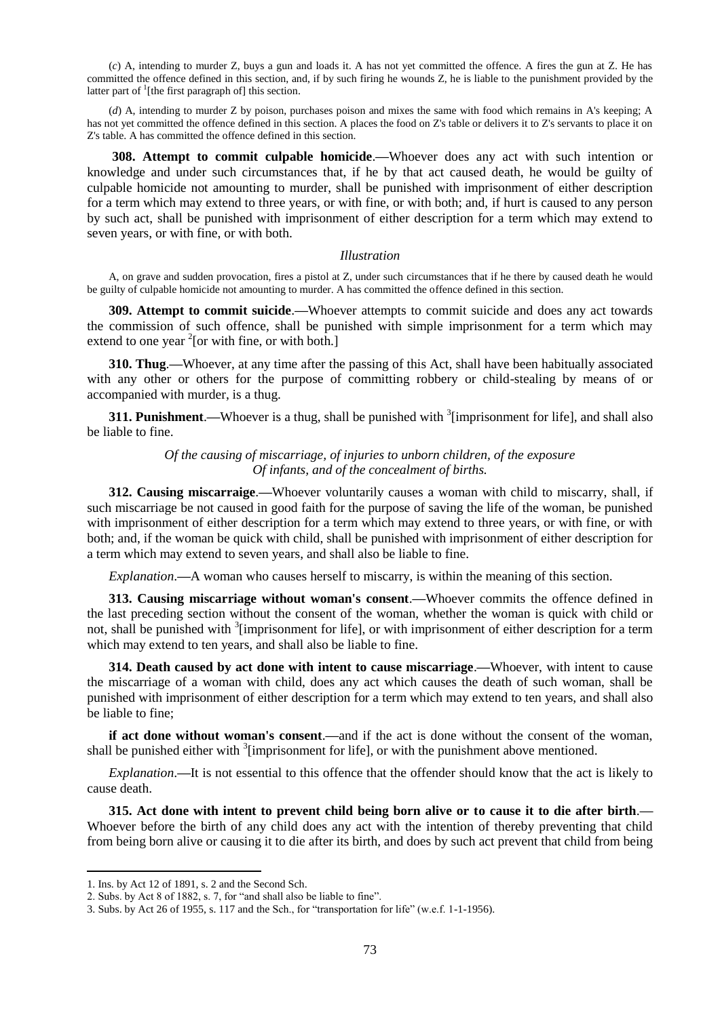(*c*) A, intending to murder Z, buys a gun and loads it. A has not yet committed the offence. A fires the gun at Z. He has committed the offence defined in this section, and, if by such firing he wounds Z, he is liable to the punishment provided by the latter part of  $\frac{1}{1}$ [the first paragraph of] this section.

(*d*) A, intending to murder Z by poison, purchases poison and mixes the same with food which remains in A's keeping; A has not yet committed the offence defined in this section. A places the food on Z's table or delivers it to Z's servants to place it on Z's table. A has committed the offence defined in this section.

**308. Attempt to commit culpable homicide**.**—**Whoever does any act with such intention or knowledge and under such circumstances that, if he by that act caused death, he would be guilty of culpable homicide not amounting to murder, shall be punished with imprisonment of either description for a term which may extend to three years, or with fine, or with both; and, if hurt is caused to any person by such act, shall be punished with imprisonment of either description for a term which may extend to seven years, or with fine, or with both.

#### *Illustration*

A, on grave and sudden provocation, fires a pistol at Z, under such circumstances that if he there by caused death he would be guilty of culpable homicide not amounting to murder. A has committed the offence defined in this section.

**309. Attempt to commit suicide**.**—**Whoever attempts to commit suicide and does any act towards the commission of such offence, shall be punished with simple imprisonment for a term which may extend to one year  $2$ [or with fine, or with both.]

**310. Thug**.**—**Whoever, at any time after the passing of this Act, shall have been habitually associated with any other or others for the purpose of committing robbery or child-stealing by means of or accompanied with murder, is a thug.

**311. Punishment.—Whoever is a thug, shall be punished with <sup>3</sup>[imprisonment for life], and shall also** be liable to fine.

# *Of the causing of miscarriage, of injuries to unborn children, of the exposure Of infants, and of the concealment of births.*

**312. Causing miscarraige**.**—**Whoever voluntarily causes a woman with child to miscarry, shall, if such miscarriage be not caused in good faith for the purpose of saving the life of the woman, be punished with imprisonment of either description for a term which may extend to three years, or with fine, or with both; and, if the woman be quick with child, shall be punished with imprisonment of either description for a term which may extend to seven years, and shall also be liable to fine.

*Explanation*.**—**A woman who causes herself to miscarry, is within the meaning of this section.

**313. Causing miscarriage without woman's consent**.**—**Whoever commits the offence defined in the last preceding section without the consent of the woman, whether the woman is quick with child or not, shall be punished with <sup>3</sup>[imprisonment for life], or with imprisonment of either description for a term which may extend to ten years, and shall also be liable to fine.

**314. Death caused by act done with intent to cause miscarriage**.**—**Whoever, with intent to cause the miscarriage of a woman with child, does any act which causes the death of such woman, shall be punished with imprisonment of either description for a term which may extend to ten years, and shall also be liable to fine;

**if act done without woman's consent**.**—**and if the act is done without the consent of the woman, shall be punished either with <sup>3</sup>[imprisonment for life], or with the punishment above mentioned.

*Explanation*.**—**It is not essential to this offence that the offender should know that the act is likely to cause death.

**315. Act done with intent to prevent child being born alive or to cause it to die after birth**.**—** Whoever before the birth of any child does any act with the intention of thereby preventing that child from being born alive or causing it to die after its birth, and does by such act prevent that child from being

<sup>1.</sup> Ins. by Act 12 of 1891, s. 2 and the Second Sch.

<sup>2.</sup> Subs. by Act 8 of 1882, s. 7, for "and shall also be liable to fine".

<sup>3.</sup> Subs. by Act 26 of 1955, s. 117 and the Sch., for "transportation for life" (w.e.f. 1-1-1956).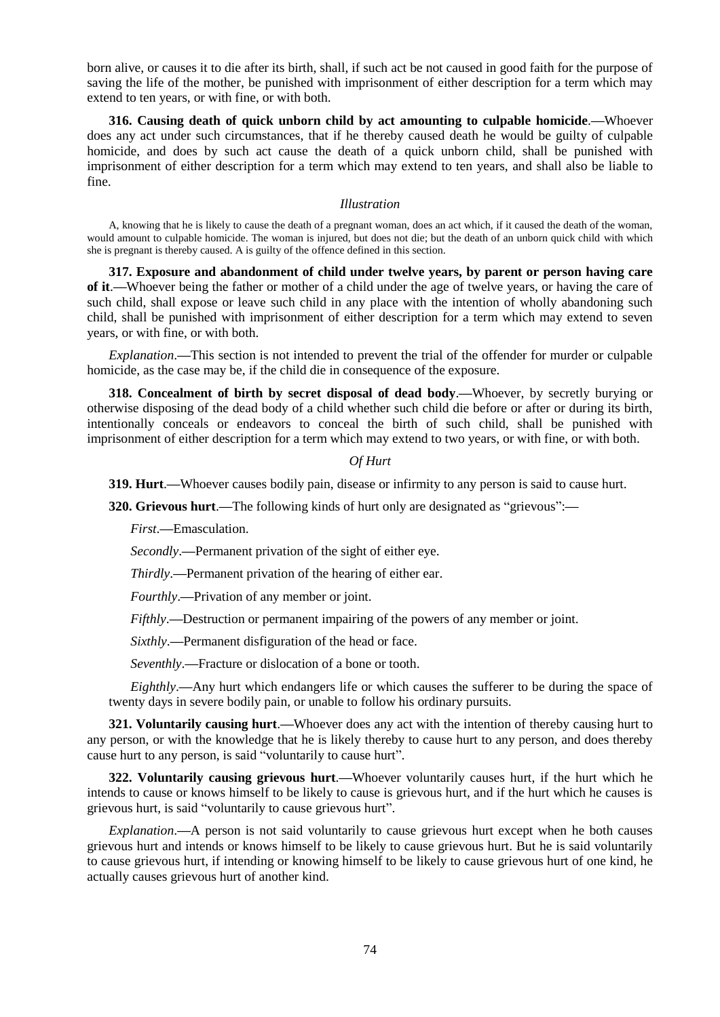born alive, or causes it to die after its birth, shall, if such act be not caused in good faith for the purpose of saving the life of the mother, be punished with imprisonment of either description for a term which may extend to ten years, or with fine, or with both.

**316. Causing death of quick unborn child by act amounting to culpable homicide**.**—**Whoever does any act under such circumstances, that if he thereby caused death he would be guilty of culpable homicide, and does by such act cause the death of a quick unborn child, shall be punished with imprisonment of either description for a term which may extend to ten years, and shall also be liable to fine.

### *Illustration*

A, knowing that he is likely to cause the death of a pregnant woman, does an act which, if it caused the death of the woman, would amount to culpable homicide. The woman is injured, but does not die; but the death of an unborn quick child with which she is pregnant is thereby caused. A is guilty of the offence defined in this section.

**317. Exposure and abandonment of child under twelve years, by parent or person having care of it**.**—**Whoever being the father or mother of a child under the age of twelve years, or having the care of such child, shall expose or leave such child in any place with the intention of wholly abandoning such child, shall be punished with imprisonment of either description for a term which may extend to seven years, or with fine, or with both.

*Explanation*.**—**This section is not intended to prevent the trial of the offender for murder or culpable homicide, as the case may be, if the child die in consequence of the exposure.

**318. Concealment of birth by secret disposal of dead body**.**—**Whoever, by secretly burying or otherwise disposing of the dead body of a child whether such child die before or after or during its birth, intentionally conceals or endeavors to conceal the birth of such child, shall be punished with imprisonment of either description for a term which may extend to two years, or with fine, or with both.

## *Of Hurt*

**319. Hurt**.**—**Whoever causes bodily pain, disease or infirmity to any person is said to cause hurt.

**320. Grievous hurt**.**—**The following kinds of hurt only are designated as "grievous":**—**

*First*.**—**Emasculation.

*Secondly*.**—**Permanent privation of the sight of either eye.

*Thirdly*.**—**Permanent privation of the hearing of either ear.

*Fourthly*.**—**Privation of any member or joint.

*Fifthly*.**—**Destruction or permanent impairing of the powers of any member or joint.

*Sixthly*.**—**Permanent disfiguration of the head or face.

*Seventhly*.**—**Fracture or dislocation of a bone or tooth.

*Eighthly*.**—**Any hurt which endangers life or which causes the sufferer to be during the space of twenty days in severe bodily pain, or unable to follow his ordinary pursuits.

**321. Voluntarily causing hurt**.**—**Whoever does any act with the intention of thereby causing hurt to any person, or with the knowledge that he is likely thereby to cause hurt to any person, and does thereby cause hurt to any person, is said "voluntarily to cause hurt".

**322. Voluntarily causing grievous hurt**.**—**Whoever voluntarily causes hurt, if the hurt which he intends to cause or knows himself to be likely to cause is grievous hurt, and if the hurt which he causes is grievous hurt, is said "voluntarily to cause grievous hurt".

*Explanation*.**—**A person is not said voluntarily to cause grievous hurt except when he both causes grievous hurt and intends or knows himself to be likely to cause grievous hurt. But he is said voluntarily to cause grievous hurt, if intending or knowing himself to be likely to cause grievous hurt of one kind, he actually causes grievous hurt of another kind.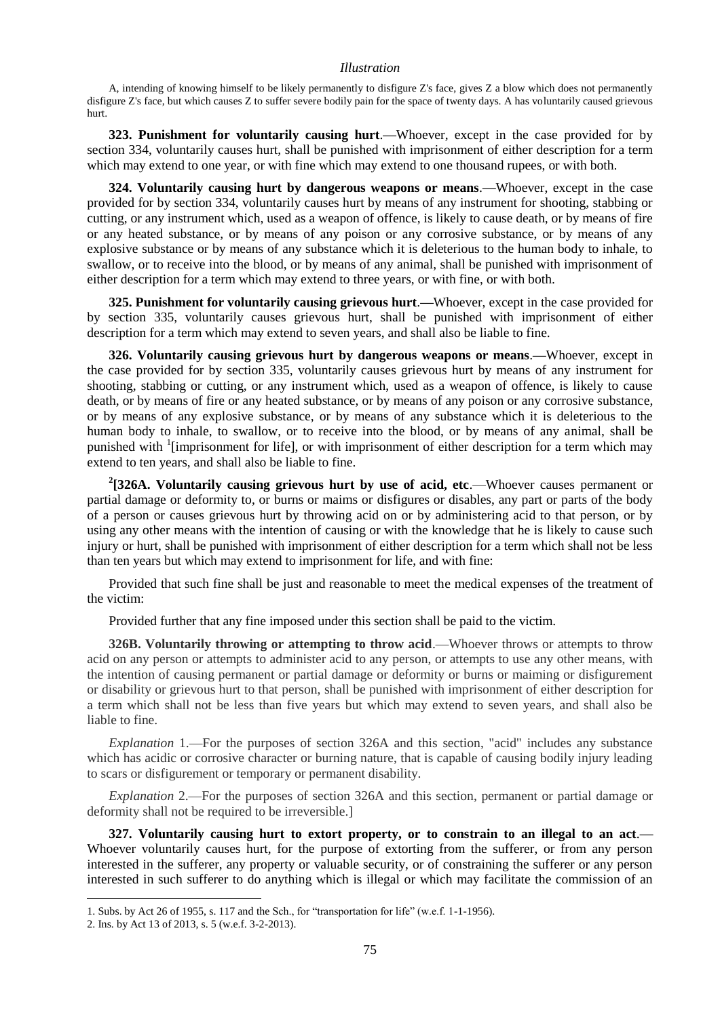#### *Illustration*

A, intending of knowing himself to be likely permanently to disfigure Z's face, gives Z a blow which does not permanently disfigure Z's face, but which causes Z to suffer severe bodily pain for the space of twenty days. A has voluntarily caused grievous hurt.

**323. Punishment for voluntarily causing hurt**.**—**Whoever, except in the case provided for by section 334, voluntarily causes hurt, shall be punished with imprisonment of either description for a term which may extend to one year, or with fine which may extend to one thousand rupees, or with both.

**324. Voluntarily causing hurt by dangerous weapons or means**.**—**Whoever, except in the case provided for by section 334, voluntarily causes hurt by means of any instrument for shooting, stabbing or cutting, or any instrument which, used as a weapon of offence, is likely to cause death, or by means of fire or any heated substance, or by means of any poison or any corrosive substance, or by means of any explosive substance or by means of any substance which it is deleterious to the human body to inhale, to swallow, or to receive into the blood, or by means of any animal, shall be punished with imprisonment of either description for a term which may extend to three years, or with fine, or with both.

**325. Punishment for voluntarily causing grievous hurt**.**—**Whoever, except in the case provided for by section 335, voluntarily causes grievous hurt, shall be punished with imprisonment of either description for a term which may extend to seven years, and shall also be liable to fine.

**326. Voluntarily causing grievous hurt by dangerous weapons or means**.**—**Whoever, except in the case provided for by section 335, voluntarily causes grievous hurt by means of any instrument for shooting, stabbing or cutting, or any instrument which, used as a weapon of offence, is likely to cause death, or by means of fire or any heated substance, or by means of any poison or any corrosive substance, or by means of any explosive substance, or by means of any substance which it is deleterious to the human body to inhale, to swallow, or to receive into the blood, or by means of any animal, shall be punished with <sup>1</sup>[imprisonment for life], or with imprisonment of either description for a term which may extend to ten years, and shall also be liable to fine.

<sup>2</sup>[326A. Voluntarily causing grievous hurt by use of acid, etc.—Whoever causes permanent or partial damage or deformity to, or burns or maims or disfigures or disables, any part or parts of the body of a person or causes grievous hurt by throwing acid on or by administering acid to that person, or by using any other means with the intention of causing or with the knowledge that he is likely to cause such injury or hurt, shall be punished with imprisonment of either description for a term which shall not be less than ten years but which may extend to imprisonment for life, and with fine:

Provided that such fine shall be just and reasonable to meet the medical expenses of the treatment of the victim:

Provided further that any fine imposed under this section shall be paid to the victim.

**326B. Voluntarily throwing or attempting to throw acid**.—Whoever throws or attempts to throw acid on any person or attempts to administer acid to any person, or attempts to use any other means, with the intention of causing permanent or partial damage or deformity or burns or maiming or disfigurement or disability or grievous hurt to that person, shall be punished with imprisonment of either description for a term which shall not be less than five years but which may extend to seven years, and shall also be liable to fine.

*Explanation* 1.—For the purposes of section 326A and this section, "acid" includes any substance which has acidic or corrosive character or burning nature, that is capable of causing bodily injury leading to scars or disfigurement or temporary or permanent disability.

*Explanation* 2.—For the purposes of section 326A and this section, permanent or partial damage or deformity shall not be required to be irreversible.]

**327. Voluntarily causing hurt to extort property, or to constrain to an illegal to an act**.**—** Whoever voluntarily causes hurt, for the purpose of extorting from the sufferer, or from any person interested in the sufferer, any property or valuable security, or of constraining the sufferer or any person interested in such sufferer to do anything which is illegal or which may facilitate the commission of an

<sup>1.</sup> Subs. by Act 26 of 1955, s. 117 and the Sch., for "transportation for life" (w.e.f. 1-1-1956).

<sup>2.</sup> Ins. by Act 13 of 2013, s. 5 (w.e.f. 3-2-2013).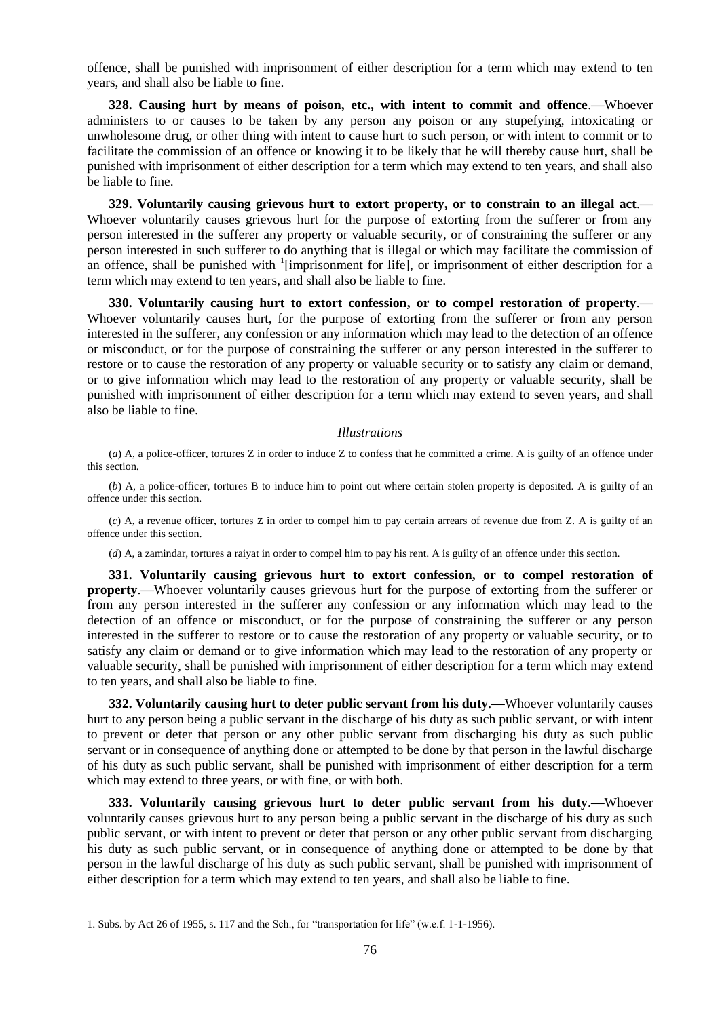offence, shall be punished with imprisonment of either description for a term which may extend to ten years, and shall also be liable to fine.

**328. Causing hurt by means of poison, etc., with intent to commit and offence**.**—**Whoever administers to or causes to be taken by any person any poison or any stupefying, intoxicating or unwholesome drug, or other thing with intent to cause hurt to such person, or with intent to commit or to facilitate the commission of an offence or knowing it to be likely that he will thereby cause hurt, shall be punished with imprisonment of either description for a term which may extend to ten years, and shall also be liable to fine.

**329. Voluntarily causing grievous hurt to extort property, or to constrain to an illegal act**.**—** Whoever voluntarily causes grievous hurt for the purpose of extorting from the sufferer or from any person interested in the sufferer any property or valuable security, or of constraining the sufferer or any person interested in such sufferer to do anything that is illegal or which may facilitate the commission of an offence, shall be punished with  $\frac{1}{2}$  [imprisonment for life], or imprisonment of either description for a term which may extend to ten years, and shall also be liable to fine.

**330. Voluntarily causing hurt to extort confession, or to compel restoration of property**.**—** Whoever voluntarily causes hurt, for the purpose of extorting from the sufferer or from any person interested in the sufferer, any confession or any information which may lead to the detection of an offence or misconduct, or for the purpose of constraining the sufferer or any person interested in the sufferer to restore or to cause the restoration of any property or valuable security or to satisfy any claim or demand, or to give information which may lead to the restoration of any property or valuable security, shall be punished with imprisonment of either description for a term which may extend to seven years, and shall also be liable to fine.

## *Illustrations*

(*a*) A, a police-officer, tortures Z in order to induce Z to confess that he committed a crime. A is guilty of an offence under this section.

(*b*) A, a police-officer, tortures B to induce him to point out where certain stolen property is deposited. A is guilty of an offence under this section.

(*c*) A, a revenue officer, tortures z in order to compel him to pay certain arrears of revenue due from Z. A is guilty of an offence under this section.

(*d*) A, a zamindar, tortures a raiyat in order to compel him to pay his rent. A is guilty of an offence under this section.

**331. Voluntarily causing grievous hurt to extort confession, or to compel restoration of property**.**—**Whoever voluntarily causes grievous hurt for the purpose of extorting from the sufferer or from any person interested in the sufferer any confession or any information which may lead to the detection of an offence or misconduct, or for the purpose of constraining the sufferer or any person interested in the sufferer to restore or to cause the restoration of any property or valuable security, or to satisfy any claim or demand or to give information which may lead to the restoration of any property or valuable security, shall be punished with imprisonment of either description for a term which may extend to ten years, and shall also be liable to fine.

**332. Voluntarily causing hurt to deter public servant from his duty**.**—**Whoever voluntarily causes hurt to any person being a public servant in the discharge of his duty as such public servant, or with intent to prevent or deter that person or any other public servant from discharging his duty as such public servant or in consequence of anything done or attempted to be done by that person in the lawful discharge of his duty as such public servant, shall be punished with imprisonment of either description for a term which may extend to three years, or with fine, or with both.

**333. Voluntarily causing grievous hurt to deter public servant from his duty**.**—**Whoever voluntarily causes grievous hurt to any person being a public servant in the discharge of his duty as such public servant, or with intent to prevent or deter that person or any other public servant from discharging his duty as such public servant, or in consequence of anything done or attempted to be done by that person in the lawful discharge of his duty as such public servant, shall be punished with imprisonment of either description for a term which may extend to ten years, and shall also be liable to fine.

<sup>1.</sup> Subs. by Act 26 of 1955, s. 117 and the Sch., for "transportation for life" (w.e.f. 1-1-1956).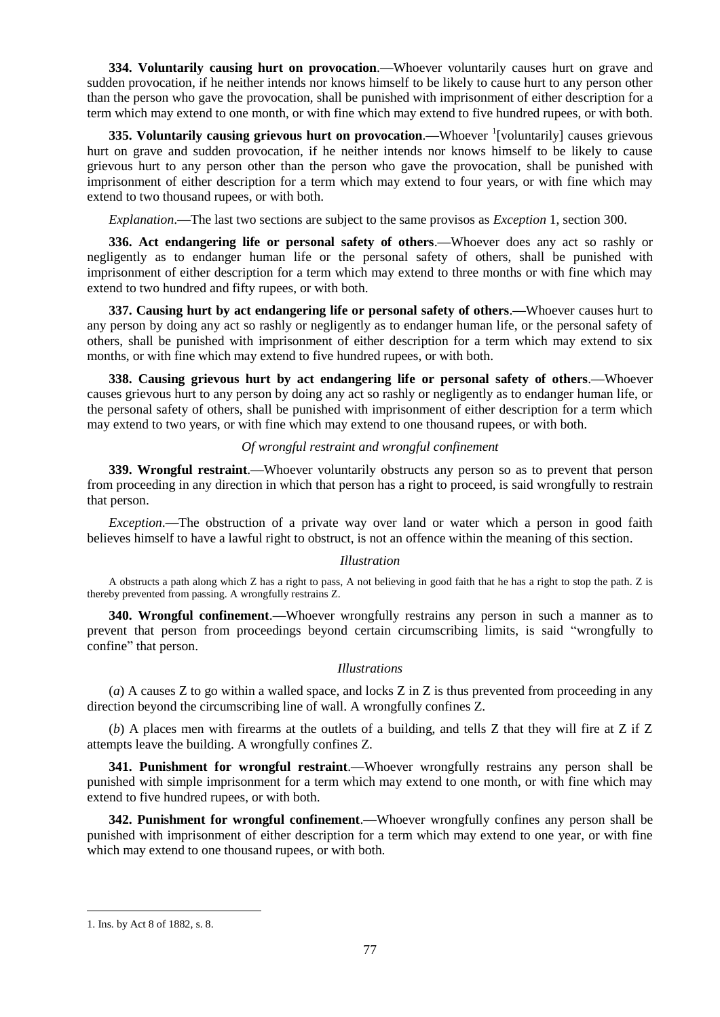**334. Voluntarily causing hurt on provocation**.**—**Whoever voluntarily causes hurt on grave and sudden provocation, if he neither intends nor knows himself to be likely to cause hurt to any person other than the person who gave the provocation, shall be punished with imprisonment of either description for a term which may extend to one month, or with fine which may extend to five hundred rupees, or with both.

**335. Voluntarily causing grievous hurt on provocation.—Whoever <sup>1</sup>[voluntarily] causes grievous** hurt on grave and sudden provocation, if he neither intends nor knows himself to be likely to cause grievous hurt to any person other than the person who gave the provocation, shall be punished with imprisonment of either description for a term which may extend to four years, or with fine which may extend to two thousand rupees, or with both.

*Explanation*.**—**The last two sections are subject to the same provisos as *Exception* 1, section 300.

**336. Act endangering life or personal safety of others**.**—**Whoever does any act so rashly or negligently as to endanger human life or the personal safety of others, shall be punished with imprisonment of either description for a term which may extend to three months or with fine which may extend to two hundred and fifty rupees, or with both.

**337. Causing hurt by act endangering life or personal safety of others**.**—**Whoever causes hurt to any person by doing any act so rashly or negligently as to endanger human life, or the personal safety of others, shall be punished with imprisonment of either description for a term which may extend to six months, or with fine which may extend to five hundred rupees, or with both.

**338. Causing grievous hurt by act endangering life or personal safety of others**.**—**Whoever causes grievous hurt to any person by doing any act so rashly or negligently as to endanger human life, or the personal safety of others, shall be punished with imprisonment of either description for a term which may extend to two years, or with fine which may extend to one thousand rupees, or with both.

# *Of wrongful restraint and wrongful confinement*

**339. Wrongful restraint**.**—**Whoever voluntarily obstructs any person so as to prevent that person from proceeding in any direction in which that person has a right to proceed, is said wrongfully to restrain that person.

*Exception*.**—**The obstruction of a private way over land or water which a person in good faith believes himself to have a lawful right to obstruct, is not an offence within the meaning of this section.

# *Illustration*

A obstructs a path along which Z has a right to pass, A not believing in good faith that he has a right to stop the path. Z is thereby prevented from passing. A wrongfully restrains Z.

**340. Wrongful confinement**.**—**Whoever wrongfully restrains any person in such a manner as to prevent that person from proceedings beyond certain circumscribing limits, is said "wrongfully to confine" that person.

## *Illustrations*

(*a*) A causes Z to go within a walled space, and locks Z in Z is thus prevented from proceeding in any direction beyond the circumscribing line of wall. A wrongfully confines Z.

(*b*) A places men with firearms at the outlets of a building, and tells Z that they will fire at Z if Z attempts leave the building. A wrongfully confines Z.

**341. Punishment for wrongful restraint**.**—**Whoever wrongfully restrains any person shall be punished with simple imprisonment for a term which may extend to one month, or with fine which may extend to five hundred rupees, or with both.

**342. Punishment for wrongful confinement**.**—**Whoever wrongfully confines any person shall be punished with imprisonment of either description for a term which may extend to one year, or with fine which may extend to one thousand rupees, or with both.

<sup>1.</sup> Ins. by Act 8 of 1882, s. 8.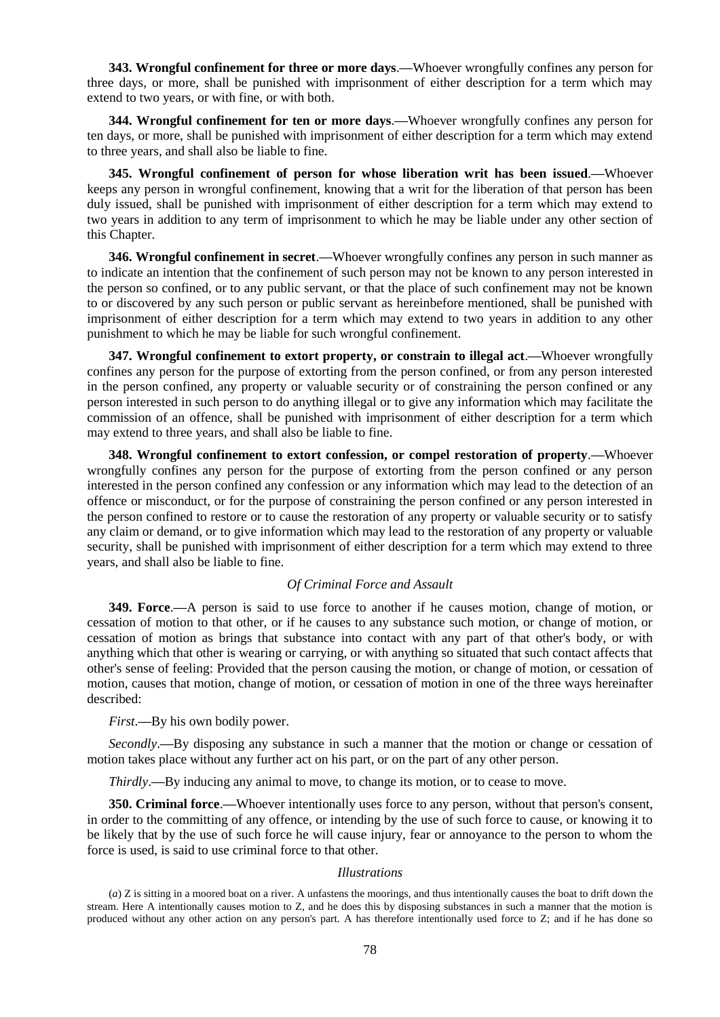**343. Wrongful confinement for three or more days**.**—**Whoever wrongfully confines any person for three days, or more, shall be punished with imprisonment of either description for a term which may extend to two years, or with fine, or with both.

**344. Wrongful confinement for ten or more days**.**—**Whoever wrongfully confines any person for ten days, or more, shall be punished with imprisonment of either description for a term which may extend to three years, and shall also be liable to fine.

**345. Wrongful confinement of person for whose liberation writ has been issued**.**—**Whoever keeps any person in wrongful confinement, knowing that a writ for the liberation of that person has been duly issued, shall be punished with imprisonment of either description for a term which may extend to two years in addition to any term of imprisonment to which he may be liable under any other section of this Chapter.

**346. Wrongful confinement in secret**.**—**Whoever wrongfully confines any person in such manner as to indicate an intention that the confinement of such person may not be known to any person interested in the person so confined, or to any public servant, or that the place of such confinement may not be known to or discovered by any such person or public servant as hereinbefore mentioned, shall be punished with imprisonment of either description for a term which may extend to two years in addition to any other punishment to which he may be liable for such wrongful confinement.

**347. Wrongful confinement to extort property, or constrain to illegal act**.**—**Whoever wrongfully confines any person for the purpose of extorting from the person confined, or from any person interested in the person confined, any property or valuable security or of constraining the person confined or any person interested in such person to do anything illegal or to give any information which may facilitate the commission of an offence, shall be punished with imprisonment of either description for a term which may extend to three years, and shall also be liable to fine.

**348. Wrongful confinement to extort confession, or compel restoration of property**.**—**Whoever wrongfully confines any person for the purpose of extorting from the person confined or any person interested in the person confined any confession or any information which may lead to the detection of an offence or misconduct, or for the purpose of constraining the person confined or any person interested in the person confined to restore or to cause the restoration of any property or valuable security or to satisfy any claim or demand, or to give information which may lead to the restoration of any property or valuable security, shall be punished with imprisonment of either description for a term which may extend to three years, and shall also be liable to fine.

## *Of Criminal Force and Assault*

**349. Force**.**—**A person is said to use force to another if he causes motion, change of motion, or cessation of motion to that other, or if he causes to any substance such motion, or change of motion, or cessation of motion as brings that substance into contact with any part of that other's body, or with anything which that other is wearing or carrying, or with anything so situated that such contact affects that other's sense of feeling: Provided that the person causing the motion, or change of motion, or cessation of motion, causes that motion, change of motion, or cessation of motion in one of the three ways hereinafter described:

*First*.**—**By his own bodily power.

*Secondly*.**—**By disposing any substance in such a manner that the motion or change or cessation of motion takes place without any further act on his part, or on the part of any other person.

*Thirdly*.**—**By inducing any animal to move, to change its motion, or to cease to move.

**350. Criminal force**.**—**Whoever intentionally uses force to any person, without that person's consent, in order to the committing of any offence, or intending by the use of such force to cause, or knowing it to be likely that by the use of such force he will cause injury, fear or annoyance to the person to whom the force is used, is said to use criminal force to that other.

#### *Illustrations*

(*a*) Z is sitting in a moored boat on a river. A unfastens the moorings, and thus intentionally causes the boat to drift down the stream. Here A intentionally causes motion to Z, and he does this by disposing substances in such a manner that the motion is produced without any other action on any person's part. A has therefore intentionally used force to Z; and if he has done so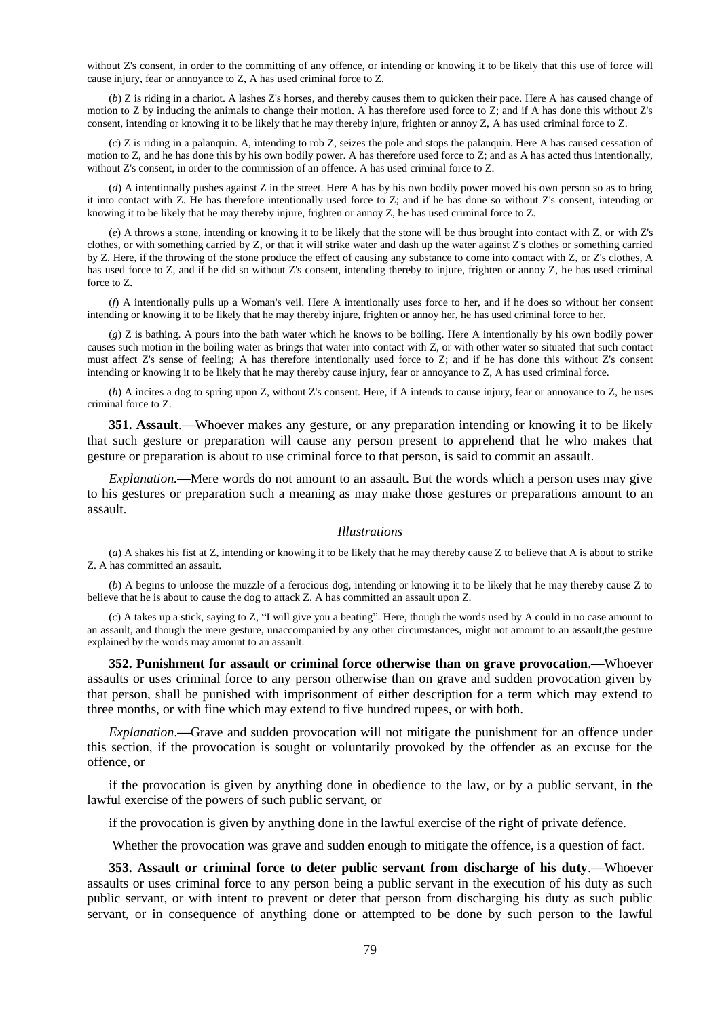without Z's consent, in order to the committing of any offence, or intending or knowing it to be likely that this use of force will cause injury, fear or annoyance to Z, A has used criminal force to Z.

(*b*) Z is riding in a chariot. A lashes Z's horses, and thereby causes them to quicken their pace. Here A has caused change of motion to Z by inducing the animals to change their motion. A has therefore used force to Z; and if A has done this without Z's consent, intending or knowing it to be likely that he may thereby injure, frighten or annoy Z, A has used criminal force to Z.

(*c*) Z is riding in a palanquin. A, intending to rob Z, seizes the pole and stops the palanquin. Here A has caused cessation of motion to Z, and he has done this by his own bodily power. A has therefore used force to Z; and as A has acted thus intentionally, without Z's consent, in order to the commission of an offence. A has used criminal force to Z.

(*d*) A intentionally pushes against Z in the street. Here A has by his own bodily power moved his own person so as to bring it into contact with Z. He has therefore intentionally used force to Z; and if he has done so without Z's consent, intending or knowing it to be likely that he may thereby injure, frighten or annoy Z, he has used criminal force to Z.

(*e*) A throws a stone, intending or knowing it to be likely that the stone will be thus brought into contact with Z, or with Z's clothes, or with something carried by Z, or that it will strike water and dash up the water against Z's clothes or something carried by Z. Here, if the throwing of the stone produce the effect of causing any substance to come into contact with Z, or Z's clothes, A has used force to Z, and if he did so without Z's consent, intending thereby to injure, frighten or annoy Z, he has used criminal force to Z.

(*f*) A intentionally pulls up a Woman's veil. Here A intentionally uses force to her, and if he does so without her consent intending or knowing it to be likely that he may thereby injure, frighten or annoy her, he has used criminal force to her.

(*g*) Z is bathing. A pours into the bath water which he knows to be boiling. Here A intentionally by his own bodily power causes such motion in the boiling water as brings that water into contact with Z, or with other water so situated that such contact must affect Z's sense of feeling; A has therefore intentionally used force to Z; and if he has done this without Z's consent intending or knowing it to be likely that he may thereby cause injury, fear or annoyance to Z, A has used criminal force.

(*h*) A incites a dog to spring upon Z, without Z's consent. Here, if A intends to cause injury, fear or annoyance to Z, he uses criminal force to Z.

**351. Assault**.**—**Whoever makes any gesture, or any preparation intending or knowing it to be likely that such gesture or preparation will cause any person present to apprehend that he who makes that gesture or preparation is about to use criminal force to that person, is said to commit an assault.

*Explanation.***—**Mere words do not amount to an assault. But the words which a person uses may give to his gestures or preparation such a meaning as may make those gestures or preparations amount to an assault.

#### *Illustrations*

(*a*) A shakes his fist at Z, intending or knowing it to be likely that he may thereby cause Z to believe that A is about to strike Z. A has committed an assault.

(*b*) A begins to unloose the muzzle of a ferocious dog, intending or knowing it to be likely that he may thereby cause Z to believe that he is about to cause the dog to attack Z. A has committed an assault upon Z.

(*c*) A takes up a stick, saying to Z, "I will give you a beating". Here, though the words used by A could in no case amount to an assault, and though the mere gesture, unaccompanied by any other circumstances, might not amount to an assault,the gesture explained by the words may amount to an assault.

**352. Punishment for assault or criminal force otherwise than on grave provocation**.**—**Whoever assaults or uses criminal force to any person otherwise than on grave and sudden provocation given by that person, shall be punished with imprisonment of either description for a term which may extend to three months, or with fine which may extend to five hundred rupees, or with both.

*Explanation*.**—**Grave and sudden provocation will not mitigate the punishment for an offence under this section, if the provocation is sought or voluntarily provoked by the offender as an excuse for the offence, or

if the provocation is given by anything done in obedience to the law, or by a public servant, in the lawful exercise of the powers of such public servant, or

if the provocation is given by anything done in the lawful exercise of the right of private defence.

Whether the provocation was grave and sudden enough to mitigate the offence, is a question of fact.

**353. Assault or criminal force to deter public servant from discharge of his duty**.**—**Whoever assaults or uses criminal force to any person being a public servant in the execution of his duty as such public servant, or with intent to prevent or deter that person from discharging his duty as such public servant, or in consequence of anything done or attempted to be done by such person to the lawful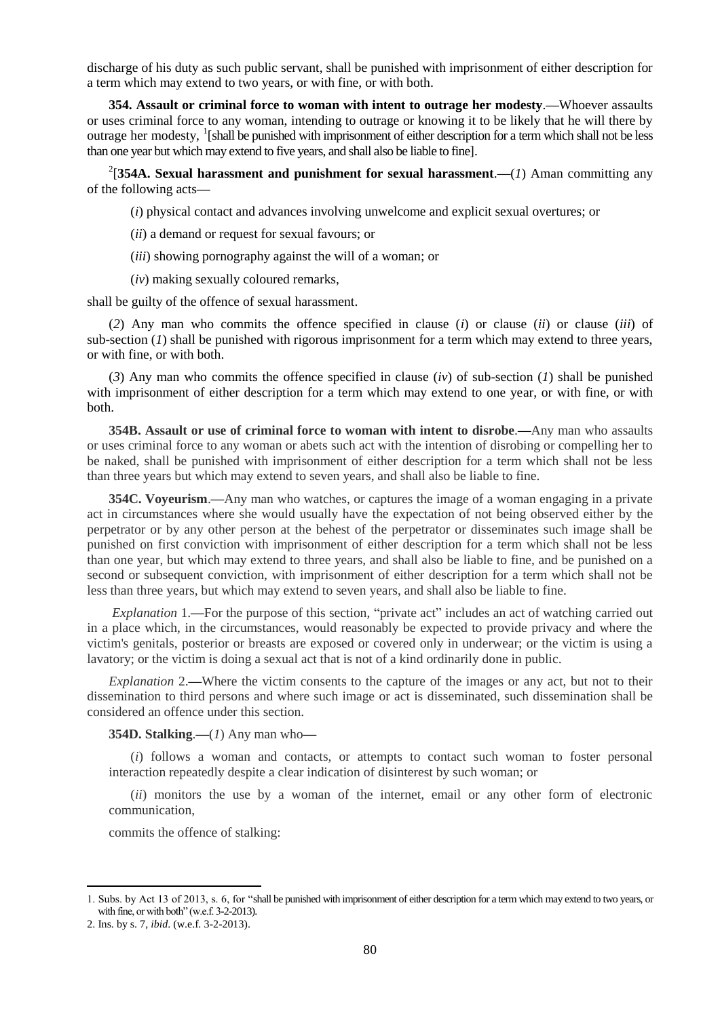discharge of his duty as such public servant, shall be punished with imprisonment of either description for a term which may extend to two years, or with fine, or with both.

**354. Assault or criminal force to woman with intent to outrage her modesty**.**—**Whoever assaults or uses criminal force to any woman, intending to outrage or knowing it to be likely that he will there by outrage her modesty, <sup>1</sup>[shall be punished with imprisonment of either description for a term which shall not be less than one year but which may extend to five years, and shall also be liable to fine].

2 [**354A. Sexual harassment and punishment for sexual harassment**.**—**(*1*) Aman committing any of the following acts**—**

(*i*) physical contact and advances involving unwelcome and explicit sexual overtures; or

- (*ii*) a demand or request for sexual favours; or
- (*iii*) showing pornography against the will of a woman; or
- (*iv*) making sexually coloured remarks,

shall be guilty of the offence of sexual harassment.

(*2*) Any man who commits the offence specified in clause (*i*) or clause (*ii*) or clause (*iii*) of sub-section  $(1)$  shall be punished with rigorous imprisonment for a term which may extend to three years, or with fine, or with both.

(*3*) Any man who commits the offence specified in clause (*iv*) of sub-section (*1*) shall be punished with imprisonment of either description for a term which may extend to one year, or with fine, or with both.

**354B. Assault or use of criminal force to woman with intent to disrobe**.**—**Any man who assaults or uses criminal force to any woman or abets such act with the intention of disrobing or compelling her to be naked, shall be punished with imprisonment of either description for a term which shall not be less than three years but which may extend to seven years, and shall also be liable to fine.

**354C. Voyeurism**.**—**Any man who watches, or captures the image of a woman engaging in a private act in circumstances where she would usually have the expectation of not being observed either by the perpetrator or by any other person at the behest of the perpetrator or disseminates such image shall be punished on first conviction with imprisonment of either description for a term which shall not be less than one year, but which may extend to three years, and shall also be liable to fine, and be punished on a second or subsequent conviction, with imprisonment of either description for a term which shall not be less than three years, but which may extend to seven years, and shall also be liable to fine.

*Explanation* 1.—For the purpose of this section, "private act" includes an act of watching carried out in a place which, in the circumstances, would reasonably be expected to provide privacy and where the victim's genitals, posterior or breasts are exposed or covered only in underwear; or the victim is using a lavatory; or the victim is doing a sexual act that is not of a kind ordinarily done in public.

*Explanation* 2.**—**Where the victim consents to the capture of the images or any act, but not to their dissemination to third persons and where such image or act is disseminated, such dissemination shall be considered an offence under this section.

**354D. Stalking**.**—**(*1*) Any man who**—**

(*i*) follows a woman and contacts, or attempts to contact such woman to foster personal interaction repeatedly despite a clear indication of disinterest by such woman; or

(*ii*) monitors the use by a woman of the internet, email or any other form of electronic communication,

commits the offence of stalking:

<sup>1.</sup> Subs. by Act 13 of 2013, s. 6, for "shall be punished with imprisonment of either description for a term which may extend to two years, or with fine, or with both" (w.e.f. 3-2-2013).

<sup>2.</sup> Ins. by s. 7, *ibid*. (w.e.f. 3-2-2013).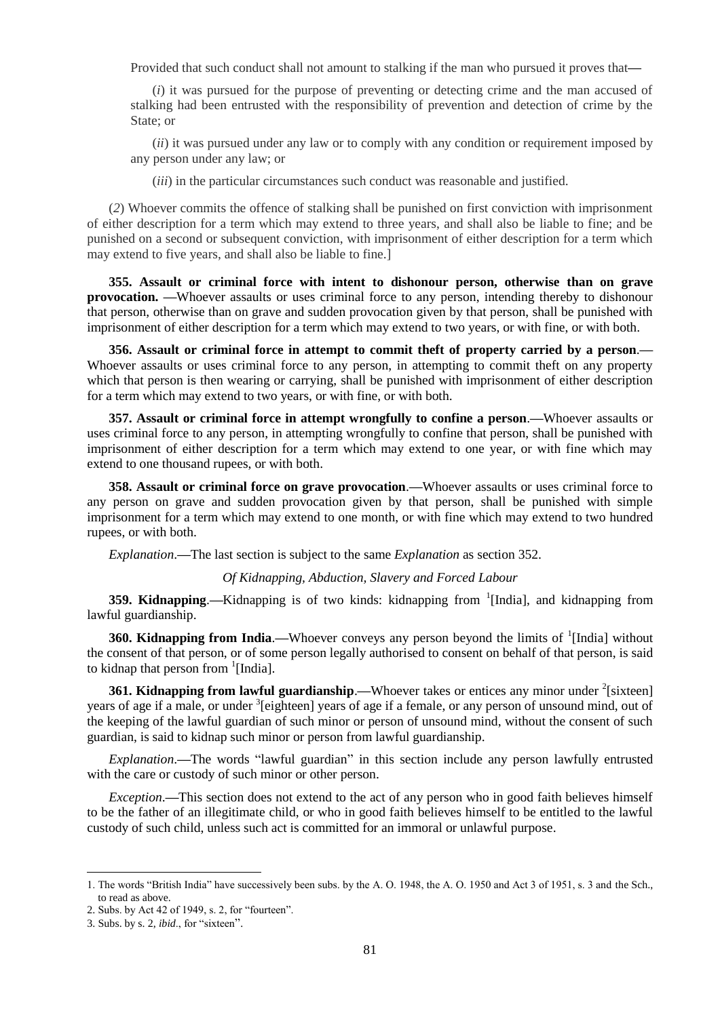Provided that such conduct shall not amount to stalking if the man who pursued it proves that**—**

(*i*) it was pursued for the purpose of preventing or detecting crime and the man accused of stalking had been entrusted with the responsibility of prevention and detection of crime by the State; or

(*ii*) it was pursued under any law or to comply with any condition or requirement imposed by any person under any law; or

(*iii*) in the particular circumstances such conduct was reasonable and justified.

(*2*) Whoever commits the offence of stalking shall be punished on first conviction with imprisonment of either description for a term which may extend to three years, and shall also be liable to fine; and be punished on a second or subsequent conviction, with imprisonment of either description for a term which may extend to five years, and shall also be liable to fine.]

**355. Assault or criminal force with intent to dishonour person, otherwise than on grave provocation. —**Whoever assaults or uses criminal force to any person, intending thereby to dishonour that person, otherwise than on grave and sudden provocation given by that person, shall be punished with imprisonment of either description for a term which may extend to two years, or with fine, or with both.

**356. Assault or criminal force in attempt to commit theft of property carried by a person**.**—** Whoever assaults or uses criminal force to any person, in attempting to commit theft on any property which that person is then wearing or carrying, shall be punished with imprisonment of either description for a term which may extend to two years, or with fine, or with both.

**357. Assault or criminal force in attempt wrongfully to confine a person**.**—**Whoever assaults or uses criminal force to any person, in attempting wrongfully to confine that person, shall be punished with imprisonment of either description for a term which may extend to one year, or with fine which may extend to one thousand rupees, or with both.

**358. Assault or criminal force on grave provocation**.**—**Whoever assaults or uses criminal force to any person on grave and sudden provocation given by that person, shall be punished with simple imprisonment for a term which may extend to one month, or with fine which may extend to two hundred rupees, or with both.

*Explanation*.**—**The last section is subject to the same *Explanation* as section 352.

# *Of Kidnapping, Abduction, Slavery and Forced Labour*

**359. Kidnapping.—Kidnapping is of two kinds: kidnapping from <sup>1</sup>[India], and kidnapping from** lawful guardianship.

**360. Kidnapping from India.—Whoever conveys any person beyond the limits of <sup>1</sup>[India] without** the consent of that person, or of some person legally authorised to consent on behalf of that person, is said to kidnap that person from  $\frac{1}{2}$ [India].

**361. Kidnapping from lawful guardianship.—Whoever takes or entices any minor under <sup>2</sup>[sixteen]** years of age if a male, or under <sup>3</sup>[eighteen] years of age if a female, or any person of unsound mind, out of the keeping of the lawful guardian of such minor or person of unsound mind, without the consent of such guardian, is said to kidnap such minor or person from lawful guardianship.

*Explanation*.**—**The words "lawful guardian" in this section include any person lawfully entrusted with the care or custody of such minor or other person.

*Exception*.**—**This section does not extend to the act of any person who in good faith believes himself to be the father of an illegitimate child, or who in good faith believes himself to be entitled to the lawful custody of such child, unless such act is committed for an immoral or unlawful purpose.

<sup>1.</sup> The words "British India" have successively been subs. by the A. O. 1948, the A. O. 1950 and Act 3 of 1951, s. 3 and the Sch., to read as above.

<sup>2.</sup> Subs. by Act 42 of 1949, s. 2, for "fourteen".

<sup>3.</sup> Subs. by s. 2, *ibid*., for "sixteen".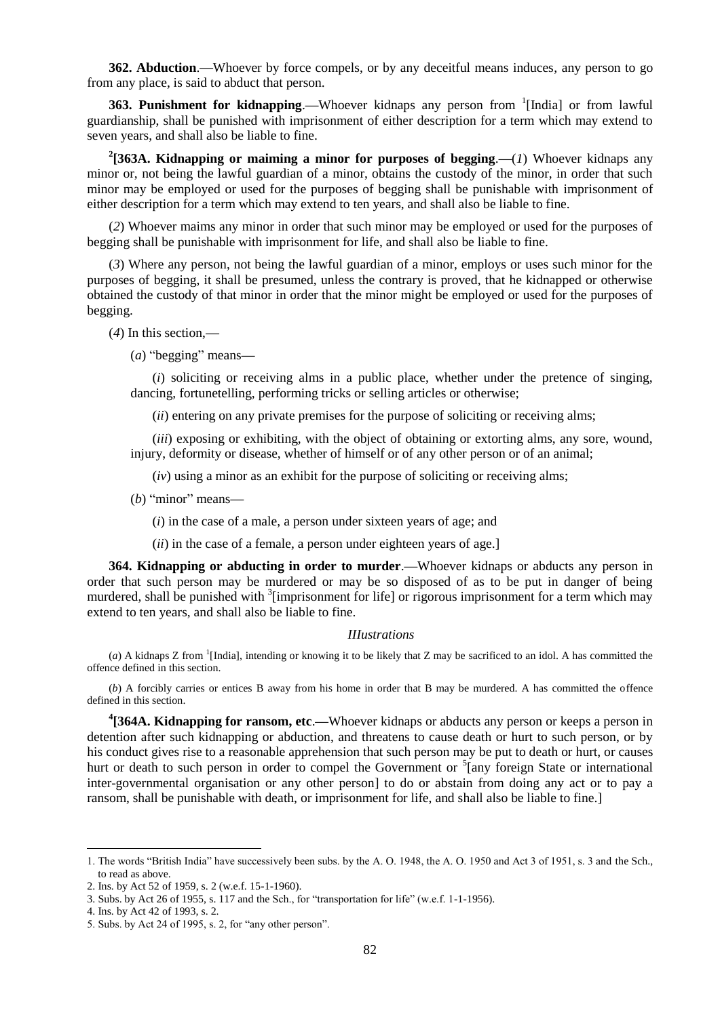**362. Abduction**.**—**Whoever by force compels, or by any deceitful means induces, any person to go from any place, is said to abduct that person.

**363. Punishment for kidnapping.—Whoever kidnaps any person from <sup>1</sup>[India] or from lawful** guardianship, shall be punished with imprisonment of either description for a term which may extend to seven years, and shall also be liable to fine.

**2 [363A. Kidnapping or maiming a minor for purposes of begging**.**—**(*1*) Whoever kidnaps any minor or, not being the lawful guardian of a minor, obtains the custody of the minor, in order that such minor may be employed or used for the purposes of begging shall be punishable with imprisonment of either description for a term which may extend to ten years, and shall also be liable to fine.

(*2*) Whoever maims any minor in order that such minor may be employed or used for the purposes of begging shall be punishable with imprisonment for life, and shall also be liable to fine.

(*3*) Where any person, not being the lawful guardian of a minor, employs or uses such minor for the purposes of begging, it shall be presumed, unless the contrary is proved, that he kidnapped or otherwise obtained the custody of that minor in order that the minor might be employed or used for the purposes of begging.

(*4*) In this section,**—**

(*a*) "begging" means**—**

(*i*) soliciting or receiving alms in a public place, whether under the pretence of singing, dancing, fortunetelling, performing tricks or selling articles or otherwise;

(*ii*) entering on any private premises for the purpose of soliciting or receiving alms;

(*iii*) exposing or exhibiting, with the object of obtaining or extorting alms, any sore, wound, injury, deformity or disease, whether of himself or of any other person or of an animal;

(*iv*) using a minor as an exhibit for the purpose of soliciting or receiving alms;

(*b*) "minor" means**—**

(*i*) in the case of a male, a person under sixteen years of age; and

(*ii*) in the case of a female, a person under eighteen years of age.]

**364. Kidnapping or abducting in order to murder**.**—**Whoever kidnaps or abducts any person in order that such person may be murdered or may be so disposed of as to be put in danger of being murdered, shall be punished with <sup>3</sup>[imprisonment for life] or rigorous imprisonment for a term which may extend to ten years, and shall also be liable to fine.

# *IIIustrations*

(*a*) A kidnaps Z from <sup>1</sup>[India], intending or knowing it to be likely that Z may be sacrificed to an idol. A has committed the offence defined in this section.

(*b*) A forcibly carries or entices B away from his home in order that B may be murdered. A has committed the offence defined in this section.

**4 [364A. Kidnapping for ransom, etc**.**—**Whoever kidnaps or abducts any person or keeps a person in detention after such kidnapping or abduction, and threatens to cause death or hurt to such person, or by his conduct gives rise to a reasonable apprehension that such person may be put to death or hurt, or causes hurt or death to such person in order to compel the Government or <sup>5</sup>[any foreign State or international inter-governmental organisation or any other person] to do or abstain from doing any act or to pay a ransom, shall be punishable with death, or imprisonment for life, and shall also be liable to fine.]

<sup>1.</sup> The words "British India" have successively been subs. by the A. O. 1948, the A. O. 1950 and Act 3 of 1951, s. 3 and the Sch., to read as above.

<sup>2.</sup> Ins. by Act 52 of 1959, s. 2 (w.e.f. 15-1-1960).

<sup>3.</sup> Subs. by Act 26 of 1955, s. 117 and the Sch., for "transportation for life" (w.e.f. 1-1-1956).

<sup>4.</sup> Ins. by Act 42 of 1993, s. 2.

<sup>5.</sup> Subs. by Act 24 of 1995, s. 2, for "any other person".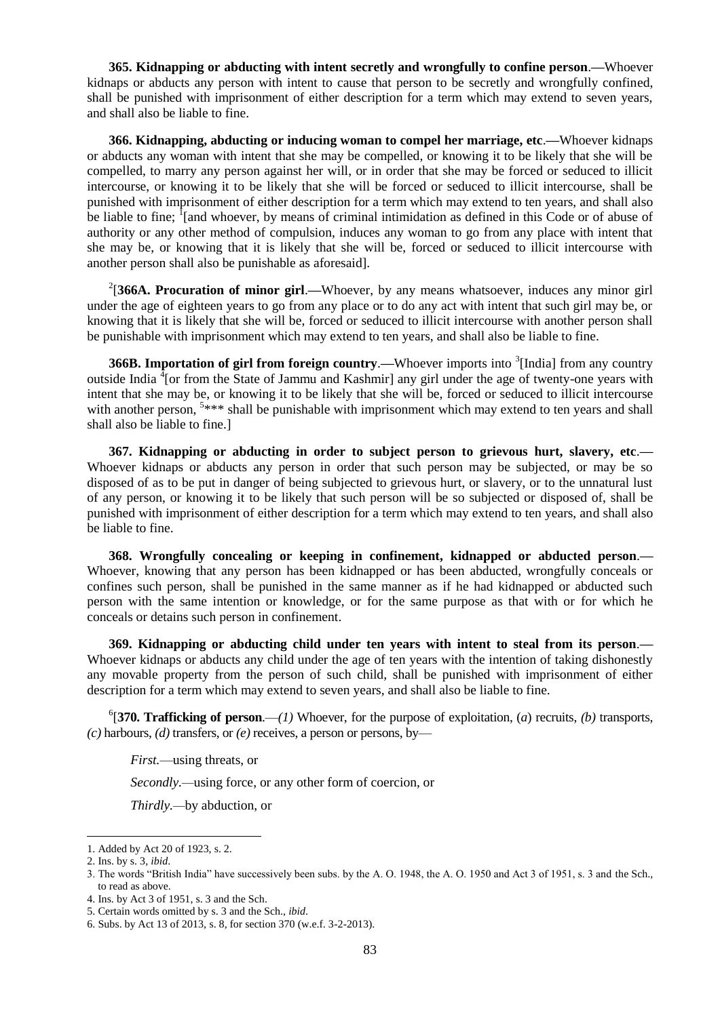**365. Kidnapping or abducting with intent secretly and wrongfully to confine person**.**—**Whoever kidnaps or abducts any person with intent to cause that person to be secretly and wrongfully confined, shall be punished with imprisonment of either description for a term which may extend to seven years, and shall also be liable to fine.

**366. Kidnapping, abducting or inducing woman to compel her marriage, etc**.**—**Whoever kidnaps or abducts any woman with intent that she may be compelled, or knowing it to be likely that she will be compelled, to marry any person against her will, or in order that she may be forced or seduced to illicit intercourse, or knowing it to be likely that she will be forced or seduced to illicit intercourse, shall be punished with imprisonment of either description for a term which may extend to ten years, and shall also be liable to fine;  $\hat{I}$  [and whoever, by means of criminal intimidation as defined in this Code or of abuse of authority or any other method of compulsion, induces any woman to go from any place with intent that she may be, or knowing that it is likely that she will be, forced or seduced to illicit intercourse with another person shall also be punishable as aforesaid].

<sup>2</sup>[366A. Procuration of minor girl.—Whoever, by any means whatsoever, induces any minor girl under the age of eighteen years to go from any place or to do any act with intent that such girl may be, or knowing that it is likely that she will be, forced or seduced to illicit intercourse with another person shall be punishable with imprisonment which may extend to ten years, and shall also be liable to fine.

**366B. Importation of girl from foreign country.—Whoever imports into <sup>3</sup>[India] from any country** outside India <sup>4</sup> [or from the State of Jammu and Kashmir] any girl under the age of twenty-one years with intent that she may be, or knowing it to be likely that she will be, forced or seduced to illicit intercourse with another person, <sup>5\*\*\*</sup> shall be punishable with imprisonment which may extend to ten years and shall shall also be liable to fine.]

**367. Kidnapping or abducting in order to subject person to grievous hurt, slavery, etc**.**—** Whoever kidnaps or abducts any person in order that such person may be subjected, or may be so disposed of as to be put in danger of being subjected to grievous hurt, or slavery, or to the unnatural lust of any person, or knowing it to be likely that such person will be so subjected or disposed of, shall be punished with imprisonment of either description for a term which may extend to ten years, and shall also be liable to fine.

**368. Wrongfully concealing or keeping in confinement, kidnapped or abducted person**.**—** Whoever, knowing that any person has been kidnapped or has been abducted, wrongfully conceals or confines such person, shall be punished in the same manner as if he had kidnapped or abducted such person with the same intention or knowledge, or for the same purpose as that with or for which he conceals or detains such person in confinement.

**369. Kidnapping or abducting child under ten years with intent to steal from its person**.**—** Whoever kidnaps or abducts any child under the age of ten years with the intention of taking dishonestly any movable property from the person of such child, shall be punished with imprisonment of either description for a term which may extend to seven years, and shall also be liable to fine.

 $^{6}$ [370. Trafficking of person.—*(1)* Whoever, for the purpose of exploitation, *(a)* recruits, *(b)* transports, *(c)* harbours, *(d)* transfers, or *(e)* receives, a person or persons, by—

*First.*—using threats, or

*Secondly.—*using force, or any other form of coercion, or

*Thirdly.—*by abduction, or

<sup>1.</sup> Added by Act 20 of 1923, s. 2.

<sup>2.</sup> Ins. by s. 3, *ibid*.

<sup>3.</sup> The words "British India" have successively been subs. by the A. O. 1948, the A. O. 1950 and Act 3 of 1951, s. 3 and the Sch., to read as above.

<sup>4.</sup> Ins. by Act 3 of 1951, s. 3 and the Sch.

<sup>5.</sup> Certain words omitted by s. 3 and the Sch., *ibid*.

<sup>6.</sup> Subs. by Act 13 of 2013, s. 8, for section 370 (w.e.f. 3-2-2013).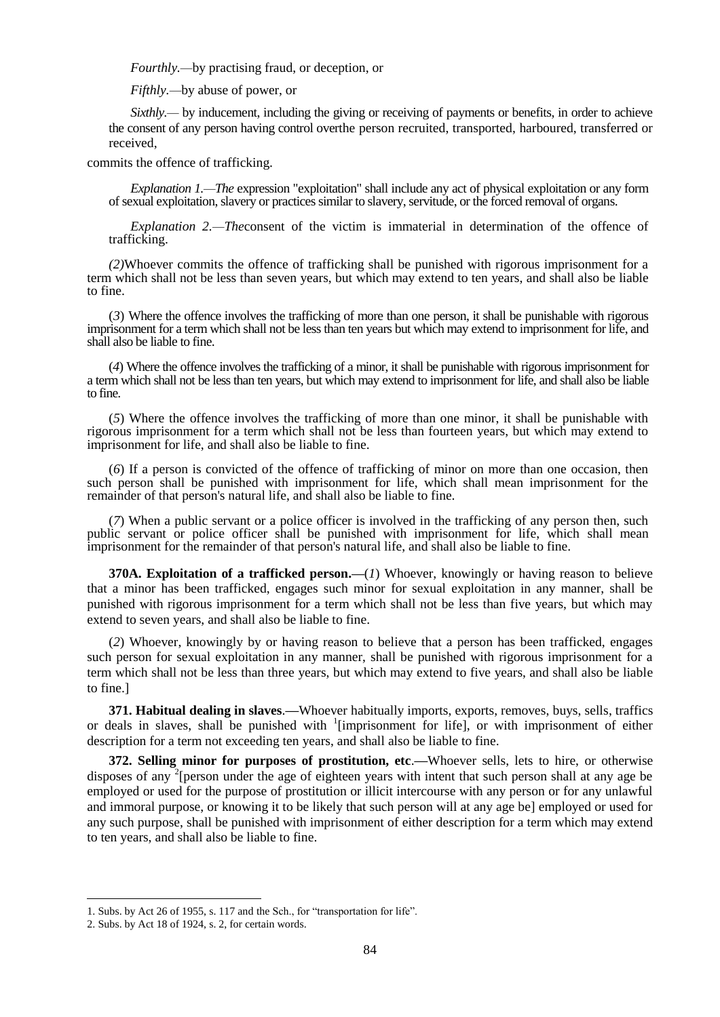*Fourthly.—*by practising fraud, or deception, or

*Fifthly.—*by abuse of power, or

*Sixthly.—* by inducement, including the giving or receiving of payments or benefits, in order to achieve the consent of any person having control overthe person recruited, transported, harboured, transferred or received,

commits the offence of trafficking.

*Explanation 1.—The* expression "exploitation" shall include any act of physical exploitation or any form of sexual exploitation, slavery or practices similar to slavery, servitude, or the forced removal of organs.

*Explanation 2.—The*consent of the victim is immaterial in determination of the offence of trafficking.

*(2)*Whoever commits the offence of trafficking shall be punished with rigorous imprisonment for a term which shall not be less than seven years, but which may extend to ten years, and shall also be liable to fine.

(*3*) Where the offence involves the trafficking of more than one person, it shall be punishable with rigorous imprisonment for a term which shall not be less than ten years but which may extend to imprisonment for life, and shall also be liable to fine.

(*4*) Where the offence involves the trafficking of a minor, it shall be punishable with rigorous imprisonment for a term which shall not be less than ten years, but which may extend to imprisonment for life, and shall also be liable to fine.

(*5*) Where the offence involves the trafficking of more than one minor, it shall be punishable with rigorous imprisonment for a term which shall not be less than fourteen years, but which may extend to imprisonment for life, and shall also be liable to fine.

(*6*) If a person is convicted of the offence of trafficking of minor on more than one occasion, then such person shall be punished with imprisonment for life, which shall mean imprisonment for the remainder of that person's natural life, and shall also be liable to fine.

(*7*) When a public servant or a police officer is involved in the trafficking of any person then, such public servant or police officer shall be punished with imprisonment for life, which shall mean imprisonment for the remainder of that person's natural life, and shall also be liable to fine.

**370A. Exploitation of a trafficked person.**—(*1*) Whoever, knowingly or having reason to believe that a minor has been trafficked, engages such minor for sexual exploitation in any manner, shall be punished with rigorous imprisonment for a term which shall not be less than five years, but which may extend to seven years, and shall also be liable to fine.

(*2*) Whoever, knowingly by or having reason to believe that a person has been trafficked, engages such person for sexual exploitation in any manner, shall be punished with rigorous imprisonment for a term which shall not be less than three years, but which may extend to five years, and shall also be liable to fine.]

**371. Habitual dealing in slaves**.**—**Whoever habitually imports, exports, removes, buys, sells, traffics or deals in slaves, shall be punished with <sup>1</sup>[imprisonment for life], or with imprisonment of either description for a term not exceeding ten years, and shall also be liable to fine.

**372. Selling minor for purposes of prostitution, etc**.**—**Whoever sells, lets to hire, or otherwise disposes of any <sup>2</sup> [person under the age of eighteen years with intent that such person shall at any age be employed or used for the purpose of prostitution or illicit intercourse with any person or for any unlawful and immoral purpose, or knowing it to be likely that such person will at any age be] employed or used for any such purpose, shall be punished with imprisonment of either description for a term which may extend to ten years, and shall also be liable to fine.

<sup>1.</sup> Subs. by Act 26 of 1955, s. 117 and the Sch., for "transportation for life".

<sup>2.</sup> Subs. by Act 18 of 1924, s. 2, for certain words.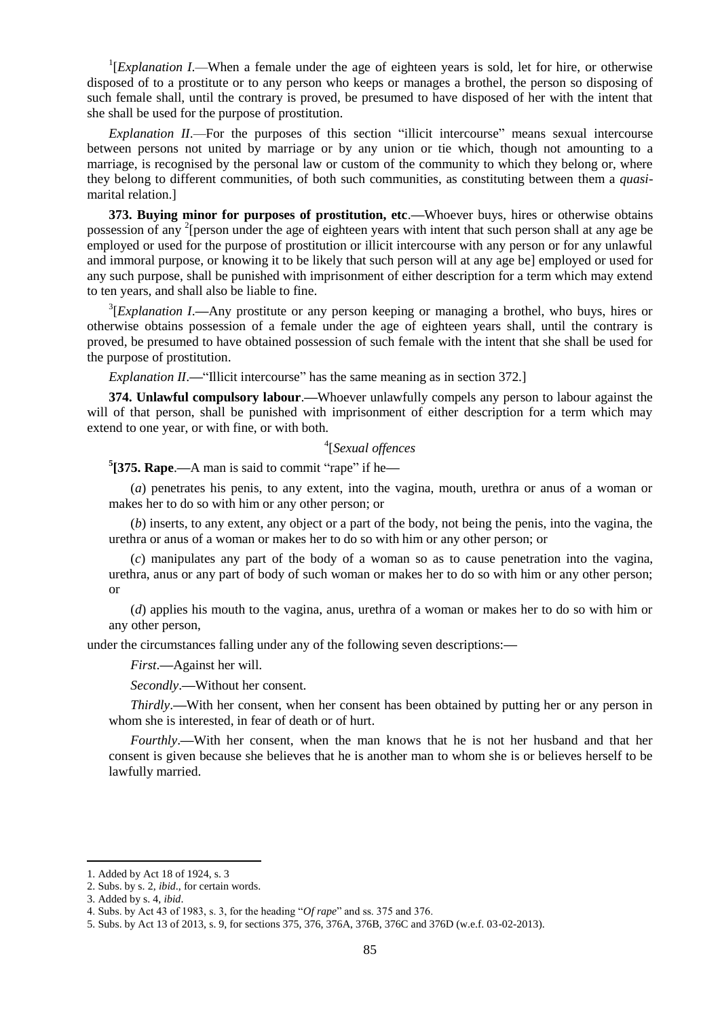<sup>1</sup>[*Explanation I*.—When a female under the age of eighteen years is sold, let for hire, or otherwise disposed of to a prostitute or to any person who keeps or manages a brothel, the person so disposing of such female shall, until the contrary is proved, be presumed to have disposed of her with the intent that she shall be used for the purpose of prostitution.

*Explanation II*.—For the purposes of this section "illicit intercourse" means sexual intercourse between persons not united by marriage or by any union or tie which, though not amounting to a marriage, is recognised by the personal law or custom of the community to which they belong or, where they belong to different communities, of both such communities, as constituting between them a *quasi*marital relation.]

**373. Buying minor for purposes of prostitution, etc**.**—**Whoever buys, hires or otherwise obtains possession of any <sup>2</sup>[person under the age of eighteen years with intent that such person shall at any age be employed or used for the purpose of prostitution or illicit intercourse with any person or for any unlawful and immoral purpose, or knowing it to be likely that such person will at any age be] employed or used for any such purpose, shall be punished with imprisonment of either description for a term which may extend to ten years, and shall also be liable to fine.

<sup>3</sup>[*Explanation I*.—Any prostitute or any person keeping or managing a brothel, who buys, hires or otherwise obtains possession of a female under the age of eighteen years shall, until the contrary is proved, be presumed to have obtained possession of such female with the intent that she shall be used for the purpose of prostitution.

*Explanation II.*— "Illicit intercourse" has the same meaning as in section 372.

**374. Unlawful compulsory labour**.**—**Whoever unlawfully compels any person to labour against the will of that person, shall be punished with imprisonment of either description for a term which may extend to one year, or with fine, or with both.

# 4 [*Sexual offences*

**5 [375. Rape**.**—**A man is said to commit "rape" if he**—**

(*a*) penetrates his penis, to any extent, into the vagina, mouth, urethra or anus of a woman or makes her to do so with him or any other person; or

(*b*) inserts, to any extent, any object or a part of the body, not being the penis, into the vagina, the urethra or anus of a woman or makes her to do so with him or any other person; or

(*c*) manipulates any part of the body of a woman so as to cause penetration into the vagina, urethra, anus or any part of body of such woman or makes her to do so with him or any other person; or

(*d*) applies his mouth to the vagina, anus, urethra of a woman or makes her to do so with him or any other person,

under the circumstances falling under any of the following seven descriptions:**—**

*First*.**—**Against her will.

*Secondly*.**—**Without her consent.

*Thirdly*.**—**With her consent, when her consent has been obtained by putting her or any person in whom she is interested, in fear of death or of hurt.

*Fourthly*.—With her consent, when the man knows that he is not her husband and that her consent is given because she believes that he is another man to whom she is or believes herself to be lawfully married.

<sup>1.</sup> Added by Act 18 of 1924, s. 3

<sup>2.</sup> Subs. by s. 2, *ibid*., for certain words.

<sup>3.</sup> Added by s. 4, *ibid*.

<sup>4.</sup> Subs. by Act 43 of 1983, s. 3, for the heading "*Of rape*" and ss. 375 and 376.

<sup>5.</sup> Subs. by Act 13 of 2013, s. 9, for sections 375, 376, 376A, 376B, 376C and 376D (w.e.f. 03-02-2013).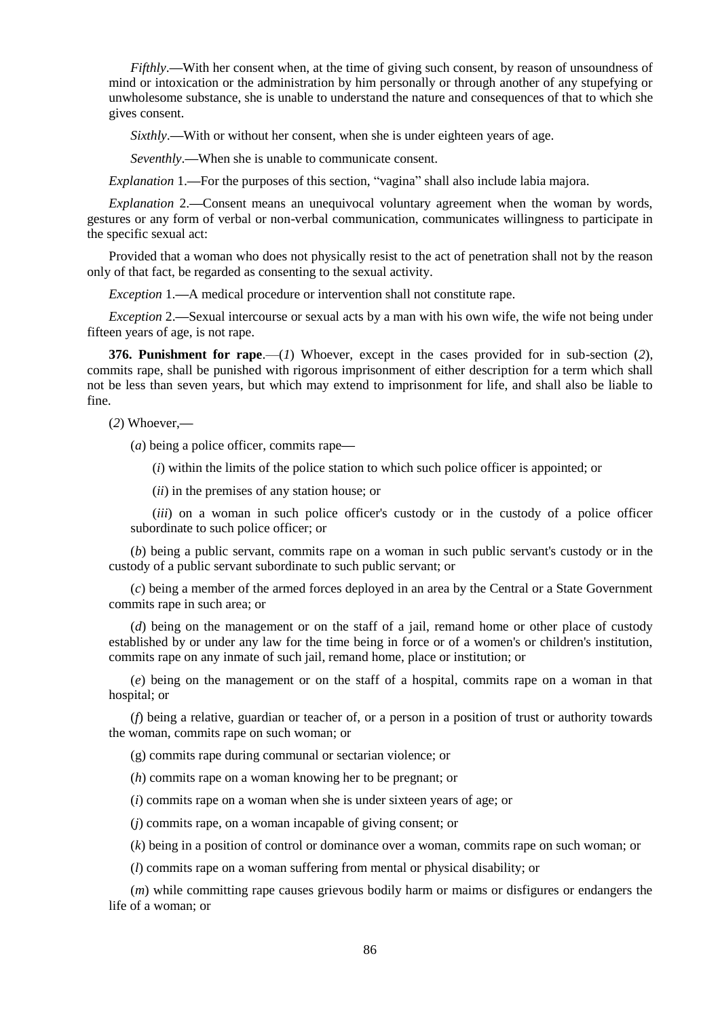*Fifthly*.**—**With her consent when, at the time of giving such consent, by reason of unsoundness of mind or intoxication or the administration by him personally or through another of any stupefying or unwholesome substance, she is unable to understand the nature and consequences of that to which she gives consent.

*Sixthly*.**—**With or without her consent, when she is under eighteen years of age.

*Seventhly*.**—**When she is unable to communicate consent.

*Explanation* 1.**—**For the purposes of this section, "vagina" shall also include labia majora.

*Explanation* 2.**—**Consent means an unequivocal voluntary agreement when the woman by words, gestures or any form of verbal or non-verbal communication, communicates willingness to participate in the specific sexual act:

Provided that a woman who does not physically resist to the act of penetration shall not by the reason only of that fact, be regarded as consenting to the sexual activity.

*Exception* 1.**—**A medical procedure or intervention shall not constitute rape.

*Exception* 2.**—**Sexual intercourse or sexual acts by a man with his own wife, the wife not being under fifteen years of age, is not rape.

**376. Punishment for rape**.—(*1*) Whoever, except in the cases provided for in sub-section (*2*), commits rape, shall be punished with rigorous imprisonment of either description for a term which shall not be less than seven years, but which may extend to imprisonment for life, and shall also be liable to fine.

(*2*) Whoever,**—**

(*a*) being a police officer, commits rape**—**

(*i*) within the limits of the police station to which such police officer is appointed; or

(*ii*) in the premises of any station house; or

(*iii*) on a woman in such police officer's custody or in the custody of a police officer subordinate to such police officer; or

(*b*) being a public servant, commits rape on a woman in such public servant's custody or in the custody of a public servant subordinate to such public servant; or

(*c*) being a member of the armed forces deployed in an area by the Central or a State Government commits rape in such area; or

(*d*) being on the management or on the staff of a jail, remand home or other place of custody established by or under any law for the time being in force or of a women's or children's institution, commits rape on any inmate of such jail, remand home, place or institution; or

(*e*) being on the management or on the staff of a hospital, commits rape on a woman in that hospital; or

(*f*) being a relative, guardian or teacher of, or a person in a position of trust or authority towards the woman, commits rape on such woman; or

(g) commits rape during communal or sectarian violence; or

(*h*) commits rape on a woman knowing her to be pregnant; or

(*i*) commits rape on a woman when she is under sixteen years of age; or

(*j*) commits rape, on a woman incapable of giving consent; or

(*k*) being in a position of control or dominance over a woman, commits rape on such woman; or

(*l*) commits rape on a woman suffering from mental or physical disability; or

(*m*) while committing rape causes grievous bodily harm or maims or disfigures or endangers the life of a woman; or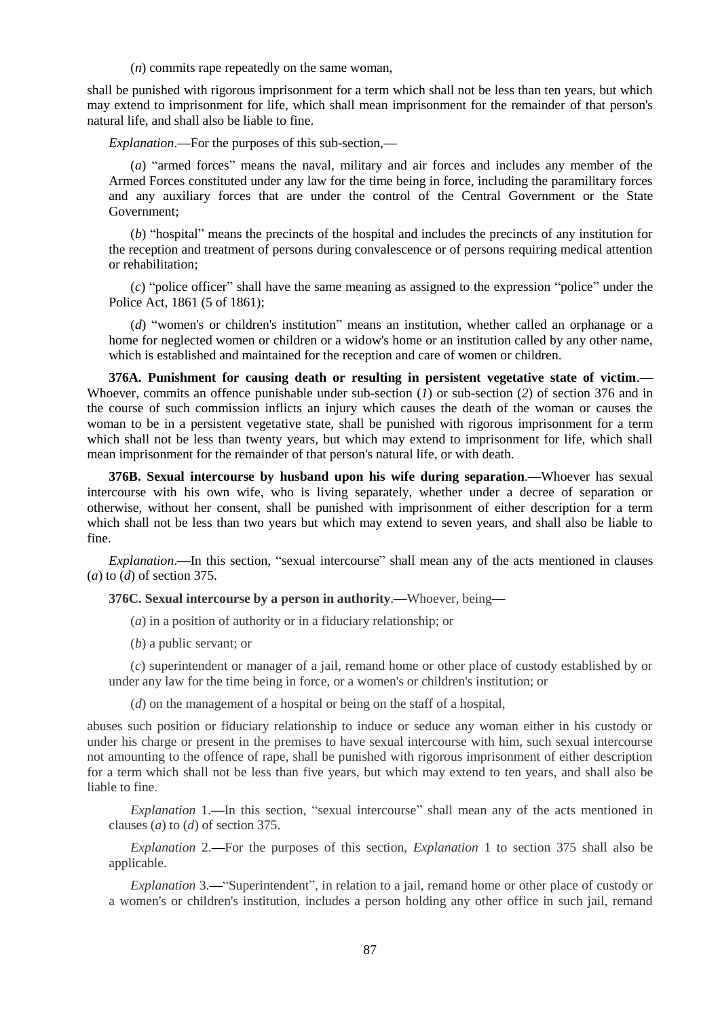(*n*) commits rape repeatedly on the same woman,

shall be punished with rigorous imprisonment for a term which shall not be less than ten years, but which may extend to imprisonment for life, which shall mean imprisonment for the remainder of that person's natural life, and shall also be liable to fine.

*Explanation*.**—**For the purposes of this sub-section,**—**

(*a*) "armed forces" means the naval, military and air forces and includes any member of the Armed Forces constituted under any law for the time being in force, including the paramilitary forces and any auxiliary forces that are under the control of the Central Government or the State Government;

(*b*) "hospital" means the precincts of the hospital and includes the precincts of any institution for the reception and treatment of persons during convalescence or of persons requiring medical attention or rehabilitation;

(*c*) "police officer" shall have the same meaning as assigned to the expression "police" under the Police Act, 1861 (5 of 1861);

(*d*) "women's or children's institution" means an institution, whether called an orphanage or a home for neglected women or children or a widow's home or an institution called by any other name, which is established and maintained for the reception and care of women or children.

**376A. Punishment for causing death or resulting in persistent vegetative state of victim**.**—** Whoever, commits an offence punishable under sub-section (*1*) or sub-section (*2*) of section 376 and in the course of such commission inflicts an injury which causes the death of the woman or causes the woman to be in a persistent vegetative state, shall be punished with rigorous imprisonment for a term which shall not be less than twenty years, but which may extend to imprisonment for life, which shall mean imprisonment for the remainder of that person's natural life, or with death.

**376B. Sexual intercourse by husband upon his wife during separation**.**—**Whoever has sexual intercourse with his own wife, who is living separately, whether under a decree of separation or otherwise, without her consent, shall be punished with imprisonment of either description for a term which shall not be less than two years but which may extend to seven years, and shall also be liable to fine.

*Explanation*.**—**In this section, "sexual intercourse" shall mean any of the acts mentioned in clauses (*a*) to (*d*) of section 375.

**376C. Sexual intercourse by a person in authority**.**—**Whoever, being**—**

(*a*) in a position of authority or in a fiduciary relationship; or

(*b*) a public servant; or

(*c*) superintendent or manager of a jail, remand home or other place of custody established by or under any law for the time being in force, or a women's or children's institution; or

(*d*) on the management of a hospital or being on the staff of a hospital,

abuses such position or fiduciary relationship to induce or seduce any woman either in his custody or under his charge or present in the premises to have sexual intercourse with him, such sexual intercourse not amounting to the offence of rape, shall be punished with rigorous imprisonment of either description for a term which shall not be less than five years, but which may extend to ten years, and shall also be liable to fine.

*Explanation* 1.**—**In this section, "sexual intercourse" shall mean any of the acts mentioned in clauses (*a*) to (*d*) of section 375.

*Explanation* 2.**—**For the purposes of this section, *Explanation* 1 to section 375 shall also be applicable.

*Explanation* 3.**—**"Superintendent", in relation to a jail, remand home or other place of custody or a women's or children's institution, includes a person holding any other office in such jail, remand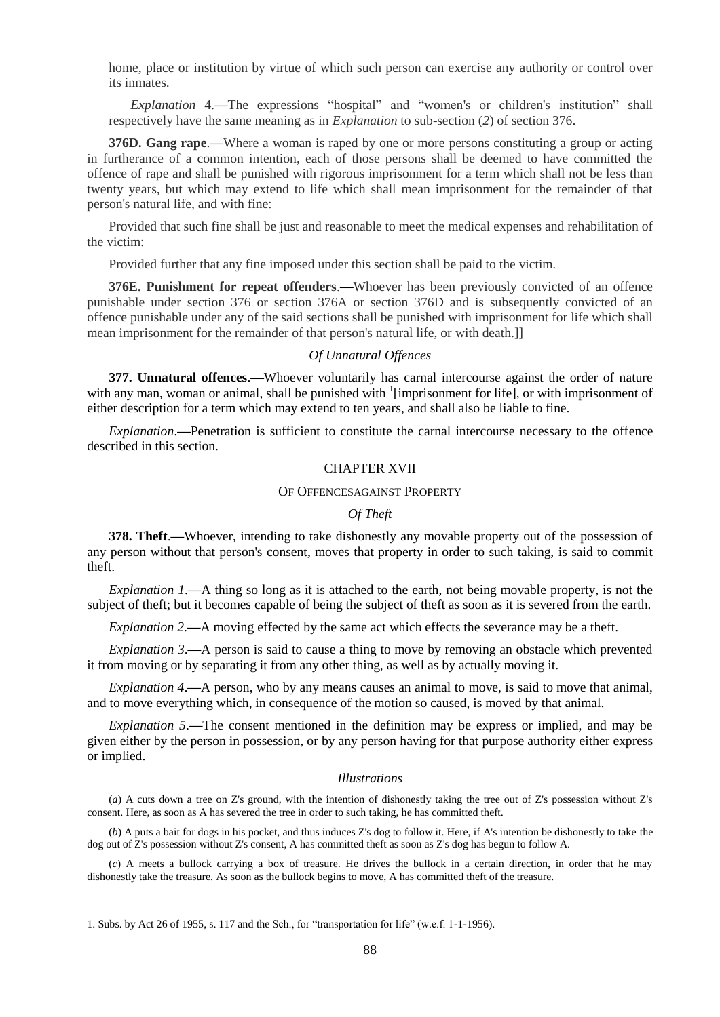home, place or institution by virtue of which such person can exercise any authority or control over its inmates.

*Explanation* 4.**—**The expressions "hospital" and "women's or children's institution" shall respectively have the same meaning as in *Explanation* to sub-section (*2*) of section 376.

**376D. Gang rape**.**—**Where a woman is raped by one or more persons constituting a group or acting in furtherance of a common intention, each of those persons shall be deemed to have committed the offence of rape and shall be punished with rigorous imprisonment for a term which shall not be less than twenty years, but which may extend to life which shall mean imprisonment for the remainder of that person's natural life, and with fine:

Provided that such fine shall be just and reasonable to meet the medical expenses and rehabilitation of the victim:

Provided further that any fine imposed under this section shall be paid to the victim.

**376E. Punishment for repeat offenders**.**—**Whoever has been previously convicted of an offence punishable under section 376 or section 376A or section 376D and is subsequently convicted of an offence punishable under any of the said sections shall be punished with imprisonment for life which shall mean imprisonment for the remainder of that person's natural life, or with death.]]

# *Of Unnatural Offences*

**377. Unnatural offences**.**—**Whoever voluntarily has carnal intercourse against the order of nature with any man, woman or animal, shall be punished with <sup>1</sup>[imprisonment for life], or with imprisonment of either description for a term which may extend to ten years, and shall also be liable to fine.

*Explanation*.**—**Penetration is sufficient to constitute the carnal intercourse necessary to the offence described in this section.

# CHAPTER XVII

## OF OFFENCESAGAINST PROPERTY

### *Of Theft*

**378. Theft**.**—**Whoever, intending to take dishonestly any movable property out of the possession of any person without that person's consent, moves that property in order to such taking, is said to commit theft.

*Explanation 1.*—A thing so long as it is attached to the earth, not being movable property, is not the subject of theft; but it becomes capable of being the subject of theft as soon as it is severed from the earth.

*Explanation 2*.**—**A moving effected by the same act which effects the severance may be a theft.

*Explanation 3*.**—**A person is said to cause a thing to move by removing an obstacle which prevented it from moving or by separating it from any other thing, as well as by actually moving it.

*Explanation 4*.**—**A person, who by any means causes an animal to move, is said to move that animal, and to move everything which, in consequence of the motion so caused, is moved by that animal.

*Explanation 5*.**—**The consent mentioned in the definition may be express or implied, and may be given either by the person in possession, or by any person having for that purpose authority either express or implied.

#### *Illustrations*

(*a*) A cuts down a tree on Z's ground, with the intention of dishonestly taking the tree out of Z's possession without Z's consent. Here, as soon as A has severed the tree in order to such taking, he has committed theft.

(*b*) A puts a bait for dogs in his pocket, and thus induces Z's dog to follow it. Here, if A's intention be dishonestly to take the dog out of Z's possession without Z's consent, A has committed theft as soon as Z's dog has begun to follow A.

(*c*) A meets a bullock carrying a box of treasure. He drives the bullock in a certain direction, in order that he may dishonestly take the treasure. As soon as the bullock begins to move, A has committed theft of the treasure.

<sup>1.</sup> Subs. by Act 26 of 1955, s. 117 and the Sch., for "transportation for life" (w.e.f. 1-1-1956).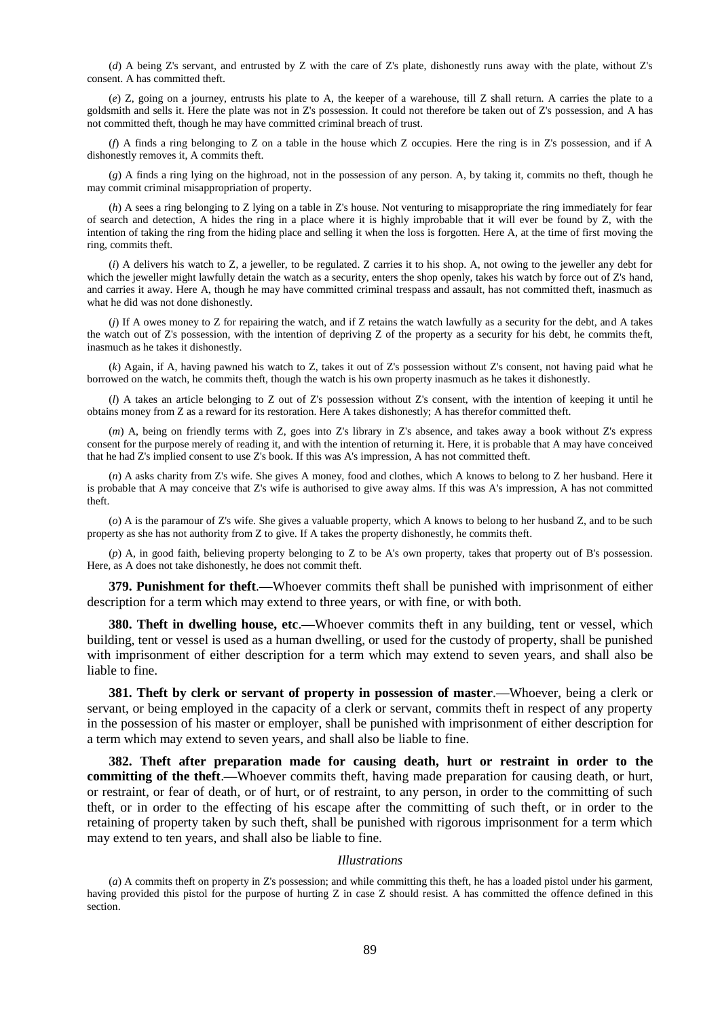(*d*) A being Z's servant, and entrusted by Z with the care of Z's plate, dishonestly runs away with the plate, without Z's consent. A has committed theft.

(*e*) Z, going on a journey, entrusts his plate to A, the keeper of a warehouse, till Z shall return. A carries the plate to a goldsmith and sells it. Here the plate was not in Z's possession. It could not therefore be taken out of Z's possession, and A has not committed theft, though he may have committed criminal breach of trust.

(*f*) A finds a ring belonging to Z on a table in the house which Z occupies. Here the ring is in Z's possession, and if A dishonestly removes it, A commits theft.

(*g*) A finds a ring lying on the highroad, not in the possession of any person. A, by taking it, commits no theft, though he may commit criminal misappropriation of property.

(*h*) A sees a ring belonging to Z lying on a table in Z's house. Not venturing to misappropriate the ring immediately for fear of search and detection, A hides the ring in a place where it is highly improbable that it will ever be found by Z, with the intention of taking the ring from the hiding place and selling it when the loss is forgotten. Here A, at the time of first moving the ring, commits theft.

(*i*) A delivers his watch to Z, a jeweller, to be regulated. Z carries it to his shop. A, not owing to the jeweller any debt for which the jeweller might lawfully detain the watch as a security, enters the shop openly, takes his watch by force out of Z's hand, and carries it away. Here A, though he may have committed criminal trespass and assault, has not committed theft, inasmuch as what he did was not done dishonestly.

(*j*) If A owes money to Z for repairing the watch, and if Z retains the watch lawfully as a security for the debt, and A takes the watch out of Z's possession, with the intention of depriving Z of the property as a security for his debt, he commits theft, inasmuch as he takes it dishonestly.

(*k*) Again, if A, having pawned his watch to Z, takes it out of Z's possession without Z's consent, not having paid what he borrowed on the watch, he commits theft, though the watch is his own property inasmuch as he takes it dishonestly.

(*l*) A takes an article belonging to Z out of Z's possession without Z's consent, with the intention of keeping it until he obtains money from Z as a reward for its restoration. Here A takes dishonestly; A has therefor committed theft.

(*m*) A, being on friendly terms with Z, goes into Z's library in Z's absence, and takes away a book without Z's express consent for the purpose merely of reading it, and with the intention of returning it. Here, it is probable that A may have conceived that he had Z's implied consent to use Z's book. If this was A's impression, A has not committed theft.

(*n*) A asks charity from Z's wife. She gives A money, food and clothes, which A knows to belong to Z her husband. Here it is probable that A may conceive that Z's wife is authorised to give away alms. If this was A's impression, A has not committed theft.

(*o*) A is the paramour of Z's wife. She gives a valuable property, which A knows to belong to her husband Z, and to be such property as she has not authority from Z to give. If A takes the property dishonestly, he commits theft.

(*p*) A, in good faith, believing property belonging to Z to be A's own property, takes that property out of B's possession. Here, as A does not take dishonestly, he does not commit theft.

**379. Punishment for theft**.**—**Whoever commits theft shall be punished with imprisonment of either description for a term which may extend to three years, or with fine, or with both.

**380. Theft in dwelling house, etc**.**—**Whoever commits theft in any building, tent or vessel, which building, tent or vessel is used as a human dwelling, or used for the custody of property, shall be punished with imprisonment of either description for a term which may extend to seven years, and shall also be liable to fine.

**381. Theft by clerk or servant of property in possession of master**.**—**Whoever, being a clerk or servant, or being employed in the capacity of a clerk or servant, commits theft in respect of any property in the possession of his master or employer, shall be punished with imprisonment of either description for a term which may extend to seven years, and shall also be liable to fine.

**382. Theft after preparation made for causing death, hurt or restraint in order to the committing of the theft**.**—**Whoever commits theft, having made preparation for causing death, or hurt, or restraint, or fear of death, or of hurt, or of restraint, to any person, in order to the committing of such theft, or in order to the effecting of his escape after the committing of such theft, or in order to the retaining of property taken by such theft, shall be punished with rigorous imprisonment for a term which may extend to ten years, and shall also be liable to fine.

#### *Illustrations*

(*a*) A commits theft on property in Z's possession; and while committing this theft, he has a loaded pistol under his garment, having provided this pistol for the purpose of hurting Z in case Z should resist. A has committed the offence defined in this section.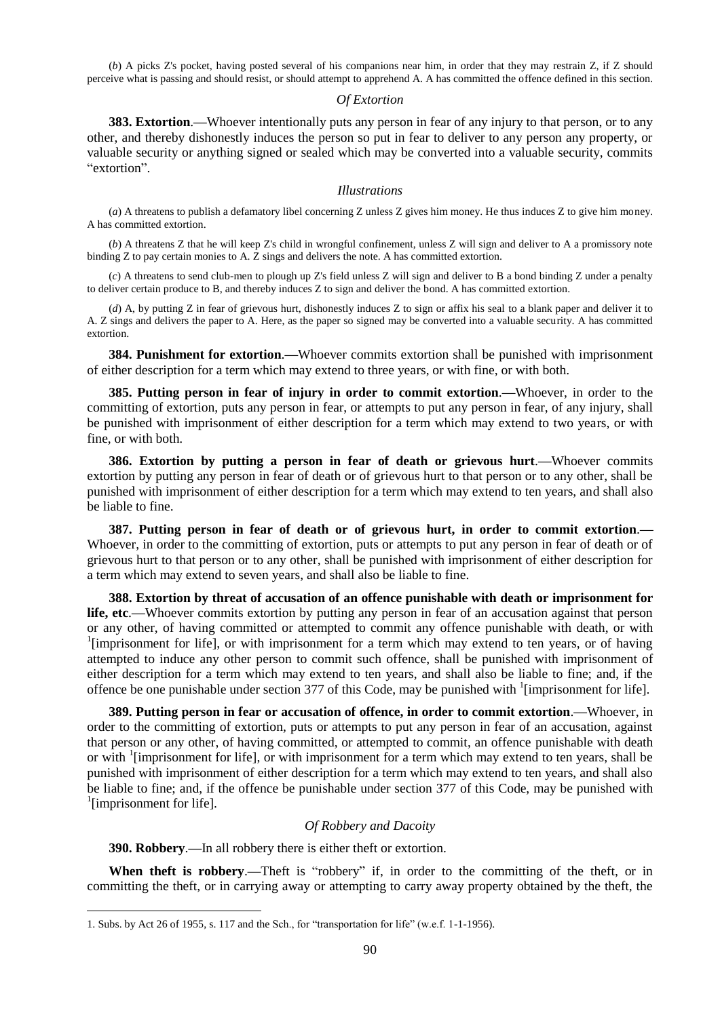(*b*) A picks Z's pocket, having posted several of his companions near him, in order that they may restrain Z, if Z should perceive what is passing and should resist, or should attempt to apprehend A. A has committed the offence defined in this section.

## *Of Extortion*

**383. Extortion**.**—**Whoever intentionally puts any person in fear of any injury to that person, or to any other, and thereby dishonestly induces the person so put in fear to deliver to any person any property, or valuable security or anything signed or sealed which may be converted into a valuable security, commits "extortion".

### *Illustrations*

(*a*) A threatens to publish a defamatory libel concerning Z unless Z gives him money. He thus induces Z to give him money. A has committed extortion.

(*b*) A threatens Z that he will keep Z's child in wrongful confinement, unless Z will sign and deliver to A a promissory note binding Z to pay certain monies to A. Z sings and delivers the note. A has committed extortion.

(*c*) A threatens to send club-men to plough up Z's field unless Z will sign and deliver to B a bond binding Z under a penalty to deliver certain produce to B, and thereby induces Z to sign and deliver the bond. A has committed extortion.

(*d*) A, by putting Z in fear of grievous hurt, dishonestly induces Z to sign or affix his seal to a blank paper and deliver it to A. Z sings and delivers the paper to A. Here, as the paper so signed may be converted into a valuable security. A has committed extortion.

**384. Punishment for extortion**.**—**Whoever commits extortion shall be punished with imprisonment of either description for a term which may extend to three years, or with fine, or with both.

**385. Putting person in fear of injury in order to commit extortion**.**—**Whoever, in order to the committing of extortion, puts any person in fear, or attempts to put any person in fear, of any injury, shall be punished with imprisonment of either description for a term which may extend to two years, or with fine, or with both.

**386. Extortion by putting a person in fear of death or grievous hurt**.**—**Whoever commits extortion by putting any person in fear of death or of grievous hurt to that person or to any other, shall be punished with imprisonment of either description for a term which may extend to ten years, and shall also be liable to fine.

**387. Putting person in fear of death or of grievous hurt, in order to commit extortion**.**—** Whoever, in order to the committing of extortion, puts or attempts to put any person in fear of death or of grievous hurt to that person or to any other, shall be punished with imprisonment of either description for a term which may extend to seven years, and shall also be liable to fine.

**388. Extortion by threat of accusation of an offence punishable with death or imprisonment for life, etc.—Whoever commits extortion by putting any person in fear of an accusation against that person** or any other, of having committed or attempted to commit any offence punishable with death, or with <sup>1</sup>[imprisonment for life], or with imprisonment for a term which may extend to ten years, or of having attempted to induce any other person to commit such offence, shall be punished with imprisonment of either description for a term which may extend to ten years, and shall also be liable to fine; and, if the offence be one punishable under section 377 of this Code, may be punished with <sup>1</sup>[imprisonment for life].

**389. Putting person in fear or accusation of offence, in order to commit extortion**.**—**Whoever, in order to the committing of extortion, puts or attempts to put any person in fear of an accusation, against that person or any other, of having committed, or attempted to commit, an offence punishable with death or with <sup>1</sup>[imprisonment for life], or with imprisonment for a term which may extend to ten years, shall be punished with imprisonment of either description for a term which may extend to ten years, and shall also be liable to fine; and, if the offence be punishable under section 377 of this Code, may be punished with <sup>1</sup>[imprisonment for life].

# *Of Robbery and Dacoity*

**390. Robbery**.**—**In all robbery there is either theft or extortion.

**.** 

When theft is robbery.—Theft is "robbery" if, in order to the committing of the theft, or in committing the theft, or in carrying away or attempting to carry away property obtained by the theft, the

<sup>1.</sup> Subs. by Act 26 of 1955, s. 117 and the Sch., for "transportation for life" (w.e.f. 1-1-1956).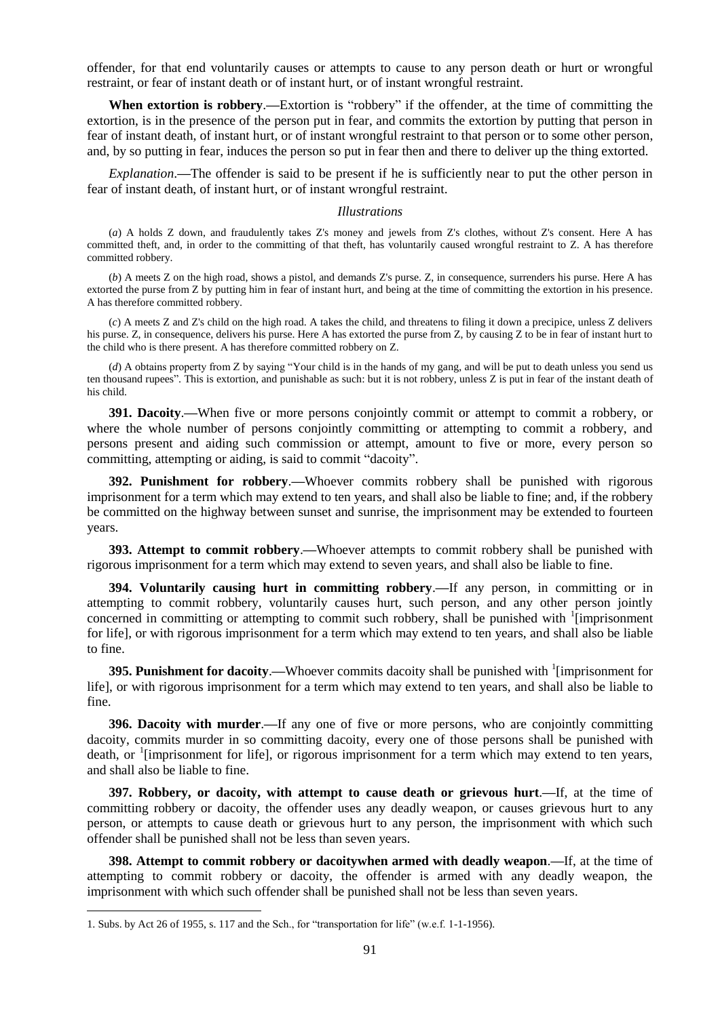offender, for that end voluntarily causes or attempts to cause to any person death or hurt or wrongful restraint, or fear of instant death or of instant hurt, or of instant wrongful restraint.

**When extortion is robbery**.**—**Extortion is "robbery" if the offender, at the time of committing the extortion, is in the presence of the person put in fear, and commits the extortion by putting that person in fear of instant death, of instant hurt, or of instant wrongful restraint to that person or to some other person, and, by so putting in fear, induces the person so put in fear then and there to deliver up the thing extorted.

*Explanation*.**—**The offender is said to be present if he is sufficiently near to put the other person in fear of instant death, of instant hurt, or of instant wrongful restraint.

## *Illustrations*

(*a*) A holds Z down, and fraudulently takes Z's money and jewels from Z's clothes, without Z's consent. Here A has committed theft, and, in order to the committing of that theft, has voluntarily caused wrongful restraint to Z. A has therefore committed robbery.

(*b*) A meets Z on the high road, shows a pistol, and demands Z's purse. Z, in consequence, surrenders his purse. Here A has extorted the purse from Z by putting him in fear of instant hurt, and being at the time of committing the extortion in his presence. A has therefore committed robbery.

(*c*) A meets Z and Z's child on the high road. A takes the child, and threatens to filing it down a precipice, unless Z delivers his purse. Z, in consequence, delivers his purse. Here A has extorted the purse from Z, by causing Z to be in fear of instant hurt to the child who is there present. A has therefore committed robbery on Z.

(*d*) A obtains property from Z by saying "Your child is in the hands of my gang, and will be put to death unless you send us ten thousand rupees". This is extortion, and punishable as such: but it is not robbery, unless Z is put in fear of the instant death of his child.

**391. Dacoity**.**—**When five or more persons conjointly commit or attempt to commit a robbery, or where the whole number of persons conjointly committing or attempting to commit a robbery, and persons present and aiding such commission or attempt, amount to five or more, every person so committing, attempting or aiding, is said to commit "dacoity".

**392. Punishment for robbery**.**—**Whoever commits robbery shall be punished with rigorous imprisonment for a term which may extend to ten years, and shall also be liable to fine; and, if the robbery be committed on the highway between sunset and sunrise, the imprisonment may be extended to fourteen years.

**393. Attempt to commit robbery**.**—**Whoever attempts to commit robbery shall be punished with rigorous imprisonment for a term which may extend to seven years, and shall also be liable to fine.

**394. Voluntarily causing hurt in committing robbery**.**—**If any person, in committing or in attempting to commit robbery, voluntarily causes hurt, such person, and any other person jointly concerned in committing or attempting to commit such robbery, shall be punished with  $\frac{1}{2}$  [imprisonment] for life], or with rigorous imprisonment for a term which may extend to ten years, and shall also be liable to fine.

**395. Punishment for dacoity.—Whoever commits dacoity shall be punished with <sup>1</sup>[imprisonment for** life], or with rigorous imprisonment for a term which may extend to ten years, and shall also be liable to fine.

**396. Dacoity with murder**.**—**If any one of five or more persons, who are conjointly committing dacoity, commits murder in so committing dacoity, every one of those persons shall be punished with death, or <sup>1</sup>[imprisonment for life], or rigorous imprisonment for a term which may extend to ten years, and shall also be liable to fine.

**397. Robbery, or dacoity, with attempt to cause death or grievous hurt**.**—**If, at the time of committing robbery or dacoity, the offender uses any deadly weapon, or causes grievous hurt to any person, or attempts to cause death or grievous hurt to any person, the imprisonment with which such offender shall be punished shall not be less than seven years.

**398. Attempt to commit robbery or dacoitywhen armed with deadly weapon**.**—**If, at the time of attempting to commit robbery or dacoity, the offender is armed with any deadly weapon, the imprisonment with which such offender shall be punished shall not be less than seven years.

<sup>1.</sup> Subs. by Act 26 of 1955, s. 117 and the Sch., for "transportation for life" (w.e.f. 1-1-1956).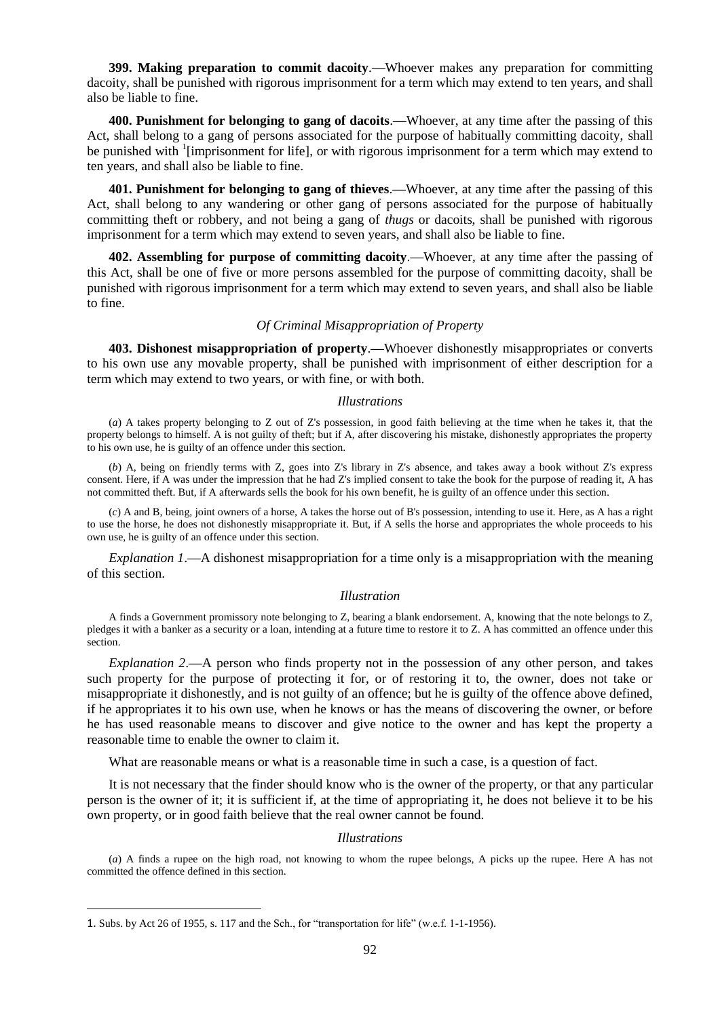**399. Making preparation to commit dacoity**.**—**Whoever makes any preparation for committing dacoity, shall be punished with rigorous imprisonment for a term which may extend to ten years, and shall also be liable to fine.

**400. Punishment for belonging to gang of dacoits**.**—**Whoever, at any time after the passing of this Act, shall belong to a gang of persons associated for the purpose of habitually committing dacoity, shall be punished with  $\frac{1}{2}$  [imprisonment for life], or with rigorous imprisonment for a term which may extend to ten years, and shall also be liable to fine.

**401. Punishment for belonging to gang of thieves**.**—**Whoever, at any time after the passing of this Act, shall belong to any wandering or other gang of persons associated for the purpose of habitually committing theft or robbery, and not being a gang of *thugs* or dacoits, shall be punished with rigorous imprisonment for a term which may extend to seven years, and shall also be liable to fine.

**402. Assembling for purpose of committing dacoity**.**—**Whoever, at any time after the passing of this Act, shall be one of five or more persons assembled for the purpose of committing dacoity, shall be punished with rigorous imprisonment for a term which may extend to seven years, and shall also be liable to fine.

# *Of Criminal Misappropriation of Property*

**403. Dishonest misappropriation of property**.**—**Whoever dishonestly misappropriates or converts to his own use any movable property, shall be punished with imprisonment of either description for a term which may extend to two years, or with fine, or with both.

## *Illustrations*

(*a*) A takes property belonging to Z out of Z's possession, in good faith believing at the time when he takes it, that the property belongs to himself. A is not guilty of theft; but if A, after discovering his mistake, dishonestly appropriates the property to his own use, he is guilty of an offence under this section.

(*b*) A, being on friendly terms with Z, goes into Z's library in Z's absence, and takes away a book without Z's express consent. Here, if A was under the impression that he had Z's implied consent to take the book for the purpose of reading it, A has not committed theft. But, if A afterwards sells the book for his own benefit, he is guilty of an offence under this section.

(*c*) A and B, being, joint owners of a horse, A takes the horse out of B's possession, intending to use it. Here, as A has a right to use the horse, he does not dishonestly misappropriate it. But, if A sells the horse and appropriates the whole proceeds to his own use, he is guilty of an offence under this section.

*Explanation 1*.**—**A dishonest misappropriation for a time only is a misappropriation with the meaning of this section.

#### *Illustration*

A finds a Government promissory note belonging to Z, bearing a blank endorsement. A, knowing that the note belongs to Z, pledges it with a banker as a security or a loan, intending at a future time to restore it to Z. A has committed an offence under this section.

*Explanation 2*.**—**A person who finds property not in the possession of any other person, and takes such property for the purpose of protecting it for, or of restoring it to, the owner, does not take or misappropriate it dishonestly, and is not guilty of an offence; but he is guilty of the offence above defined, if he appropriates it to his own use, when he knows or has the means of discovering the owner, or before he has used reasonable means to discover and give notice to the owner and has kept the property a reasonable time to enable the owner to claim it.

What are reasonable means or what is a reasonable time in such a case, is a question of fact.

It is not necessary that the finder should know who is the owner of the property, or that any particular person is the owner of it; it is sufficient if, at the time of appropriating it, he does not believe it to be his own property, or in good faith believe that the real owner cannot be found.

### *Illustrations*

(*a*) A finds a rupee on the high road, not knowing to whom the rupee belongs, A picks up the rupee. Here A has not committed the offence defined in this section.

<sup>1.</sup> Subs. by Act 26 of 1955, s. 117 and the Sch., for "transportation for life" (w.e.f. 1-1-1956).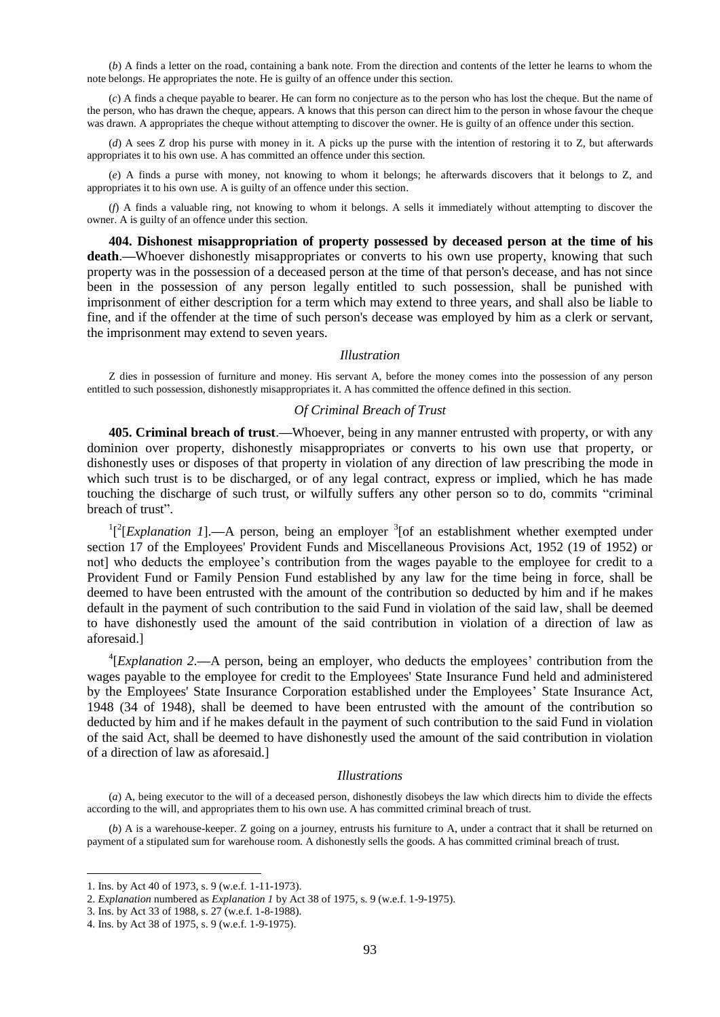(*b*) A finds a letter on the road, containing a bank note. From the direction and contents of the letter he learns to whom the note belongs. He appropriates the note. He is guilty of an offence under this section.

(*c*) A finds a cheque payable to bearer. He can form no conjecture as to the person who has lost the cheque. But the name of the person, who has drawn the cheque, appears. A knows that this person can direct him to the person in whose favour the cheque was drawn. A appropriates the cheque without attempting to discover the owner. He is guilty of an offence under this section.

(*d*) A sees Z drop his purse with money in it. A picks up the purse with the intention of restoring it to Z, but afterwards appropriates it to his own use. A has committed an offence under this section.

(*e*) A finds a purse with money, not knowing to whom it belongs; he afterwards discovers that it belongs to Z, and appropriates it to his own use. A is guilty of an offence under this section.

(*f*) A finds a valuable ring, not knowing to whom it belongs. A sells it immediately without attempting to discover the owner. A is guilty of an offence under this section.

**404. Dishonest misappropriation of property possessed by deceased person at the time of his death**.**—**Whoever dishonestly misappropriates or converts to his own use property, knowing that such property was in the possession of a deceased person at the time of that person's decease, and has not since been in the possession of any person legally entitled to such possession, shall be punished with imprisonment of either description for a term which may extend to three years, and shall also be liable to fine, and if the offender at the time of such person's decease was employed by him as a clerk or servant, the imprisonment may extend to seven years.

*Illustration*

Z dies in possession of furniture and money. His servant A, before the money comes into the possession of any person entitled to such possession, dishonestly misappropriates it. A has committed the offence defined in this section.

## *Of Criminal Breach of Trust*

**405. Criminal breach of trust**.**—**Whoever, being in any manner entrusted with property, or with any dominion over property, dishonestly misappropriates or converts to his own use that property, or dishonestly uses or disposes of that property in violation of any direction of law prescribing the mode in which such trust is to be discharged, or of any legal contract, express or implied, which he has made touching the discharge of such trust, or wilfully suffers any other person so to do, commits "criminal breach of trust".

 $\binom{1}{k}$ [*Explanation 1*].—A person, being an employer <sup>3</sup>[of an establishment whether exempted under section 17 of the Employees' Provident Funds and Miscellaneous Provisions Act, 1952 (19 of 1952) or not] who deducts the employee's contribution from the wages payable to the employee for credit to a Provident Fund or Family Pension Fund established by any law for the time being in force, shall be deemed to have been entrusted with the amount of the contribution so deducted by him and if he makes default in the payment of such contribution to the said Fund in violation of the said law, shall be deemed to have dishonestly used the amount of the said contribution in violation of a direction of law as aforesaid.]

4 [*Explanation 2*.**—**A person, being an employer, who deducts the employees' contribution from the wages payable to the employee for credit to the Employees' State Insurance Fund held and administered by the Employees' State Insurance Corporation established under the Employees' State Insurance Act, 1948 (34 of 1948), shall be deemed to have been entrusted with the amount of the contribution so deducted by him and if he makes default in the payment of such contribution to the said Fund in violation of the said Act, shall be deemed to have dishonestly used the amount of the said contribution in violation of a direction of law as aforesaid.]

#### *Illustrations*

(*a*) A, being executor to the will of a deceased person, dishonestly disobeys the law which directs him to divide the effects according to the will, and appropriates them to his own use. A has committed criminal breach of trust.

(*b*) A is a warehouse-keeper. Z going on a journey, entrusts his furniture to A, under a contract that it shall be returned on payment of a stipulated sum for warehouse room. A dishonestly sells the goods. A has committed criminal breach of trust.

<sup>1.</sup> Ins. by Act 40 of 1973, s. 9 (w.e.f. 1-11-1973).

<sup>2.</sup> *Explanation* numbered as *Explanation 1* by Act 38 of 1975, s. 9 (w.e.f. 1-9-1975).

<sup>3.</sup> Ins. by Act 33 of 1988, s. 27 (w.e.f. 1-8-1988).

<sup>4.</sup> Ins. by Act 38 of 1975, s. 9 (w.e.f. 1-9-1975).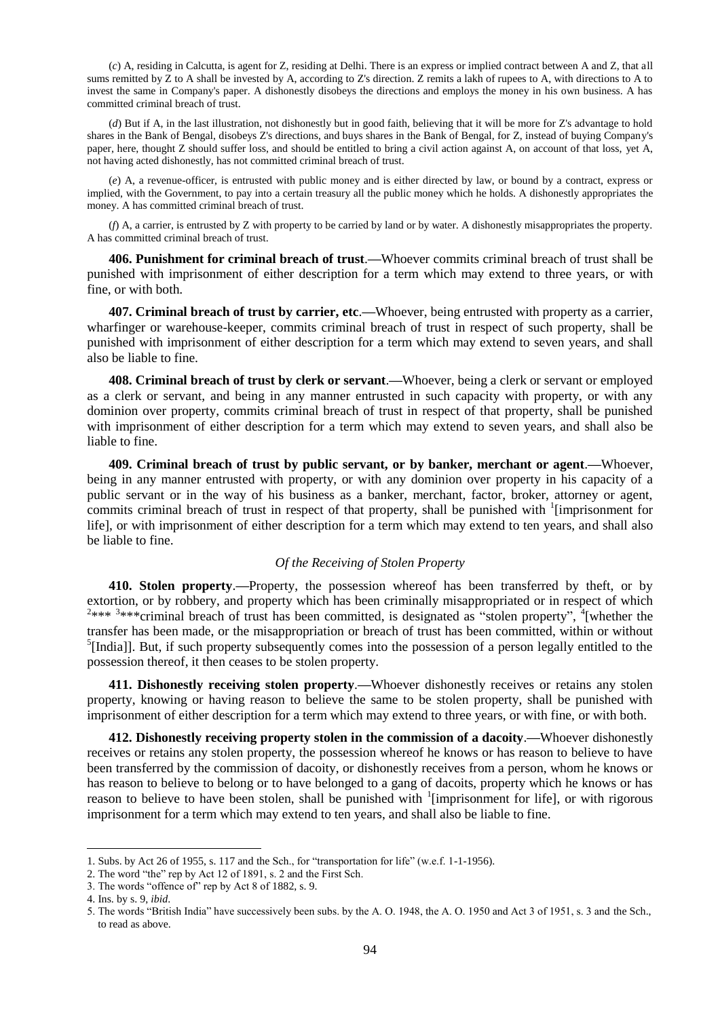(*c*) A, residing in Calcutta, is agent for Z, residing at Delhi. There is an express or implied contract between A and Z, that all sums remitted by Z to A shall be invested by A, according to Z's direction. Z remits a lakh of rupees to A, with directions to A to invest the same in Company's paper. A dishonestly disobeys the directions and employs the money in his own business. A has committed criminal breach of trust.

(*d*) But if A, in the last illustration, not dishonestly but in good faith, believing that it will be more for Z's advantage to hold shares in the Bank of Bengal, disobeys Z's directions, and buys shares in the Bank of Bengal, for Z, instead of buying Company's paper, here, thought Z should suffer loss, and should be entitled to bring a civil action against A, on account of that loss, yet A, not having acted dishonestly, has not committed criminal breach of trust.

(*e*) A, a revenue-officer, is entrusted with public money and is either directed by law, or bound by a contract, express or implied, with the Government, to pay into a certain treasury all the public money which he holds. A dishonestly appropriates the money. A has committed criminal breach of trust.

(*f*) A, a carrier, is entrusted by Z with property to be carried by land or by water. A dishonestly misappropriates the property. A has committed criminal breach of trust.

**406. Punishment for criminal breach of trust**.**—**Whoever commits criminal breach of trust shall be punished with imprisonment of either description for a term which may extend to three years, or with fine, or with both.

**407. Criminal breach of trust by carrier, etc**.**—**Whoever, being entrusted with property as a carrier, wharfinger or warehouse-keeper, commits criminal breach of trust in respect of such property, shall be punished with imprisonment of either description for a term which may extend to seven years, and shall also be liable to fine.

**408. Criminal breach of trust by clerk or servant**.**—**Whoever, being a clerk or servant or employed as a clerk or servant, and being in any manner entrusted in such capacity with property, or with any dominion over property, commits criminal breach of trust in respect of that property, shall be punished with imprisonment of either description for a term which may extend to seven years, and shall also be liable to fine.

**409. Criminal breach of trust by public servant, or by banker, merchant or agent**.**—**Whoever, being in any manner entrusted with property, or with any dominion over property in his capacity of a public servant or in the way of his business as a banker, merchant, factor, broker, attorney or agent, commits criminal breach of trust in respect of that property, shall be punished with <sup>1</sup>[imprisonment for life], or with imprisonment of either description for a term which may extend to ten years, and shall also be liable to fine.

# *Of the Receiving of Stolen Property*

**410. Stolen property**.**—**Property, the possession whereof has been transferred by theft, or by extortion, or by robbery, and property which has been criminally misappropriated or in respect of which <sup>2\*\*\*</sup> <sup>3\*\*\*</sup>criminal breach of trust has been committed, is designated as "stolen property", <sup>4</sup>[whether the transfer has been made, or the misappropriation or breach of trust has been committed, within or without  $<sup>5</sup>[India]$ . But, if such property subsequently comes into the possession of a person legally entitled to the</sup> possession thereof, it then ceases to be stolen property.

**411. Dishonestly receiving stolen property**.**—**Whoever dishonestly receives or retains any stolen property, knowing or having reason to believe the same to be stolen property, shall be punished with imprisonment of either description for a term which may extend to three years, or with fine, or with both.

**412. Dishonestly receiving property stolen in the commission of a dacoity**.**—**Whoever dishonestly receives or retains any stolen property, the possession whereof he knows or has reason to believe to have been transferred by the commission of dacoity, or dishonestly receives from a person, whom he knows or has reason to believe to belong or to have belonged to a gang of dacoits, property which he knows or has reason to believe to have been stolen, shall be punished with <sup>1</sup>[imprisonment for life], or with rigorous imprisonment for a term which may extend to ten years, and shall also be liable to fine.

<sup>1.</sup> Subs. by Act 26 of 1955, s. 117 and the Sch., for "transportation for life" (w.e.f. 1-1-1956).

<sup>2.</sup> The word "the" rep by Act 12 of 1891, s. 2 and the First Sch.

<sup>3.</sup> The words "offence of" rep by Act 8 of 1882, s. 9.

<sup>4.</sup> Ins. by s. 9, *ibid*.

<sup>5.</sup> The words "British India" have successively been subs. by the A. O. 1948, the A. O. 1950 and Act 3 of 1951, s. 3 and the Sch., to read as above.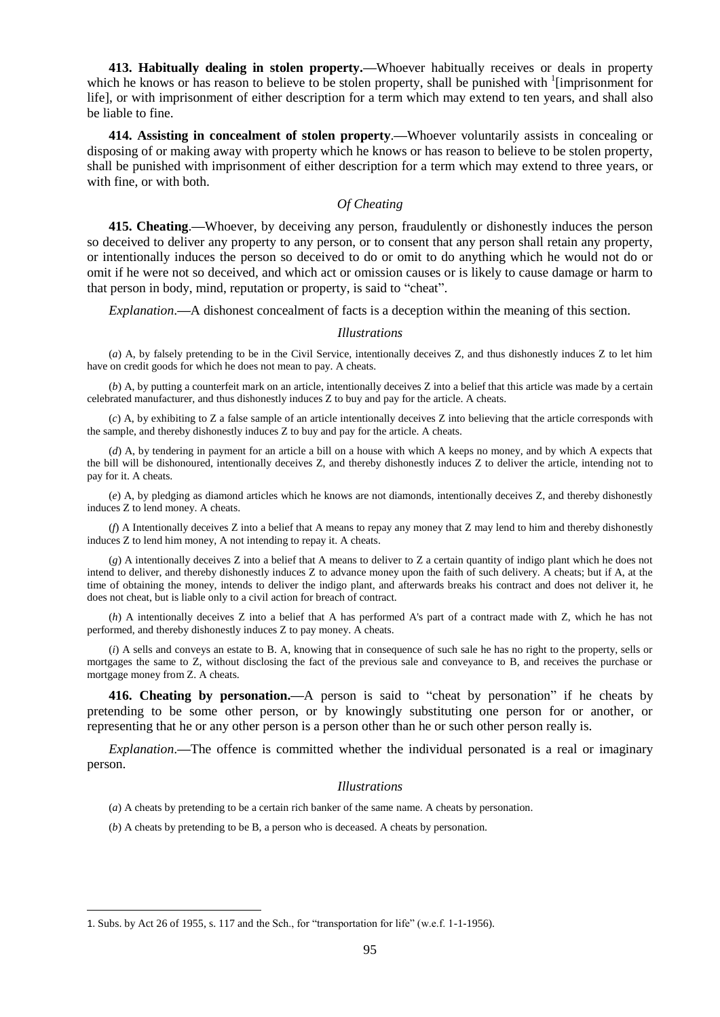**413. Habitually dealing in stolen property.—**Whoever habitually receives or deals in property which he knows or has reason to believe to be stolen property, shall be punished with <sup>1</sup>[imprisonment for life], or with imprisonment of either description for a term which may extend to ten years, and shall also be liable to fine.

**414. Assisting in concealment of stolen property**.**—**Whoever voluntarily assists in concealing or disposing of or making away with property which he knows or has reason to believe to be stolen property, shall be punished with imprisonment of either description for a term which may extend to three years, or with fine, or with both.

# *Of Cheating*

**415. Cheating**.**—**Whoever, by deceiving any person, fraudulently or dishonestly induces the person so deceived to deliver any property to any person, or to consent that any person shall retain any property, or intentionally induces the person so deceived to do or omit to do anything which he would not do or omit if he were not so deceived, and which act or omission causes or is likely to cause damage or harm to that person in body, mind, reputation or property, is said to "cheat".

*Explanation*.**—**A dishonest concealment of facts is a deception within the meaning of this section.

#### *Illustrations*

(*a*) A, by falsely pretending to be in the Civil Service, intentionally deceives Z, and thus dishonestly induces Z to let him have on credit goods for which he does not mean to pay. A cheats.

(*b*) A, by putting a counterfeit mark on an article, intentionally deceives Z into a belief that this article was made by a certain celebrated manufacturer, and thus dishonestly induces Z to buy and pay for the article. A cheats.

(*c*) A, by exhibiting to Z a false sample of an article intentionally deceives Z into believing that the article corresponds with the sample, and thereby dishonestly induces Z to buy and pay for the article. A cheats.

(*d*) A, by tendering in payment for an article a bill on a house with which A keeps no money, and by which A expects that the bill will be dishonoured, intentionally deceives Z, and thereby dishonestly induces Z to deliver the article, intending not to pay for it. A cheats.

(*e*) A, by pledging as diamond articles which he knows are not diamonds, intentionally deceives Z, and thereby dishonestly induces Z to lend money. A cheats.

(*f*) A Intentionally deceives Z into a belief that A means to repay any money that Z may lend to him and thereby dishonestly induces Z to lend him money, A not intending to repay it. A cheats.

(*g*) A intentionally deceives Z into a belief that A means to deliver to Z a certain quantity of indigo plant which he does not intend to deliver, and thereby dishonestly induces Z to advance money upon the faith of such delivery. A cheats; but if A, at the time of obtaining the money, intends to deliver the indigo plant, and afterwards breaks his contract and does not deliver it, he does not cheat, but is liable only to a civil action for breach of contract.

(*h*) A intentionally deceives Z into a belief that A has performed A's part of a contract made with Z, which he has not performed, and thereby dishonestly induces Z to pay money. A cheats.

(*i*) A sells and conveys an estate to B. A, knowing that in consequence of such sale he has no right to the property, sells or mortgages the same to Z, without disclosing the fact of the previous sale and conveyance to B, and receives the purchase or mortgage money from Z. A cheats.

**416. Cheating by personation.—**A person is said to "cheat by personation" if he cheats by pretending to be some other person, or by knowingly substituting one person for or another, or representing that he or any other person is a person other than he or such other person really is.

*Explanation*.**—**The offence is committed whether the individual personated is a real or imaginary person.

## *Illustrations*

(*a*) A cheats by pretending to be a certain rich banker of the same name. A cheats by personation.

(*b*) A cheats by pretending to be B, a person who is deceased. A cheats by personation.

<sup>1.</sup> Subs. by Act 26 of 1955, s. 117 and the Sch., for "transportation for life" (w.e.f. 1-1-1956).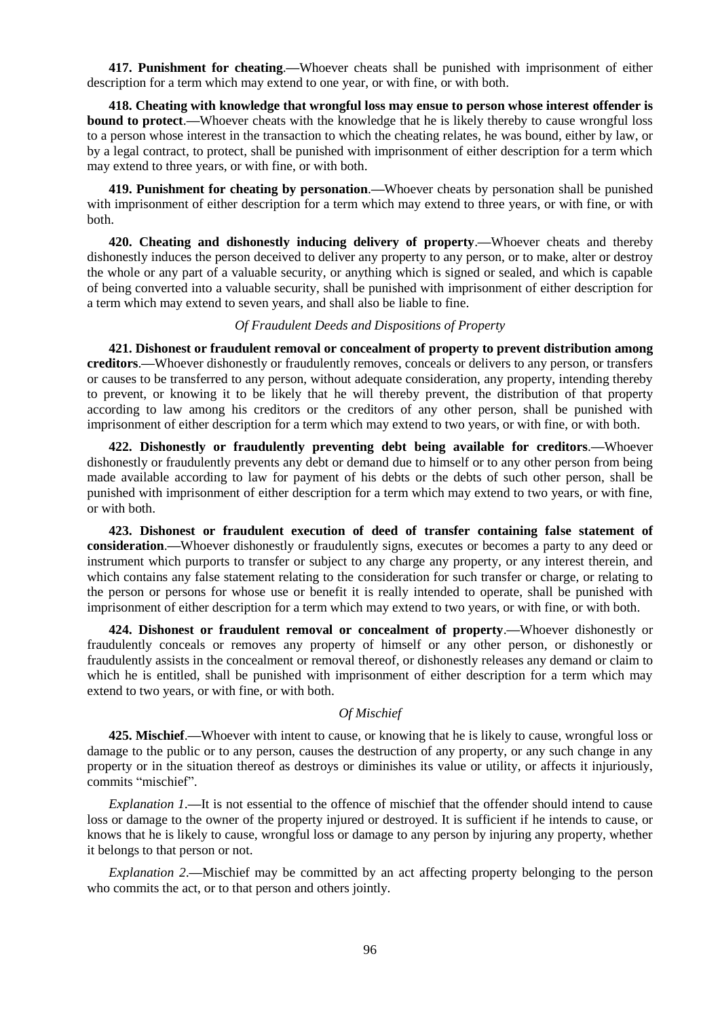**417. Punishment for cheating**.**—**Whoever cheats shall be punished with imprisonment of either description for a term which may extend to one year, or with fine, or with both.

**418. Cheating with knowledge that wrongful loss may ensue to person whose interest offender is bound to protect.—Whoever cheats with the knowledge that he is likely thereby to cause wrongful loss** to a person whose interest in the transaction to which the cheating relates, he was bound, either by law, or by a legal contract, to protect, shall be punished with imprisonment of either description for a term which may extend to three years, or with fine, or with both.

**419. Punishment for cheating by personation**.**—**Whoever cheats by personation shall be punished with imprisonment of either description for a term which may extend to three years, or with fine, or with both.

**420. Cheating and dishonestly inducing delivery of property**.**—**Whoever cheats and thereby dishonestly induces the person deceived to deliver any property to any person, or to make, alter or destroy the whole or any part of a valuable security, or anything which is signed or sealed, and which is capable of being converted into a valuable security, shall be punished with imprisonment of either description for a term which may extend to seven years, and shall also be liable to fine.

# *Of Fraudulent Deeds and Dispositions of Property*

**421. Dishonest or fraudulent removal or concealment of property to prevent distribution among creditors**.**—**Whoever dishonestly or fraudulently removes, conceals or delivers to any person, or transfers or causes to be transferred to any person, without adequate consideration, any property, intending thereby to prevent, or knowing it to be likely that he will thereby prevent, the distribution of that property according to law among his creditors or the creditors of any other person, shall be punished with imprisonment of either description for a term which may extend to two years, or with fine, or with both.

**422. Dishonestly or fraudulently preventing debt being available for creditors**.**—**Whoever dishonestly or fraudulently prevents any debt or demand due to himself or to any other person from being made available according to law for payment of his debts or the debts of such other person, shall be punished with imprisonment of either description for a term which may extend to two years, or with fine, or with both.

**423. Dishonest or fraudulent execution of deed of transfer containing false statement of consideration**.**—**Whoever dishonestly or fraudulently signs, executes or becomes a party to any deed or instrument which purports to transfer or subject to any charge any property, or any interest therein, and which contains any false statement relating to the consideration for such transfer or charge, or relating to the person or persons for whose use or benefit it is really intended to operate, shall be punished with imprisonment of either description for a term which may extend to two years, or with fine, or with both.

**424. Dishonest or fraudulent removal or concealment of property**.**—**Whoever dishonestly or fraudulently conceals or removes any property of himself or any other person, or dishonestly or fraudulently assists in the concealment or removal thereof, or dishonestly releases any demand or claim to which he is entitled, shall be punished with imprisonment of either description for a term which may extend to two years, or with fine, or with both.

# *Of Mischief*

**425. Mischief**.**—**Whoever with intent to cause, or knowing that he is likely to cause, wrongful loss or damage to the public or to any person, causes the destruction of any property, or any such change in any property or in the situation thereof as destroys or diminishes its value or utility, or affects it injuriously, commits "mischief".

*Explanation 1*.**—**It is not essential to the offence of mischief that the offender should intend to cause loss or damage to the owner of the property injured or destroyed. It is sufficient if he intends to cause, or knows that he is likely to cause, wrongful loss or damage to any person by injuring any property, whether it belongs to that person or not.

*Explanation 2*.**—**Mischief may be committed by an act affecting property belonging to the person who commits the act, or to that person and others jointly.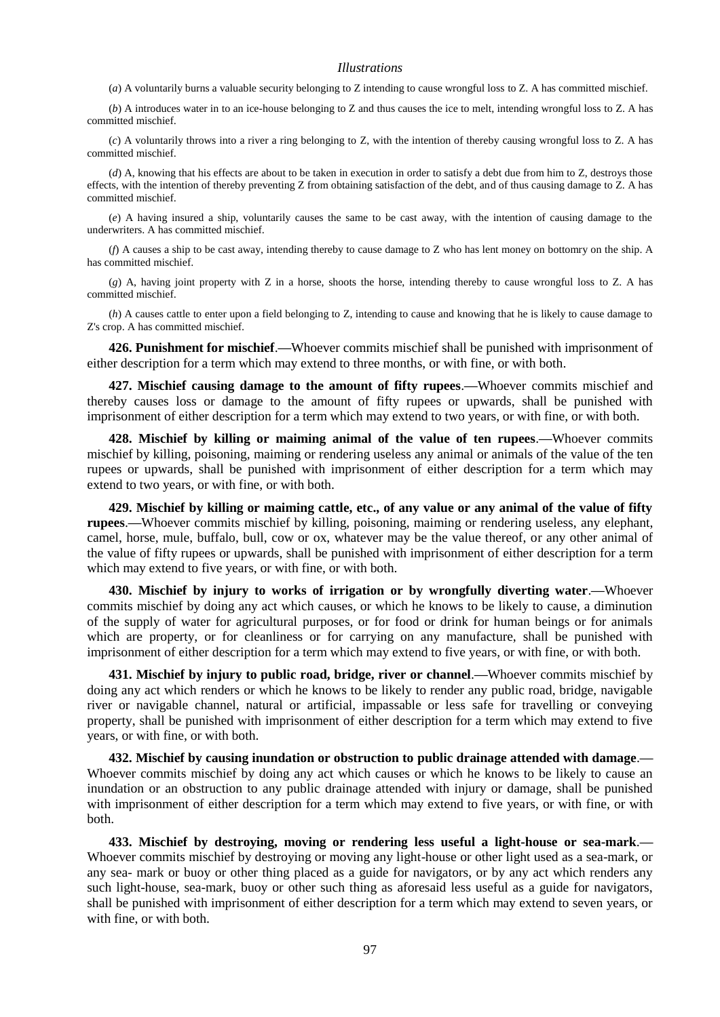#### *Illustrations*

(*a*) A voluntarily burns a valuable security belonging to Z intending to cause wrongful loss to Z. A has committed mischief.

(*b*) A introduces water in to an ice-house belonging to Z and thus causes the ice to melt, intending wrongful loss to Z. A has committed mischief.

(*c*) A voluntarily throws into a river a ring belonging to Z, with the intention of thereby causing wrongful loss to Z. A has committed mischief.

(*d*) A, knowing that his effects are about to be taken in execution in order to satisfy a debt due from him to Z, destroys those effects, with the intention of thereby preventing Z from obtaining satisfaction of the debt, and of thus causing damage to Z. A has committed mischief.

(*e*) A having insured a ship, voluntarily causes the same to be cast away, with the intention of causing damage to the underwriters. A has committed mischief.

(*f*) A causes a ship to be cast away, intending thereby to cause damage to Z who has lent money on bottomry on the ship. A has committed mischief.

(*g*) A, having joint property with Z in a horse, shoots the horse, intending thereby to cause wrongful loss to Z. A has committed mischief.

(*h*) A causes cattle to enter upon a field belonging to Z, intending to cause and knowing that he is likely to cause damage to Z's crop. A has committed mischief.

**426. Punishment for mischief**.**—**Whoever commits mischief shall be punished with imprisonment of either description for a term which may extend to three months, or with fine, or with both.

**427. Mischief causing damage to the amount of fifty rupees**.**—**Whoever commits mischief and thereby causes loss or damage to the amount of fifty rupees or upwards, shall be punished with imprisonment of either description for a term which may extend to two years, or with fine, or with both.

**428. Mischief by killing or maiming animal of the value of ten rupees**.**—**Whoever commits mischief by killing, poisoning, maiming or rendering useless any animal or animals of the value of the ten rupees or upwards, shall be punished with imprisonment of either description for a term which may extend to two years, or with fine, or with both.

**429. Mischief by killing or maiming cattle, etc., of any value or any animal of the value of fifty rupees**.**—**Whoever commits mischief by killing, poisoning, maiming or rendering useless, any elephant, camel, horse, mule, buffalo, bull, cow or ox, whatever may be the value thereof, or any other animal of the value of fifty rupees or upwards, shall be punished with imprisonment of either description for a term which may extend to five years, or with fine, or with both.

**430. Mischief by injury to works of irrigation or by wrongfully diverting water**.**—**Whoever commits mischief by doing any act which causes, or which he knows to be likely to cause, a diminution of the supply of water for agricultural purposes, or for food or drink for human beings or for animals which are property, or for cleanliness or for carrying on any manufacture, shall be punished with imprisonment of either description for a term which may extend to five years, or with fine, or with both.

**431. Mischief by injury to public road, bridge, river or channel**.**—**Whoever commits mischief by doing any act which renders or which he knows to be likely to render any public road, bridge, navigable river or navigable channel, natural or artificial, impassable or less safe for travelling or conveying property, shall be punished with imprisonment of either description for a term which may extend to five years, or with fine, or with both.

**432. Mischief by causing inundation or obstruction to public drainage attended with damage**.**—** Whoever commits mischief by doing any act which causes or which he knows to be likely to cause an inundation or an obstruction to any public drainage attended with injury or damage, shall be punished with imprisonment of either description for a term which may extend to five years, or with fine, or with both.

**433. Mischief by destroying, moving or rendering less useful a light-house or sea-mark**.**—** Whoever commits mischief by destroying or moving any light-house or other light used as a sea-mark, or any sea- mark or buoy or other thing placed as a guide for navigators, or by any act which renders any such light-house, sea-mark, buoy or other such thing as aforesaid less useful as a guide for navigators, shall be punished with imprisonment of either description for a term which may extend to seven years, or with fine, or with both.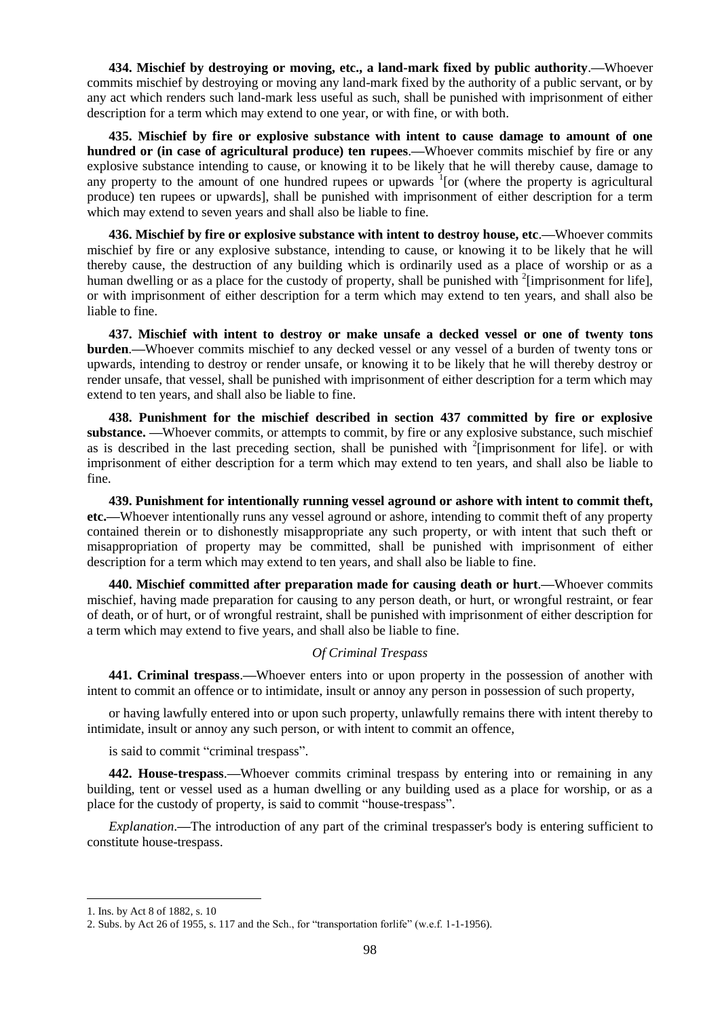**434. Mischief by destroying or moving, etc., a land-mark fixed by public authority**.**—**Whoever commits mischief by destroying or moving any land-mark fixed by the authority of a public servant, or by any act which renders such land-mark less useful as such, shall be punished with imprisonment of either description for a term which may extend to one year, or with fine, or with both.

**435. Mischief by fire or explosive substance with intent to cause damage to amount of one hundred or (in case of agricultural produce) ten rupees**.**—**Whoever commits mischief by fire or any explosive substance intending to cause, or knowing it to be likely that he will thereby cause, damage to any property to the amount of one hundred rupees or upwards  $1$  [or (where the property is agricultural produce) ten rupees or upwards], shall be punished with imprisonment of either description for a term which may extend to seven years and shall also be liable to fine.

**436. Mischief by fire or explosive substance with intent to destroy house, etc**.**—**Whoever commits mischief by fire or any explosive substance, intending to cause, or knowing it to be likely that he will thereby cause, the destruction of any building which is ordinarily used as a place of worship or as a human dwelling or as a place for the custody of property, shall be punished with  $2$ [imprisonment for life], or with imprisonment of either description for a term which may extend to ten years, and shall also be liable to fine.

**437. Mischief with intent to destroy or make unsafe a decked vessel or one of twenty tons burden**.**—**Whoever commits mischief to any decked vessel or any vessel of a burden of twenty tons or upwards, intending to destroy or render unsafe, or knowing it to be likely that he will thereby destroy or render unsafe, that vessel, shall be punished with imprisonment of either description for a term which may extend to ten years, and shall also be liable to fine.

**438. Punishment for the mischief described in section 437 committed by fire or explosive substance. —**Whoever commits, or attempts to commit, by fire or any explosive substance, such mischief as is described in the last preceding section, shall be punished with  $2$ [imprisonment for life]. or with imprisonment of either description for a term which may extend to ten years, and shall also be liable to fine.

**439. Punishment for intentionally running vessel aground or ashore with intent to commit theft, etc.—**Whoever intentionally runs any vessel aground or ashore, intending to commit theft of any property contained therein or to dishonestly misappropriate any such property, or with intent that such theft or misappropriation of property may be committed, shall be punished with imprisonment of either description for a term which may extend to ten years, and shall also be liable to fine.

**440. Mischief committed after preparation made for causing death or hurt**.**—**Whoever commits mischief, having made preparation for causing to any person death, or hurt, or wrongful restraint, or fear of death, or of hurt, or of wrongful restraint, shall be punished with imprisonment of either description for a term which may extend to five years, and shall also be liable to fine.

# *Of Criminal Trespass*

**441. Criminal trespass**.**—**Whoever enters into or upon property in the possession of another with intent to commit an offence or to intimidate, insult or annoy any person in possession of such property,

or having lawfully entered into or upon such property, unlawfully remains there with intent thereby to intimidate, insult or annoy any such person, or with intent to commit an offence,

is said to commit "criminal trespass".

**442. House-trespass**.**—**Whoever commits criminal trespass by entering into or remaining in any building, tent or vessel used as a human dwelling or any building used as a place for worship, or as a place for the custody of property, is said to commit "house-trespass".

*Explanation*.**—**The introduction of any part of the criminal trespasser's body is entering sufficient to constitute house-trespass.

<sup>1.</sup> Ins. by Act 8 of 1882, s. 10

<sup>2.</sup> Subs. by Act 26 of 1955, s. 117 and the Sch., for "transportation forlife" (w.e.f. 1-1-1956).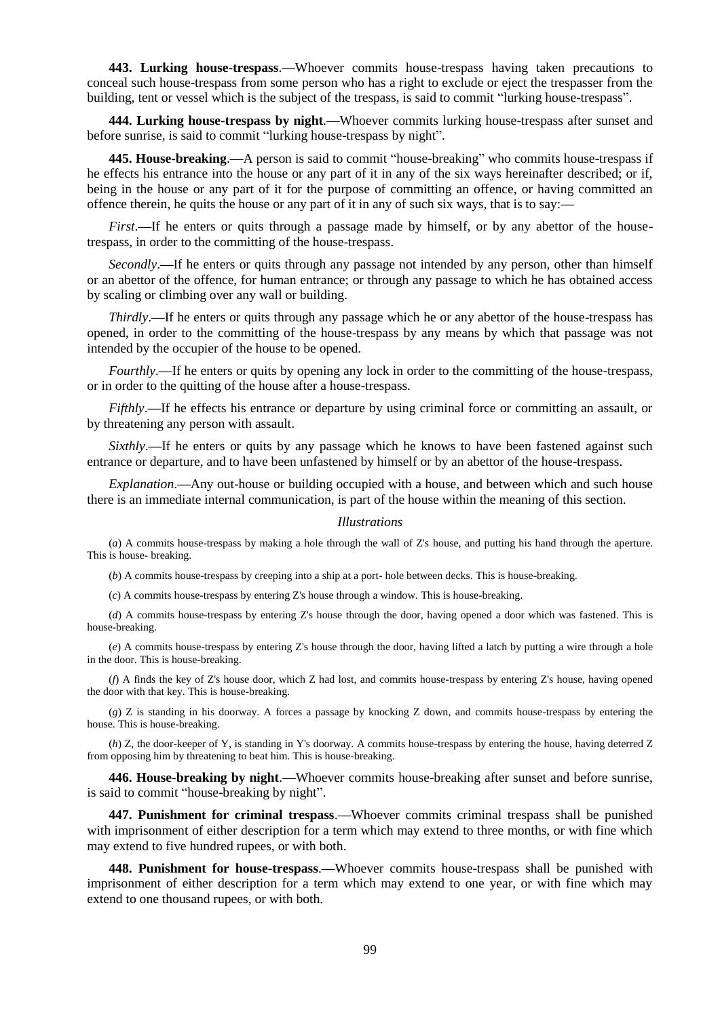**443. Lurking house-trespass**.**—**Whoever commits house-trespass having taken precautions to conceal such house-trespass from some person who has a right to exclude or eject the trespasser from the building, tent or vessel which is the subject of the trespass, is said to commit "lurking house-trespass".

**444. Lurking house-trespass by night**.**—**Whoever commits lurking house-trespass after sunset and before sunrise, is said to commit "lurking house-trespass by night".

**445. House-breaking**.**—**A person is said to commit "house-breaking" who commits house-trespass if he effects his entrance into the house or any part of it in any of the six ways hereinafter described; or if, being in the house or any part of it for the purpose of committing an offence, or having committed an offence therein, he quits the house or any part of it in any of such six ways, that is to say:**—**

*First*.**—**If he enters or quits through a passage made by himself, or by any abettor of the housetrespass, in order to the committing of the house-trespass.

*Secondly*.**—**If he enters or quits through any passage not intended by any person, other than himself or an abettor of the offence, for human entrance; or through any passage to which he has obtained access by scaling or climbing over any wall or building.

*Thirdly*.**—**If he enters or quits through any passage which he or any abettor of the house-trespass has opened, in order to the committing of the house-trespass by any means by which that passage was not intended by the occupier of the house to be opened.

*Fourthly*.—If he enters or quits by opening any lock in order to the committing of the house-trespass, or in order to the quitting of the house after a house-trespass.

*Fifthly*.**—**If he effects his entrance or departure by using criminal force or committing an assault, or by threatening any person with assault.

*Sixthly*.**—**If he enters or quits by any passage which he knows to have been fastened against such entrance or departure, and to have been unfastened by himself or by an abettor of the house-trespass.

*Explanation*.**—**Any out-house or building occupied with a house, and between which and such house there is an immediate internal communication, is part of the house within the meaning of this section.

## *Illustrations*

(*a*) A commits house-trespass by making a hole through the wall of Z's house, and putting his hand through the aperture. This is house- breaking.

(*b*) A commits house-trespass by creeping into a ship at a port- hole between decks. This is house-breaking.

(*c*) A commits house-trespass by entering Z's house through a window. This is house-breaking.

(*d*) A commits house-trespass by entering Z's house through the door, having opened a door which was fastened. This is house-breaking.

(*e*) A commits house-trespass by entering Z's house through the door, having lifted a latch by putting a wire through a hole in the door. This is house-breaking.

(*f*) A finds the key of Z's house door, which Z had lost, and commits house-trespass by entering Z's house, having opened the door with that key. This is house-breaking.

(*g*) Z is standing in his doorway. A forces a passage by knocking Z down, and commits house-trespass by entering the house. This is house-breaking.

(*h*) Z, the door-keeper of Y, is standing in Y's doorway. A commits house-trespass by entering the house, having deterred Z from opposing him by threatening to beat him. This is house-breaking.

**446. House-breaking by night**.**—**Whoever commits house-breaking after sunset and before sunrise, is said to commit "house-breaking by night".

**447. Punishment for criminal trespass**.**—**Whoever commits criminal trespass shall be punished with imprisonment of either description for a term which may extend to three months, or with fine which may extend to five hundred rupees, or with both.

**448. Punishment for house-trespass**.**—**Whoever commits house-trespass shall be punished with imprisonment of either description for a term which may extend to one year, or with fine which may extend to one thousand rupees, or with both.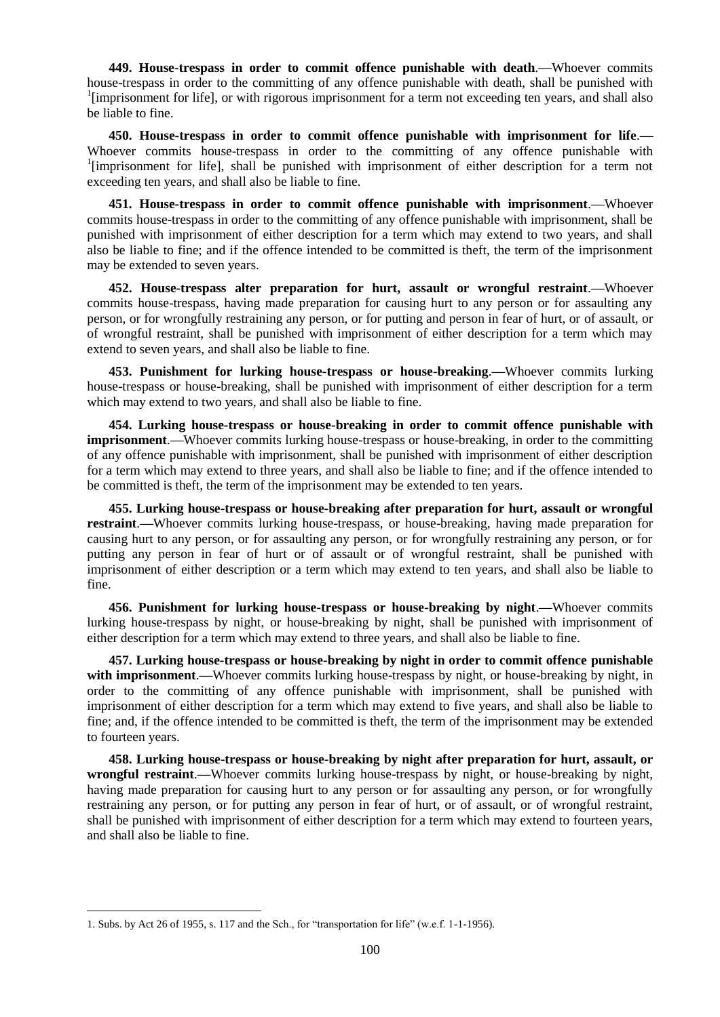**449. House-trespass in order to commit offence punishable with death**.**—**Whoever commits house-trespass in order to the committing of any offence punishable with death, shall be punished with <sup>1</sup>[imprisonment for life], or with rigorous imprisonment for a term not exceeding ten years, and shall also be liable to fine.

**450. House-trespass in order to commit offence punishable with imprisonment for life**.**—** Whoever commits house-trespass in order to the committing of any offence punishable with <sup>1</sup>[imprisonment for life], shall be punished with imprisonment of either description for a term not exceeding ten years, and shall also be liable to fine.

**451. House-trespass in order to commit offence punishable with imprisonment**.**—**Whoever commits house-trespass in order to the committing of any offence punishable with imprisonment, shall be punished with imprisonment of either description for a term which may extend to two years, and shall also be liable to fine; and if the offence intended to be committed is theft, the term of the imprisonment may be extended to seven years.

**452. House-trespass alter preparation for hurt, assault or wrongful restraint**.**—**Whoever commits house-trespass, having made preparation for causing hurt to any person or for assaulting any person, or for wrongfully restraining any person, or for putting and person in fear of hurt, or of assault, or of wrongful restraint, shall be punished with imprisonment of either description for a term which may extend to seven years, and shall also be liable to fine.

**453. Punishment for lurking house-trespass or house-breaking**.**—**Whoever commits lurking house-trespass or house-breaking, shall be punished with imprisonment of either description for a term which may extend to two years, and shall also be liable to fine.

**454. Lurking house-trespass or house-breaking in order to commit offence punishable with imprisonment**.**—**Whoever commits lurking house-trespass or house-breaking, in order to the committing of any offence punishable with imprisonment, shall be punished with imprisonment of either description for a term which may extend to three years, and shall also be liable to fine; and if the offence intended to be committed is theft, the term of the imprisonment may be extended to ten years.

**455. Lurking house-trespass or house-breaking after preparation for hurt, assault or wrongful restraint**.**—**Whoever commits lurking house-trespass, or house-breaking, having made preparation for causing hurt to any person, or for assaulting any person, or for wrongfully restraining any person, or for putting any person in fear of hurt or of assault or of wrongful restraint, shall be punished with imprisonment of either description or a term which may extend to ten years, and shall also be liable to fine.

**456. Punishment for lurking house-trespass or house-breaking by night**.**—**Whoever commits lurking house-trespass by night, or house-breaking by night, shall be punished with imprisonment of either description for a term which may extend to three years, and shall also be liable to fine.

**457. Lurking house-trespass or house-breaking by night in order to commit offence punishable with imprisonment**.**—**Whoever commits lurking house-trespass by night, or house-breaking by night, in order to the committing of any offence punishable with imprisonment, shall be punished with imprisonment of either description for a term which may extend to five years, and shall also be liable to fine; and, if the offence intended to be committed is theft, the term of the imprisonment may be extended to fourteen years.

**458. Lurking house-trespass or house-breaking by night after preparation for hurt, assault, or wrongful restraint**.**—**Whoever commits lurking house-trespass by night, or house-breaking by night, having made preparation for causing hurt to any person or for assaulting any person, or for wrongfully restraining any person, or for putting any person in fear of hurt, or of assault, or of wrongful restraint, shall be punished with imprisonment of either description for a term which may extend to fourteen years, and shall also be liable to fine.

<sup>1.</sup> Subs. by Act 26 of 1955, s. 117 and the Sch., for "transportation for life" (w.e.f. 1-1-1956).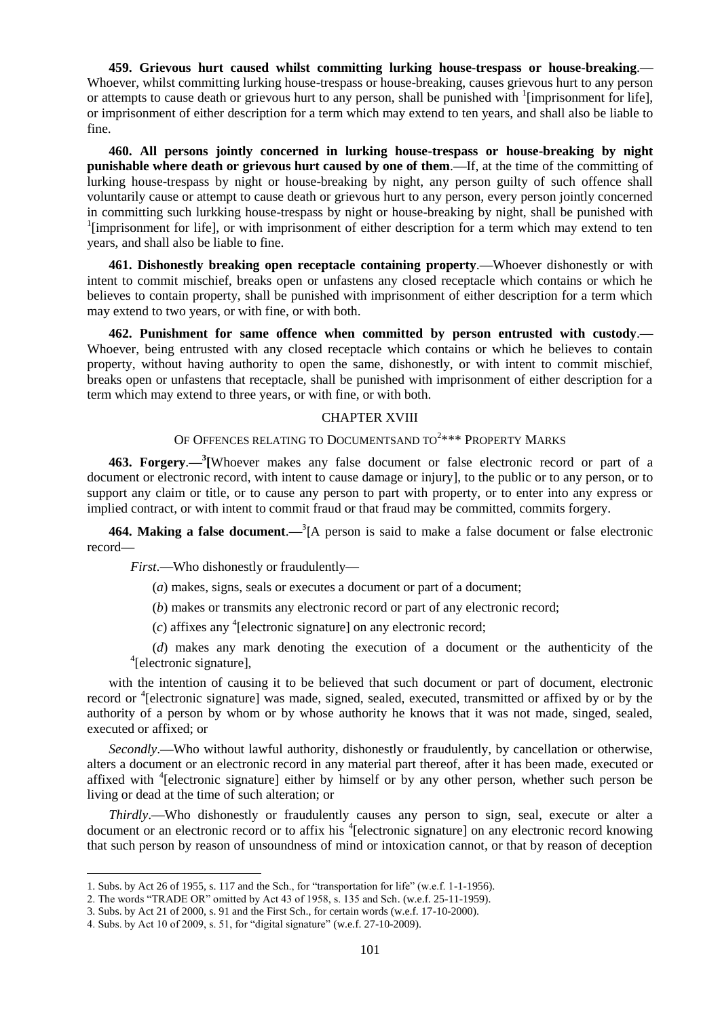**459. Grievous hurt caused whilst committing lurking house-trespass or house-breaking**.**—** Whoever, whilst committing lurking house-trespass or house-breaking, causes grievous hurt to any person or attempts to cause death or grievous hurt to any person, shall be punished with <sup>1</sup>[imprisonment for life], or imprisonment of either description for a term which may extend to ten years, and shall also be liable to fine.

**460. All persons jointly concerned in lurking house-trespass or house-breaking by night punishable where death or grievous hurt caused by one of them**.**—**If, at the time of the committing of lurking house-trespass by night or house-breaking by night, any person guilty of such offence shall voluntarily cause or attempt to cause death or grievous hurt to any person, every person jointly concerned in committing such lurkking house-trespass by night or house-breaking by night, shall be punished with <sup>1</sup>[imprisonment for life], or with imprisonment of either description for a term which may extend to ten years, and shall also be liable to fine.

**461. Dishonestly breaking open receptacle containing property**.**—**Whoever dishonestly or with intent to commit mischief, breaks open or unfastens any closed receptacle which contains or which he believes to contain property, shall be punished with imprisonment of either description for a term which may extend to two years, or with fine, or with both.

**462. Punishment for same offence when committed by person entrusted with custody**.**—** Whoever, being entrusted with any closed receptacle which contains or which he believes to contain property, without having authority to open the same, dishonestly, or with intent to commit mischief, breaks open or unfastens that receptacle, shall be punished with imprisonment of either description for a term which may extend to three years, or with fine, or with both.

# CHAPTER XVIII

# OF OFFENCES RELATING TO DOCUMENTSAND TO<sup>2\*\*\*</sup> PROPERTY MARKS

**463. Forgery**.**—<sup>3</sup> [**Whoever makes any false document or false electronic record or part of a document or electronic record, with intent to cause damage or injury], to the public or to any person, or to support any claim or title, or to cause any person to part with property, or to enter into any express or implied contract, or with intent to commit fraud or that fraud may be committed, commits forgery.

464. Making a false document.<sup>3</sup><sup>[A person is said to make a false document or false electronic</sup> record**—**

*First*.**—**Who dishonestly or fraudulently**—**

- (*a*) makes, signs, seals or executes a document or part of a document;
- (*b*) makes or transmits any electronic record or part of any electronic record;
- $(c)$  affixes any  $\textsuperscript{4}$  [electronic signature] on any electronic record;
- (*d*) makes any mark denoting the execution of a document or the authenticity of the 4 [electronic signature],

with the intention of causing it to be believed that such document or part of document, electronic record or <sup>4</sup>[electronic signature] was made, signed, sealed, executed, transmitted or affixed by or by the authority of a person by whom or by whose authority he knows that it was not made, singed, sealed, executed or affixed; or

*Secondly*.**—**Who without lawful authority, dishonestly or fraudulently, by cancellation or otherwise, alters a document or an electronic record in any material part thereof, after it has been made, executed or affixed with <sup>4</sup>[electronic signature] either by himself or by any other person, whether such person be living or dead at the time of such alteration; or

*Thirdly*.**—**Who dishonestly or fraudulently causes any person to sign, seal, execute or alter a document or an electronic record or to affix his <sup>4</sup>[electronic signature] on any electronic record knowing that such person by reason of unsoundness of mind or intoxication cannot, or that by reason of deception

<sup>1.</sup> Subs. by Act 26 of 1955, s. 117 and the Sch., for "transportation for life" (w.e.f. 1-1-1956).

<sup>2.</sup> The words "TRADE OR" omitted by Act 43 of 1958, s. 135 and Sch. (w.e.f. 25-11-1959).

<sup>3.</sup> Subs. by Act 21 of 2000, s. 91 and the First Sch., for certain words (w.e.f. 17-10-2000).

<sup>4.</sup> Subs. by Act 10 of 2009, s. 51, for "digital signature" (w.e.f. 27-10-2009).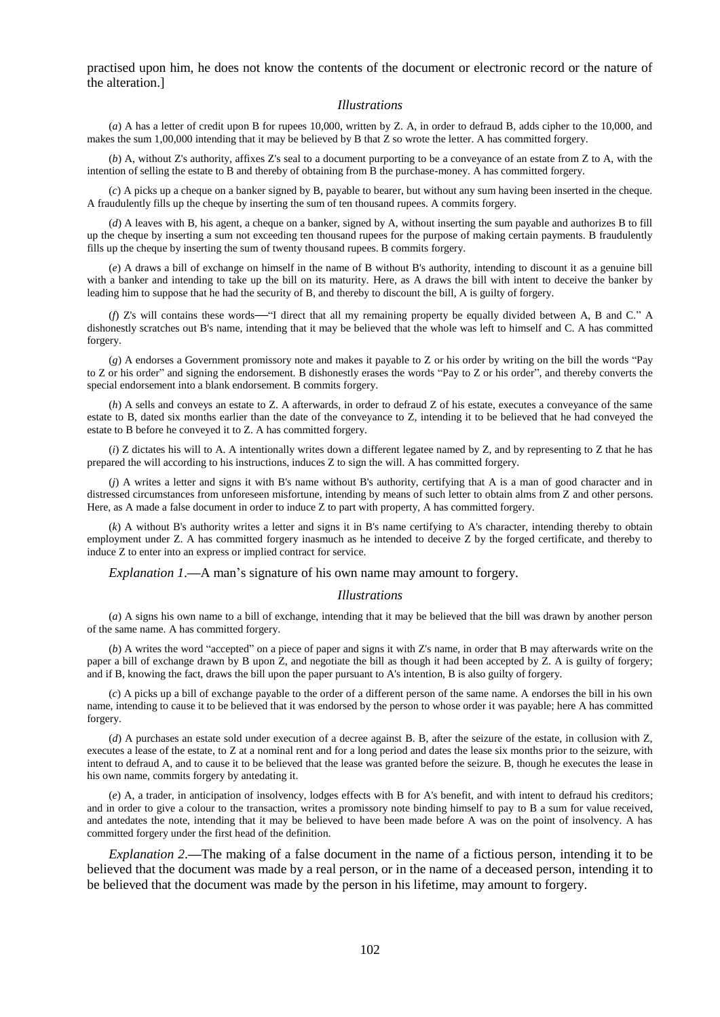practised upon him, he does not know the contents of the document or electronic record or the nature of the alteration.]

#### *Illustrations*

(*a*) A has a letter of credit upon B for rupees 10,000, written by Z. A, in order to defraud B, adds cipher to the 10,000, and makes the sum 1,00,000 intending that it may be believed by B that Z so wrote the letter. A has committed forgery.

(*b*) A, without Z's authority, affixes Z's seal to a document purporting to be a conveyance of an estate from Z to A, with the intention of selling the estate to B and thereby of obtaining from B the purchase-money. A has committed forgery.

(*c*) A picks up a cheque on a banker signed by B, payable to bearer, but without any sum having been inserted in the cheque. A fraudulently fills up the cheque by inserting the sum of ten thousand rupees. A commits forgery.

(*d*) A leaves with B, his agent, a cheque on a banker, signed by A, without inserting the sum payable and authorizes B to fill up the cheque by inserting a sum not exceeding ten thousand rupees for the purpose of making certain payments. B fraudulently fills up the cheque by inserting the sum of twenty thousand rupees. B commits forgery.

(*e*) A draws a bill of exchange on himself in the name of B without B's authority, intending to discount it as a genuine bill with a banker and intending to take up the bill on its maturity. Here, as A draws the bill with intent to deceive the banker by leading him to suppose that he had the security of B, and thereby to discount the bill, A is guilty of forgery.

(*f*) Z's will contains these words**—**"I direct that all my remaining property be equally divided between A, B and C." A dishonestly scratches out B's name, intending that it may be believed that the whole was left to himself and C. A has committed forgery.

(*g*) A endorses a Government promissory note and makes it payable to Z or his order by writing on the bill the words "Pay to Z or his order" and signing the endorsement. B dishonestly erases the words "Pay to Z or his order", and thereby converts the special endorsement into a blank endorsement. B commits forgery.

(*h*) A sells and conveys an estate to Z. A afterwards, in order to defraud Z of his estate, executes a conveyance of the same estate to B, dated six months earlier than the date of the conveyance to Z, intending it to be believed that he had conveyed the estate to B before he conveyed it to Z. A has committed forgery.

(*i*) Z dictates his will to A. A intentionally writes down a different legatee named by Z, and by representing to Z that he has prepared the will according to his instructions, induces Z to sign the will. A has committed forgery.

(*j*) A writes a letter and signs it with B's name without B's authority, certifying that A is a man of good character and in distressed circumstances from unforeseen misfortune, intending by means of such letter to obtain alms from Z and other persons. Here, as A made a false document in order to induce Z to part with property, A has committed forgery.

(*k*) A without B's authority writes a letter and signs it in B's name certifying to A's character, intending thereby to obtain employment under Z. A has committed forgery inasmuch as he intended to deceive Z by the forged certificate, and thereby to induce Z to enter into an express or implied contract for service.

*Explanation 1*.**—**A man's signature of his own name may amount to forgery.

#### *Illustrations*

(*a*) A signs his own name to a bill of exchange, intending that it may be believed that the bill was drawn by another person of the same name. A has committed forgery.

(*b*) A writes the word "accepted" on a piece of paper and signs it with Z's name, in order that B may afterwards write on the paper a bill of exchange drawn by B upon Z, and negotiate the bill as though it had been accepted by Z. A is guilty of forgery; and if B, knowing the fact, draws the bill upon the paper pursuant to A's intention, B is also guilty of forgery.

(*c*) A picks up a bill of exchange payable to the order of a different person of the same name. A endorses the bill in his own name, intending to cause it to be believed that it was endorsed by the person to whose order it was payable; here A has committed forgery.

(*d*) A purchases an estate sold under execution of a decree against B. B, after the seizure of the estate, in collusion with Z, executes a lease of the estate, to Z at a nominal rent and for a long period and dates the lease six months prior to the seizure, with intent to defraud A, and to cause it to be believed that the lease was granted before the seizure. B, though he executes the lease in his own name, commits forgery by antedating it.

(*e*) A, a trader, in anticipation of insolvency, lodges effects with B for A's benefit, and with intent to defraud his creditors; and in order to give a colour to the transaction, writes a promissory note binding himself to pay to B a sum for value received, and antedates the note, intending that it may be believed to have been made before A was on the point of insolvency. A has committed forgery under the first head of the definition.

*Explanation 2*.**—**The making of a false document in the name of a fictious person, intending it to be believed that the document was made by a real person, or in the name of a deceased person, intending it to be believed that the document was made by the person in his lifetime, may amount to forgery.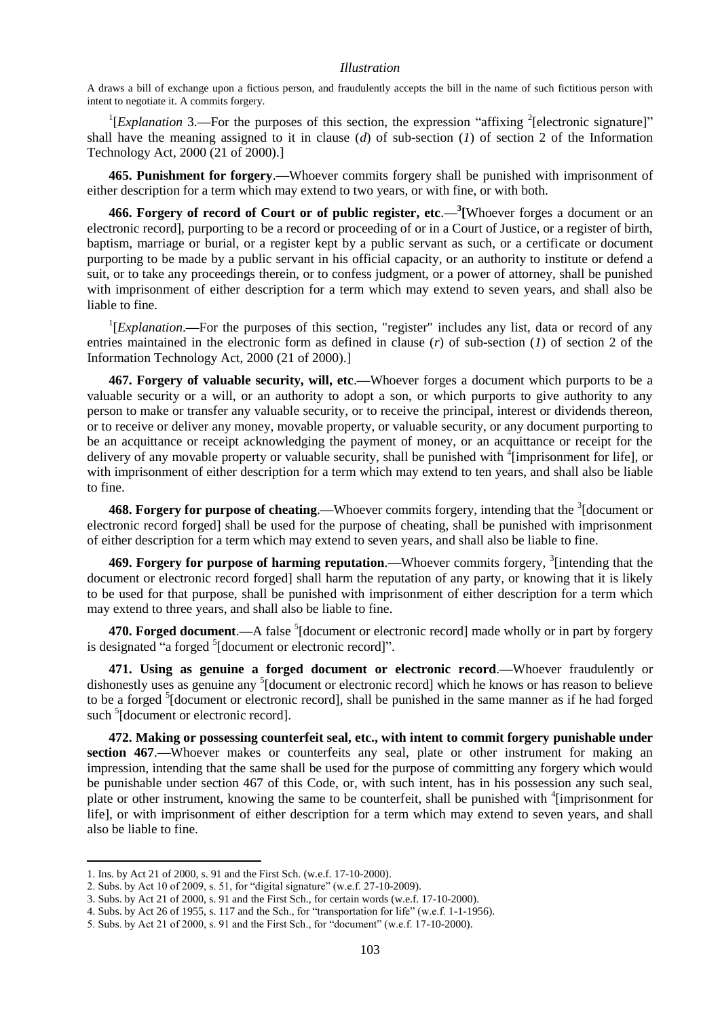#### *Illustration*

A draws a bill of exchange upon a fictious person, and fraudulently accepts the bill in the name of such fictitious person with intent to negotiate it. A commits forgery.

<sup>1</sup>[*Explanation* 3.—For the purposes of this section, the expression "affixing <sup>2</sup>[electronic signature]" shall have the meaning assigned to it in clause (*d*) of sub-section (*1*) of section 2 of the Information Technology Act, 2000 (21 of 2000).]

**465. Punishment for forgery**.**—**Whoever commits forgery shall be punished with imprisonment of either description for a term which may extend to two years, or with fine, or with both.

**466. Forgery of record of Court or of public register, etc**.**—<sup>3</sup> [**Whoever forges a document or an electronic record], purporting to be a record or proceeding of or in a Court of Justice, or a register of birth, baptism, marriage or burial, or a register kept by a public servant as such, or a certificate or document purporting to be made by a public servant in his official capacity, or an authority to institute or defend a suit, or to take any proceedings therein, or to confess judgment, or a power of attorney, shall be punished with imprisonment of either description for a term which may extend to seven years, and shall also be liable to fine.

<sup>1</sup>[*Explanation*.—For the purposes of this section, "register" includes any list, data or record of any entries maintained in the electronic form as defined in clause (*r*) of sub-section (*1*) of section 2 of the Information Technology Act, 2000 (21 of 2000).]

**467. Forgery of valuable security, will, etc**.**—**Whoever forges a document which purports to be a valuable security or a will, or an authority to adopt a son, or which purports to give authority to any person to make or transfer any valuable security, or to receive the principal, interest or dividends thereon, or to receive or deliver any money, movable property, or valuable security, or any document purporting to be an acquittance or receipt acknowledging the payment of money, or an acquittance or receipt for the delivery of any movable property or valuable security, shall be punished with  $\textsuperscript{4}$  [imprisonment for life], or with imprisonment of either description for a term which may extend to ten years, and shall also be liable to fine.

**468. Forgery for purpose of cheating.—Whoever commits forgery, intending that the <sup>3</sup>[document or** electronic record forged] shall be used for the purpose of cheating, shall be punished with imprisonment of either description for a term which may extend to seven years, and shall also be liable to fine.

**469. Forgery for purpose of harming reputation.—Whoever commits forgery, <sup>3</sup>[intending that the** document or electronic record forged] shall harm the reputation of any party, or knowing that it is likely to be used for that purpose, shall be punished with imprisonment of either description for a term which may extend to three years, and shall also be liable to fine.

**470. Forged document.**—A false <sup>5</sup>[document or electronic record] made wholly or in part by forgery is designated "a forged <sup>5</sup>[document or electronic record]".

**471. Using as genuine a forged document or electronic record**.**—**Whoever fraudulently or dishonestly uses as genuine any <sup>5</sup>[document or electronic record] which he knows or has reason to believe to be a forged <sup>5</sup>[document or electronic record], shall be punished in the same manner as if he had forged such <sup>5</sup>[document or electronic record].

**472. Making or possessing counterfeit seal, etc., with intent to commit forgery punishable under section 467**.**—**Whoever makes or counterfeits any seal, plate or other instrument for making an impression, intending that the same shall be used for the purpose of committing any forgery which would be punishable under section 467 of this Code, or, with such intent, has in his possession any such seal, plate or other instrument, knowing the same to be counterfeit, shall be punished with <sup>4</sup>[imprisonment for life], or with imprisonment of either description for a term which may extend to seven years, and shall also be liable to fine.

<sup>1.</sup> Ins. by Act 21 of 2000, s. 91 and the First Sch. (w.e.f. 17-10-2000).

<sup>2.</sup> Subs. by Act 10 of 2009, s. 51, for "digital signature" (w.e.f. 27-10-2009).

<sup>3.</sup> Subs. by Act 21 of 2000, s. 91 and the First Sch., for certain words (w.e.f. 17-10-2000).

<sup>4.</sup> Subs. by Act 26 of 1955, s. 117 and the Sch., for "transportation for life" (w.e.f. 1-1-1956).

<sup>5.</sup> Subs. by Act 21 of 2000, s. 91 and the First Sch., for "document" (w.e.f. 17-10-2000).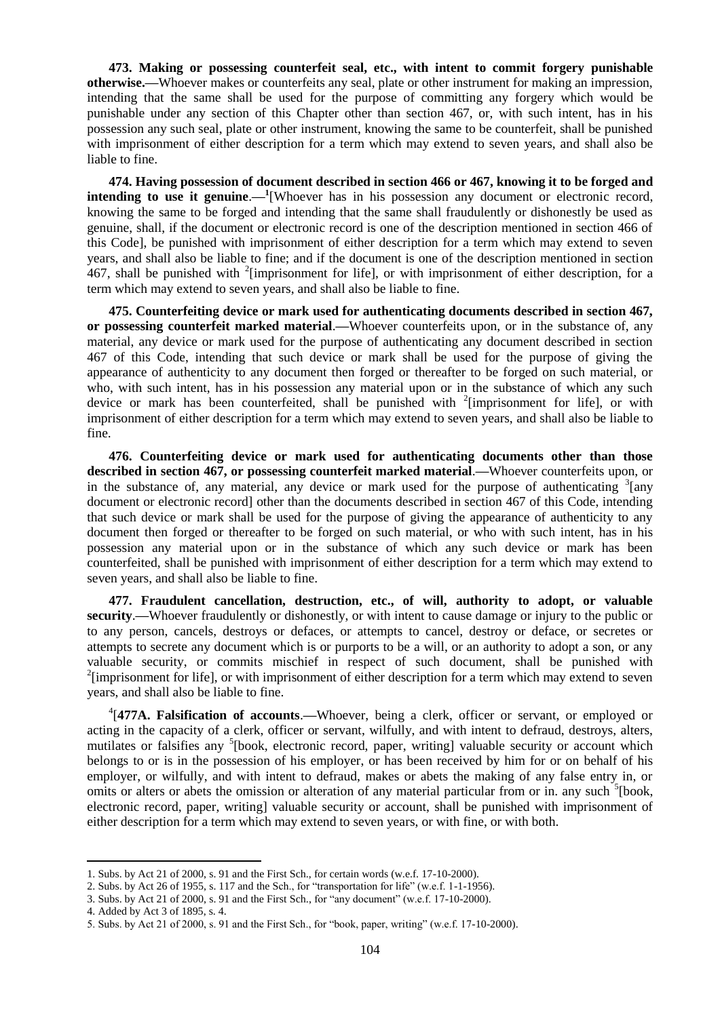**473. Making or possessing counterfeit seal, etc., with intent to commit forgery punishable otherwise.—**Whoever makes or counterfeits any seal, plate or other instrument for making an impression, intending that the same shall be used for the purpose of committing any forgery which would be punishable under any section of this Chapter other than section 467, or, with such intent, has in his possession any such seal, plate or other instrument, knowing the same to be counterfeit, shall be punished with imprisonment of either description for a term which may extend to seven years, and shall also be liable to fine.

**474. Having possession of document described in section 466 or 467, knowing it to be forged and**  intending to use it genuine.—<sup>1</sup>[Whoever has in his possession any document or electronic record, knowing the same to be forged and intending that the same shall fraudulently or dishonestly be used as genuine, shall, if the document or electronic record is one of the description mentioned in section 466 of this Code], be punished with imprisonment of either description for a term which may extend to seven years, and shall also be liable to fine; and if the document is one of the description mentioned in section 467, shall be punished with  $2$ [imprisonment for life], or with imprisonment of either description, for a term which may extend to seven years, and shall also be liable to fine.

**475. Counterfeiting device or mark used for authenticating documents described in section 467, or possessing counterfeit marked material**.**—**Whoever counterfeits upon, or in the substance of, any material, any device or mark used for the purpose of authenticating any document described in section 467 of this Code, intending that such device or mark shall be used for the purpose of giving the appearance of authenticity to any document then forged or thereafter to be forged on such material, or who, with such intent, has in his possession any material upon or in the substance of which any such device or mark has been counterfeited, shall be punished with <sup>2</sup>[imprisonment for life], or with imprisonment of either description for a term which may extend to seven years, and shall also be liable to fine.

**476. Counterfeiting device or mark used for authenticating documents other than those described in section 467, or possessing counterfeit marked material**.**—**Whoever counterfeits upon, or in the substance of, any material, any device or mark used for the purpose of authenticating  $\frac{3}{2}$ [any document or electronic record] other than the documents described in section 467 of this Code, intending that such device or mark shall be used for the purpose of giving the appearance of authenticity to any document then forged or thereafter to be forged on such material, or who with such intent, has in his possession any material upon or in the substance of which any such device or mark has been counterfeited, shall be punished with imprisonment of either description for a term which may extend to seven years, and shall also be liable to fine.

**477. Fraudulent cancellation, destruction, etc., of will, authority to adopt, or valuable security**.**—**Whoever fraudulently or dishonestly, or with intent to cause damage or injury to the public or to any person, cancels, destroys or defaces, or attempts to cancel, destroy or deface, or secretes or attempts to secrete any document which is or purports to be a will, or an authority to adopt a son, or any valuable security, or commits mischief in respect of such document, shall be punished with  $2$ [imprisonment for life], or with imprisonment of either description for a term which may extend to seven years, and shall also be liable to fine.

4 [**477A. Falsification of accounts**.**—**Whoever, being a clerk, officer or servant, or employed or acting in the capacity of a clerk, officer or servant, wilfully, and with intent to defraud, destroys, alters, mutilates or falsifies any <sup>5</sup>[book, electronic record, paper, writing] valuable security or account which belongs to or is in the possession of his employer, or has been received by him for or on behalf of his employer, or wilfully, and with intent to defraud, makes or abets the making of any false entry in, or omits or alters or abets the omission or alteration of any material particular from or in. any such <sup>5</sup>[book, electronic record, paper, writing] valuable security or account, shall be punished with imprisonment of either description for a term which may extend to seven years, or with fine, or with both.

<sup>1.</sup> Subs. by Act 21 of 2000, s. 91 and the First Sch., for certain words (w.e.f. 17-10-2000).

<sup>2.</sup> Subs. by Act 26 of 1955, s. 117 and the Sch., for "transportation for life" (w.e.f. 1-1-1956).

<sup>3.</sup> Subs. by Act 21 of 2000, s. 91 and the First Sch., for "any document" (w.e.f. 17-10-2000).

<sup>4.</sup> Added by Act 3 of 1895, s. 4.

<sup>5.</sup> Subs. by Act 21 of 2000, s. 91 and the First Sch., for "book, paper, writing" (w.e.f. 17-10-2000).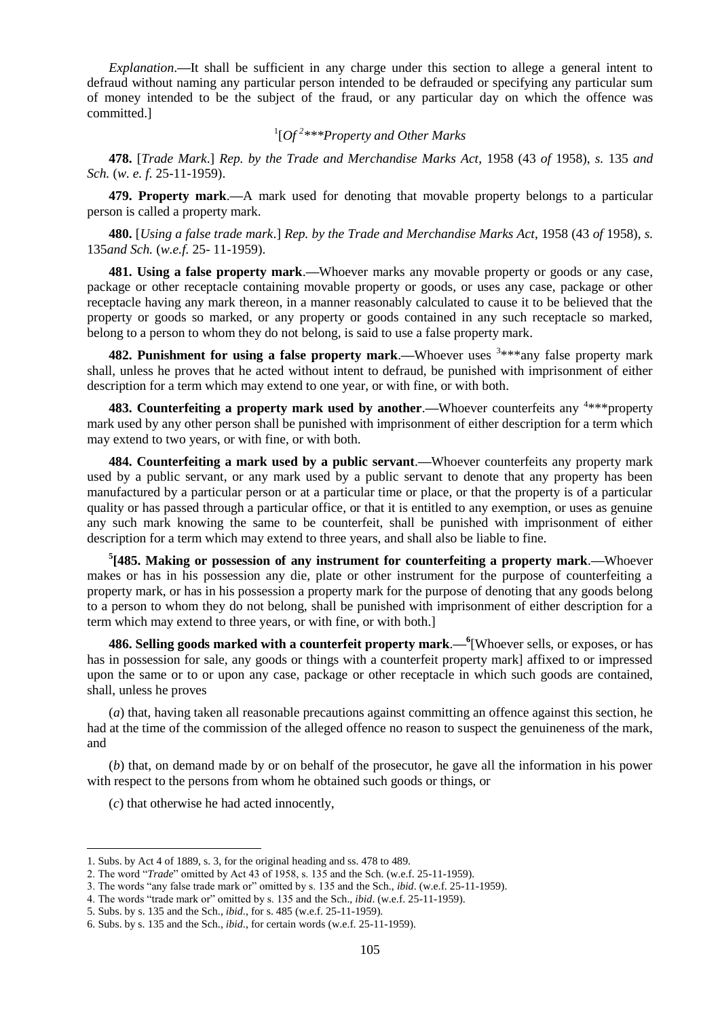*Explanation*.**—**It shall be sufficient in any charge under this section to allege a general intent to defraud without naming any particular person intended to be defrauded or specifying any particular sum of money intended to be the subject of the fraud, or any particular day on which the offence was committed.]

# 1 [*Of <sup>2</sup> \*\*\*Property and Other Marks*

**478.** [*Trade Mark*.] *Rep. by the Trade and Merchandise Marks Act*, 1958 (43 *of* 1958), *s.* 135 *and Sch.* (*w. e. f.* 25-11-1959).

**479. Property mark**.**—**A mark used for denoting that movable property belongs to a particular person is called a property mark.

**480.** [*Using a false trade mark*.] *Rep. by the Trade and Merchandise Marks Act*, 1958 (43 *of* 1958), *s.* 135*and Sch.* (*w.e.f.* 25- 11-1959).

**481. Using a false property mark**.**—**Whoever marks any movable property or goods or any case, package or other receptacle containing movable property or goods, or uses any case, package or other receptacle having any mark thereon, in a manner reasonably calculated to cause it to be believed that the property or goods so marked, or any property or goods contained in any such receptacle so marked, belong to a person to whom they do not belong, is said to use a false property mark.

**482. Punishment for using a false property mark.—Whoever uses <sup>3\*\*\*</sup>any false property mark** shall, unless he proves that he acted without intent to defraud, be punished with imprisonment of either description for a term which may extend to one year, or with fine, or with both.

**483. Counterfeiting a property mark used by another.—Whoever counterfeits any <sup>4\*\*\*</sup>property** mark used by any other person shall be punished with imprisonment of either description for a term which may extend to two years, or with fine, or with both.

**484. Counterfeiting a mark used by a public servant**.**—**Whoever counterfeits any property mark used by a public servant, or any mark used by a public servant to denote that any property has been manufactured by a particular person or at a particular time or place, or that the property is of a particular quality or has passed through a particular office, or that it is entitled to any exemption, or uses as genuine any such mark knowing the same to be counterfeit, shall be punished with imprisonment of either description for a term which may extend to three years, and shall also be liable to fine.

**5 [485. Making or possession of any instrument for counterfeiting a property mark**.**—**Whoever makes or has in his possession any die, plate or other instrument for the purpose of counterfeiting a property mark, or has in his possession a property mark for the purpose of denoting that any goods belong to a person to whom they do not belong, shall be punished with imprisonment of either description for a term which may extend to three years, or with fine, or with both.]

**486. Selling goods marked with a counterfeit property mark**.**—<sup>6</sup>** [Whoever sells, or exposes, or has has in possession for sale, any goods or things with a counterfeit property mark] affixed to or impressed upon the same or to or upon any case, package or other receptacle in which such goods are contained, shall, unless he proves

(*a*) that, having taken all reasonable precautions against committing an offence against this section, he had at the time of the commission of the alleged offence no reason to suspect the genuineness of the mark, and

(*b*) that, on demand made by or on behalf of the prosecutor, he gave all the information in his power with respect to the persons from whom he obtained such goods or things, or

(*c*) that otherwise he had acted innocently,

<sup>1.</sup> Subs. by Act 4 of 1889, s. 3, for the original heading and ss. 478 to 489.

<sup>2.</sup> The word "*Trade*" omitted by Act 43 of 1958, s. 135 and the Sch. (w.e.f. 25-11-1959).

<sup>3.</sup> The words "any false trade mark or" omitted by s. 135 and the Sch., *ibid*. (w.e.f. 25-11-1959).

<sup>4.</sup> The words "trade mark or" omitted by s. 135 and the Sch., *ibid*. (w.e.f. 25-11-1959).

<sup>5.</sup> Subs. by s. 135 and the Sch., *ibid*., for s. 485 (w.e.f. 25-11-1959).

<sup>6.</sup> Subs. by s. 135 and the Sch., *ibid*., for certain words (w.e.f. 25-11-1959).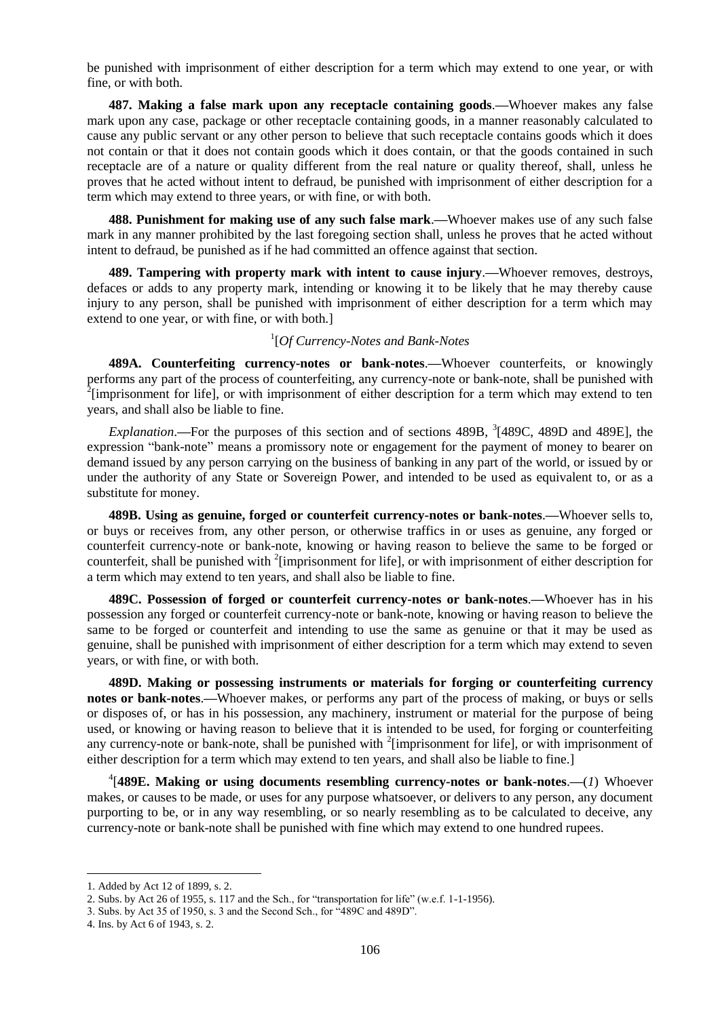be punished with imprisonment of either description for a term which may extend to one year, or with fine, or with both.

**487. Making a false mark upon any receptacle containing goods**.**—**Whoever makes any false mark upon any case, package or other receptacle containing goods, in a manner reasonably calculated to cause any public servant or any other person to believe that such receptacle contains goods which it does not contain or that it does not contain goods which it does contain, or that the goods contained in such receptacle are of a nature or quality different from the real nature or quality thereof, shall, unless he proves that he acted without intent to defraud, be punished with imprisonment of either description for a term which may extend to three years, or with fine, or with both.

**488. Punishment for making use of any such false mark**.**—**Whoever makes use of any such false mark in any manner prohibited by the last foregoing section shall, unless he proves that he acted without intent to defraud, be punished as if he had committed an offence against that section.

**489. Tampering with property mark with intent to cause injury**.**—**Whoever removes, destroys, defaces or adds to any property mark, intending or knowing it to be likely that he may thereby cause injury to any person, shall be punished with imprisonment of either description for a term which may extend to one year, or with fine, or with both.]

# 1 [*Of Currency-Notes and Bank-Notes*

**489A. Counterfeiting currency-notes or bank-notes**.**—**Whoever counterfeits, or knowingly performs any part of the process of counterfeiting, any currency-note or bank-note, shall be punished with  $2$ [imprisonment for life], or with imprisonment of either description for a term which may extend to ten years, and shall also be liable to fine.

*Explanation*.—For the purposes of this section and of sections 489B, <sup>3</sup>[489C, 489D and 489E], the expression "bank-note" means a promissory note or engagement for the payment of money to bearer on demand issued by any person carrying on the business of banking in any part of the world, or issued by or under the authority of any State or Sovereign Power, and intended to be used as equivalent to, or as a substitute for money.

**489B. Using as genuine, forged or counterfeit currency-notes or bank-notes**.**—**Whoever sells to, or buys or receives from, any other person, or otherwise traffics in or uses as genuine, any forged or counterfeit currency-note or bank-note, knowing or having reason to believe the same to be forged or counterfeit, shall be punished with <sup>2</sup>[imprisonment for life], or with imprisonment of either description for a term which may extend to ten years, and shall also be liable to fine.

**489C. Possession of forged or counterfeit currency-notes or bank-notes**.**—**Whoever has in his possession any forged or counterfeit currency-note or bank-note, knowing or having reason to believe the same to be forged or counterfeit and intending to use the same as genuine or that it may be used as genuine, shall be punished with imprisonment of either description for a term which may extend to seven years, or with fine, or with both.

**489D. Making or possessing instruments or materials for forging or counterfeiting currency notes or bank-notes**.**—**Whoever makes, or performs any part of the process of making, or buys or sells or disposes of, or has in his possession, any machinery, instrument or material for the purpose of being used, or knowing or having reason to believe that it is intended to be used, for forging or counterfeiting any currency-note or bank-note, shall be punished with <sup>2</sup>[imprisonment for life], or with imprisonment of either description for a term which may extend to ten years, and shall also be liable to fine.]

4 [**489E. Making or using documents resembling currency-notes or bank-notes**.**—**(*1*) Whoever makes, or causes to be made, or uses for any purpose whatsoever, or delivers to any person, any document purporting to be, or in any way resembling, or so nearly resembling as to be calculated to deceive, any currency-note or bank-note shall be punished with fine which may extend to one hundred rupees.

<sup>1.</sup> Added by Act 12 of 1899, s. 2.

<sup>2.</sup> Subs. by Act 26 of 1955, s. 117 and the Sch., for "transportation for life" (w.e.f. 1-1-1956).

<sup>3.</sup> Subs. by Act 35 of 1950, s. 3 and the Second Sch., for "489C and 489D".

<sup>4.</sup> Ins. by Act 6 of 1943, s. 2.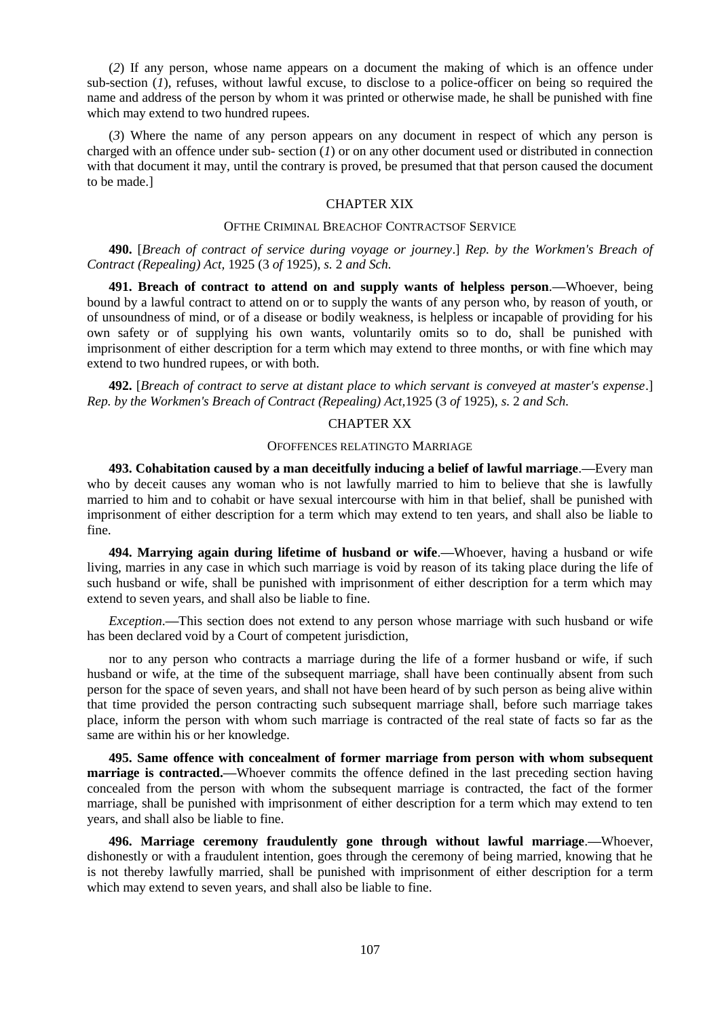(*2*) If any person, whose name appears on a document the making of which is an offence under sub-section (*1*), refuses, without lawful excuse, to disclose to a police-officer on being so required the name and address of the person by whom it was printed or otherwise made, he shall be punished with fine which may extend to two hundred rupees.

(*3*) Where the name of any person appears on any document in respect of which any person is charged with an offence under sub- section (*1*) or on any other document used or distributed in connection with that document it may, until the contrary is proved, be presumed that that person caused the document to be made.]

# CHAPTER XIX

## OFTHE CRIMINAL BREACHOF CONTRACTSOF SERVICE

**490.** [*Breach of contract of service during voyage or journey*.] *Rep. by the Workmen's Breach of Contract (Repealing) Act,* 1925 (3 *of* 1925), *s.* 2 *and Sch.*

**491. Breach of contract to attend on and supply wants of helpless person**.**—**Whoever, being bound by a lawful contract to attend on or to supply the wants of any person who, by reason of youth, or of unsoundness of mind, or of a disease or bodily weakness, is helpless or incapable of providing for his own safety or of supplying his own wants, voluntarily omits so to do, shall be punished with imprisonment of either description for a term which may extend to three months, or with fine which may extend to two hundred rupees, or with both.

**492.** [*Breach of contract to serve at distant place to which servant is conveyed at master's expense*.] *Rep. by the Workmen's Breach of Contract (Repealing) Act,*1925 (3 *of* 1925), *s.* 2 *and Sch.*

## CHAPTER XX

## OFOFFENCES RELATINGTO MARRIAGE

**493. Cohabitation caused by a man deceitfully inducing a belief of lawful marriage**.**—**Every man who by deceit causes any woman who is not lawfully married to him to believe that she is lawfully married to him and to cohabit or have sexual intercourse with him in that belief, shall be punished with imprisonment of either description for a term which may extend to ten years, and shall also be liable to fine.

**494. Marrying again during lifetime of husband or wife**.**—**Whoever, having a husband or wife living, marries in any case in which such marriage is void by reason of its taking place during the life of such husband or wife, shall be punished with imprisonment of either description for a term which may extend to seven years, and shall also be liable to fine.

*Exception*.**—**This section does not extend to any person whose marriage with such husband or wife has been declared void by a Court of competent jurisdiction,

nor to any person who contracts a marriage during the life of a former husband or wife, if such husband or wife, at the time of the subsequent marriage, shall have been continually absent from such person for the space of seven years, and shall not have been heard of by such person as being alive within that time provided the person contracting such subsequent marriage shall, before such marriage takes place, inform the person with whom such marriage is contracted of the real state of facts so far as the same are within his or her knowledge.

**495. Same offence with concealment of former marriage from person with whom subsequent marriage is contracted.—Whoever commits the offence defined in the last preceding section having** concealed from the person with whom the subsequent marriage is contracted, the fact of the former marriage, shall be punished with imprisonment of either description for a term which may extend to ten years, and shall also be liable to fine.

**496. Marriage ceremony fraudulently gone through without lawful marriage**.**—**Whoever, dishonestly or with a fraudulent intention, goes through the ceremony of being married, knowing that he is not thereby lawfully married, shall be punished with imprisonment of either description for a term which may extend to seven years, and shall also be liable to fine.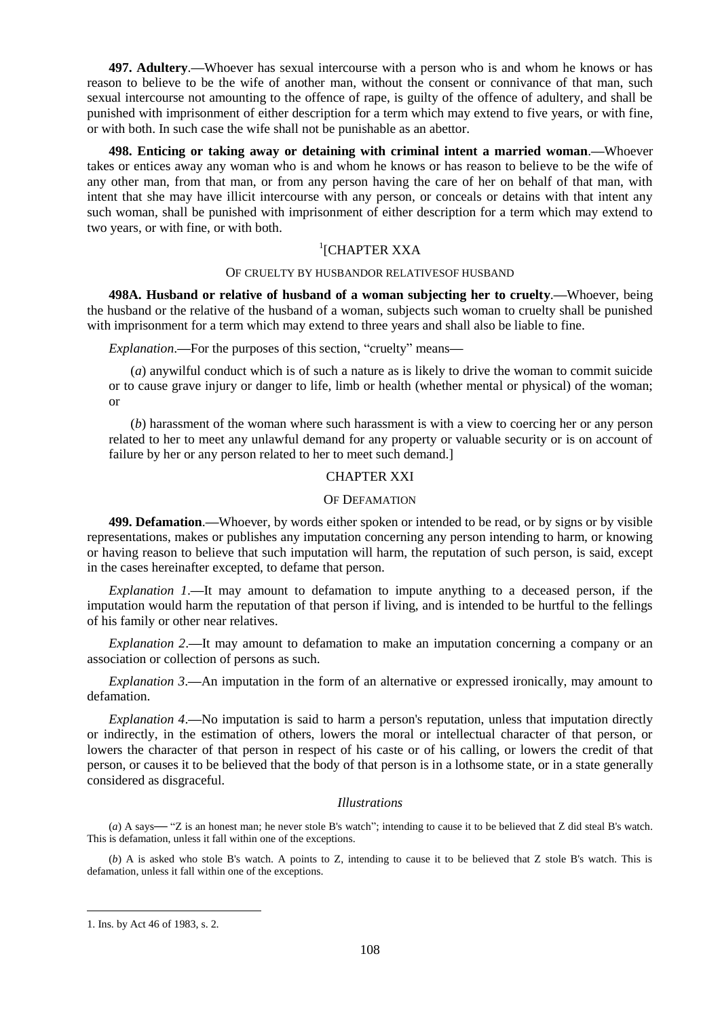**497. Adultery**.**—**Whoever has sexual intercourse with a person who is and whom he knows or has reason to believe to be the wife of another man, without the consent or connivance of that man, such sexual intercourse not amounting to the offence of rape, is guilty of the offence of adultery, and shall be punished with imprisonment of either description for a term which may extend to five years, or with fine, or with both. In such case the wife shall not be punishable as an abettor.

**498. Enticing or taking away or detaining with criminal intent a married woman**.**—**Whoever takes or entices away any woman who is and whom he knows or has reason to believe to be the wife of any other man, from that man, or from any person having the care of her on behalf of that man, with intent that she may have illicit intercourse with any person, or conceals or detains with that intent any such woman, shall be punished with imprisonment of either description for a term which may extend to two years, or with fine, or with both.

# <sup>1</sup>[CHAPTER XXA

### OF CRUELTY BY HUSBANDOR RELATIVESOF HUSBAND

**498A. Husband or relative of husband of a woman subjecting her to cruelty**.**—**Whoever, being the husband or the relative of the husband of a woman, subjects such woman to cruelty shall be punished with imprisonment for a term which may extend to three years and shall also be liable to fine.

*Explanation*.**—**For the purposes of this section, "cruelty" means**—**

(*a*) anywilful conduct which is of such a nature as is likely to drive the woman to commit suicide or to cause grave injury or danger to life, limb or health (whether mental or physical) of the woman; or

(*b*) harassment of the woman where such harassment is with a view to coercing her or any person related to her to meet any unlawful demand for any property or valuable security or is on account of failure by her or any person related to her to meet such demand.]

# CHAPTER XXI

### OF DEFAMATION

**499. Defamation**.**—**Whoever, by words either spoken or intended to be read, or by signs or by visible representations, makes or publishes any imputation concerning any person intending to harm, or knowing or having reason to believe that such imputation will harm, the reputation of such person, is said, except in the cases hereinafter excepted, to defame that person.

*Explanation 1*.**—**It may amount to defamation to impute anything to a deceased person, if the imputation would harm the reputation of that person if living, and is intended to be hurtful to the fellings of his family or other near relatives.

*Explanation 2*.**—**It may amount to defamation to make an imputation concerning a company or an association or collection of persons as such.

*Explanation 3*.**—**An imputation in the form of an alternative or expressed ironically, may amount to defamation.

*Explanation 4*.**—**No imputation is said to harm a person's reputation, unless that imputation directly or indirectly, in the estimation of others, lowers the moral or intellectual character of that person, or lowers the character of that person in respect of his caste or of his calling, or lowers the credit of that person, or causes it to be believed that the body of that person is in a lothsome state, or in a state generally considered as disgraceful.

## *Illustrations*

(*a*) A says**—** "Z is an honest man; he never stole B's watch"; intending to cause it to be believed that Z did steal B's watch. This is defamation, unless it fall within one of the exceptions.

(*b*) A is asked who stole B's watch. A points to Z, intending to cause it to be believed that Z stole B's watch. This is defamation, unless it fall within one of the exceptions.

<sup>1.</sup> Ins. by Act 46 of 1983, s. 2.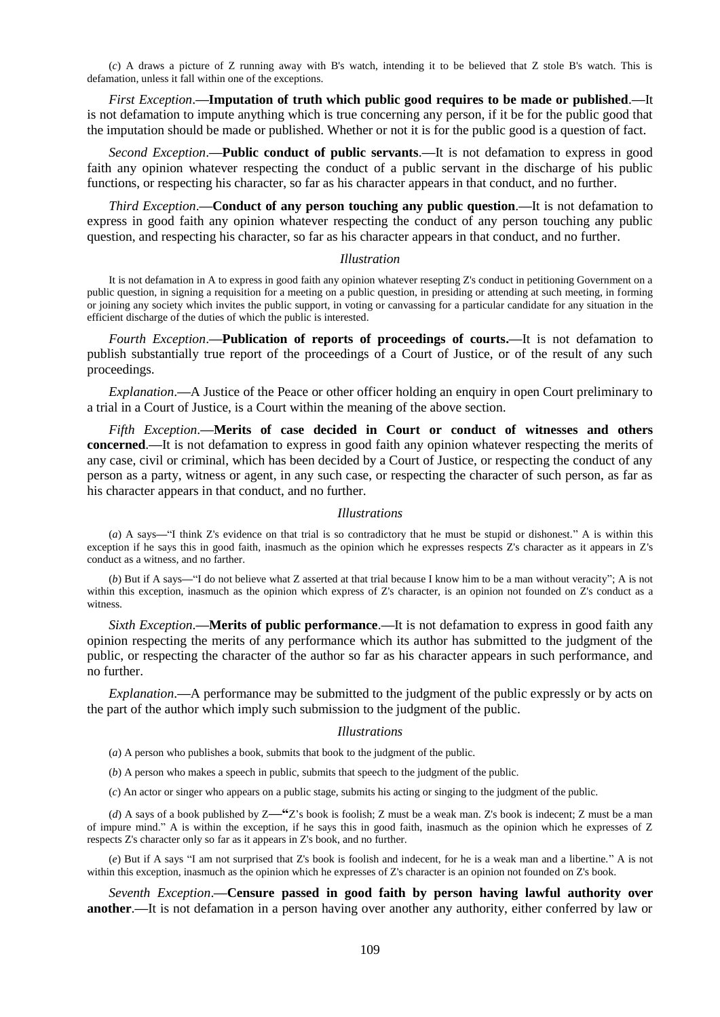(*c*) A draws a picture of Z running away with B's watch, intending it to be believed that Z stole B's watch. This is defamation, unless it fall within one of the exceptions.

*First Exception*.**—Imputation of truth which public good requires to be made or published**.**—**It is not defamation to impute anything which is true concerning any person, if it be for the public good that the imputation should be made or published. Whether or not it is for the public good is a question of fact.

*Second Exception*.**—Public conduct of public servants**.**—**It is not defamation to express in good faith any opinion whatever respecting the conduct of a public servant in the discharge of his public functions, or respecting his character, so far as his character appears in that conduct, and no further.

*Third Exception*.**—Conduct of any person touching any public question**.**—**It is not defamation to express in good faith any opinion whatever respecting the conduct of any person touching any public question, and respecting his character, so far as his character appears in that conduct, and no further.

### *Illustration*

It is not defamation in A to express in good faith any opinion whatever resepting Z's conduct in petitioning Government on a public question, in signing a requisition for a meeting on a public question, in presiding or attending at such meeting, in forming or joining any society which invites the public support, in voting or canvassing for a particular candidate for any situation in the efficient discharge of the duties of which the public is interested.

*Fourth Exception*.**—Publication of reports of proceedings of courts.—**It is not defamation to publish substantially true report of the proceedings of a Court of Justice, or of the result of any such proceedings.

*Explanation*.**—**A Justice of the Peace or other officer holding an enquiry in open Court preliminary to a trial in a Court of Justice, is a Court within the meaning of the above section.

*Fifth Exception*.**—Merits of case decided in Court or conduct of witnesses and others concerned**.**—**It is not defamation to express in good faith any opinion whatever respecting the merits of any case, civil or criminal, which has been decided by a Court of Justice, or respecting the conduct of any person as a party, witness or agent, in any such case, or respecting the character of such person, as far as his character appears in that conduct, and no further.

#### *Illustrations*

(*a*) A says**—**"I think Z's evidence on that trial is so contradictory that he must be stupid or dishonest." A is within this exception if he says this in good faith, inasmuch as the opinion which he expresses respects Z's character as it appears in Z's conduct as a witness, and no farther.

(*b*) But if A says**—**"I do not believe what Z asserted at that trial because I know him to be a man without veracity"; A is not within this exception, inasmuch as the opinion which express of Z's character, is an opinion not founded on Z's conduct as a witness.

*Sixth Exception*.**—Merits of public performance**.**—**It is not defamation to express in good faith any opinion respecting the merits of any performance which its author has submitted to the judgment of the public, or respecting the character of the author so far as his character appears in such performance, and no further.

*Explanation*.**—**A performance may be submitted to the judgment of the public expressly or by acts on the part of the author which imply such submission to the judgment of the public.

### *Illustrations*

(*a*) A person who publishes a book, submits that book to the judgment of the public.

(*b*) A person who makes a speech in public, submits that speech to the judgment of the public.

(*c*) An actor or singer who appears on a public stage, submits his acting or singing to the judgment of the public.

(*d*) A says of a book published by Z**—"**Z's book is foolish; Z must be a weak man. Z's book is indecent; Z must be a man of impure mind." A is within the exception, if he says this in good faith, inasmuch as the opinion which he expresses of Z respects Z's character only so far as it appears in Z's book, and no further.

(*e*) But if A says "I am not surprised that Z's book is foolish and indecent, for he is a weak man and a libertine." A is not within this exception, inasmuch as the opinion which he expresses of Z's character is an opinion not founded on Z's book.

*Seventh Exception*.**—Censure passed in good faith by person having lawful authority over another**.**—**It is not defamation in a person having over another any authority, either conferred by law or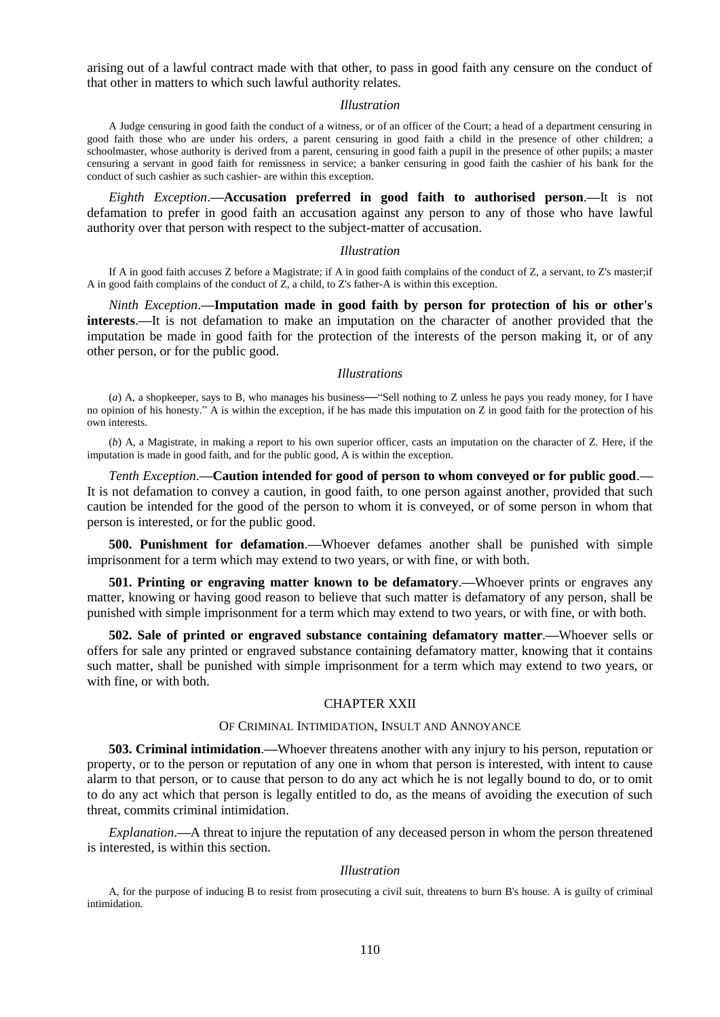arising out of a lawful contract made with that other, to pass in good faith any censure on the conduct of that other in matters to which such lawful authority relates.

### *Illustration*

A Judge censuring in good faith the conduct of a witness, or of an officer of the Court; a head of a department censuring in good faith those who are under his orders, a parent censuring in good faith a child in the presence of other children; a schoolmaster, whose authority is derived from a parent, censuring in good faith a pupil in the presence of other pupils; a master censuring a servant in good faith for remissness in service; a banker censuring in good faith the cashier of his bank for the conduct of such cashier as such cashier- are within this exception.

*Eighth Exception*.**—Accusation preferred in good faith to authorised person**.**—**It is not defamation to prefer in good faith an accusation against any person to any of those who have lawful authority over that person with respect to the subject-matter of accusation.

# *Illustration*

If A in good faith accuses Z before a Magistrate; if A in good faith complains of the conduct of Z, a servant, to Z's master;if A in good faith complains of the conduct of Z, a child, to Z's father-A is within this exception.

*Ninth Exception*.**—Imputation made in good faith by person for protection of his or other's interests**.**—**It is not defamation to make an imputation on the character of another provided that the imputation be made in good faith for the protection of the interests of the person making it, or of any other person, or for the public good.

### *Illustrations*

(*a*) A, a shopkeeper, says to B, who manages his business**—**"Sell nothing to Z unless he pays you ready money, for I have no opinion of his honesty." A is within the exception, if he has made this imputation on Z in good faith for the protection of his own interests.

(*b*) A, a Magistrate, in making a report to his own superior officer, casts an imputation on the character of Z. Here, if the imputation is made in good faith, and for the public good, A is within the exception.

*Tenth Exception*.**—Caution intended for good of person to whom conveyed or for public good**.**—** It is not defamation to convey a caution, in good faith, to one person against another, provided that such caution be intended for the good of the person to whom it is conveyed, or of some person in whom that person is interested, or for the public good.

**500. Punishment for defamation**.**—**Whoever defames another shall be punished with simple imprisonment for a term which may extend to two years, or with fine, or with both.

**501. Printing or engraving matter known to be defamatory**.**—**Whoever prints or engraves any matter, knowing or having good reason to believe that such matter is defamatory of any person, shall be punished with simple imprisonment for a term which may extend to two years, or with fine, or with both.

**502. Sale of printed or engraved substance containing defamatory matter**.**—**Whoever sells or offers for sale any printed or engraved substance containing defamatory matter, knowing that it contains such matter, shall be punished with simple imprisonment for a term which may extend to two years, or with fine, or with both.

# CHAPTER XXII

# OF CRIMINAL INTIMIDATION, INSULT AND ANNOYANCE

**503. Criminal intimidation**.**—**Whoever threatens another with any injury to his person, reputation or property, or to the person or reputation of any one in whom that person is interested, with intent to cause alarm to that person, or to cause that person to do any act which he is not legally bound to do, or to omit to do any act which that person is legally entitled to do, as the means of avoiding the execution of such threat, commits criminal intimidation.

*Explanation*.**—**A threat to injure the reputation of any deceased person in whom the person threatened is interested, is within this section.

### *Illustration*

A, for the purpose of inducing B to resist from prosecuting a civil suit, threatens to burn B's house. A is guilty of criminal intimidation.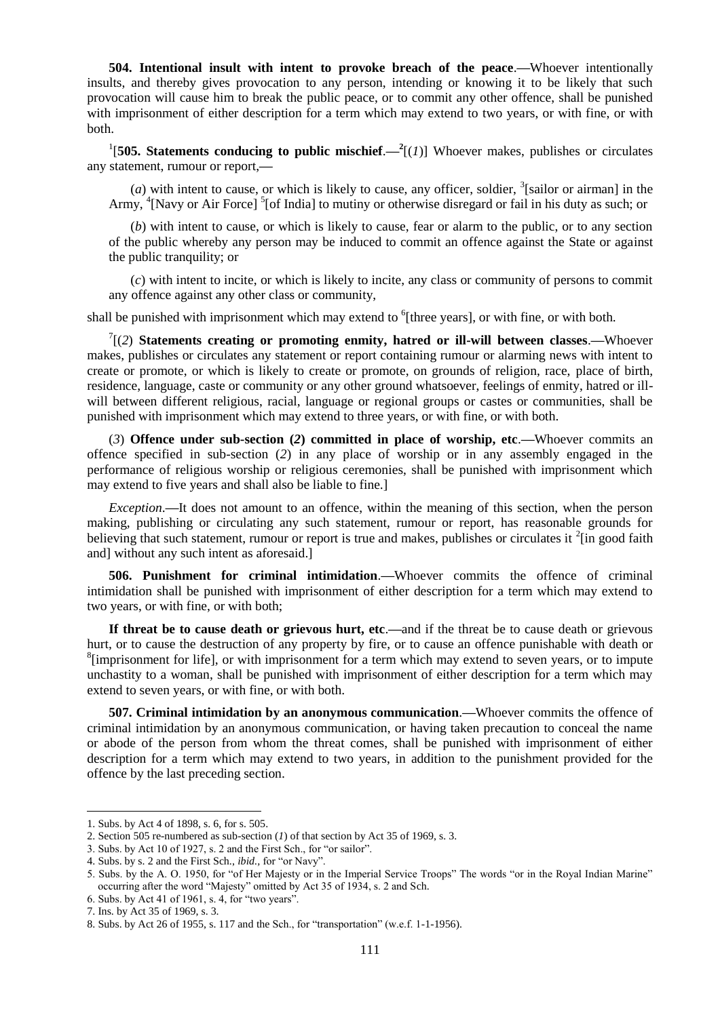**504. Intentional insult with intent to provoke breach of the peace**.**—**Whoever intentionally insults, and thereby gives provocation to any person, intending or knowing it to be likely that such provocation will cause him to break the public peace, or to commit any other offence, shall be punished with imprisonment of either description for a term which may extend to two years, or with fine, or with both.

<sup>1</sup>(505. Statements conducing to public mischief. $-\frac{2}{l}(l)$ ) Whoever makes, publishes or circulates any statement, rumour or report,**—**

(*a*) with intent to cause, or which is likely to cause, any officer, soldier,  $\frac{3}{3}$ [sailor or airman] in the Army, <sup>4</sup>[Navy or Air Force]<sup>5</sup>[of India] to mutiny or otherwise disregard or fail in his duty as such; or

(*b*) with intent to cause, or which is likely to cause, fear or alarm to the public, or to any section of the public whereby any person may be induced to commit an offence against the State or against the public tranquility; or

(*c*) with intent to incite, or which is likely to incite, any class or community of persons to commit any offence against any other class or community,

shall be punished with imprisonment which may extend to <sup>6</sup>[three years], or with fine, or with both.

7 [(*2*) **Statements creating or promoting enmity, hatred or ill-will between classes**.**—**Whoever makes, publishes or circulates any statement or report containing rumour or alarming news with intent to create or promote, or which is likely to create or promote, on grounds of religion, race, place of birth, residence, language, caste or community or any other ground whatsoever, feelings of enmity, hatred or illwill between different religious, racial, language or regional groups or castes or communities, shall be punished with imprisonment which may extend to three years, or with fine, or with both.

(*3*) **Offence under sub-section (***2***) committed in place of worship, etc**.**—**Whoever commits an offence specified in sub-section (*2*) in any place of worship or in any assembly engaged in the performance of religious worship or religious ceremonies, shall be punished with imprisonment which may extend to five years and shall also be liable to fine.]

*Exception*.**—**It does not amount to an offence, within the meaning of this section, when the person making, publishing or circulating any such statement, rumour or report, has reasonable grounds for believing that such statement, rumour or report is true and makes, publishes or circulates it <sup>2</sup>[in good faith and] without any such intent as aforesaid.]

**506. Punishment for criminal intimidation**.**—**Whoever commits the offence of criminal intimidation shall be punished with imprisonment of either description for a term which may extend to two years, or with fine, or with both;

**If threat be to cause death or grievous hurt, etc**.**—**and if the threat be to cause death or grievous hurt, or to cause the destruction of any property by fire, or to cause an offence punishable with death or <sup>8</sup>[imprisonment for life], or with imprisonment for a term which may extend to seven years, or to impute unchastity to a woman, shall be punished with imprisonment of either description for a term which may extend to seven years, or with fine, or with both.

**507. Criminal intimidation by an anonymous communication**.**—**Whoever commits the offence of criminal intimidation by an anonymous communication, or having taken precaution to conceal the name or abode of the person from whom the threat comes, shall be punished with imprisonment of either description for a term which may extend to two years, in addition to the punishment provided for the offence by the last preceding section.

**.** 

<sup>1.</sup> Subs. by Act 4 of 1898, s. 6, for s. 505.

<sup>2.</sup> Section 505 re-numbered as sub-section (*1*) of that section by Act 35 of 1969, s. 3.

<sup>3.</sup> Subs. by Act 10 of 1927, s. 2 and the First Sch., for "or sailor".

<sup>4.</sup> Subs. by s. 2 and the First Sch., *ibid.,* for "or Navy".

<sup>5.</sup> Subs. by the A. O. 1950, for "of Her Majesty or in the Imperial Service Troops" The words "or in the Royal Indian Marine" occurring after the word "Majesty" omitted by Act 35 of 1934, s. 2 and Sch.

<sup>6.</sup> Subs. by Act 41 of 1961, s. 4, for "two years".

<sup>7.</sup> Ins. by Act 35 of 1969, s. 3.

<sup>8.</sup> Subs. by Act 26 of 1955, s. 117 and the Sch., for "transportation" (w.e.f. 1-1-1956).